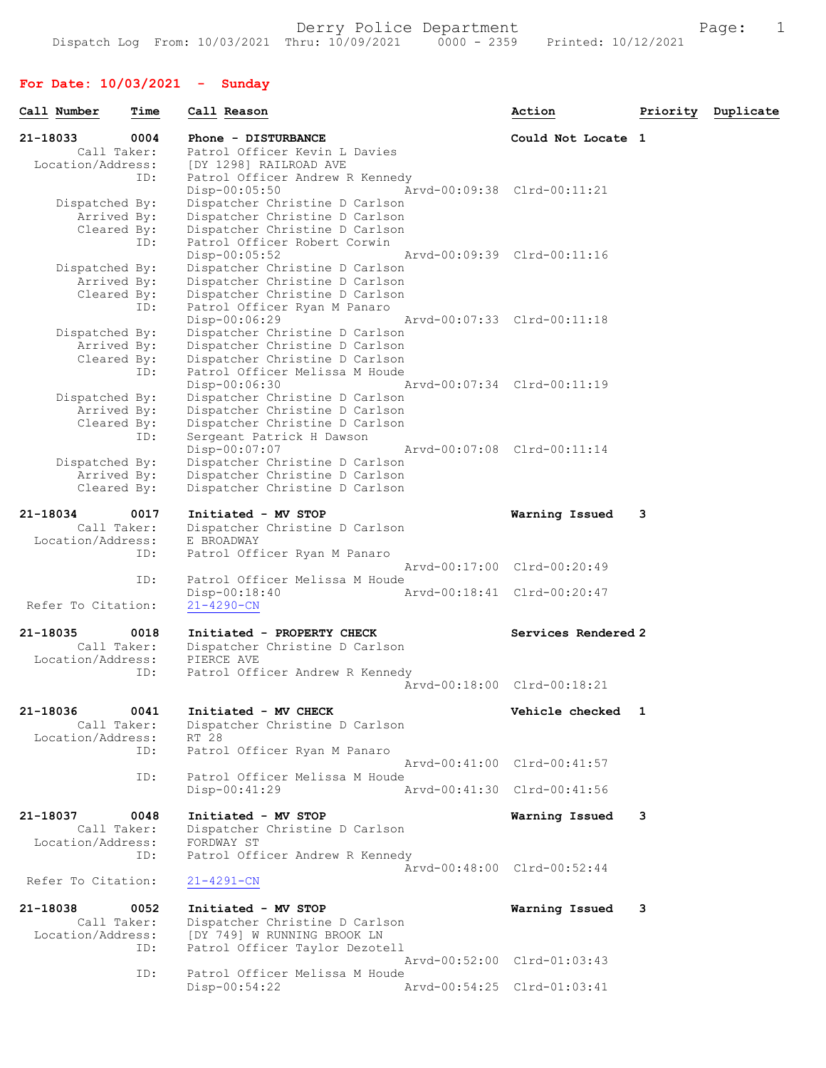# For Date: 10/03/2021 - Sunday

| Call Number                      | Time | Call Reason                                                    | Action                      | Priority | Duplicate |
|----------------------------------|------|----------------------------------------------------------------|-----------------------------|----------|-----------|
| 21-18033                         | 0004 | Phone - DISTURBANCE                                            | Could Not Locate 1          |          |           |
| Call Taker:<br>Location/Address: |      | Patrol Officer Kevin L Davies<br>[DY 1298] RAILROAD AVE        |                             |          |           |
|                                  | ID:  | Patrol Officer Andrew R Kennedy                                |                             |          |           |
|                                  |      | $Disp-00:05:50$                                                | Arvd-00:09:38 Clrd-00:11:21 |          |           |
| Dispatched By:                   |      | Dispatcher Christine D Carlson                                 |                             |          |           |
| Arrived By:                      |      | Dispatcher Christine D Carlson                                 |                             |          |           |
| Cleared By:                      | ID:  | Dispatcher Christine D Carlson<br>Patrol Officer Robert Corwin |                             |          |           |
|                                  |      | Disp-00:05:52                                                  | Aryd-00:09:39 Clrd-00:11:16 |          |           |
| Dispatched By:                   |      | Dispatcher Christine D Carlson                                 |                             |          |           |
| Arrived By:                      |      | Dispatcher Christine D Carlson                                 |                             |          |           |
| Cleared By:                      | ID:  | Dispatcher Christine D Carlson<br>Patrol Officer Ryan M Panaro |                             |          |           |
|                                  |      | Disp-00:06:29                                                  | Arvd-00:07:33 Clrd-00:11:18 |          |           |
| Dispatched By:                   |      | Dispatcher Christine D Carlson                                 |                             |          |           |
| Arrived By:                      |      | Dispatcher Christine D Carlson                                 |                             |          |           |
| Cleared By:                      |      | Dispatcher Christine D Carlson                                 |                             |          |           |
|                                  | ID:  | Patrol Officer Melissa M Houde<br>Disp-00:06:30                | Aryd-00:07:34 Clrd-00:11:19 |          |           |
| Dispatched By:                   |      | Dispatcher Christine D Carlson                                 |                             |          |           |
| Arrived By:                      |      | Dispatcher Christine D Carlson                                 |                             |          |           |
| Cleared By:                      |      | Dispatcher Christine D Carlson                                 |                             |          |           |
|                                  | ID:  | Sergeant Patrick H Dawson<br>Disp-00:07:07                     | Arvd-00:07:08 Clrd-00:11:14 |          |           |
| Dispatched By:                   |      | Dispatcher Christine D Carlson                                 |                             |          |           |
| Arrived By:                      |      | Dispatcher Christine D Carlson                                 |                             |          |           |
| Cleared By:                      |      | Dispatcher Christine D Carlson                                 |                             |          |           |
| 21-18034                         | 0017 | Initiated - MV STOP                                            | Warning Issued              | 3        |           |
| Call Taker:                      |      | Dispatcher Christine D Carlson                                 |                             |          |           |
| Location/Address:                |      | E BROADWAY                                                     |                             |          |           |
|                                  | ID:  | Patrol Officer Ryan M Panaro                                   |                             |          |           |
|                                  | ID:  | Patrol Officer Melissa M Houde                                 | Arvd-00:17:00 Clrd-00:20:49 |          |           |
|                                  |      | $Disp-00:18:40$                                                | Arvd-00:18:41 Clrd-00:20:47 |          |           |
| Refer To Citation:               |      | $21 - 4290 - CN$                                               |                             |          |           |
|                                  |      |                                                                |                             |          |           |
| 21-18035<br>Call Taker:          | 0018 | Initiated - PROPERTY CHECK<br>Dispatcher Christine D Carlson   | Services Rendered 2         |          |           |
| Location/Address:                |      | PIERCE AVE                                                     |                             |          |           |
|                                  | ID:  | Patrol Officer Andrew R Kennedy                                |                             |          |           |
|                                  |      |                                                                | Arvd-00:18:00 Clrd-00:18:21 |          |           |
|                                  |      |                                                                |                             |          |           |
| 21-18036<br>Call Taker:          | 0041 | Initiated - MV CHECK<br>Dispatcher Christine D Carlson         | Vehicle checked 1           |          |           |
| Location/Address:                |      | RT 28                                                          |                             |          |           |
|                                  | ID:  | Patrol Officer Ryan M Panaro                                   |                             |          |           |
|                                  |      |                                                                | Arvd-00:41:00 Clrd-00:41:57 |          |           |
|                                  | ID:  | Patrol Officer Melissa M Houde<br>Disp-00:41:29                | Arvd-00:41:30 Clrd-00:41:56 |          |           |
|                                  |      |                                                                |                             |          |           |
| 21-18037                         | 0048 | Initiated - MV STOP                                            | Warning Issued              | 3        |           |
| Call Taker:                      |      | Dispatcher Christine D Carlson                                 |                             |          |           |
| Location/Address:                |      | FORDWAY ST                                                     |                             |          |           |
|                                  | ID:  | Patrol Officer Andrew R Kennedy                                | Arvd-00:48:00 Clrd-00:52:44 |          |           |
| Refer To Citation:               |      | $21 - 4291 - CN$                                               |                             |          |           |
| 21-18038                         | 0052 | Initiated - MV STOP                                            | Warning Issued              | 3        |           |
| Call Taker:                      |      | Dispatcher Christine D Carlson                                 |                             |          |           |
| Location/Address:                |      | [DY 749] W RUNNING BROOK LN                                    |                             |          |           |
|                                  | ID:  | Patrol Officer Taylor Dezotell                                 |                             |          |           |
|                                  | ID:  | Patrol Officer Melissa M Houde                                 | Arvd-00:52:00 Clrd-01:03:43 |          |           |
|                                  |      | $Disp-00:54:22$                                                | Arvd-00:54:25 Clrd-01:03:41 |          |           |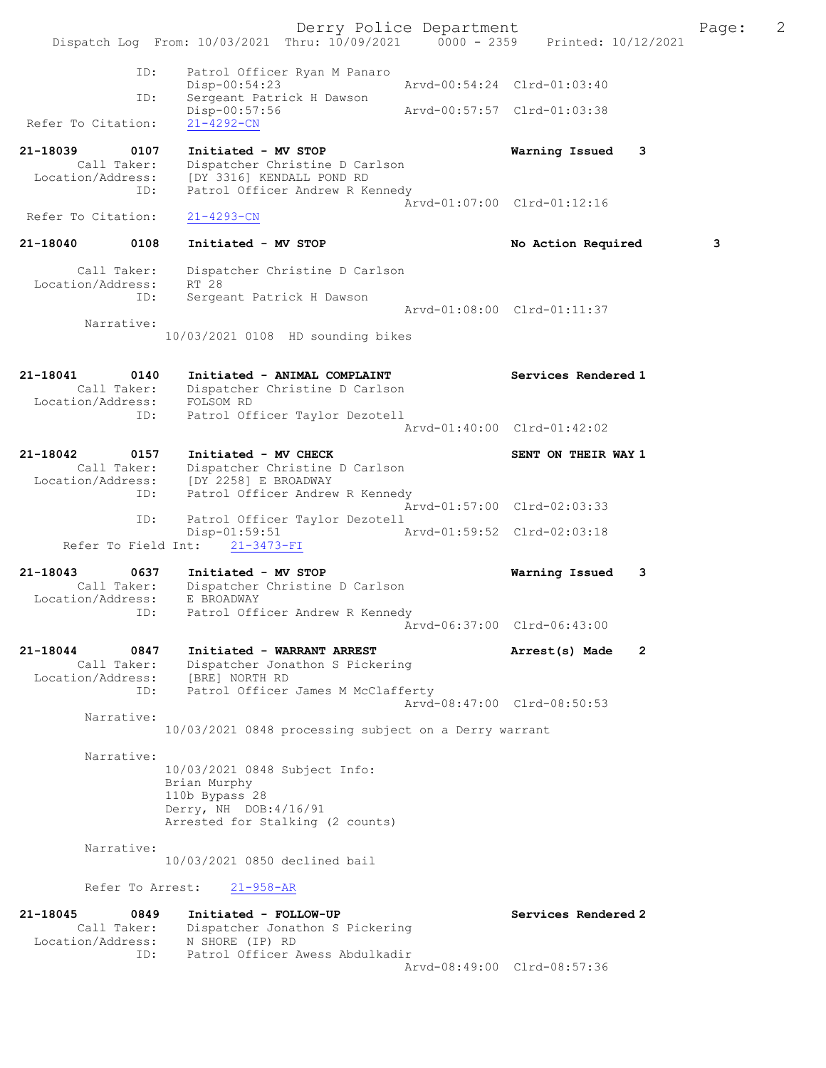Derry Police Department Fage: 2 Dispatch Log From: 10/03/2021 Thru: 10/09/2021 0000 - 2359 Printed: 10/12/2021 ID: Patrol Officer Ryan M Panaro Disp-00:54:23 Arvd-00:54:24 Clrd-01:03:40 ID: Sergeant Patrick H Dawson Disp-00:57:56 Arvd-00:57:57 Clrd-01:03:38 Refer To Citation: 21-4292-CN 21-18039 0107 Initiated - MV STOP Warning Issued 3 Call Taker: Dispatcher Christine D Carlson Location/Address: [DY 3316] KENDALL POND RD ID: Patrol Officer Andrew R Kennedy Arvd-01:07:00 Clrd-01:12:16 Refer To Citation: 21-4293-CN 21-18040 0108 Initiated - MV STOP No Action Required 3 Call Taker: Dispatcher Christine D Carlson Location/Address: RT 28 ID: Sergeant Patrick H Dawson Arvd-01:08:00 Clrd-01:11:37 Narrative: 10/03/2021 0108 HD sounding bikes 21-18041 0140 Initiated - ANIMAL COMPLAINT Services Rendered 1 Call Taker: Dispatcher Christine D Carlson Location/Address: FOLSOM RD ID: Patrol Officer Taylor Dezotell Arvd-01:40:00 Clrd-01:42:02 21-18042 0157 Initiated - MV CHECK SENT ON THEIR WAY 1 Call Taker: Dispatcher Christine D Carlson Location/Address: [DY 2258] E BROADWAY ID: Patrol Officer Andrew R Kennedy Arvd-01:57:00 Clrd-02:03:33 ID: Patrol Officer Taylor Dezotell Disp-01:59:51 Arvd-01:59:52 Clrd-02:03:18 Refer To Field Int: 21-3473-FI 21-18043 0637 Initiated - MV STOP Warning Issued 3 Call Taker: Dispatcher Christine D Carlson Location/Address: E BROADWAY ID: Patrol Officer Andrew R Kennedy Arvd-06:37:00 Clrd-06:43:00 21-18044 0847 Initiated - WARRANT ARREST Arrest(s) Made 2 Call Taker: Dispatcher Jonathon S Pickering Location/Address: [BRE] NORTH RD ID: Patrol Officer James M McClafferty Arvd-08:47:00 Clrd-08:50:53 Narrative: 10/03/2021 0848 processing subject on a Derry warrant Narrative: 10/03/2021 0848 Subject Info: Brian Murphy 110b Bypass 28 Derry, NH DOB:4/16/91 Arrested for Stalking (2 counts) Narrative: 10/03/2021 0850 declined bail Refer To Arrest: 21-958-AR 21-18045 0849 Initiated - FOLLOW-UP Services Rendered 2 Call Taker: Dispatcher Jonathon S Pickering Location/Address: N SHORE (IP) RD ID: Patrol Officer Awess Abdulkadir Arvd-08:49:00 Clrd-08:57:36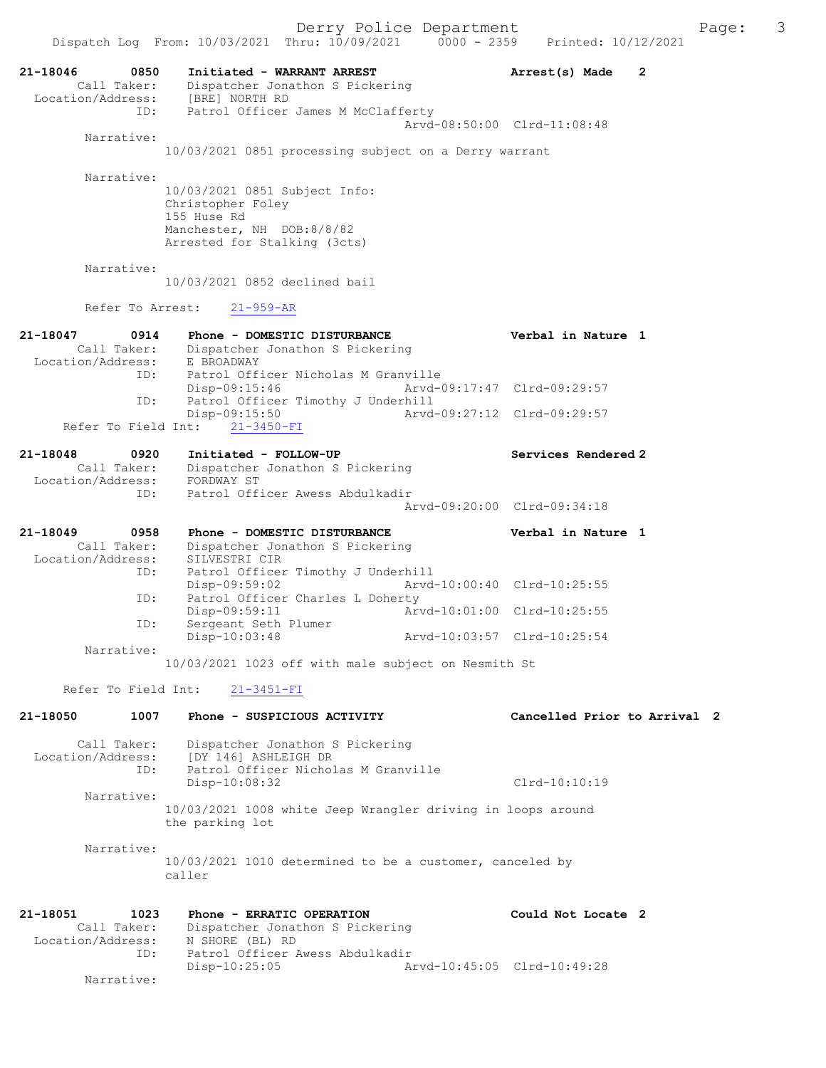21-18046 0850 Initiated - WARRANT ARREST Arrest(s) Made 2 Call Taker: Dispatcher Jonathon S Pickering Location/Address: [BRE] NORTH RD ID: Patrol Officer James M McClafferty Arvd-08:50:00 Clrd-11:08:48 Narrative: 10/03/2021 0851 processing subject on a Derry warrant Narrative: 10/03/2021 0851 Subject Info: Christopher Foley 155 Huse Rd Manchester, NH DOB:8/8/82 Arrested for Stalking (3cts) Narrative: 10/03/2021 0852 declined bail Refer To Arrest: 21-959-AR 21-18047 0914 Phone - DOMESTIC DISTURBANCE Verbal in Nature 1 Call Taker: Dispatcher Jonathon S Pickering Location/Address: E BROADWAY ID: Patrol Officer Nicholas M Granville Disp-09:15:46 Arvd-09:17:47 Clrd-09:29:57 ID: Patrol Officer Timothy J Underhill<br>Disp-09:15:50 Arvd Disp-09:15:50 Arvd-09:27:12 Clrd-09:29:57 Refer To Field Int: 21-3450-FI 21-18048 0920 Initiated - FOLLOW-UP Services Rendered 2 Call Taker: Dispatcher Jonathon S Pickering Location/Address: FORDWAY ST ID: Patrol Officer Awess Abdulkadir Arvd-09:20:00 Clrd-09:34:18 21-18049 0958 Phone - DOMESTIC DISTURBANCE Verbal in Nature 1 Call Taker: Dispatcher Jonathon S Pickering Location/Address: SILVESTRI CIR ID: Patrol Officer Timothy J Underhill Disp-09:59:02 Arvd-10:00:40 Clrd-10:25:55 ID: Patrol Officer Charles L Doherty Arvd-10:01:00 Clrd-10:25:55 ID: Patrol Officer Charles<br>Disp-09:59:11<br>ID: Sergeant Seth Plumer<br>Disp-10:03:48 Arvd-10:03:57 Clrd-10:25:54 Narrative: 10/03/2021 1023 off with male subject on Nesmith St Refer To Field Int: 21-3451-FI 21-18050 1007 Phone - SUSPICIOUS ACTIVITY Cancelled Prior to Arrival 2 Call Taker: Dispatcher Jonathon S Pickering Location/Address: [DY 146] ASHLEIGH DR ID: Patrol Officer Nicholas M Granville Disp-10:08:32 Clrd-10:10:19 Narrative: 10/03/2021 1008 white Jeep Wrangler driving in loops around the parking lot Narrative: 10/03/2021 1010 determined to be a customer, canceled by caller 21-18051 1023 Phone - ERRATIC OPERATION Could Not Locate 2 Call Taker: Dispatcher Jonathon S Pickering Location/Address: N SHORE (BL) RD ID: Patrol Officer Awess Abdulkadir Disp-10:25:05 Arvd-10:45:05 Clrd-10:49:28

Narrative: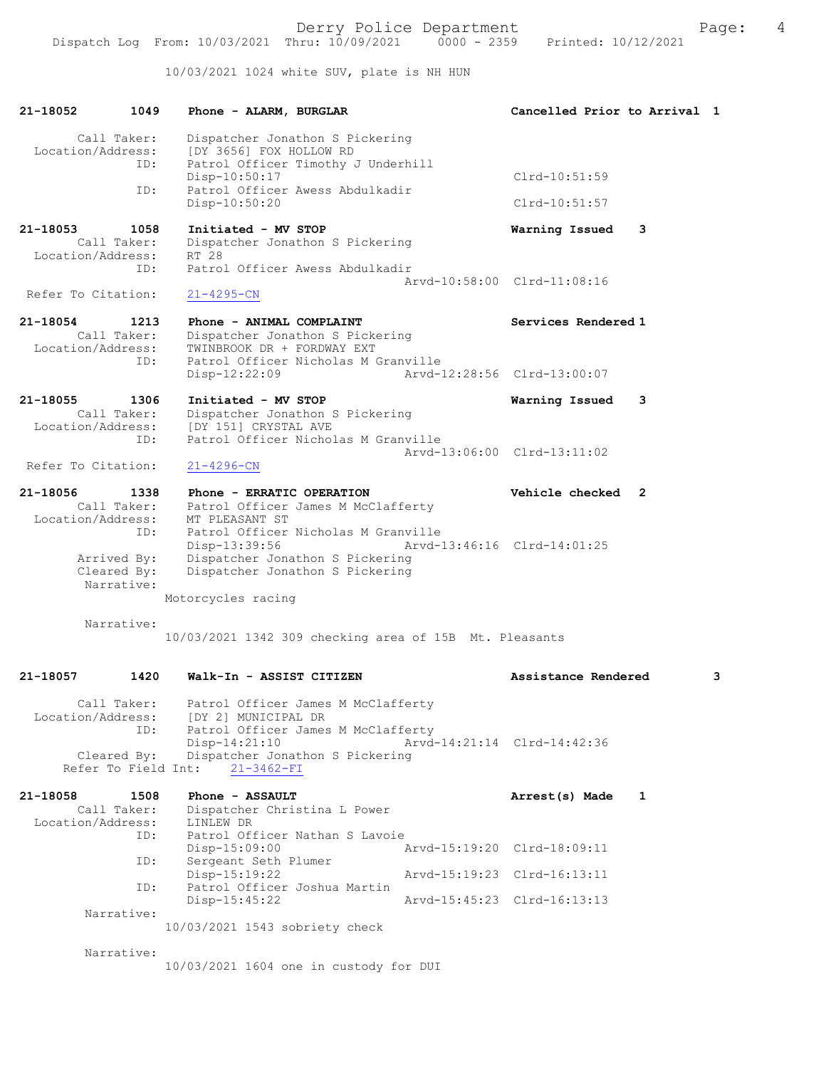10/03/2021 1024 white SUV, plate is NH HUN

| 21-18052                      | 1049                                     | Cancelled Prior to Arrival 1<br>Phone - ALARM, BURGLAR                                                                                                                             |   |
|-------------------------------|------------------------------------------|------------------------------------------------------------------------------------------------------------------------------------------------------------------------------------|---|
| Location/Address:             | Call Taker:<br>ID:                       | Dispatcher Jonathon S Pickering<br>[DY 3656] FOX HOLLOW RD<br>Patrol Officer Timothy J Underhill                                                                                   |   |
|                               | ID:                                      | Disp-10:50:17<br>$Clrd-10:51:59$<br>Patrol Officer Awess Abdulkadir                                                                                                                |   |
|                               |                                          | Disp-10:50:20<br>$Clrd-10:51:57$                                                                                                                                                   |   |
| 21-18053<br>Location/Address: | 1058<br>Call Taker:                      | Initiated - MV STOP<br>3<br>Warning Issued<br>Dispatcher Jonathon S Pickering<br>RT 28                                                                                             |   |
|                               | ID:                                      | Patrol Officer Awess Abdulkadir<br>Arvd-10:58:00 Clrd-11:08:16                                                                                                                     |   |
| Refer To Citation:            |                                          | $21 - 4295 - CN$                                                                                                                                                                   |   |
| 21-18054<br>Location/Address: | 1213<br>Call Taker:<br>ID:               | Phone - ANIMAL COMPLAINT<br>Services Rendered 1<br>Dispatcher Jonathon S Pickering<br>TWINBROOK DR + FORDWAY EXT<br>Patrol Officer Nicholas M Granville                            |   |
|                               |                                          | Arvd-12:28:56 Clrd-13:00:07<br>Disp-12:22:09                                                                                                                                       |   |
| 21-18055<br>Location/Address: | 1306<br>Call Taker:                      | Initiated - MV STOP<br>Warning Issued<br>3<br>Dispatcher Jonathon S Pickering<br>[DY 151] CRYSTAL AVE                                                                              |   |
|                               | ID:                                      | Patrol Officer Nicholas M Granville<br>Arvd-13:06:00 Clrd-13:11:02                                                                                                                 |   |
| Refer To Citation:            |                                          | $21 - 4296 - CN$                                                                                                                                                                   |   |
| 21-18056                      | 1338                                     | Vehicle checked 2<br>Phone - ERRATIC OPERATION                                                                                                                                     |   |
| Location/Address:             | Call Taker:<br>ID:                       | Patrol Officer James M McClafferty<br>MT PLEASANT ST<br>Patrol Officer Nicholas M Granville<br>Arvd-13:46:16 Clrd-14:01:25<br>Disp-13:39:56                                        |   |
|                               | Arrived By:<br>Cleared By:<br>Narrative: | Dispatcher Jonathon S Pickering<br>Dispatcher Jonathon S Pickering                                                                                                                 |   |
|                               |                                          | Motorcycles racing                                                                                                                                                                 |   |
|                               | Narrative:                               | 10/03/2021 1342 309 checking area of 15B Mt. Pleasants                                                                                                                             |   |
| 21-18057                      | 1420                                     | Walk-In - ASSIST CITIZEN<br>Assistance Rendered                                                                                                                                    | 3 |
| Location/Address:             | Call Taker:<br>ID:<br>Cleared By:        | Patrol Officer James M McClafferty<br>[DY 2] MUNICIPAL DR<br>Patrol Officer James M McClafferty<br>Disp-14:21:10<br>Arvd-14:21:14 Clrd-14:42:36<br>Dispatcher Jonathon S Pickering |   |
|                               | Refer To Field Int:                      | $21 - 3462 - FI$                                                                                                                                                                   |   |
| 21-18058<br>Location/Address: | 1508<br>Call Taker:                      | Phone - ASSAULT<br>Arrest(s) Made<br>1<br>Dispatcher Christina L Power<br>LINLEW DR                                                                                                |   |
|                               | ID:                                      | Patrol Officer Nathan S Lavoie<br>Disp-15:09:00<br>Arvd-15:19:20 Clrd-18:09:11                                                                                                     |   |
|                               | ID:                                      | Sergeant Seth Plumer<br>Disp-15:19:22<br>Arvd-15:19:23 Clrd-16:13:11                                                                                                               |   |
|                               | ID:                                      | Patrol Officer Joshua Martin<br>Arvd-15:45:23 Clrd-16:13:13                                                                                                                        |   |
|                               | Narrative:                               | $Disp-15:45:22$                                                                                                                                                                    |   |
|                               |                                          | 10/03/2021 1543 sobriety check                                                                                                                                                     |   |
|                               | Narrative:                               |                                                                                                                                                                                    |   |

10/03/2021 1604 one in custody for DUI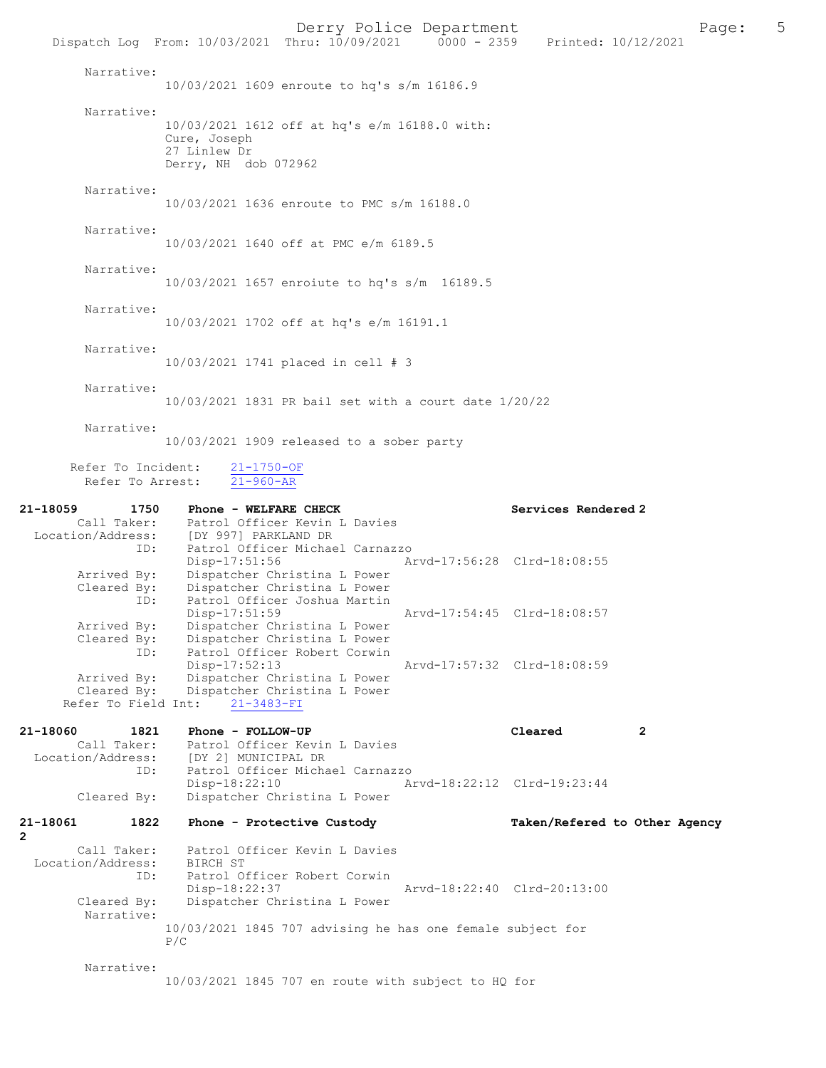Derry Police Department<br>
Page: 5 Printed: 10/12/2021 0000 - 2359 Printed: 10/12/2021 Dispatch Log From: 10/03/2021 Thru: 10/09/2021 Narrative: 10/03/2021 1609 enroute to hq's s/m 16186.9 Narrative: 10/03/2021 1612 off at hq's e/m 16188.0 with: Cure, Joseph 27 Linlew Dr Derry, NH dob 072962 Narrative: 10/03/2021 1636 enroute to PMC s/m 16188.0 Narrative: 10/03/2021 1640 off at PMC e/m 6189.5 Narrative: 10/03/2021 1657 enroiute to hq's s/m 16189.5 Narrative: 10/03/2021 1702 off at hq's e/m 16191.1 Narrative: 10/03/2021 1741 placed in cell # 3 Narrative: 10/03/2021 1831 PR bail set with a court date 1/20/22 Narrative: 10/03/2021 1909 released to a sober party Refer To Incident:  $\frac{21-1750-OF}{21-960-AR}$ Refer To Arrest: 21-18059 1750 Phone - WELFARE CHECK Services Rendered 2 Call Taker: Patrol Officer Kevin L Davies<br>Location/Address: [DY 997] PARKLAND DR ess: [DY 997] PARKLAND DR<br>ID: Patrol Officer Michael Patrol Officer Michael Carnazzo<br>Disp-17:51:56 A Disp-17:51:56 Arvd-17:56:28 Clrd-18:08:55<br>Arrived By: Dispatcher Christina L Power Arrived By: Dispatcher Christina L Power<br>Cleared By: Dispatcher Christina L Power Dispatcher Christina L Power ID: Patrol Officer Joshua Martin Disp-17:51:59 Arvd-17:54:45 Clrd-18:08:57<br>Arrived By: Dispatcher Christina L Power Dispatcher Christina L Power Cleared By: Dispatcher Christina L Power<br>TD: Patrol Officer Robert Corwin Patrol Officer Robert Corwin<br>Disp-17:52:13 Disp-17:52:13 Arvd-17:57:32 Clrd-18:08:59<br>Arrived By: Dispatcher Christina L Power Arrived By: Dispatcher Christina L Power<br>Cleared By: Dispatcher Christina L Power Dispatcher Christina L Power<br>nt: 21-3483-FI Refer To Field Int: 21-18060 1821 Phone - FOLLOW-UP Cleared 2<br>Call Taker: Patrol Officer Kevin L Davies Call Taker: Patrol Officer Kevin L Davies<br>Location/Address: [DY 2] MUNICIPAL DR ess: [DY 2] MUNICIPAL DR<br>ID: Patrol Officer Micha Patrol Officer Michael Carnazzo Disp-18:22:10 Arvd-18:22:12 Clrd-19:23:44 Cleared By: Dispatcher Christina L Power 21-18061 1822 Phone - Protective Custody Taken/Refered to Other Agency Call Taker: Patrol Officer Kevin L Davies<br>.on/Address: BIRCH ST Location/Address:<br>ID: Patrol Officer Robert Corwin Disp-18:22:37 Arvd-18:22:40 Clrd-20:13:00<br>Cleared By: Dispatcher Christina L Power Dispatcher Christina L Power Narrative: 10/03/2021 1845 707 advising he has one female subject for P/C Narrative:

10/03/2021 1845 707 en route with subject to HQ for

2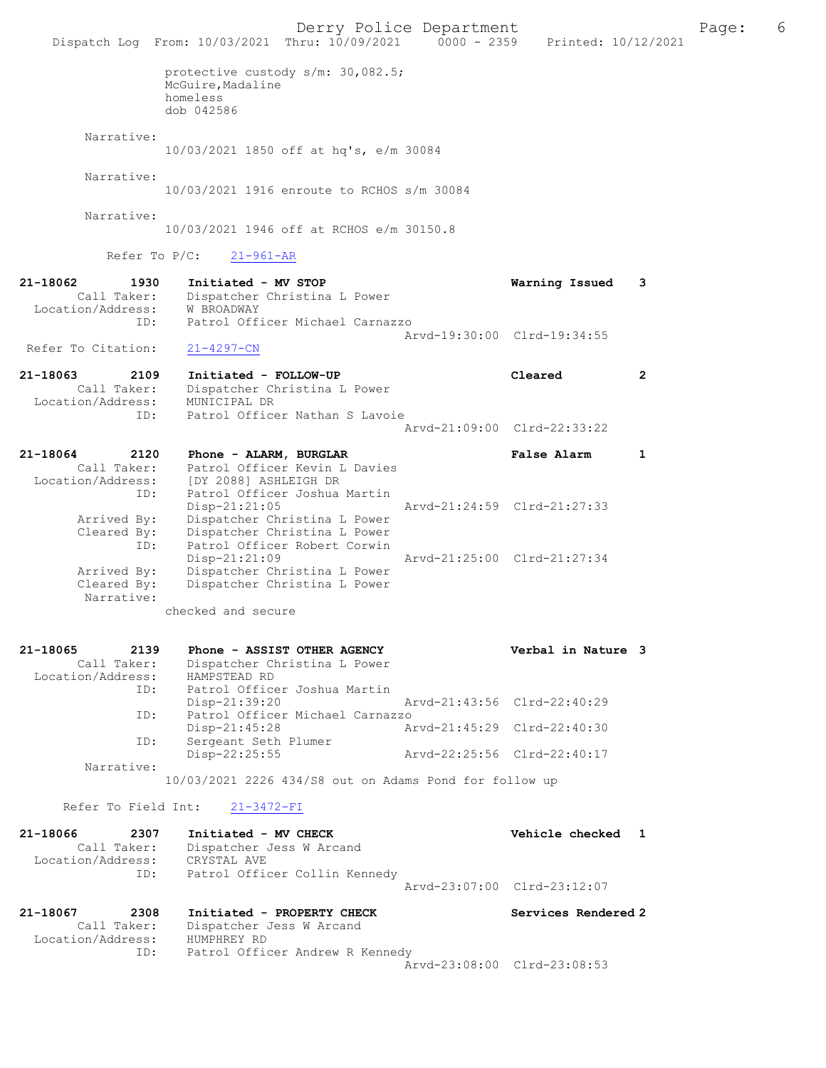|                                                                 | Dispatch Log From: 10/03/2021 Thru: 10/09/2021 0000 - 2359      | Derry Police Department                                                                      | Printed: 10/12/2021         |                | Page: | 6 |
|-----------------------------------------------------------------|-----------------------------------------------------------------|----------------------------------------------------------------------------------------------|-----------------------------|----------------|-------|---|
|                                                                 | McGuire, Madaline<br>homeless<br>dob 042586                     | protective custody s/m: 30,082.5;                                                            |                             |                |       |   |
| Narrative:                                                      | 10/03/2021 1850 off at hq's, e/m 30084                          |                                                                                              |                             |                |       |   |
| Narrative:                                                      |                                                                 | 10/03/2021 1916 enroute to RCHOS s/m 30084                                                   |                             |                |       |   |
| Narrative:                                                      | 10/03/2021 1946 off at RCHOS e/m 30150.8                        |                                                                                              |                             |                |       |   |
| Refer To $P/C$ :                                                | $21 - 961 - AR$                                                 |                                                                                              |                             |                |       |   |
| 21-18062<br>1930<br>Call Taker:<br>Location/Address: W BROADWAY | Initiated - MV STOP                                             | Dispatcher Christina L Power                                                                 | Warning Issued              | 3              |       |   |
| ID:                                                             |                                                                 | Patrol Officer Michael Carnazzo                                                              | Arvd-19:30:00 Clrd-19:34:55 |                |       |   |
| Refer To Citation:                                              | $21 - 4297 - CN$                                                |                                                                                              |                             |                |       |   |
| 21-18063<br>2109<br>Call Taker:<br>Location/Address:            | Initiated - FOLLOW-UP<br>MUNICIPAL DR                           | Dispatcher Christina L Power                                                                 | Cleared                     | $\overline{2}$ |       |   |
| ID:                                                             |                                                                 | Patrol Officer Nathan S Lavoie                                                               | Arvd-21:09:00 Clrd-22:33:22 |                |       |   |
| 21-18064<br>2120<br>Call Taker:                                 | Phone - ALARM, BURGLAR                                          | Patrol Officer Kevin L Davies                                                                | False Alarm                 | 1              |       |   |
| Location/Address:<br>ID:<br>Arrived By:<br>Cleared By:          | [DY 2088] ASHLEIGH DR<br>Disp-21:21:05                          | Patrol Officer Joshua Martin<br>Dispatcher Christina L Power<br>Dispatcher Christina L Power | Arvd-21:24:59 Clrd-21:27:33 |                |       |   |
| ID:<br>Arrived By:<br>Cleared By:<br>Narrative:                 | Disp-21:21:09                                                   | Patrol Officer Robert Corwin<br>Dispatcher Christina L Power<br>Dispatcher Christina L Power | Arvd-21:25:00 Clrd-21:27:34 |                |       |   |
|                                                                 | checked and secure                                              |                                                                                              |                             |                |       |   |
| 21-18065<br>2139<br>Call Taker:<br>Location/Address:            | HAMPSTEAD RD                                                    | Phone - ASSIST OTHER AGENCY<br>Dispatcher Christina L Power                                  | Verbal in Nature 3          |                |       |   |
| ID:                                                             | Disp-21:39:20                                                   | Patrol Officer Joshua Martin                                                                 | Arvd-21:43:56 Clrd-22:40:29 |                |       |   |
| ID:                                                             | $Disp-21:45:28$                                                 | Patrol Officer Michael Carnazzo                                                              | Arvd-21:45:29 Clrd-22:40:30 |                |       |   |
| ID:                                                             | Sergeant Seth Plumer<br>Disp-22:25:55                           |                                                                                              | Arvd-22:25:56 Clrd-22:40:17 |                |       |   |
| Narrative:                                                      | 10/03/2021 2226 434/S8 out on Adams Pond for follow up          |                                                                                              |                             |                |       |   |
| Refer To Field Int:                                             | $21 - 3472 - FI$                                                |                                                                                              |                             |                |       |   |
| 21-18066<br>2307<br>Call Taker:<br>Location/Address:            | Initiated - MV CHECK<br>Dispatcher Jess W Arcand<br>CRYSTAL AVE |                                                                                              | Vehicle checked 1           |                |       |   |
| ID:                                                             |                                                                 | Patrol Officer Collin Kennedy                                                                | Arvd-23:07:00 Clrd-23:12:07 |                |       |   |
| 21-18067<br>2308<br>Call Taker:                                 | Dispatcher Jess W Arcand                                        | Initiated - PROPERTY CHECK                                                                   | Services Rendered 2         |                |       |   |
| Location/Address:<br>ID:                                        | HUMPHREY RD                                                     | Patrol Officer Andrew R Kennedy                                                              | Arvd-23:08:00 Clrd-23:08:53 |                |       |   |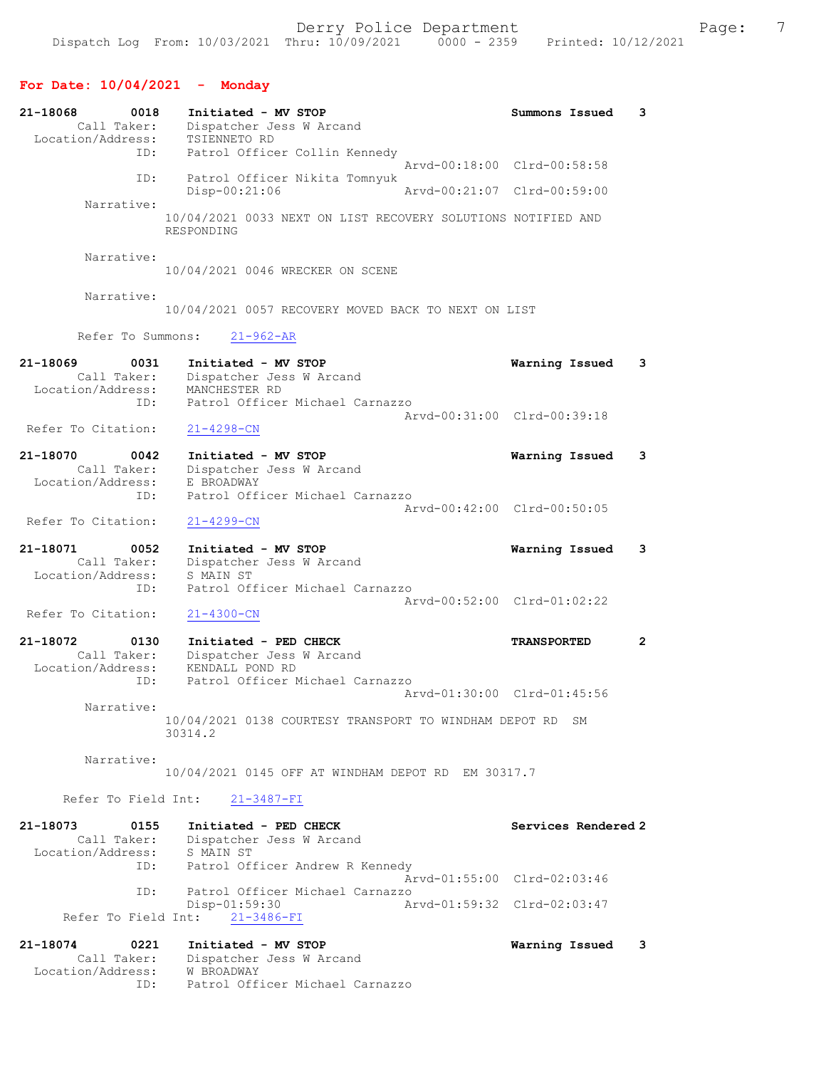# For Date: 10/04/2021 - Monday

| 21-18068<br>0018<br>Call Taker:                      | Initiated - MV STOP<br>Dispatcher Jess W Arcand                                                                   | Summons Issued      | 3                       |
|------------------------------------------------------|-------------------------------------------------------------------------------------------------------------------|---------------------|-------------------------|
| Location/Address:<br>ID:                             | TSIENNETO RD<br>Patrol Officer Collin Kennedy<br>Arvd-00:18:00 Clrd-00:58:58                                      |                     |                         |
| ID:                                                  | Patrol Officer Nikita Tomnyuk<br>Disp-00:21:06<br>Arvd-00:21:07 Clrd-00:59:00                                     |                     |                         |
| Narrative:                                           | 10/04/2021 0033 NEXT ON LIST RECOVERY SOLUTIONS NOTIFIED AND<br>RESPONDING                                        |                     |                         |
| Narrative:                                           | 10/04/2021 0046 WRECKER ON SCENE                                                                                  |                     |                         |
| Narrative:                                           | 10/04/2021 0057 RECOVERY MOVED BACK TO NEXT ON LIST                                                               |                     |                         |
| Refer To Summons:                                    | $21 - 962 - AR$                                                                                                   |                     |                         |
| 21-18069<br>0031<br>Call Taker:<br>Location/Address: | Initiated - MV STOP<br>Dispatcher Jess W Arcand<br>MANCHESTER RD                                                  | Warning Issued      | 3                       |
| ID:<br>Refer To Citation:                            | Patrol Officer Michael Carnazzo<br>Arvd-00:31:00 Clrd-00:39:18<br>$21 - 4298 - CN$                                |                     |                         |
| 21-18070<br>0042<br>Call Taker:                      | Initiated - MV STOP<br>Dispatcher Jess W Arcand                                                                   | Warning Issued      | 3                       |
| Location/Address:<br>ID:                             | E BROADWAY<br>Patrol Officer Michael Carnazzo                                                                     |                     |                         |
| Refer To Citation:                                   | Arvd-00:42:00 Clrd-00:50:05<br>$21 - 4299 - CN$                                                                   |                     |                         |
| 21-18071<br>0052<br>Call Taker:<br>Location/Address: | Initiated - MV STOP<br>Dispatcher Jess W Arcand<br>S MAIN ST                                                      | Warning Issued      | 3                       |
| ID:<br>Refer To Citation:                            | Patrol Officer Michael Carnazzo<br>Arvd-00:52:00 Clrd-01:02:22<br>$21 - 4300 - CN$                                |                     |                         |
| 21-18072<br>0130<br>Call Taker:<br>Location/Address: | Initiated - PED CHECK<br>Dispatcher Jess W Arcand<br>KENDALL POND RD                                              | <b>TRANSPORTED</b>  | $\overline{2}$          |
| ID:<br>Narrative:                                    | Patrol Officer Michael Carnazzo<br>Arvd-01:30:00 Clrd-01:45:56                                                    |                     |                         |
|                                                      | 10/04/2021 0138 COURTESY TRANSPORT TO WINDHAM DEPOT RD SM<br>30314.2                                              |                     |                         |
| Narrative:                                           | 10/04/2021 0145 OFF AT WINDHAM DEPOT RD EM 30317.7                                                                |                     |                         |
|                                                      | Refer To Field Int: 21-3487-FI                                                                                    |                     |                         |
| 21-18073<br>0155<br>Location/Address:                | Initiated - PED CHECK<br>Call Taker: Dispatcher Jess W Arcand<br>S MAIN ST                                        | Services Rendered 2 |                         |
|                                                      | ID: Patrol Officer Andrew R Kennedy<br>Arvd-01:55:00 Clrd-02:03:46                                                |                     |                         |
| ID:                                                  | Patrol Officer Michael Carnazzo<br>Disp-01:59:30<br>Arvd-01:59:32 Clrd-02:03:47<br>Refer To Field Int: 21-3486-FI |                     |                         |
| 21-18074<br>0221                                     | Initiated - MV STOP                                                                                               | Warning Issued      | $\overline{\mathbf{3}}$ |
| Location/Address: W BROADWAY<br>ID:                  | Call Taker: Dispatcher Jess W Arcand<br>Patrol Officer Michael Carnazzo                                           |                     |                         |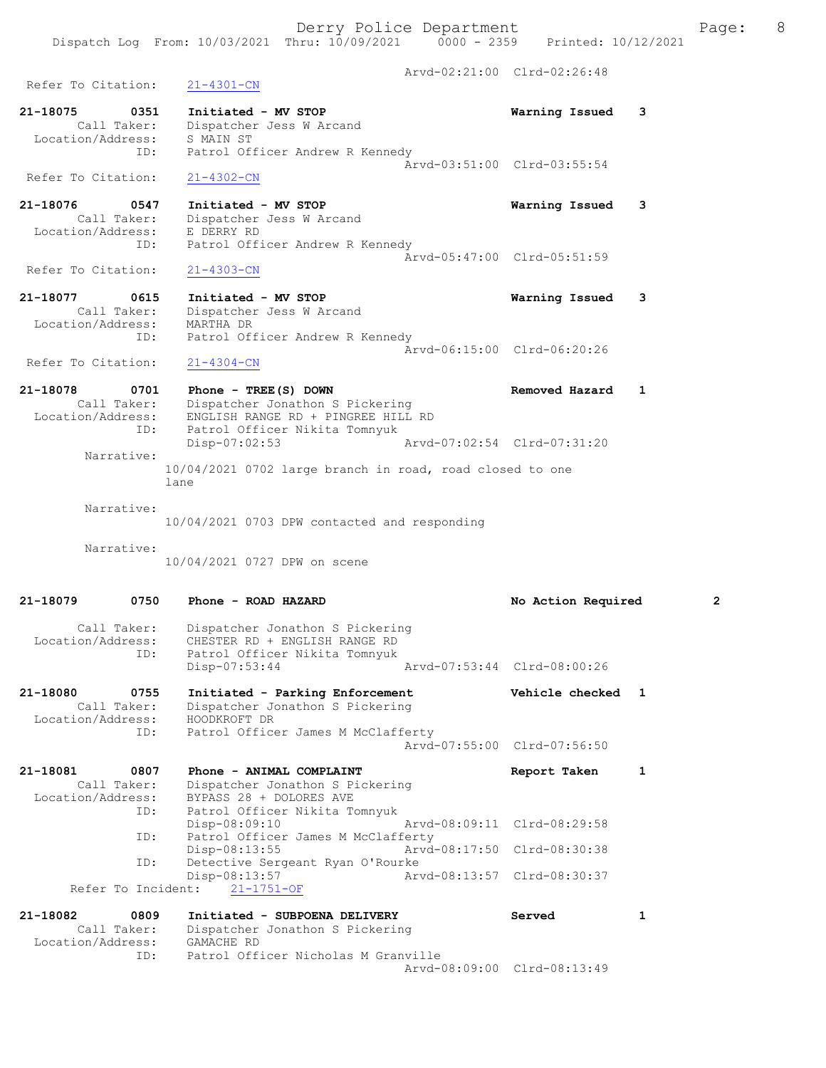Arvd-02:21:00 Clrd-02:26:48 Refer To Citation: 21-4301-CN 21-18075 0351 Initiated - MV STOP Warning Issued 3 Call Taker: Dispatcher Jess W Arcand Location/Address: S MAIN ST ID: Patrol Officer Andrew R Kennedy Arvd-03:51:00 Clrd-03:55:54 Refer To Citation: 21-4302-CN 21-18076 0547 Initiated - MV STOP Warning Issued 3 Call Taker: Dispatcher Jess W Arcand Location/Address: E DERRY RD ID: Patrol Officer Andrew R Kennedy Arvd-05:47:00 Clrd-05:51:59<br>21-4303-CN Refer To Citation: 21-18077 0615 Initiated - MV STOP Warning Issued 3 Call Taker: Dispatcher Jess W Arcand Location/Address: MARTHA DR ID: Patrol Officer Andrew R Kennedy Arvd-06:15:00 Clrd-06:20:26 Refer To Citation: 21-4304-CN 21-18078 0701 Phone - TREE(S) DOWN Removed Hazard 1 Call Taker: Dispatcher Jonathon S Pickering Location/Address: ENGLISH RANGE RD + PINGREE HILL RD ID: Patrol Officer Nikita Tomnyuk Disp-07:02:53 Arvd-07:02:54 Clrd-07:31:20 Narrative: 10/04/2021 0702 large branch in road, road closed to one lane Narrative: 10/04/2021 0703 DPW contacted and responding Narrative: 10/04/2021 0727 DPW on scene 21-18079 0750 Phone - ROAD HAZARD No Action Required 2 Call Taker: Dispatcher Jonathon S Pickering<br>Location/Address: CHESTER RD + ENGLISH RANGE RD CHESTER RD + ENGLISH RANGE RD ID: Patrol Officer Nikita Tomnyuk<br>Disp-07:53:44 Disp-07:53:44 Arvd-07:53:44 Clrd-08:00:26 21-18080 0755 Initiated - Parking Enforcement Vehicle checked 1 Call Taker: Dispatcher Jonathon S Pickering Location/Address: HOODKROFT DR ID: Patrol Officer James M McClafferty Arvd-07:55:00 Clrd-07:56:50 21-18081 0807 Phone - ANIMAL COMPLAINT Report Taken 1 Call Taker: Dispatcher Jonathon S Pickering<br>Location/Address: BYPASS 28 + DOLORES AVE Location S P1<br>BYPASS 28 + DOLORES AVE ID: Patrol Officer Nikita Tomnyuk<br>Disp-08:09:10 Mrvd-08:09:11 Clrd-08:29:58 Disp-08:09:10<br>TD: Patrol-Officer James M-McC Patrol Officer James M McClafferty Disp-08:13:55 Arvd-08:17:50 Clrd-08:30:38 ID: Detective Sergeant Ryan O'Rourke<br>Disp-08:13:57 Art Disp-08:13:57 Arvd-08:13:57 Clrd-08:30:37 Refer To Incident: 21-1751-OF 21-18082 0809 Initiated - SUBPOENA DELIVERY Served 1 Call Taker: Dispatcher Jonathon S Pickering Location/Address: GAMACHE RD ID: Patrol Officer Nicholas M Granville Arvd-08:09:00 Clrd-08:13:49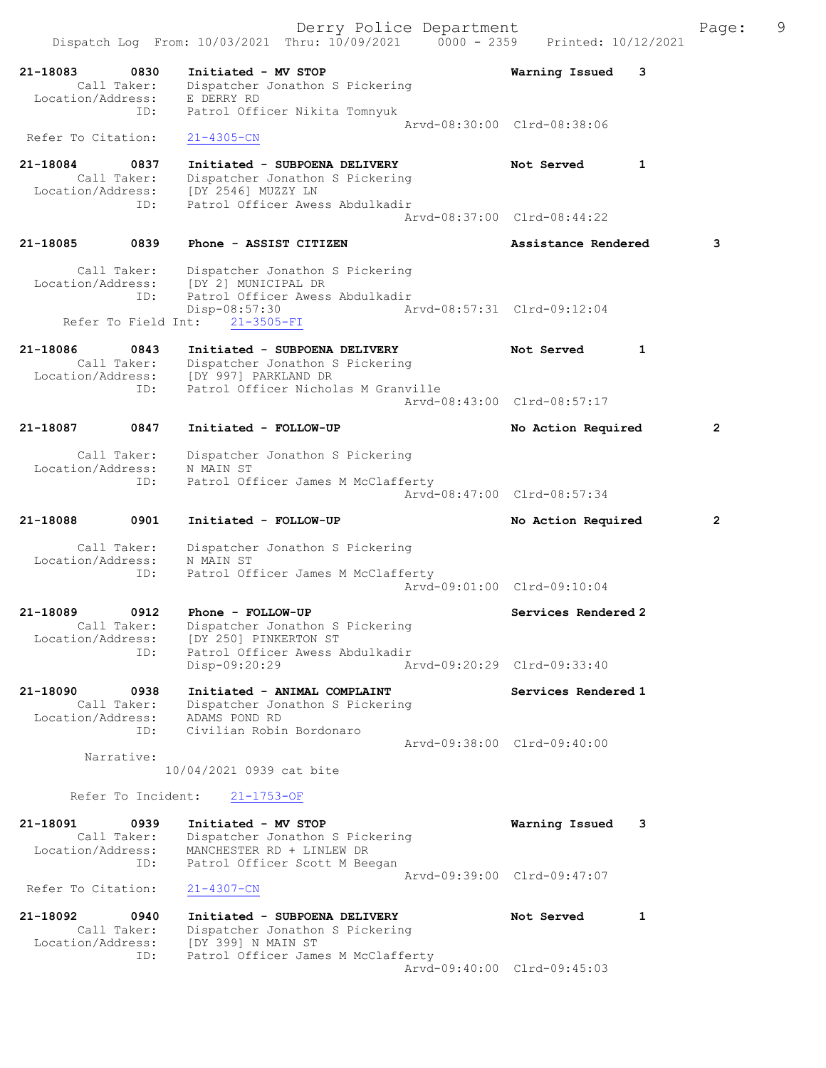|                               |                                           | Dispatch Log From: 10/03/2021 Thru: 10/09/2021 0000 - 2359                                                                                       | Derry Police Department     | Printed: 10/12/2021                                |   | Page:          | 9 |
|-------------------------------|-------------------------------------------|--------------------------------------------------------------------------------------------------------------------------------------------------|-----------------------------|----------------------------------------------------|---|----------------|---|
| 21-18083<br>Location/Address: | 0830<br>Call Taker:                       | Initiated - MV STOP<br>Dispatcher Jonathon S Pickering<br>E DERRY RD                                                                             |                             | Warning Issued                                     | 3 |                |   |
| Refer To Citation:            | ID:                                       | Patrol Officer Nikita Tomnyuk<br>$21 - 4305 - CN$                                                                                                |                             | Arvd-08:30:00 Clrd-08:38:06                        |   |                |   |
| 21-18084                      | 0837<br>Call Taker:                       | Initiated - SUBPOENA DELIVERY<br>Dispatcher Jonathon S Pickering                                                                                 |                             | Not Served                                         | 1 |                |   |
| Location/Address:             | ID:                                       | [DY 2546] MUZZY LN<br>Patrol Officer Awess Abdulkadir                                                                                            |                             | Arvd-08:37:00 Clrd-08:44:22                        |   |                |   |
| 21-18085                      | 0839                                      | Phone - ASSIST CITIZEN                                                                                                                           |                             | Assistance Rendered                                |   | 3              |   |
|                               | Call Taker:<br>ID:<br>Refer To Field Int: | Dispatcher Jonathon S Pickering<br>Location/Address: [DY 2] MUNICIPAL DR<br>Patrol Officer Awess Abdulkadir<br>Disp-08:57:30<br>$21 - 3505 - FI$ | Arvd-08:57:31 Clrd-09:12:04 |                                                    |   |                |   |
| 21-18086                      | 0843                                      | Initiated - SUBPOENA DELIVERY<br>Call Taker: Dispatcher Jonathon S Pickering<br>Location/Address: [DY 997] PARKLAND DR                           |                             | Not Served                                         | 1 |                |   |
|                               | ID:                                       | Patrol Officer Nicholas M Granville                                                                                                              |                             | Arvd-08:43:00 Clrd-08:57:17                        |   |                |   |
| 21-18087                      | 0847                                      | Initiated - FOLLOW-UP                                                                                                                            |                             | No Action Required                                 |   | $\overline{2}$ |   |
| Location/Address:             | Call Taker:<br>ID:                        | Dispatcher Jonathon S Pickering<br>N MAIN ST<br>Patrol Officer James M McClafferty                                                               |                             | Arvd-08:47:00 Clrd-08:57:34                        |   |                |   |
| 21-18088                      | 0901                                      | Initiated - FOLLOW-UP                                                                                                                            |                             | No Action Required                                 |   | $\overline{2}$ |   |
| Location/Address:             | Call Taker:<br>ID:                        | Dispatcher Jonathon S Pickering<br>N MAIN ST<br>Patrol Officer James M McClafferty                                                               |                             | Arvd-09:01:00 Clrd-09:10:04                        |   |                |   |
| 21-18089<br>Location/Address: | 0912<br>Call Taker:<br>ID:                | Phone - FOLLOW-UP<br>Dispatcher Jonathon S Pickering<br>[DY 250] PINKERTON ST<br>Patrol Officer Awess Abdulkadir                                 |                             | Services Rendered 2                                |   |                |   |
| 21-18090                      | 0938                                      | Disp-09:20:29<br>Initiated - ANIMAL COMPLAINT                                                                                                    |                             | Aryd-09:20:29 Clrd-09:33:40<br>Services Rendered 1 |   |                |   |
| Location/Address:             | Call Taker:<br>ID:                        | Dispatcher Jonathon S Pickering<br>ADAMS POND RD<br>Civilian Robin Bordonaro                                                                     |                             | Arvd-09:38:00 Clrd-09:40:00                        |   |                |   |
|                               | Narrative:                                | 10/04/2021 0939 cat bite                                                                                                                         |                             |                                                    |   |                |   |
|                               | Refer To Incident:                        | $21 - 1753 - OF$                                                                                                                                 |                             |                                                    |   |                |   |
| 21-18091<br>Location/Address: | 0939<br>Call Taker:<br>ID:                | Initiated - MV STOP<br>Dispatcher Jonathon S Pickering<br>MANCHESTER RD + LINLEW DR<br>Patrol Officer Scott M Beegan                             |                             | Warning Issued                                     | 3 |                |   |
| Refer To Citation:            |                                           | $21 - 4307 - CN$                                                                                                                                 |                             | Arvd-09:39:00 Clrd-09:47:07                        |   |                |   |
| 21-18092<br>Location/Address: | 0940<br>Call Taker:<br>ID:                | Initiated - SUBPOENA DELIVERY<br>Dispatcher Jonathon S Pickering<br>[DY 399] N MAIN ST<br>Patrol Officer James M McClafferty                     |                             | Not Served                                         | 1 |                |   |
|                               |                                           |                                                                                                                                                  |                             | Arvd-09:40:00 Clrd-09:45:03                        |   |                |   |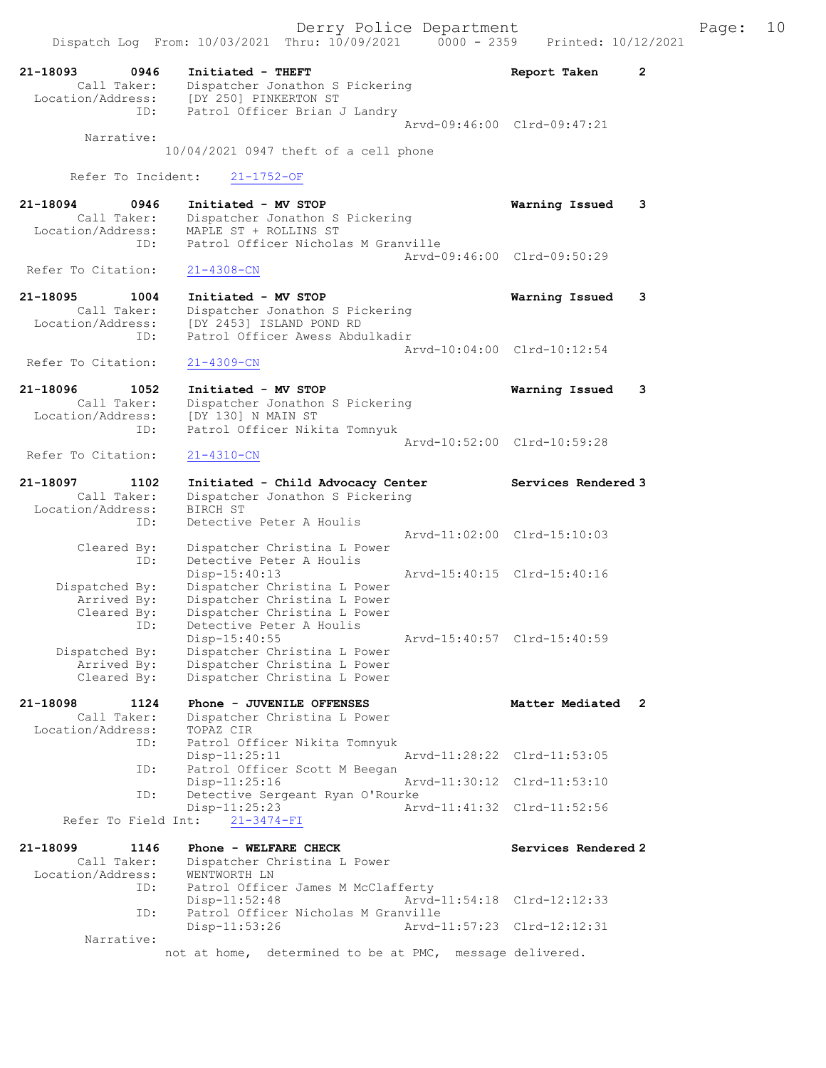21-18093 0946 Initiated - THEFT Report Taken 2 Call Taker: Dispatcher Jonathon S Pickering Location/Address: [DY 250] PINKERTON ST ID: Patrol Officer Brian J Landry Arvd-09:46:00 Clrd-09:47:21 Narrative: 10/04/2021 0947 theft of a cell phone Refer To Incident: 21-1752-OF 21-18094 0946 Initiated - MV STOP Warning Issued 3 Call Taker: Dispatcher Jonathon S Pickering Location/Address: MAPLE ST + ROLLINS ST ID: Patrol Officer Nicholas M Granville Arvd-09:46:00 Clrd-09:50:29<br>21-4308-CN Refer To Citation: 21-18095 1004 Initiated - MV STOP Warning Issued 3 Call Taker: Dispatcher Jonathon S Pickering Location/Address: [DY 2453] ISLAND POND RD ID: Patrol Officer Awess Abdulkadir Arvd-10:04:00 Clrd-10:12:54 Refer To Citation: 21-4309-CN 21-18096 1052 Initiated - MV STOP Warning Issued 3 Call Taker: Dispatcher Jonathon S Pickering Location/Address: [DY 130] N MAIN ST ID: Patrol Officer Nikita Tomnyuk Arvd-10:52:00 Clrd-10:59:28<br>21-4310-CN Refer To Citation: 21-18097 1102 Initiated - Child Advocacy Center Services Rendered 3 Call Taker: Dispatcher Jonathon S Pickering Location/Address: BIRCH ST ID: Detective Peter A Houlis Arvd-11:02:00 Clrd-15:10:03 Cleared By: Dispatcher Christina L Power ID: Detective Peter A Houlis Disp-15:40:13 Arvd-15:40:15 Clrd-15:40:16<br>Dispatched By: Dispatcher Christina L Power spatched By: Dispatcher Christina L Power<br>Arrived By: Dispatcher Christina L Power Dispatcher Christina L Power Cleared By: Dispatcher Christina L Power ID: Detective Peter A Houlis<br>Disp-15:40:55 Disp-15:40:55 Arvd-15:40:57 Clrd-15:40:59<br>Dispatched By: Dispatcher Christina L Power patched By: Dispatcher Christina L Power<br>Arrived By: Dispatcher Christina L Power Arrived By: Dispatcher Christina L Power<br>Cleared By: Dispatcher Christina L Power Dispatcher Christina L Power 21-18098 1124 Phone - JUVENILE OFFENSES Matter Mediated 2 Call Taker: Dispatcher Christina L Power<br>ion/Address: TOPAZ CIR Location/Address:<br>ID: ID: Patrol Officer Nikita Tomnyuk Disp-11:25:11<br>TD: Patrol Officer Scott M Bee Patrol Officer Scott M Beegan Disp-11:25:16 Arvd-11:30:12 Clrd-11:53:10<br>ID: Detective Sergeant Ryan O'Rourke Detective Sergeant Ryan O'Rourke<br>Disp-11:25:23 Art Arvd-11:41:32 Clrd-11:52:56 Refer To Field Int: 21-3474-FI 21-18099 1146 Phone - WELFARE CHECK Services Rendered 2 Call Taker: Dispatcher Christina L Power Location/Address: WENTWORTH LN ID: Patrol Officer James M McClafferty<br>Disp-11:52:48 Arvd-Arvd-11:54:18 Clrd-12:12:33 ID: Patrol Officer Nicholas M Granville<br>11:53:26 Arvd-Arvd-11:57:23 Clrd-12:12:31 Narrative: not at home, determined to be at PMC, message delivered.

Dispatch Log From: 10/03/2021 Thru: 10/09/2021 0000 - 2359 Printed: 10/12/2021

Derry Police Department The Page: 10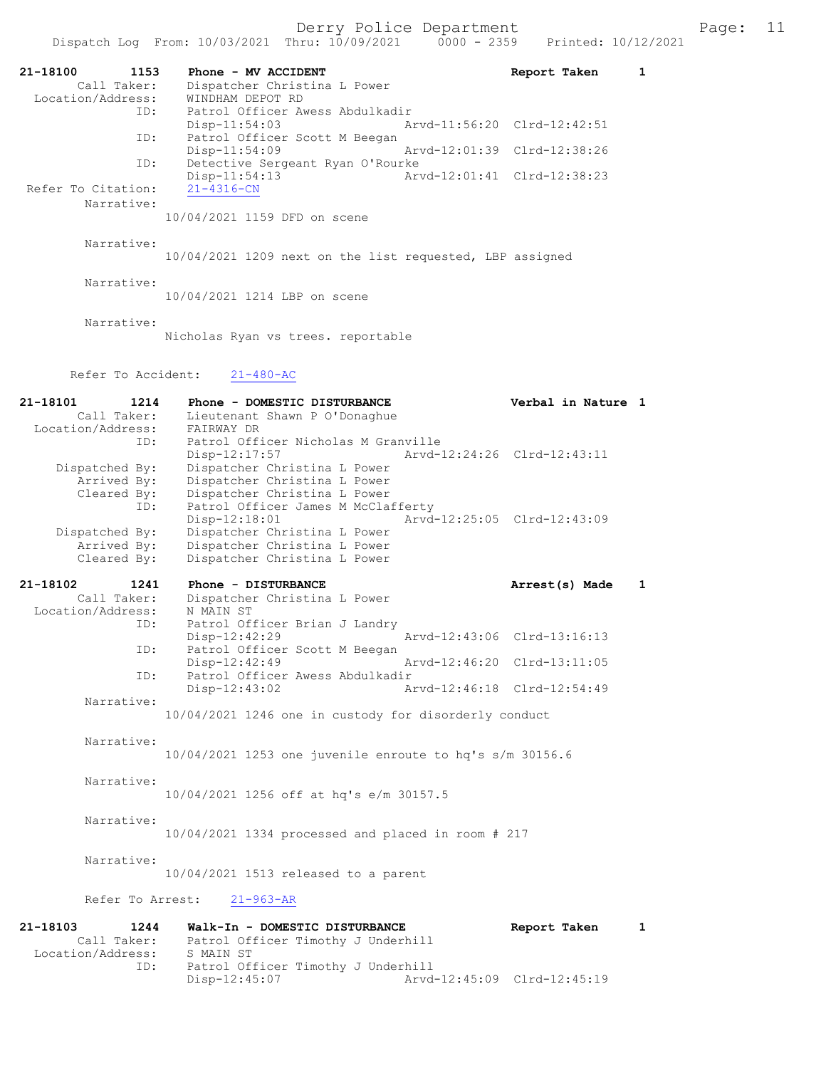21-18100 1153 Phone - MV ACCIDENT Report Taken 1 Call Taker: Dispatcher Christina L Power -18100<br>Call Taker: Dispatcher Charles<br>Location/Address: WINDHAM DEPOT RD<br>ID: Patrol Officer Av Patrol Officer Awess Abdulkadir<br>Disp-11:54:03 Ar Arvd-11:56:20 Clrd-12:42:51 ID: Patrol Officer Scott M Beegan<br>Disp-11:54:09 Disp-11:54:09 Arvd-12:01:39 Clrd-12:38:26<br>ID: Detective Sergeant Ryan O'Rourke Detective Sergeant Ryan O'Rourke<br>Disp-11:54:13 Ar Disp-11:54:13<br>21-4316-CN<br>21-4316-CN<br>21-432.01:41<br>21-4316-CN Refer To Citation: Narrative: 10/04/2021 1159 DFD on scene Narrative: 10/04/2021 1209 next on the list requested, LBP assigned Narrative: 10/04/2021 1214 LBP on scene Narrative: Nicholas Ryan vs trees. reportable Refer To Accident: 21-480-AC 21-18101 1214 Phone - DOMESTIC DISTURBANCE Verbal in Nature 1 Call Taker: Lieutenant Shawn P O'Donaghue Location/Address: FAIRWAY DR ID: Patrol Officer Nicholas M Granville<br>Disp-12:17:57 Arvd- Disp-12:17:57 Arvd-12:24:26 Clrd-12:43:11 Dispatched By: Dispatcher Christina L Power Arrived By: Dispatcher Christina L Power Cleared By: Dispatcher Christina L Power ID: Patrol Officer James M McClafferty Disp-12:18:01 Arvd-12:25:05 Clrd-12:43:09 Dispatched By: Dispatcher Christina L Power Arrived By: Dispatcher Christina L Power Cleared By: Dispatcher Christina L Power 21-18102 1241 Phone - DISTURBANCE Arrest(s) Made 1 Call Taker: Dispatcher Christina L Power Location/Address: N MAIN ST ID: Patrol Officer Brian J Landry<br>Disp-12:42:29 Disp-12:42:29 Arvd-12:43:06 Clrd-13:16:13<br>TD: Patrol Officer Scott M Beegan Patrol Officer Scott M Beegan<br>Disp-12:42:49 Disp-12:42:49 Arvd-12:46:20 Clrd-13:11:05<br>ID: Patrol Officer Awess Abdulkadir Patrol Officer Awess Abdulkadir<br>Disp-12:43:02 A Disp-12:43:02 Arvd-12:46:18 Clrd-12:54:49 Narrative: 10/04/2021 1246 one in custody for disorderly conduct Narrative: 10/04/2021 1253 one juvenile enroute to hq's s/m 30156.6 Narrative: 10/04/2021 1256 off at hq's e/m 30157.5 Narrative: 10/04/2021 1334 processed and placed in room # 217 Narrative: 10/04/2021 1513 released to a parent Refer To Arrest: 21-963-AR 21-18103 1244 Walk-In - DOMESTIC DISTURBANCE Report Taken 1 Call Taker: Patrol Officer Timothy J Underhill Location/Address: S MAIN ST<br>ID: Patrol Of Patrol Officer Timothy J Underhill<br>Disp-12:45:07 Arvd

Disp-12:45:07 Arvd-12:45:09 Clrd-12:45:19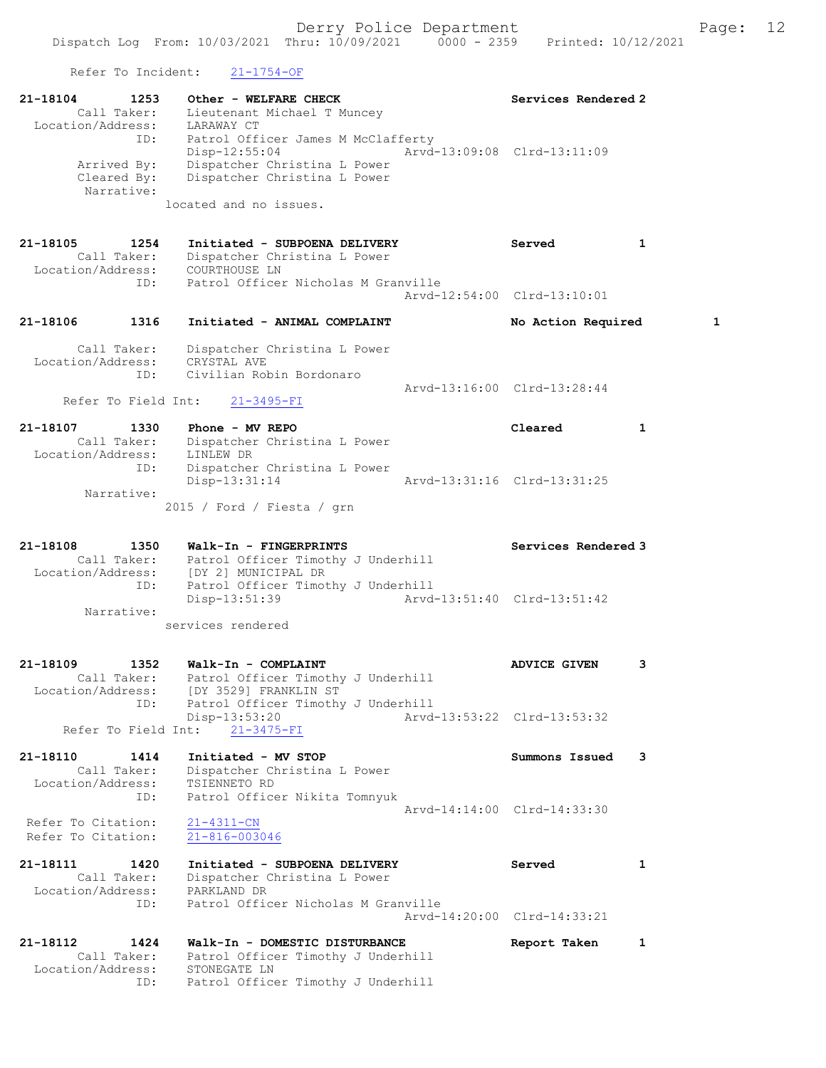Refer To Incident: 21-1754-OF

| 21-18104<br>1253                                            | Other - WELFARE CHECK<br>Call Taker: Lieutenant Michael T Muncey<br>Location/Address: LARAWAY CT                                              | Services Rendered 2         |   |   |
|-------------------------------------------------------------|-----------------------------------------------------------------------------------------------------------------------------------------------|-----------------------------|---|---|
| ID:<br>Arrived By:<br>Cleared By:                           | Patrol Officer James M McClafferty<br>$Disp-12:55:04$<br>Dispatcher Christina L Power<br>Dispatcher Christina L Power                         | Arvd-13:09:08 Clrd-13:11:09 |   |   |
| Narrative:                                                  | located and no issues.                                                                                                                        |                             |   |   |
| 21-18105<br>1254<br>Call Taker:<br>Location/Address:<br>ID: | Initiated - SUBPOENA DELIVERY<br>Dispatcher Christina L Power<br>COURTHOUSE LN<br>Patrol Officer Nicholas M Granville                         | Served                      | 1 |   |
|                                                             |                                                                                                                                               | Arvd-12:54:00 Clrd-13:10:01 |   |   |
| 21–18106<br>1316                                            | Initiated - ANIMAL COMPLAINT                                                                                                                  | No Action Required          |   | 1 |
| Call Taker:<br>Location/Address:<br>ID:                     | Dispatcher Christina L Power<br>CRYSTAL AVE<br>Civilian Robin Bordonaro                                                                       |                             |   |   |
| Refer To Field Int:                                         | $21 - 3495 - FI$                                                                                                                              | Arvd-13:16:00 Clrd-13:28:44 |   |   |
| 21-18107<br>1330<br>Call Taker:<br>Location/Address:        | Phone - MV REPO<br>Dispatcher Christina L Power<br>LINLEW DR                                                                                  | Cleared                     | 1 |   |
| ID:                                                         | Dispatcher Christina L Power<br>Disp-13:31:14                                                                                                 | Arvd-13:31:16 Clrd-13:31:25 |   |   |
| Narrative:                                                  | $2015$ / Ford / Fiesta / grn                                                                                                                  |                             |   |   |
| 21-18108<br>1350                                            | Walk-In - FINGERPRINTS<br>Call Taker: Patrol Officer Timothy J Underhill<br>Location/Address: [DY 2] MUNICIPAL DR<br>TD: Patrol Officer Timot | Services Rendered 3         |   |   |
| ID:<br>Narrative:                                           | Patrol Officer Timothy J Underhill<br>Disp-13:51:39                                                                                           | Arvd-13:51:40 Clrd-13:51:42 |   |   |
|                                                             | services rendered                                                                                                                             |                             |   |   |
| 21-18109<br>1352<br>Call Taker:<br>Location/Address:        | Walk-In - COMPLAINT<br>Patrol Officer Timothy J Underhill<br>[DY 3529] FRANKLIN ST                                                            | <b>ADVICE GIVEN</b>         | 3 |   |
| ID:                                                         | Patrol Officer Timothy J Underhill<br>Disp-13:53:20<br>Refer To Field Int: 21-3475-FI                                                         | Arvd-13:53:22 Clrd-13:53:32 |   |   |
| 21-18110<br>1414                                            | Initiated - MV STOP                                                                                                                           | Summons Issued              | 3 |   |
| Call Taker:<br>Location/Address:<br>ID:                     | Dispatcher Christina L Power<br>TSIENNETO RD<br>Patrol Officer Nikita Tomnyuk                                                                 |                             |   |   |
| Refer To Citation:<br>Refer To Citation:                    | $21 - 4311 - CN$<br>21-816-003046                                                                                                             | Arvd-14:14:00 Clrd-14:33:30 |   |   |
| 21–18111<br>1420<br>Call Taker:<br>Location/Address:        | Initiated - SUBPOENA DELIVERY<br>Dispatcher Christina L Power<br>PARKLAND DR                                                                  | Served                      | 1 |   |
| ID:                                                         | Patrol Officer Nicholas M Granville                                                                                                           | Arvd-14:20:00 Clrd-14:33:21 |   |   |
| 21–18112<br>1424<br>Call Taker:                             | Walk-In - DOMESTIC DISTURBANCE<br>Patrol Officer Timothy J Underhill                                                                          | Report Taken                | 1 |   |
| Location/Address:<br>ID:                                    | STONEGATE LN<br>Patrol Officer Timothy J Underhill                                                                                            |                             |   |   |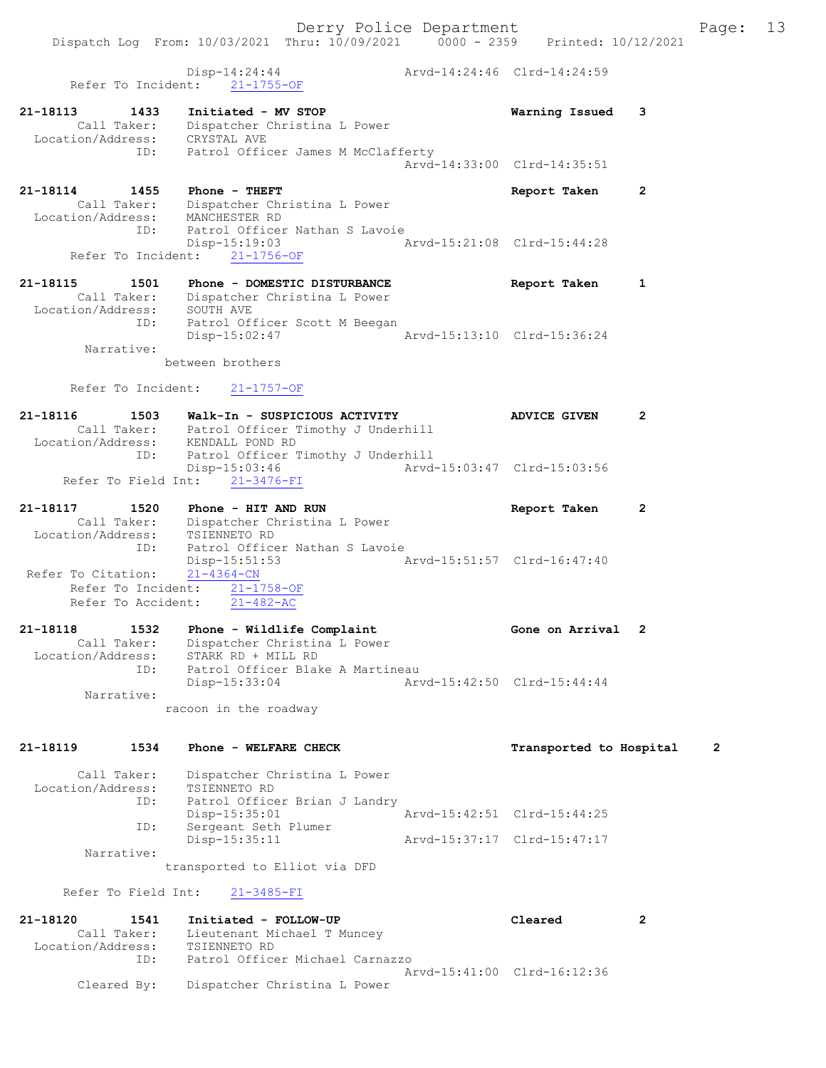Dispatch Log From: 10/03/2021 Thru: 10/09/2021 0000 - 2359 Printed: 10/12/2021 Disp-14:24:44 Arvd-14:24:46 Clrd-14:24:59 Refer To Incident: 21-1755-OF 21-18113 1433 Initiated - MV STOP Warning Issued 3 Call Taker: Dispatcher Christina L Power Location/Address: CRYSTAL AVE ID: Patrol Officer James M McClafferty Arvd-14:33:00 Clrd-14:35:51 21-18114 1455 Phone - THEFT Report Taken 2 Call Taker: Dispatcher Christina L Power Location/Address: MANCHESTER RD ID: Patrol Officer Nathan S Lavoie Disp-15:19:03 Arvd-15:21:08 Clrd-15:44:28 Refer To Incident: 21-1756-OF 21-18115 1501 Phone - DOMESTIC DISTURBANCE Report Taken 1 Call Taker: Dispatcher Christina L Power Location/Address: SOUTH AVE ID: Patrol Officer Scott M Beegan Disp-15:02:47 Arvd-15:13:10 Clrd-15:36:24 Narrative: between brothers Refer To Incident: 21-1757-OF 21-18116 1503 Walk-In - SUSPICIOUS ACTIVITY ADVICE GIVEN 2 Call Taker: Patrol Officer Timothy J Underhill Location/Address: KENDALL POND RD ID: Patrol Officer Timothy J Underhill Disp-15:03:46 Arvd-15:03:47 Clrd-15:03:56 Refer To Field Int: 21-3476-FI 21-18117 1520 Phone - HITAND RUN Report Taken 2 Call Taker: Dispatcher Christina L Power Location/Address: TSIENNETO RD ID: Patrol Officer Nathan S Lavoie Disp-15:51:53 Arvd-15:51:57 Clrd-16:47:40 Refer To Citation: 21-4364-CN Refer To Incident: 21-1758-OF Refer To Accident: 21-482-AC 21-18118 1532 Phone - Wildlife Complaint Gone on Arrival 2 Call Taker: Dispatcher Christina L Power Location/Address: STARK RD + MILL RD ID: Patrol Officer Blake A Martineau Disp-15:33:04 Arvd-15:42:50 Clrd-15:44:44 Narrative: racoon in the roadway 21-18119 1534 Phone - WELFARE CHECK Transported to Hospital 2 Call Taker: Dispatcher Christina L Power Location/Address: TSIENNETO RD ID: Patrol Officer Brian J Landry Disp-15:35:01 Arvd-15:42:51 Clrd-15:44:25 ID: Sergeant Seth Plumer Disp-15:35:11 Arvd-15:37:17 Clrd-15:47:17 Narrative: transported to Elliot via DFD Refer To Field Int: 21-3485-FI 21-18120 1541 Initiated - FOLLOW-UP Cleared 2 Call Taker: Lieutenant Michael T Muncey Location/Address: TSIENNETO RD ID: Patrol Officer Michael Carnazzo Arvd-15:41:00 Clrd-16:12:36 Cleared By: Dispatcher Christina L Power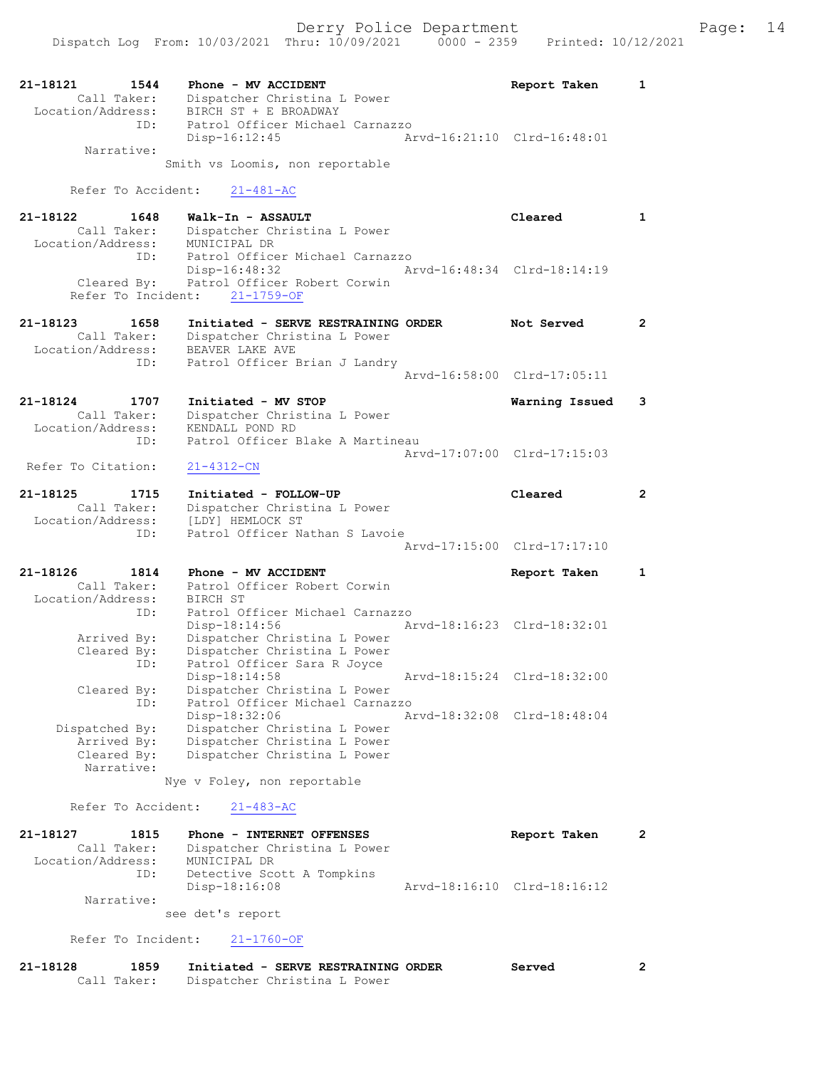| 21-18121          | 1544        | Phone - MV ACCIDENT             | Report Taken                | $\mathbf{1}$ |
|-------------------|-------------|---------------------------------|-----------------------------|--------------|
|                   | Call Taker: | Dispatcher Christina L Power    |                             |              |
| Location/Address: |             | BIRCH ST + E BROADWAY           |                             |              |
|                   | ID:         | Patrol Officer Michael Carnazzo |                             |              |
|                   |             | Disp-16:12:45                   | Arvd-16:21:10 Clrd-16:48:01 |              |
|                   | Narrative:  |                                 |                             |              |

Smith vs Loomis, non reportable

Refer To Accident: 21-481-AC

| 21-18122          | 1648        | Walk-In - ASSAULT                        |                             | Cleared |  |
|-------------------|-------------|------------------------------------------|-----------------------------|---------|--|
|                   | Call Taker: | Dispatcher Christina L Power             |                             |         |  |
| Location/Address: |             | MUNICIPAL DR                             |                             |         |  |
|                   | ID:         | Patrol Officer Michael Carnazzo          |                             |         |  |
|                   |             | Disp-16:48:32                            | Arvd-16:48:34 Clrd-18:14:19 |         |  |
|                   |             | Cleared By: Patrol Officer Robert Corwin |                             |         |  |
|                   |             | Refer To Incident: 21-1759-OF            |                             |         |  |
|                   |             |                                          |                             |         |  |

- 21-18123 1658 Initiated SERVE RESTRAINING ORDER Not Served 2 Call Taker: Dispatcher Christina L Power Location/Address: BEAVER LAKE AVE ID: Patrol Officer Brian J Landry Arvd-16:58:00 Clrd-17:05:11
- 21-18124 1707 Initiated MV STOP Warning Issued 3 Call Taker: Dispatcher Christina L Power Location/Address: KENDALL POND RD ID: Patrol Officer Blake A Martineau Arvd-17:07:00 Clrd-17:15:03<br>21-4312-CN

Refer To Citation:

- 21-18125 1715 Initiated FOLLOW-UP Cleared 2 Call Taker: Dispatcher Christina L Power Location/Address: [LDY] HEMLOCK ST ID: Patrol Officer Nathan S Lavoie Arvd-17:15:00 Clrd-17:17:10
- 21-18126 1814 Phone MV ACCIDENT Report Taken 1 Call Taker: Patrol Officer Robert Corwin Location/Address: BIRCH ST ID: Patrol Officer Michael Carnazzo Disp-18:14:56 Arvd-18:16:23 Clrd-18:32:01 Arrived By: Dispatcher Christina L Power Cleared By: Dispatcher Christina L Power ID: Patrol Officer Sara R Joyce Disp-18:14:58 Arvd-18:15:24 Clrd-18:32:00 Cleared By: Dispatcher Christina L Power ID: Patrol Officer Michael Carnazzo Disp-18:32:06 Arvd-18:32:08 Clrd-18:48:04<br>Dispatched By: Dispatcher Christina L Power Dispatcher Christina L Power Arrived By: Dispatcher Christina L Power<br>Cleared By: Dispatcher Christina L Power Dispatcher Christina L Power Narrative:

Nye v Foley, non reportable

Refer To Accident: 21-483-AC

| 21-18127          | 1815        | Phone - INTERNET OFFENSES    | Report Taken                |  |
|-------------------|-------------|------------------------------|-----------------------------|--|
|                   | Call Taker: | Dispatcher Christina L Power |                             |  |
| Location/Address: |             | MUNICIPAL DR                 |                             |  |
|                   | ID:         | Detective Scott A Tompkins   |                             |  |
|                   |             | $Disp-18:16:08$              | Arvd-18:16:10 Clrd-18:16:12 |  |
|                   | Narrative:  |                              |                             |  |
|                   |             | see det's report             |                             |  |

Refer To Incident: 21-1760-OF

| 21-18128 | 1859        | Initiated - SERVE RESTRAINING ORDER |  | Served |  |
|----------|-------------|-------------------------------------|--|--------|--|
|          | Call Taker: | Dispatcher Christina L Power        |  |        |  |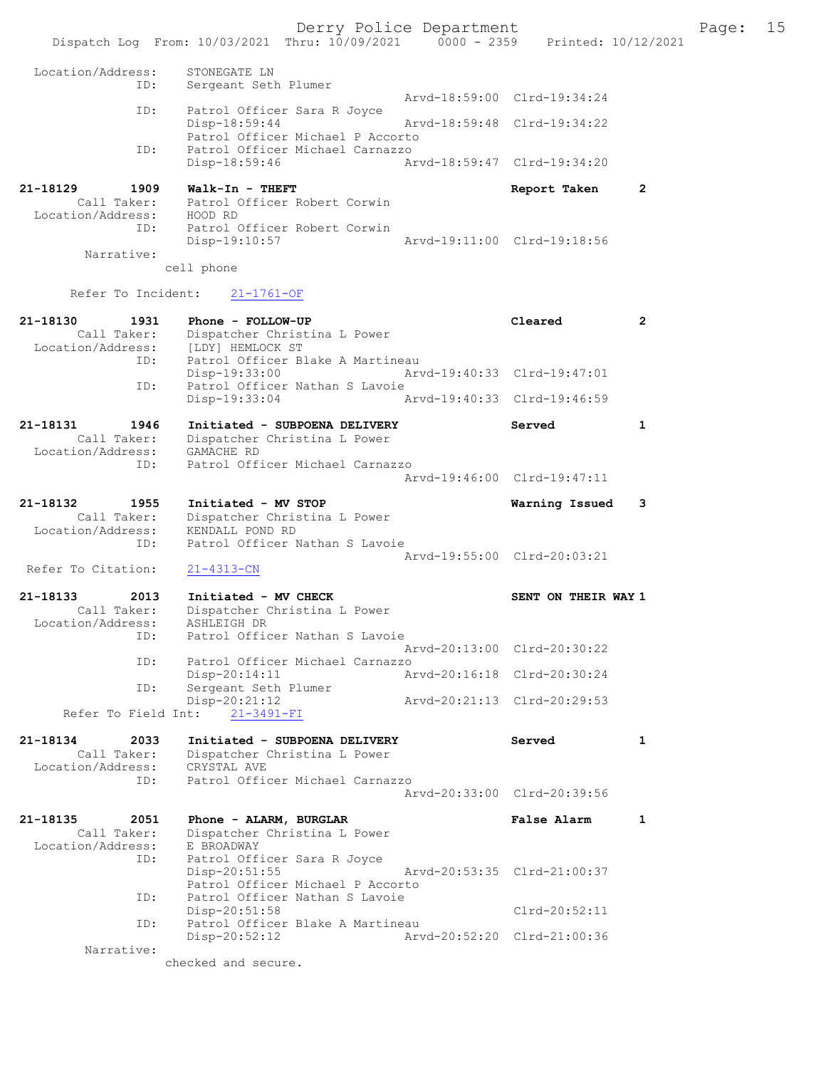Derry Police Department Fage: 15 Dispatch Log From: 10/03/2021 Thru: 10/09/2021 0000 - 2359 Printed: 10/12/2021 Location/Address: STONEGATE LN ID: Sergeant Seth Plumer Arvd-18:59:00 Clrd-19:34:24 ID: Patrol Officer Sara R Joyce Disp-18:59:44 Arvd-18:59:48 Clrd-19:34:22 Patrol Officer Michael P Accorto ID: Patrol Officer Michael Carnazzo Disp-18:59:46 Arvd-18:59:47 Clrd-19:34:20 21-18129 1909 Walk-In - THEFT 1909 21-18129 Call Taker: Patrol Officer Robert Corwin Location/Address: HOOD RD ID: Patrol Officer Robert Corwin Disp-19:10:57 Arvd-19:11:00 Clrd-19:18:56 Narrative: cell phone Refer To Incident: 21-1761-OF 21-18130 1931 Phone - FOLLOW-UP Cleared 2 Call Taker: Dispatcher Christina L Power Location/Address: [LDY] HEMLOCK ST ID: Patrol Officer Blake A Martineau Disp-19:33:00 Arvd-19:40:33 Clrd-19:47:01 ID: Patrol Officer Nathan S Lavoie Disp-19:33:04 Arvd-19:40:33 Clrd-19:46:59 21-18131 1946 Initiated - SUBPOENA DELIVERY Served 1 Call Taker: Dispatcher Christina L Power Location/Address: GAMACHE RD ID: Patrol Officer Michael Carnazzo Arvd-19:46:00 Clrd-19:47:11 21-18132 1955 Initiated - MV STOP Warning Issued 3 Call Taker: Dispatcher Christina L Power Location/Address: KENDALL POND RD ID: Patrol Officer Nathan S Lavoie Arvd-19:55:00 Clrd-20:03:21<br>21-4313-CN Refer To Citation: 21-18133 2013 Initiated - MV CHECK SENT ON THEIR WAY 1 Call Taker: Dispatcher Christina L Power Location/Address: ASHLEIGH DR ID: Patrol Officer Nathan S Lavoie Arvd-20:13:00 Clrd-20:30:22 ID: Patrol Officer Michael Carnazzo Disp-20:14:11 Arvd-20:16:18 Clrd-20:30:24 ID: Sergeant Seth Plumer Disp-20:21:12 Arvd-20:21:13 Clrd-20:29:53 Refer To Field Int: 21-3491-FI 21-18134 2033 Initiated - SUBPOENA DELIVERY Served 1 Call Taker: Dispatcher Christina L Power Location/Address: CRYSTAL AVE ID: Patrol Officer Michael Carnazzo Arvd-20:33:00 Clrd-20:39:56 21-18135 2051 Phone - ALARM, BURGLAR False Alarm 1 Call Taker: Dispatcher Christina L Power Call Taker: Dispatcher<br>Location/Address: E BROADWAY ID: Patrol Officer Sara R Joyce Disp-20:51:55 Arvd-20:53:35 Clrd-21:00:37 Patrol Officer Michael P Accorto<br>ID: Patrol Officer Nathan S Lavoie Patrol Officer Nathan S Lavoie Disp-20:51:58 Clrd-20:52:11 ID: Patrol Officer Blake A Martineau Disp-20:52:12 Arvd-20:52:20 Clrd-21:00:36 Narrative: checked and secure.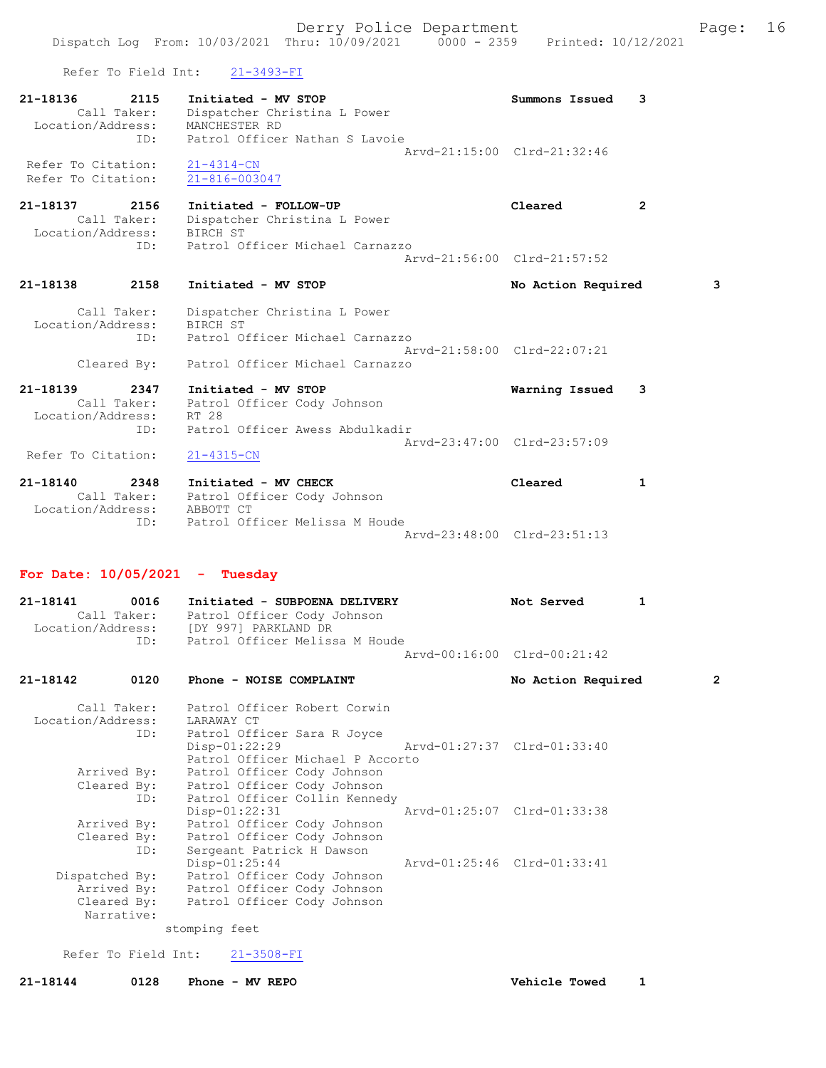Refer To Field Int: 21-3493-FI

| 21-18136           | 2115        | Initiated - MV STOP            | Summons Issued 3            |  |
|--------------------|-------------|--------------------------------|-----------------------------|--|
|                    | Call Taker: | Dispatcher Christina L Power   |                             |  |
| Location/Address:  |             | MANCHESTER RD                  |                             |  |
|                    | ID:         | Patrol Officer Nathan S Lavoie |                             |  |
|                    |             |                                | Aryd-21:15:00 Clrd-21:32:46 |  |
| Refer To Citation: |             | $21 - 4314 - CN$               |                             |  |
| Refer To Citation: |             | $21 - 816 - 003047$            |                             |  |

#### 21-18137 2156 Initiated - FOLLOW-UP Cleared 2 Call Taker: Dispatcher Christina L Power Location/Address: BIRCH ST ID: Patrol Officer Michael Carnazzo Arvd-21:56:00 Clrd-21:57:52

21-18138 2158 Initiated - MV STOP No Action Required 3

 Call Taker: Dispatcher Christina L Power Location/Address: BIRCH ST ID: Patrol Officer Michael Carnazzo Arvd-21:58:00 Clrd-22:07:21 Cleared By: Patrol Officer Michael Carnazzo

21-18139 2347 Initiated - MV STOP Warning Issued 3 Call Taker: Patrol Officer Cody Johnson Location/Address: RT 28 ID: Patrol Officer Awess Abdulkadir

Arvd-23:47:00 Clrd-23:57:09<br>21-4315-CN Refer To Citation:

| 21-18140          | 2348        | Initiated - MV CHECK           | Cleared                     |  |
|-------------------|-------------|--------------------------------|-----------------------------|--|
|                   | Call Taker: | Patrol Officer Cody Johnson    |                             |  |
| Location/Address: |             | ABBOTT CT                      |                             |  |
|                   | ID:         | Patrol Officer Melissa M Houde |                             |  |
|                   |             |                                | Aryd-23:48:00 Clrd-23:51:13 |  |

#### For Date: 10/05/2021 - Tuesday

| 21-18141          | 0016        | Initiated - SUBPOENA DELIVERY  | Not Served                  | $\mathbf{1}$ |
|-------------------|-------------|--------------------------------|-----------------------------|--------------|
|                   | Call Taker: | Patrol Officer Cody Johnson    |                             |              |
| Location/Address: |             | [DY 997] PARKLAND DR           |                             |              |
|                   | TD:         | Patrol Officer Melissa M Houde |                             |              |
|                   |             |                                | Arvd-00:16:00 Clrd-00:21:42 |              |

| 21-18142       | 0120        | Phone - NOISE COMPLAINT                  |                             | No Action Required | $\overline{2}$ |
|----------------|-------------|------------------------------------------|-----------------------------|--------------------|----------------|
|                |             | Call Taker: Patrol Officer Robert Corwin |                             |                    |                |
|                |             | Location/Address: LARAWAY CT             |                             |                    |                |
|                |             | ID: Patrol Officer Sara R Joyce          |                             |                    |                |
|                |             | $Disp-01:22:29$                          | Arvd-01:27:37 Clrd-01:33:40 |                    |                |
|                |             | Patrol Officer Michael P Accorto         |                             |                    |                |
|                | Arrived By: | Patrol Officer Cody Johnson              |                             |                    |                |
|                |             | Cleared By: Patrol Officer Cody Johnson  |                             |                    |                |
|                |             | ID: Patrol Officer Collin Kennedy        |                             |                    |                |
|                |             | $Disp-01:22:31$                          | Arvd-01:25:07 Clrd-01:33:38 |                    |                |
|                | Arrived By: | Patrol Officer Cody Johnson              |                             |                    |                |
|                |             | Cleared By: Patrol Officer Cody Johnson  |                             |                    |                |
|                | ID:         | Sergeant Patrick H Dawson                |                             |                    |                |
|                |             | $Disp-01:25:44$                          | Arvd-01:25:46 Clrd-01:33:41 |                    |                |
| Dispatched By: |             | Patrol Officer Cody Johnson              |                             |                    |                |
|                |             | Arrived By: Patrol Officer Cody Johnson  |                             |                    |                |
|                |             | Cleared By: Patrol Officer Cody Johnson  |                             |                    |                |
|                | Narrative:  |                                          |                             |                    |                |
|                |             | stomping feet                            |                             |                    |                |

Refer To Field Int: 21-3508-FI

21-18144 0128 Phone - MV REPO Vehicle Towed 1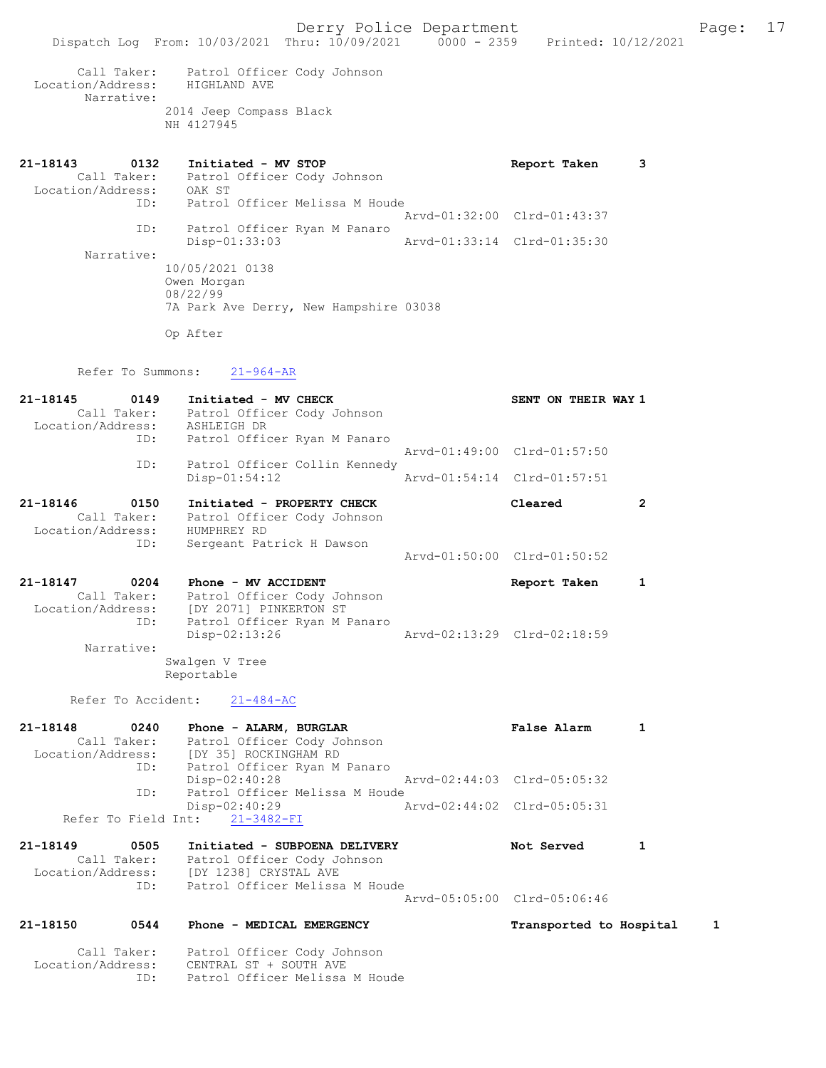Derry Police Department Form Page: 17 Dispatch Log From: 10/03/2021 Thru: 10/09/2021 0000 - 2359 Printed: 10/12/2021 Call Taker: Patrol Officer Cody Johnson Location/Address: HIGHLAND AVE Narrative: 2014 Jeep Compass Black NH 4127945 21-18143 0132 Initiated - MV STOP Report Taken 3 Call Taker: Patrol Officer Cody Johnson Location/Address: OAK ST ID: Patrol Officer Melissa M Houde Arvd-01:32:00 Clrd-01:43:37 ID: Patrol Officer Ryan M Panaro Arvd-01:33:14 Clrd-01:35:30 Narrative: 10/05/2021 0138 Owen Morgan 08/22/99 7A Park Ave Derry, New Hampshire 03038 Op After Refer To Summons: 21-964-AR 21-18145 0149 Initiated - MV CHECK SENT ON THEIR WAY 1 Call Taker: Patrol Officer Cody Johnson Location/Address: ASHLEIGH DR ID: Patrol Officer Ryan M Panaro Arvd-01:49:00 Clrd-01:57:50 ID: Patrol Officer Collin Kennedy Disp-01:54:12 Arvd-01:54:14 Clrd-01:57:51 21-18146 0150 Initiated - PROPERTY CHECK Cleared 2

 Call Taker: Patrol Officer Cody Johnson Location/Address: HUMPHREY RD ID: Sergeant Patrick H Dawson

#### 21-18147 0204 Phone - MV ACCIDENT Report Taken 1 Call Taker: Patrol Officer Cody Johnson Location/Address: [DY 2071] PINKERTON ST ID: Patrol Officer Ryan M Panaro Disp-02:13:26 Arvd-02:13:29 Clrd-02:18:59 Narrative: Swalgen V Tree

Arvd-01:50:00 Clrd-01:50:52

Reportable

Refer To Accident: 21-484-AC

| 21-18148          | 0240        | Phone - ALARM, BURGLAR         |                                           | False Alarm                                                        |  |
|-------------------|-------------|--------------------------------|-------------------------------------------|--------------------------------------------------------------------|--|
|                   | Call Taker: | Patrol Officer Cody Johnson    |                                           |                                                                    |  |
| Location/Address: |             | [DY 35] ROCKINGHAM RD          |                                           |                                                                    |  |
|                   | ID:         |                                | Patrol Officer Ryan M Panaro              |                                                                    |  |
|                   |             | $Disp-02:40:28$                |                                           | Arvd-02:44:03 Clrd-05:05:32                                        |  |
|                   | ID:         |                                | Patrol Officer Melissa M Houde            |                                                                    |  |
|                   |             | $Disp-02:40:29$                |                                           | Arvd-02:44:02 Clrd-05:05:31                                        |  |
|                   |             | Refer To Field Int: 21-3482-FI |                                           |                                                                    |  |
| $21 - 191AQ$      | <b>OROR</b> |                                | $T_{n+i} + i_{n} + o$ - CURDOFNA DEITUFDV | $N \cap$ $\vdash$ $\complement$ $\complement$ $\complement$ $\Box$ |  |

| ZI-18149          | כטכט        | INItiated - SUBPOENA DELIVERY  | NOT Served                  |  |
|-------------------|-------------|--------------------------------|-----------------------------|--|
|                   | Call Taker: | Patrol Officer Cody Johnson    |                             |  |
| Location/Address: |             | IDY 12381 CRYSTAL AVE          |                             |  |
|                   | TD:         | Patrol Officer Melissa M Houde |                             |  |
|                   |             |                                | Arvd-05:05:00 Clrd-05:06:46 |  |
|                   |             |                                |                             |  |

#### 21-18150 0544 Phone - MEDICAL EMERGENCY Transported to Hospital 1

 Call Taker: Patrol Officer Cody Johnson Location/Address: CENTRAL ST + SOUTH AVE ID: Patrol Officer Melissa M Houde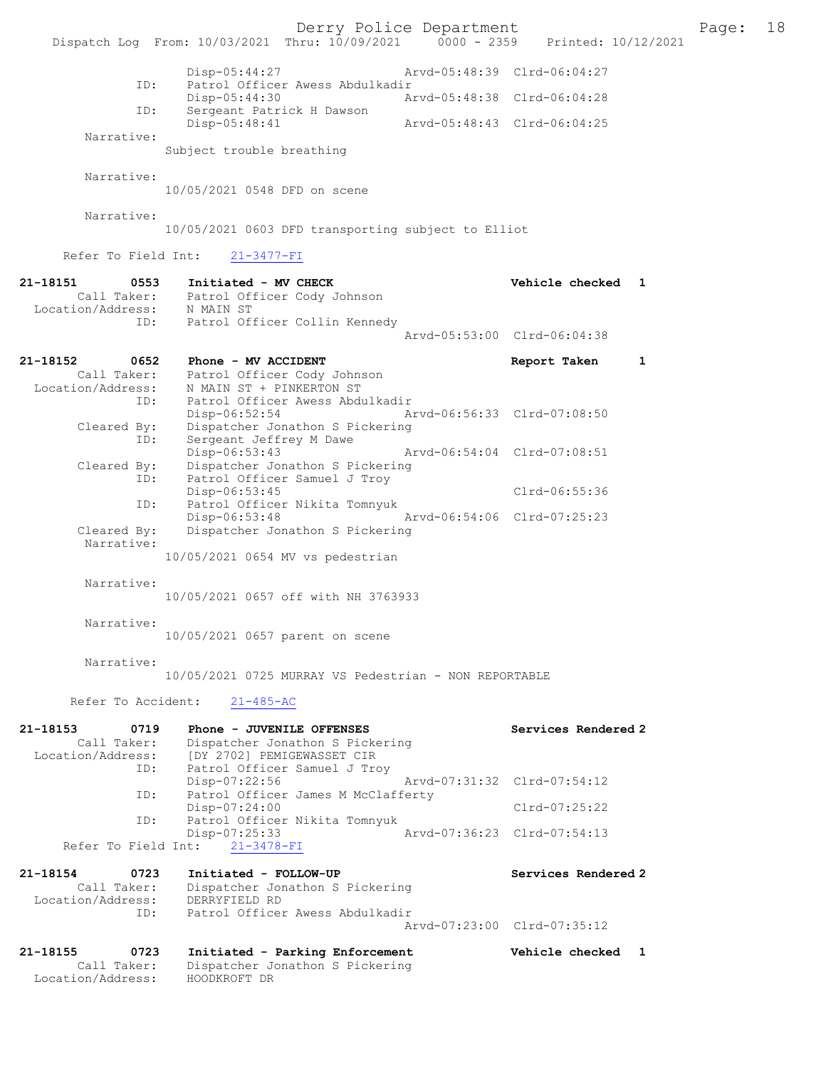|                                                      |                                                                                                                                 | Derry Police Department     |                              | 18<br>Page: |
|------------------------------------------------------|---------------------------------------------------------------------------------------------------------------------------------|-----------------------------|------------------------------|-------------|
|                                                      | Dispatch Log From: 10/03/2021 Thru: 10/09/2021 0000 - 2359 Printed: 10/12/2021                                                  |                             |                              |             |
| ID:                                                  | $Disp-05:44:27$<br>Patrol Officer Awess Abdulkadir                                                                              |                             | Arvd-05:48:39 Clrd-06:04:27  |             |
| ID:                                                  | Disp-05:44:30<br>Sergeant Patrick H Dawson                                                                                      |                             | Arvd-05:48:38 Clrd-06:04:28  |             |
|                                                      | Disp-05:48:41                                                                                                                   | Arvd-05:48:43 Clrd-06:04:25 |                              |             |
| Narrative:                                           | Subject trouble breathing                                                                                                       |                             |                              |             |
| Narrative:                                           | 10/05/2021 0548 DFD on scene                                                                                                    |                             |                              |             |
| Narrative:                                           | 10/05/2021 0603 DFD transporting subject to Elliot                                                                              |                             |                              |             |
| Refer To Field Int:                                  | $21 - 3477 - FI$                                                                                                                |                             |                              |             |
| 21-18151<br>0553<br>ID:                              | Initiated - MV CHECK<br>Call Taker: Patrol Officer Cody Johnson<br>Location/Address: N MAIN ST<br>Patrol Officer Collin Kennedy |                             | Vehicle checked 1            |             |
|                                                      |                                                                                                                                 |                             | Arvd-05:53:00 Clrd-06:04:38  |             |
| 21-18152<br>0652<br>Location/Address:<br>ID:         | Phone - MV ACCIDENT<br>Call Taker: Patrol Officer Cody Johnson<br>N MAIN ST + PINKERTON ST<br>Patrol Officer Awess Abdulkadir   |                             | Report Taken<br>$\mathbf{1}$ |             |
| Cleared By:<br>ID:                                   | Disp-06:52:54<br>Dispatcher Jonathon S Pickering<br>Sergeant Jeffrey M Dawe                                                     |                             | Arvd-06:56:33 Clrd-07:08:50  |             |
| Cleared By:<br>ID:                                   | Disp-06:53:43<br>Dispatcher Jonathon S Pickering<br>Patrol Officer Samuel J Troy                                                |                             | Arvd-06:54:04 Clrd-07:08:51  |             |
|                                                      | Disp-06:53:45                                                                                                                   |                             | Clrd-06:55:36                |             |
| ID:<br>Cleared By:                                   | Patrol Officer Nikita Tomnyuk<br>$Disp-06:53:48$<br>Dispatcher Jonathon S Pickering                                             |                             | Arvd-06:54:06 Clrd-07:25:23  |             |
| Narrative:                                           | 10/05/2021 0654 MV vs pedestrian                                                                                                |                             |                              |             |
| Narrative:                                           | 10/05/2021 0657 off with NH 3763933                                                                                             |                             |                              |             |
| Narrative:                                           | 10/05/2021 0657 parent on scene                                                                                                 |                             |                              |             |
| Narrative:                                           | 10/05/2021 0725 MURRAY VS Pedestrian - NON REPORTABLE                                                                           |                             |                              |             |
| Refer To Accident:                                   | $21 - 485 - AC$                                                                                                                 |                             |                              |             |
| 0719<br>21-18153                                     | Phone - JUVENILE OFFENSES                                                                                                       |                             | Services Rendered 2          |             |
| Call Taker:<br>Location/Address:<br>ID:              | Dispatcher Jonathon S Pickering<br>[DY 2702] PEMIGEWASSET CIR<br>Patrol Officer Samuel J Troy                                   |                             |                              |             |
| ID:                                                  | Disp-07:22:56<br>Patrol Officer James M McClafferty                                                                             |                             | Arvd-07:31:32 Clrd-07:54:12  |             |
| ID:                                                  | Disp-07:24:00<br>Patrol Officer Nikita Tomnyuk                                                                                  |                             | $Clrd-07:25:22$              |             |
| Refer To Field Int:                                  | Disp-07:25:33<br>$21 - 3478 - FI$                                                                                               |                             | Arvd-07:36:23 Clrd-07:54:13  |             |
| 21-18154<br>0723<br>Call Taker:<br>Location/Address: | Initiated - FOLLOW-UP<br>Dispatcher Jonathon S Pickering<br>DERRYFIELD RD                                                       |                             | Services Rendered 2          |             |
| ID:                                                  | Patrol Officer Awess Abdulkadir                                                                                                 |                             | Arvd-07:23:00 Clrd-07:35:12  |             |
| 21-18155<br>0723<br>Call Taker:                      | Initiated - Parking Enforcement<br>Dispatcher Jonathon S Pickering                                                              |                             | Vehicle checked 1            |             |
| Location/Address:                                    | HOODKROFT DR                                                                                                                    |                             |                              |             |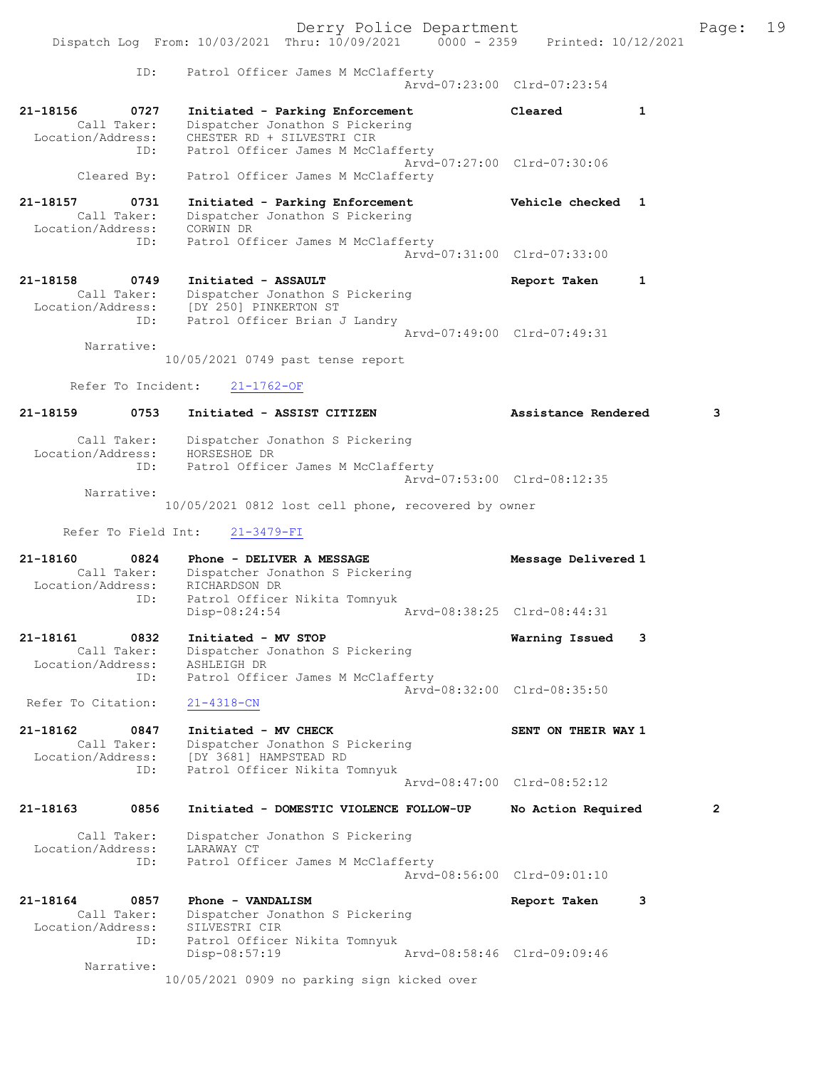Derry Police Department The Page: 19 Dispatch Log From: 10/03/2021 Thru: 10/09/2021 0000 - 2359 Printed: 10/12/2021 ID: Patrol Officer James M McClafferty Arvd-07:23:00 Clrd-07:23:54 21-18156 0727 Initiated - Parking Enforcement Cleared 1 Call Taker: Dispatcher Jonathon S Pickering Location/Address: CHESTER RD + SILVESTRI CIR ID: Patrol Officer James M McClafferty Arvd-07:27:00 Clrd-07:30:06 Cleared By: Patrol Officer James M McClafferty 21-18157 0731 Initiated - Parking Enforcement Vehicle checked 1 Call Taker: Dispatcher Jonathon S Pickering Location/Address: CORWIN DR ID: Patrol Officer James M McClafferty Arvd-07:31:00 Clrd-07:33:00 21-18158 0749 Initiated - ASSAULT Report Taken 1 Call Taker: Dispatcher Jonathon S Pickering Location/Address: [DY 250] PINKERTON ST ID: Patrol Officer Brian J Landry Arvd-07:49:00 Clrd-07:49:31 Narrative: 10/05/2021 0749 past tense report Refer To Incident: 21-1762-OF 21-18159 0753 Initiated - ASSIST CITIZEN Assistance Rendered 3 Call Taker: Dispatcher Jonathon S Pickering Location/Address: HORSESHOE DR ID: Patrol Officer James M McClafferty Arvd-07:53:00 Clrd-08:12:35 Narrative: 10/05/2021 0812 lost cell phone, recovered by owner Refer To Field Int: 21-3479-FI 21-18160 0824 Phone - DELIVER A MESSAGE Message Delivered 1 Call Taker: Dispatcher Jonathon S Pickering Location/Address: RICHARDSON DR<br>ID: Patrol Officer<br>Disp-08:24:54 Patrol Officer Nikita Tomnyuk Arvd-08:38:25 Clrd-08:44:31 21-18161 0832 Initiated - MV STOP Warning Issued 3 Call Taker: Dispatcher Jonathon S Pickering Location/Address: ASHLEIGH DR ID: Patrol Officer James M McClafferty Arvd-08:32:00 Clrd-08:35:50 Refer To Citation: 21-4318-CN 21-18162 0847 Initiated - MV CHECK SENT ON THEIR WAY 1 Call Taker: Dispatcher Jonathon S Pickering Location/Address: [DY 3681] HAMPSTEAD RD ID: Patrol Officer Nikita Tomnyuk Arvd-08:47:00 Clrd-08:52:12 21-18163 0856 Initiated - DOMESTIC VIOLENCE FOLLOW-UP No Action Required 2 Call Taker: Dispatcher Jonathon S Pickering Location/Address: LARAWAY CT ID: Patrol Officer James M McClafferty Arvd-08:56:00 Clrd-09:01:10 21-18164 0857 Phone - VANDALISM **Report Taken** 3 Call Taker: Dispatcher Jonathon S Pickering Location/Address: SILVESTRI CIR ID: Patrol Officer Nikita Tomnyuk Disp-08:57:19 Arvd-08:58:46 Clrd-09:09:46 Narrative: 10/05/2021 0909 no parking sign kicked over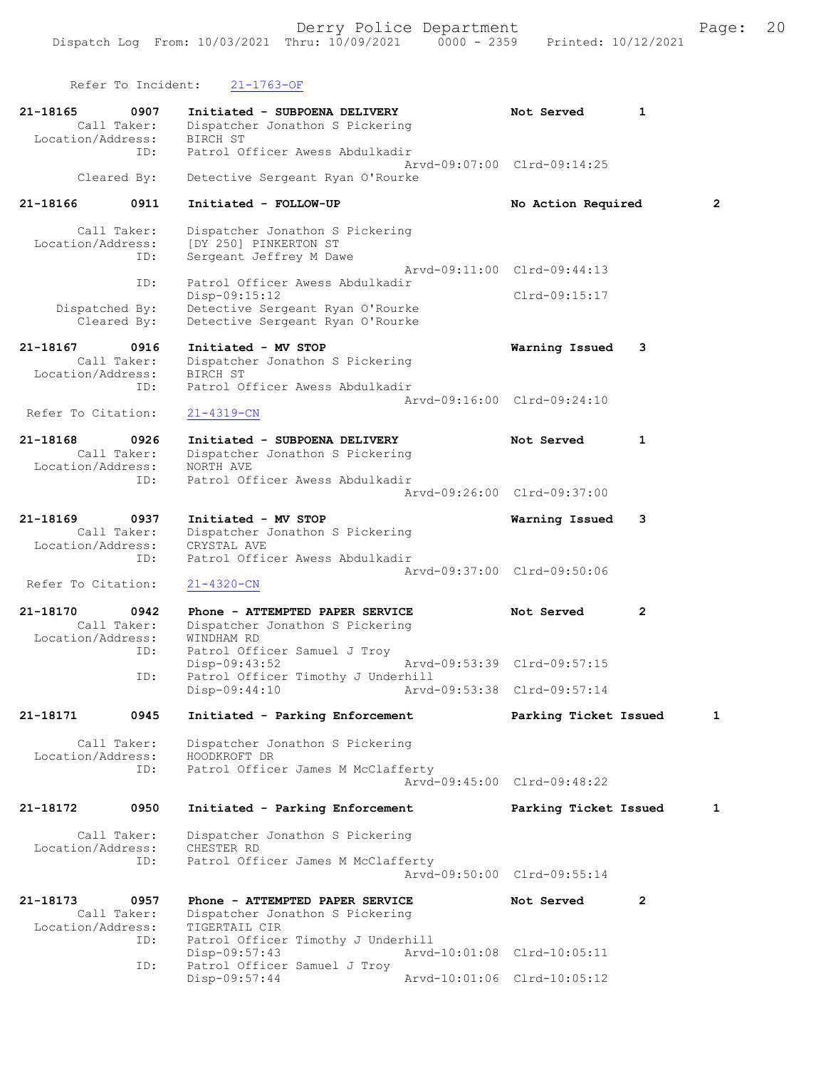Refer To Incident: 21-1763-OF 21-18165 0907 Initiated - SUBPOENA DELIVERY Not Served 1<br>Call Taker: Dispatcher Jonathon S Pickering Dispatcher Jonathon S Pickering Location/Address: BIRCH ST ID: Patrol Officer Awess Abdulkadir Arvd-09:07:00 Clrd-09:14:25 Cleared By: Detective Sergeant Ryan O'Rourke 21-18166 0911 Initiated - FOLLOW-UP No Action Required 2 Call Taker: Dispatcher Jonathon S Pickering Location/Address: [DY 250] PINKERTON ST ID: Sergeant Jeffrey M Dawe Arvd-09:11:00 Clrd-09:44:13<br>TD: Patrol Officer Awess Abdulkadir Patrol Officer Awess Abdulkadir Disp-09:15:12 Clrd-09:15:17 Dispatched By: Detective Sergeant Ryan O'Rourke Cleared By: Detective Sergeant Ryan O'Rourke 21-18167 0916 Initiated - MV STOP Warning Issued 3 Call Taker: Dispatcher Jonathon S Pickering Location/Address: BIRCH ST ID: Patrol Officer Awess Abdulkadir Arvd-09:16:00 Clrd-09:24:10<br>21-4319-CN Refer To Citation: 21-18168 0926 Initiated - SUBPOENA DELIVERY Not Served 1 Call Taker: Dispatcher Jonathon S Pickering Location/Address: NORTH AVE ID: Patrol Officer Awess Abdulkadir Arvd-09:26:00 Clrd-09:37:00 21-18169 0937 Initiated - MV STOP Warning Issued 3 Call Taker: Dispatcher Jonathon S Pickering Location/Address: CRYSTAL AVE ID: Patrol Officer Awess Abdulkadir Arvd-09:37:00 Clrd-09:50:06<br>21-4320-CN Refer To Citation: 21-18170 0942 Phone - ATTEMPTED PAPER SERVICE Not Served 2 Call Taker: Dispatcher Jonathon S Pickering Location/Address: WINDHAM RD ID: Patrol Officer Samuel J Troy Disp-09:43:52 Arvd-09:53:39 Clrd-09:57:15<br>TD: Patrol Officer Timothy J Underbill Patrol Officer Timothy J Underhill<br>Disp-09:44:10 Arvd- Disp-09:44:10 Arvd-09:53:38 Clrd-09:57:14 21-18171 0945 Initiated - Parking Enforcement Parking Ticket Issued 1 Call Taker: Dispatcher Jonathon S Pickering<br>ion/Address: HOODKROFT DR Location/Address:<br>ID: Patrol Officer James M McClafferty Arvd-09:45:00 Clrd-09:48:22 21-18172 0950 Initiated - Parking Enforcement Parking Ticket Issued 1 Call Taker: Dispatcher Jonathon S Pickering Location/Address: CHESTER RD ID: Patrol Officer James M McClafferty Arvd-09:50:00 Clrd-09:55:14 21-18173 0957 Phone - ATTEMPTED PAPER SERVICE Not Served 2

Call Taker: Dispatcher Jonathon S Pickering<br>cion/Address: TIGERTAIL CIR Location/Address:<br>ID: Patrol Officer Timothy J Underhill Disp-09:57:43 Arvd-10:01:08 Clrd-10:05:11 ID: Patrol Officer Samuel J Troy Arvd-10:01:06 Clrd-10:05:12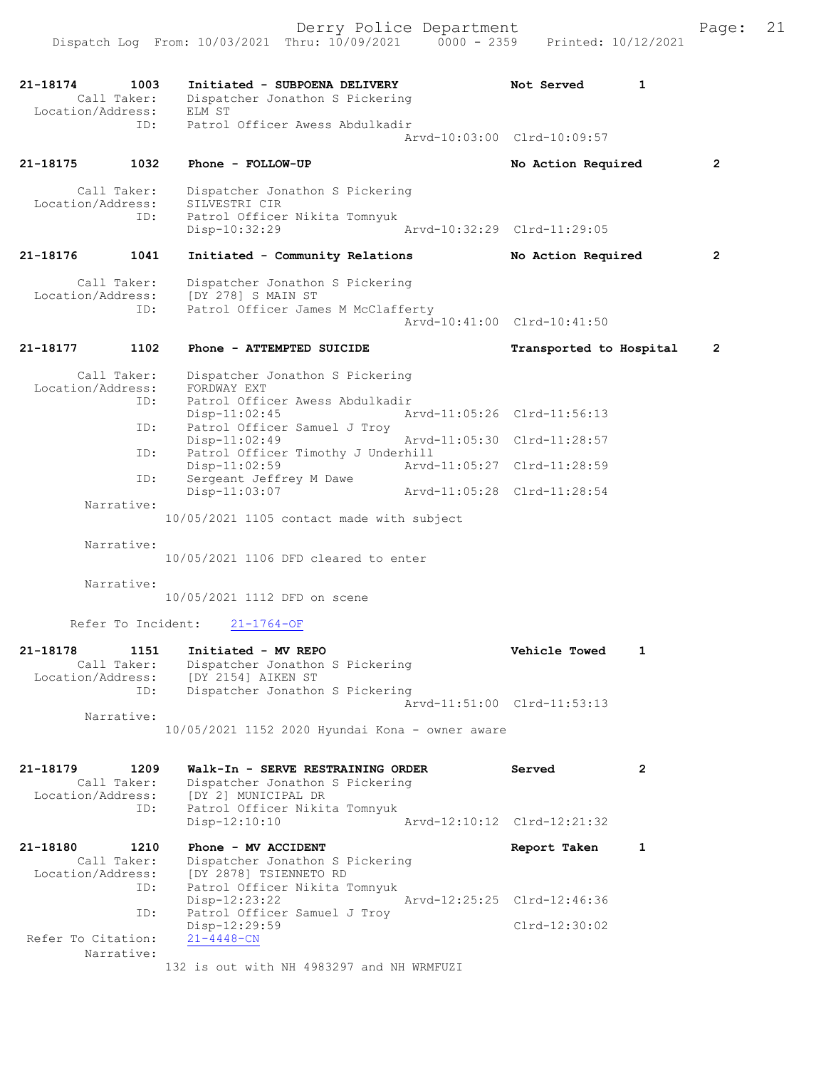21-18174 1003 Initiated - SUBPOENA DELIVERY Not Served 1 Call Taker: Dispatcher Jonathon S Pickering Location/Address: ELM ST ID: Patrol Officer Awess Abdulkadir Arvd-10:03:00 Clrd-10:09:57 21-18175 1032 Phone - FOLLOW-UP No Action Required 2 Call Taker: Dispatcher Jonathon S Pickering Location/Address: SILVESTRI CIR ID: Patrol Officer Nikita Tomnyuk Disp-10:32:29 Arvd-10:32:29 Clrd-11:29:05 21-18176 1041 Initiated - Community Relations No Action Required 2 Call Taker: Dispatcher Jonathon S Pickering Location/Address: [DY 278] S MAIN ST ID: Patrol Officer James M McClafferty Arvd-10:41:00 Clrd-10:41:50 21-18177 1102 Phone - ATTEMPTED SUICIDE Transported to Hospital 2 Call Taker: Dispatcher Jonathon S Pickering<br>ion/Address: FORDWAY EXT Location/Address:<br>ID: Patrol Officer Awess Abdulkadir<br>Disp-11:02:45<br>Patrol Office Disp-11:02:45 Arvd-11:05:26 Clrd-11:56:13<br>
Disp-11:02:49 Arvd-11:05:30 Clrd-11:28:57<br>
Disp-11:02:49 Arvd-11:05:30 Clrd-11:28:57 Patrol Officer Samuel J Troy Arvd-11:05:30 Clrd-11:28:57 ID: Patrol Officer Timothy J Underhill<br>Disp-11:02:59<br>The Communication of the Communication Disp-11:02:59 Arvd-11:05:27 Clrd-11:28:59 ID: Sergeant Jeffrey M Dawe Disp-11:03:07 Arvd-11:05:28 Clrd-11:28:54 Narrative: 10/05/2021 1105 contact made with subject Narrative: 10/05/2021 1106 DFD cleared to enter Narrative: 10/05/2021 1112 DFD on scene Refer To Incident: 21-1764-OF 21-18178 1151 Initiated - MV REPO Vehicle Towed 1 Call Taker: Dispatcher Jonathon S Pickering Location/Address: [DY 2154] AIKEN ST ID: Dispatcher Jonathon S Pickering Arvd-11:51:00 Clrd-11:53:13 Narrative: 10/05/2021 1152 2020 Hyundai Kona - owner aware 21-18179 1209 Walk-In - SERVE RESTRAINING ORDER Served 2 Call Taker: Dispatcher Jonathon S Pickering Location/Address: [DY 2] MUNICIPAL DR ID: Patrol Officer Nikita Tomnyuk Arvd-12:10:12 Clrd-12:21:32 21-18180 1210 Phone - MV ACCIDENT Report Taken 1 Call Taker: Dispatcher Jonathon S Pickering Location/Address: [DY 2878] TSIENNETO RD ID: Patrol Officer Nikita Tomnyuk Disp-12:23:22 Arvd-12:25:25 Clrd-12:46:36 ID: Patrol Officer Samuel J Troy<br>Disp-12:29:59 Disp-12:29:59 Clrd-12:30:02 Refer To Citation: 21-4448-CN Narrative: 132 is out with NH 4983297 and NH WRMFUZI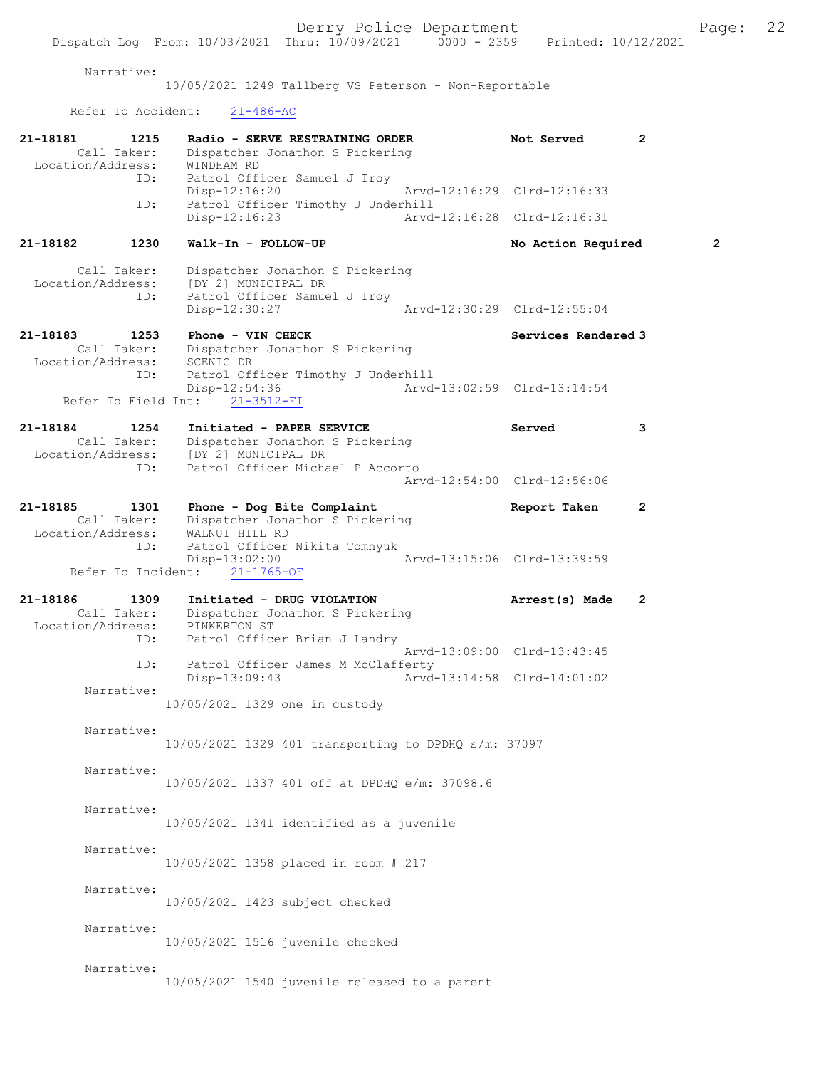Narrative:

10/05/2021 1249 Tallberg VS Peterson - Non-Reportable

Refer To Accident: 21-486-AC

| 21-18181<br>1215<br>Call Taker:<br>Location/Address:<br>ID: | Radio - SERVE RESTRAINING ORDER<br>Dispatcher Jonathon S Pickering<br>WINDHAM RD<br>Patrol Officer Samuel J Troy | Not Served                                                 | $\mathbf{2}$   |
|-------------------------------------------------------------|------------------------------------------------------------------------------------------------------------------|------------------------------------------------------------|----------------|
| ID:                                                         | Disp-12:16:20<br>Patrol Officer Timothy J Underhill                                                              | Arvd-12:16:29 Clrd-12:16:33                                |                |
|                                                             | Disp-12:16:23                                                                                                    | Arvd-12:16:28 Clrd-12:16:31                                |                |
| 21-18182<br>1230                                            | Walk-In - FOLLOW-UP                                                                                              | No Action Required                                         | $\overline{2}$ |
| Call Taker:<br>Location/Address:<br>ID:                     | Dispatcher Jonathon S Pickering<br>[DY 2] MUNICIPAL DR<br>Patrol Officer Samuel J Troy<br>Disp-12:30:27          | Arvd-12:30:29 Clrd-12:55:04                                |                |
| 21-18183<br>1253<br>Call Taker:                             | Phone - VIN CHECK<br>Dispatcher Jonathon S Pickering                                                             | Services Rendered 3                                        |                |
| Location/Address:<br>ID:<br>Refer To Field Int:             | SCENIC DR<br>Patrol Officer Timothy J Underhill<br>Disp-12:54:36<br>$21 - 3512 - FI$                             | Arvd-13:02:59 Clrd-13:14:54                                |                |
| 21-18184<br>1254<br>Call Taker:<br>Location/Address:        | Initiated - PAPER SERVICE<br>Dispatcher Jonathon S Pickering<br>[DY 2] MUNICIPAL DR                              | Served                                                     | 3              |
| ID:                                                         | Patrol Officer Michael P Accorto                                                                                 | Arvd-12:54:00 Clrd-12:56:06                                |                |
| 21-18185<br>1301<br>Call Taker:<br>Location/Address:        | Phone - Dog Bite Complaint<br>Dispatcher Jonathon S Pickering<br>WALNUT HILL RD                                  | Report Taken                                               | $\mathbf{2}$   |
| ID:<br>Refer To Incident:                                   | Patrol Officer Nikita Tomnyuk<br>Disp-13:02:00<br>$21 - 1765 - OF$                                               | Arvd-13:15:06 Clrd-13:39:59                                |                |
| 21-18186<br>1309<br>Call Taker:<br>Location/Address:<br>ID: | Initiated - DRUG VIOLATION<br>Dispatcher Jonathon S Pickering<br>PINKERTON ST<br>Patrol Officer Brian J Landry   | Arrest(s) Made                                             | $\mathbf{2}$   |
| ID:                                                         | Patrol Officer James M McClafferty                                                                               | Arvd-13:09:00 Clrd-13:43:45<br>Arvd-13:14:58 Clrd-14:01:02 |                |
| Narrative:                                                  | Disp-13:09:43<br>10/05/2021 1329 one in custody                                                                  |                                                            |                |
| Narrative:                                                  | 10/05/2021 1329 401 transporting to DPDHQ s/m: 37097                                                             |                                                            |                |
| Narrative:                                                  | 10/05/2021 1337 401 off at DPDHQ e/m: 37098.6                                                                    |                                                            |                |
| Narrative:                                                  | 10/05/2021 1341 identified as a juvenile                                                                         |                                                            |                |
| Narrative:                                                  | 10/05/2021 1358 placed in room # 217                                                                             |                                                            |                |
| Narrative:                                                  | 10/05/2021 1423 subject checked                                                                                  |                                                            |                |
| Narrative:                                                  | 10/05/2021 1516 juvenile checked                                                                                 |                                                            |                |
| Narrative:                                                  | 10/05/2021 1540 juvenile released to a parent                                                                    |                                                            |                |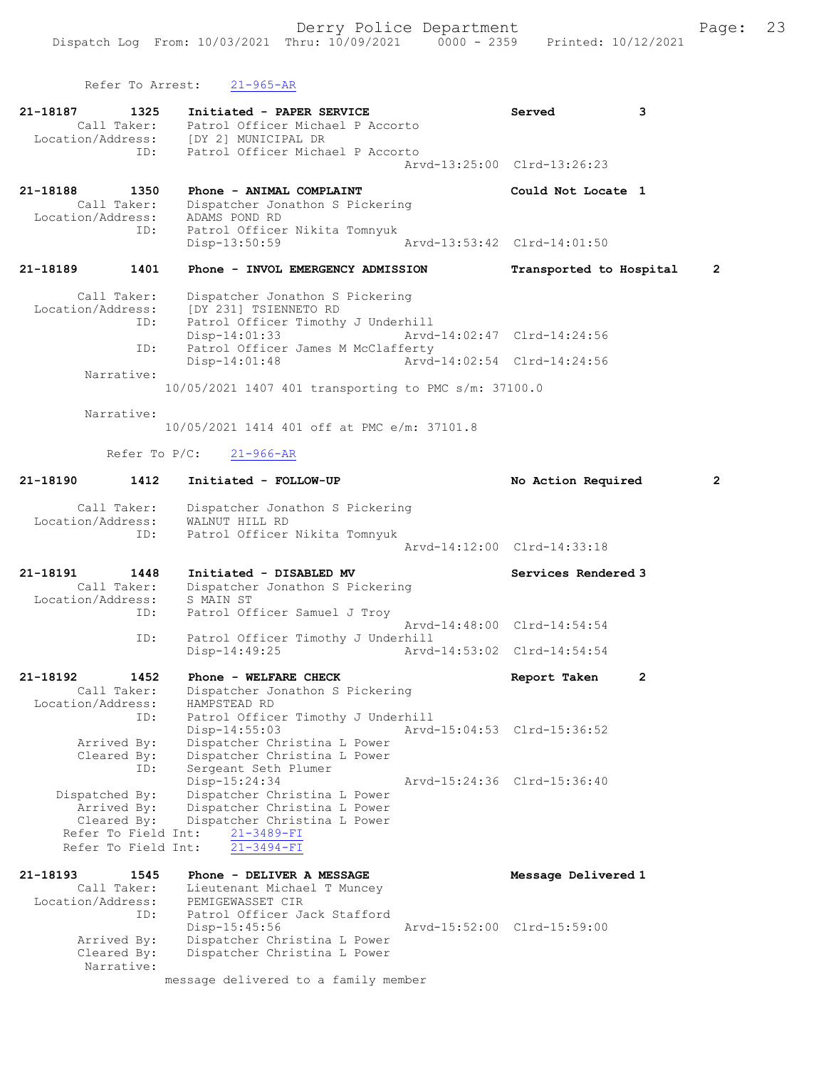Refer To Arrest: 21-965-AR

| 21-18187 1325                      |                                                       | Initiated - PAPER SERVICE<br>Call Taker: Patrol Officer Michael P Accorto<br>Location/Address: [DY 2] MUNICIPAL DR<br>ID: Patrol Officer Michael P Accorto                                                                                                                                                                                                                                       | Served<br>Arvd-13:25:00 Clrd-13:26:23 | 3              |
|------------------------------------|-------------------------------------------------------|--------------------------------------------------------------------------------------------------------------------------------------------------------------------------------------------------------------------------------------------------------------------------------------------------------------------------------------------------------------------------------------------------|---------------------------------------|----------------|
| 21-18188 1350<br>Location/Address: | Call Taker:<br>ID:                                    | Phone - ANIMAL COMPLAINT<br>Dispatcher Jonathon S Pickering<br>ADAMS POND RD<br>Patrol Officer Nikita Tomnyuk<br>Disp-13:50:59                                                                                                                                                                                                                                                                   | Could Not Locate 1                    |                |
| 21-18189                           | 1401                                                  | Phone - INVOL EMERGENCY ADMISSION                                                                                                                                                                                                                                                                                                                                                                | Transported to Hospital               | $\overline{2}$ |
|                                    | Call Taker:<br>ID:<br>ID:<br>Narrative:<br>Narrative: | Dispatcher Jonathon S Pickering<br>Location/Address: [DY 231] TSIENNETO RD<br>Patrol Officer Timothy J Underhill<br>Disp-14:01:33 Arvd-14:02:47 Clrd-14:24:56<br>Patrol Officer James M McClafferty<br>$Disp-14:01:48$<br>Arvd-14:02:54 Clrd-14:24:56<br>10/05/2021 1407 401 transporting to PMC s/m: 37100.0<br>10/05/2021 1414 401 off at PMC e/m: 37101.8<br>Refer To P/C:<br>$21 - 966 - AR$ |                                       |                |
| 21-18190 1412                      |                                                       | Initiated - FOLLOW-UP                                                                                                                                                                                                                                                                                                                                                                            | No Action Required                    | $\overline{2}$ |
| Location/Address:                  | Call Taker:<br>ID:                                    | Dispatcher Jonathon S Pickering<br>WALNUT HILL RD<br>Patrol Officer Nikita Tomnyuk                                                                                                                                                                                                                                                                                                               | Arvd-14:12:00 Clrd-14:33:18           |                |
|                                    |                                                       | _                                                                                                                                                                                                                                                                                                                                                                                                | .                                     |                |

21-18191 1448 Initiated - DISABLED MV Services Rendered 3 Call Taker: Dispatcher Jonathon S Pickering Location/Address: S MAIN ST ID: Patrol Officer Samuel J Troy Arvd-14:48:00 Clrd-14:54:54<br>TD: Patrol Officer Timothy J Underbill Patrol Officer Timothy J Underhill<br>Disp-14:49:25 Arvd-Disp-14:49:25 Arvd-14:53:02 Clrd-14:54:54

21-18192 1452 Phone - WELFARE CHECK Report Taken 2 Call Taker: Dispatcher Jonathon S Pickering Location/Address: HAMPSTEAD RD ID: Patrol Officer Timothy J Underhill Disp-14:55:03 Arvd-15:04:53 Clrd-15:36:52 Arrived By: Dispatcher Christina L Power Cleared By: Dispatcher Christina L Power ID: Sergeant Seth Plumer Disparcher Christian Christian Christian Christian Christian Christian Christian Christian Christian Christian<br>Arvd-15:24:36 Clrd-15:36:40 Dispatched By: Dispatcher Christina L Power Arrived By: Dispatcher Christina L Power Cleared By: Dispatcher Christina L Power Refer To Field Int:  $\frac{21-3489-FI}{21-3494-FI}$ Refer To Field Int:

21-18193 1545 Phone - DELIVER A MESSAGE Nessage Delivered 1 Call Taker: Lieutenant Michael T Muncey Location/Address: PEMIGEWASSET CIR ID: Patrol Officer Jack Stafford Disp-15:45:56 Arvd-15:52:00 Clrd-15:59:00 Arrived By: Dispatcher Christina L Power Cleared By: Dispatcher Christina L Power Narrative: message delivered to a family member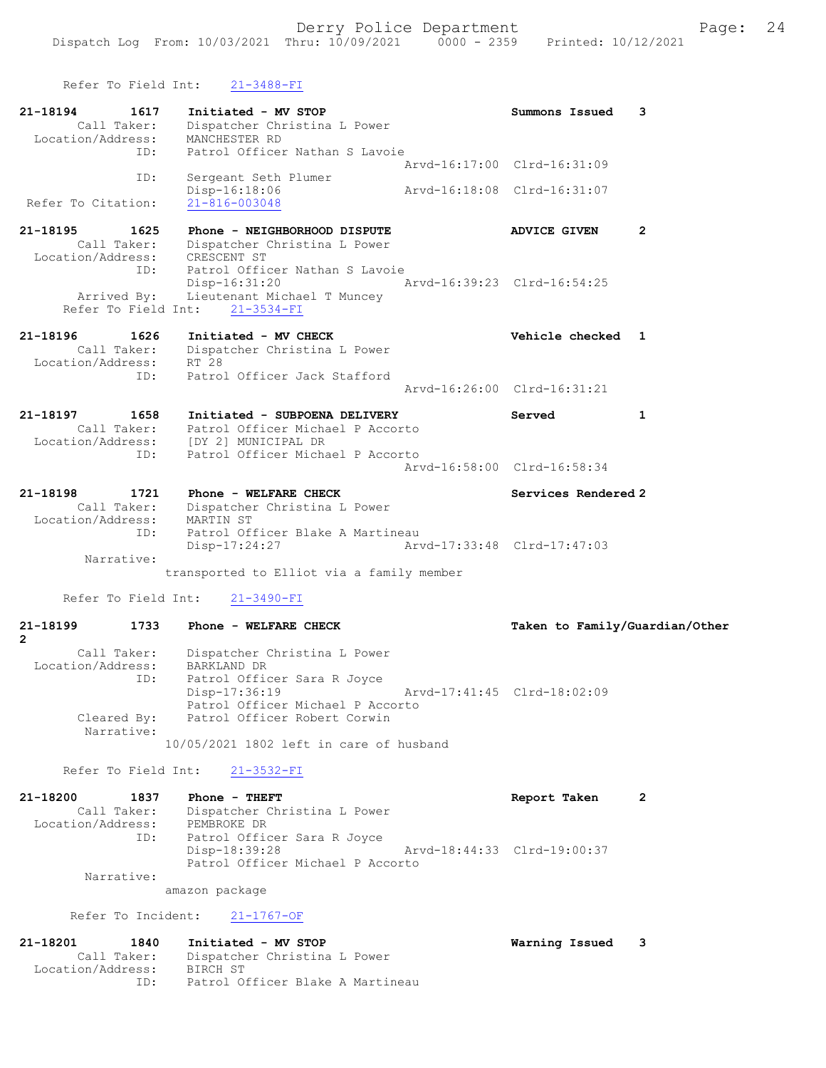| Refer To Field Int:                                              | $21 - 3488 - FI$                                                                                                                               |                                                             |
|------------------------------------------------------------------|------------------------------------------------------------------------------------------------------------------------------------------------|-------------------------------------------------------------|
| 21-18194<br>1617<br>Call Taker:<br>Location/Address:<br>TD:      | Initiated - MV STOP<br>Dispatcher Christina L Power<br>MANCHESTER RD<br>Patrol Officer Nathan S Lavoie                                         | Summons Issued<br>3                                         |
|                                                                  |                                                                                                                                                | Arvd-16:17:00 Clrd-16:31:09                                 |
| ID:<br>Refer To Citation:                                        | Sergeant Seth Plumer<br>Disp-16:18:06<br>21-816-003048                                                                                         | Arvd-16:18:08 Clrd-16:31:07                                 |
| 21-18195<br>1625<br>Call Taker:<br>Location/Address: CRESCENT ST | Phone - NEIGHBORHOOD DISPUTE<br>Dispatcher Christina L Power                                                                                   | $\overline{2}$<br><b>ADVICE GIVEN</b>                       |
| ID:                                                              | Patrol Officer Nathan S Lavoie<br>Disp-16:31:20<br>Arrived By: Lieutenant Michael T Muncey                                                     | Arvd-16:39:23 Clrd-16:54:25                                 |
| Refer To Field Int:                                              | $21 - 3534 - FI$                                                                                                                               |                                                             |
| 21-18196<br>1626<br>Call Taker:<br>Location/Address:             | Initiated - MV CHECK<br>Dispatcher Christina L Power<br>RT 28                                                                                  | Vehicle checked 1                                           |
| ID:                                                              | Patrol Officer Jack Stafford                                                                                                                   | Arvd-16:26:00 Clrd-16:31:21                                 |
| 21-18197<br>1658                                                 | Initiated - SUBPOENA DELIVERY<br>Call Taker: Patrol Officer Micha<br>Location/Address: [DY 2] MUNICIPAL DR<br>Patrol Officer Michael P Accorto | Served<br>$\mathbf{1}$                                      |
| ID:                                                              | Patrol Officer Michael P Accorto                                                                                                               | Arvd-16:58:00 Clrd-16:58:34                                 |
| 21-18198<br>1721<br>Call Taker:<br>Location/Address:             | Phone - WELFARE CHECK<br>Dispatcher Christina L Power<br>MARTIN ST                                                                             | Services Rendered 2                                         |
| ID:<br>Narrative:                                                | Patrol Officer Blake A Martineau<br>Disp-17:24:27                                                                                              | Arvd-17:33:48 Clrd-17:47:03                                 |
|                                                                  | transported to Elliot via a family member                                                                                                      |                                                             |
| Refer To Field Int:                                              | $21 - 3490 - FI$                                                                                                                               |                                                             |
| 21-18199<br>1733<br>$\mathbf{2}$                                 | Phone - WELFARE CHECK                                                                                                                          | Taken to Family/Guardian/Other                              |
| Call Taker:<br>Location/Address:<br>ID:                          | Dispatcher Christina L Power<br>BARKLAND DR<br>Patrol Officer Sara R Joyce<br>Disp-17:36:19<br>Patrol Officer Michael P Accorto                | Arvd-17:41:45 Clrd-18:02:09                                 |
| Cleared By:<br>Narrative:                                        | Patrol Officer Robert Corwin<br>10/05/2021 1802 left in care of husband                                                                        |                                                             |
|                                                                  |                                                                                                                                                |                                                             |
| Refer To Field Int:                                              | $21 - 3532 - FI$                                                                                                                               |                                                             |
| 21-18200<br>1837<br>Call Taker:<br>Location/Address:<br>ID:      | Phone - THEFT<br>Dispatcher Christina L Power<br>PEMBROKE DR<br>Patrol Officer Sara R Joyce<br>Disp-18:39:28                                   | Report Taken<br>$\mathbf{2}$<br>Arvd-18:44:33 Clrd-19:00:37 |
|                                                                  |                                                                                                                                                |                                                             |

Refer To Incident: 21-1767-OF

| 21-18201          | 1840        | Initiated - MV STOP              | Warning Issued |  |
|-------------------|-------------|----------------------------------|----------------|--|
|                   | Call Taker: | Dispatcher Christina L Power     |                |  |
| Location/Address: |             | BIRCH ST                         |                |  |
|                   | TD:         | Patrol Officer Blake A Martineau |                |  |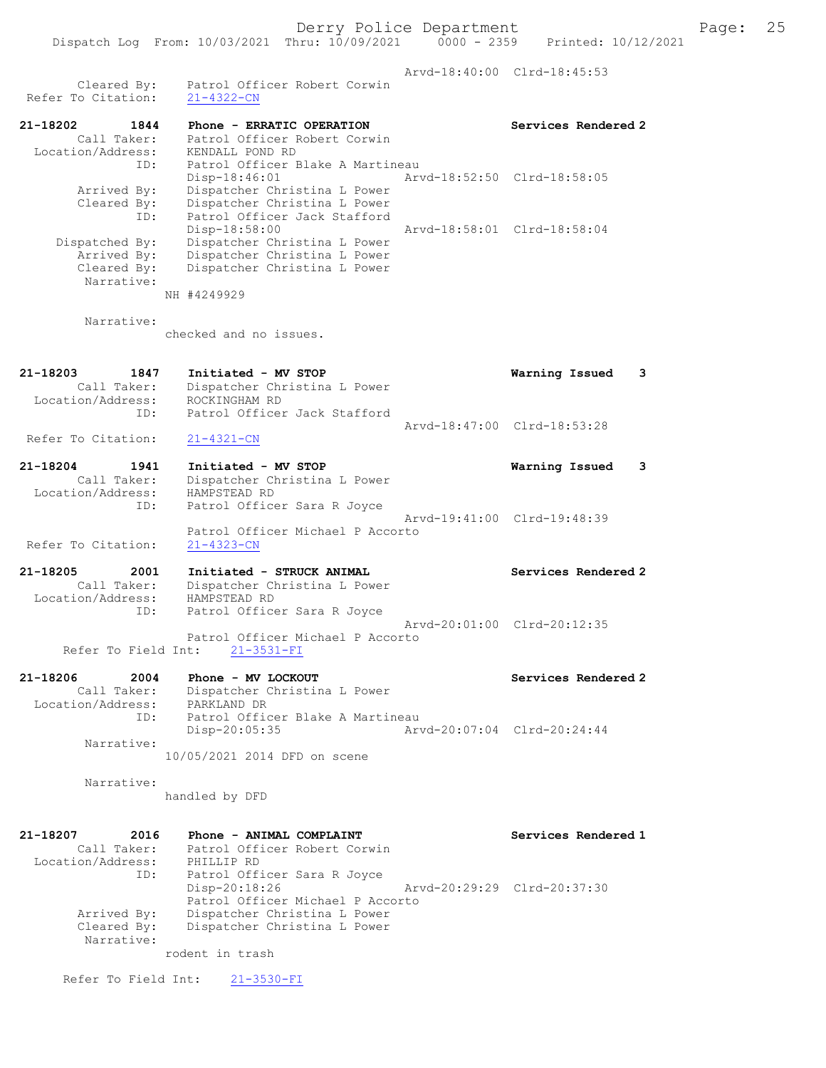Dispatch Log From: 10/03/2021 Thru: 10/09/2021 0000 - 2359 Printed: 10/12/2021 Arvd-18:40:00 Clrd-18:45:53 Cleared By: Patrol Officer Robert Corwin Refer To Citation: 21-4322-CN 21-18202 1844 Phone - ERRATIC OPERATION Services Rendered 2 Call Taker: Patrol Officer Robert Corwin Location/Address: KENDALL POND RD ID: Patrol Officer Blake A Martineau Disp-18:46:01 Arvd-18:52:50 Clrd-18:58:05 Arrived By: Dispatcher Christina L Power Cleared By: Dispatcher Christina L Power ID: Patrol Officer Jack Stafford Disp-18:58:00 Arvd-18:58:01 Clrd-18:58:04 Dispatched By: Dispatcher Christina L Power Arrived By: Dispatcher Christina L Power Cleared By: Dispatcher Christina L Power Narrative: NH #4249929 Narrative: checked and no issues. 21-18203 1847 Initiated - MV STOP Warning Issued 3 Call Taker: Dispatcher Christina L Power Location/Address: ROCKINGHAM RD ID: Patrol Officer Jack Stafford Arvd-18:47:00 Clrd-18:53:28 Refer To Citation: 21-4321-CN 21-18204 1941 Initiated - MV STOP Warning Issued 3 Call Taker: Dispatcher Christina L Power Location/Address: HAMPSTEAD RD ID: Patrol Officer Sara R Joyce Arvd-19:41:00 Clrd-19:48:39 Patrol Officer Michael P Accorto Refer To Citation: 21-4323-CN 21-18205 2001 Initiated - STRUCK ANIMAL Services Rendered 2 Call Taker: Dispatcher Christina L Power Location/Address: HAMPSTEAD RD ID: Patrol Officer Sara R Joyce Arvd-20:01:00 Clrd-20:12:35 Patrol Officer Michael P Accorto Refer To Field Int: 21-3531-FI 21-18206 2004 Phone - MV LOCKOUT Services Rendered 2 Call Taker: Dispatcher Christina L Power Location/Address: PARKLAND DR ID: Patrol Officer Blake A Martineau Disp-20:05:35 Arvd-20:07:04 Clrd-20:24:44 Narrative: 10/05/2021 2014 DFD on scene Narrative: handled by DFD 21-18207 2016 Phone - ANIMAL COMPLAINT Services Rendered 1 Call Taker: Patrol Officer Robert Corwin Location/Address: PHILLIP RD ID: Patrol Officer Sara R Joyce Disp-20:18:26 Arvd-20:29:29 Clrd-20:37:30 Patrol Officer Michael P Accorto Arrived By: Dispatcher Christina L Power Cleared By: Dispatcher Christina L Power

rodent in trash

Refer To Field Int: 21-3530-FI

Narrative: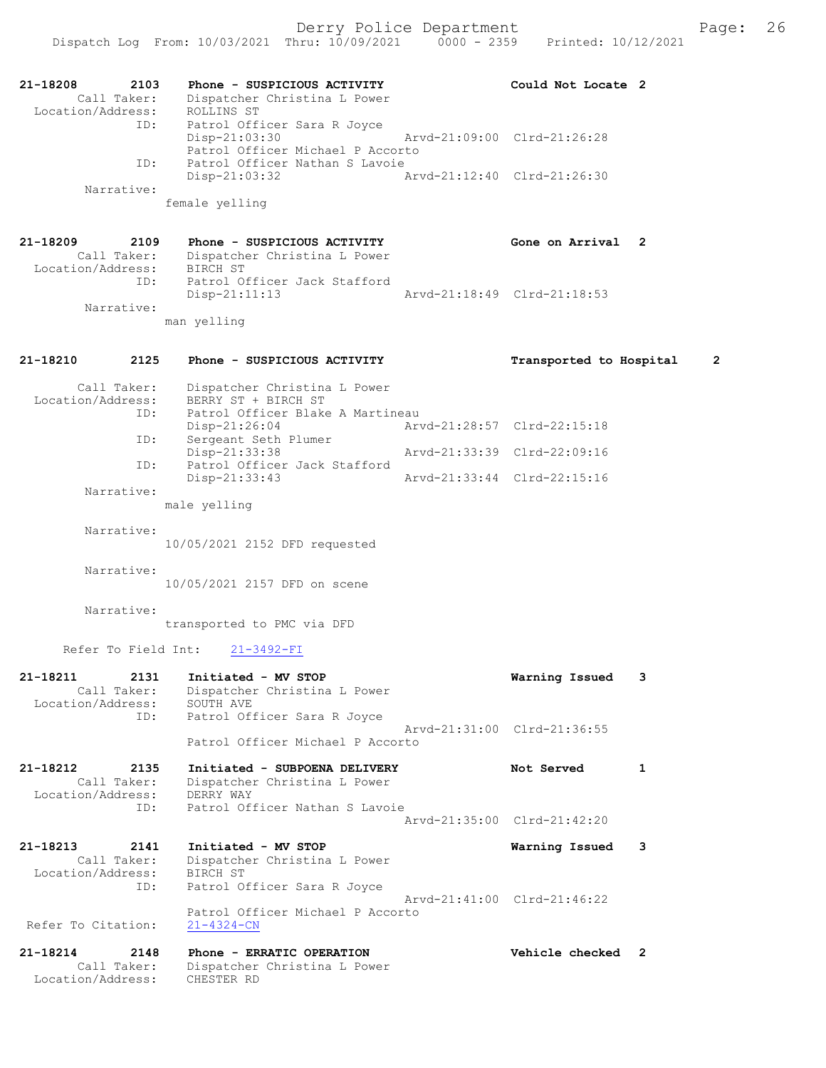| 21-18208<br>Call Taker:<br>Location/Address: | 2103<br>Phone - SUSPICIOUS ACTIVITY<br>Dispatcher Christina L Power<br>ROLLINS ST                                                  |  | Could Not Locate 2          |   |
|----------------------------------------------|------------------------------------------------------------------------------------------------------------------------------------|--|-----------------------------|---|
|                                              | ID:<br>Patrol Officer Sara R Joyce<br>$Disp-21:03:30$<br>Patrol Officer Michael P Accorto<br>Patrol Officer Nathan S Lavoie<br>ID: |  | Arvd-21:09:00 Clrd-21:26:28 |   |
|                                              | Disp-21:03:32                                                                                                                      |  | Arvd-21:12:40 Clrd-21:26:30 |   |
| Narrative:                                   | female yelling                                                                                                                     |  |                             |   |
| 21-18209<br>Call Taker:                      | 2109<br>Phone - SUSPICIOUS ACTIVITY<br>Dispatcher Christina L Power                                                                |  | Gone on Arrival             | 2 |
|                                              | Location/Address: BIRCH ST<br>Patrol Officer Jack Stafford<br>ID:                                                                  |  |                             |   |
| Narrative:                                   | $Disp-21:11:13$                                                                                                                    |  | Arvd-21:18:49 Clrd-21:18:53 |   |
|                                              | man yelling                                                                                                                        |  |                             |   |
| 21-18210                                     | 2125<br>Phone - SUSPICIOUS ACTIVITY                                                                                                |  | Transported to Hospital     | 2 |
| Call Taker:<br>Location/Address:             | Dispatcher Christina L Power<br>BERRY ST + BIRCH ST                                                                                |  |                             |   |
|                                              | Patrol Officer Blake A Martineau<br>ID:<br>$Disp-21:26:04$                                                                         |  | Arvd-21:28:57 Clrd-22:15:18 |   |
|                                              | Sergeant Seth Plumer<br>ID:<br>Disp-21:33:38<br>Patrol Officer Jack Stafford<br>ID:                                                |  | Arvd-21:33:39 Clrd-22:09:16 |   |
|                                              | $Disp-21:33:43$                                                                                                                    |  | Arvd-21:33:44 Clrd-22:15:16 |   |
| Narrative:                                   | male yelling                                                                                                                       |  |                             |   |
| Narrative:                                   | 10/05/2021 2152 DFD requested                                                                                                      |  |                             |   |
| Narrative:                                   | 10/05/2021 2157 DFD on scene                                                                                                       |  |                             |   |
| Narrative:                                   | transported to PMC via DFD                                                                                                         |  |                             |   |
|                                              | Refer To Field Int:<br>$21 - 3492 - FI$                                                                                            |  |                             |   |
| 21-18211<br>Call Taker:<br>Location/Address: | 2131<br>Initiated - MV STOP<br>Dispatcher Christina L Power<br>SOUTH AVE                                                           |  | Warning Issued              | 3 |
|                                              | ID:<br>Patrol Officer Sara R Joyce<br>Patrol Officer Michael P Accorto                                                             |  | Arvd-21:31:00 Clrd-21:36:55 |   |
| 21-18212                                     | 2135<br>Initiated - SUBPOENA DELIVERY                                                                                              |  | Not Served                  | 1 |
| Call Taker:<br>Location/Address:             | Dispatcher Christina L Power<br>DERRY WAY                                                                                          |  |                             |   |
|                                              | Patrol Officer Nathan S Lavoie<br>ID:                                                                                              |  | Arvd-21:35:00 Clrd-21:42:20 |   |
| $21 - 18213$<br>Call Taker:                  | 2141<br>Initiated - MV STOP<br>Dispatcher Christina L Power                                                                        |  | Warning Issued              | 3 |
| Location/Address:                            | BIRCH ST<br>ID:<br>Patrol Officer Sara R Joyce                                                                                     |  |                             |   |
| Refer To Citation:                           | Patrol Officer Michael P Accorto<br>$21 - 4324 - CN$                                                                               |  | Arvd-21:41:00 Clrd-21:46:22 |   |
| 21-18214                                     | 2148<br>Phone - ERRATIC OPERATION                                                                                                  |  | Vehicle checked 2           |   |
| Call Taker:<br>Location/Address:             | Dispatcher Christina L Power<br>CHESTER RD                                                                                         |  |                             |   |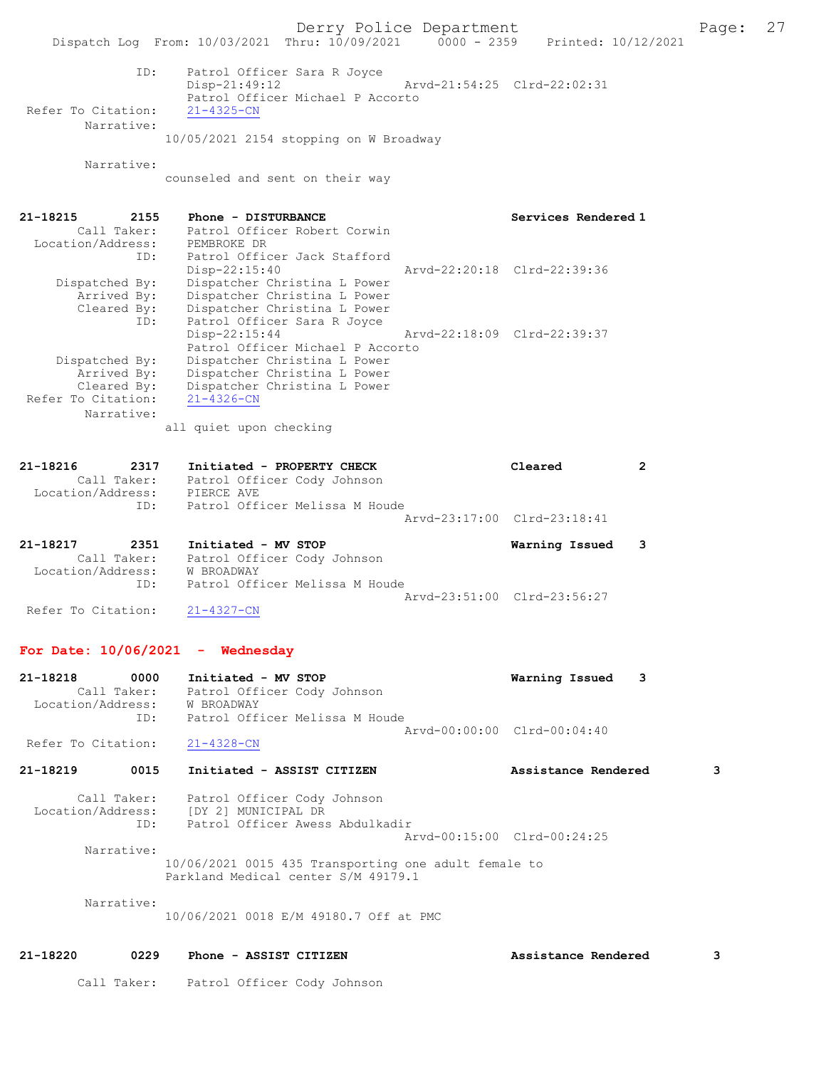Derry Police Department The Page: 27 Dispatch Log From: 10/03/2021 Thru: 10/09/2021 0000 - 2359 Printed: 10/12/2021 ID: Patrol Officer Sara R Joyce Disp-21:49:12 Arvd-21:54:25 Clrd-22:02:31 Patrol Officer Michael P Accorto<br>21-4325-CN Refer To Citation: Narrative: 10/05/2021 2154 stopping on W Broadway Narrative: counseled and sent on their way 21-18215 2155 Phone - DISTURBANCE Services Rendered 1 Call Taker: Patrol Officer Robert Corwin Location/Address: PEMBROKE DR ID: Patrol Officer Jack Stafford Disp-22:15:40 Arvd-22:20:18 Clrd-22:39:36 Dispatched By: Dispatcher Christina L Power Arrived By: Dispatcher Christina L Power Cleared By: Dispatcher Christina L Power ID: Patrol Officer Sara R Joyce Disp-22:15:44 Arvd-22:18:09 Clrd-22:39:37 Patrol Officer Michael P Accorto Dispatched By: Dispatcher Christina L Power Arrived By: Dispatcher Christina L Power Cleared By: Dispatcher Christina L Power Refer To Citation: 21-4326-CN Narrative: all quiet upon checking 21-18216 2317 Initiated - PROPERTY CHECK Cleared 2 Call Taker: Patrol Officer Cody Johnson Location/Address: PIERCE AVE<br>ID: Patrol Off: Patrol Officer Melissa M Houde Arvd-23:17:00 Clrd-23:18:41 21-18217 2351 Initiated - MV STOP Warning Issued 3 Call Taker: Patrol Officer Cody Johnson Location/Address: W BROADWAY ID: Patrol Officer Melissa M Houde Arvd-23:51:00 Clrd-23:56:27<br>21-4327-CN Refer To Citation: For Date:  $10/06/2021$  - Wednesday 21-18218 0000 Initiated - MV STOP Warning Issued 3 Call Taker: Patrol Officer Cody Johnson Location/Address: W BROADWAY ID: Patrol Officer Melissa M Houde Arvd-00:00:00 Clrd-00:04:40<br>
21-4328-CN Refer To Citation: 21-18219 0015 Initiated - ASSIST CITIZEN Assistance Rendered 3 Call Taker: Patrol Officer Cody Johnson Location/Address: [DY 2] MUNICIPAL DR ID: Patrol Officer Awess Abdulkadir Arvd-00:15:00 Clrd-00:24:25 Narrative: 10/06/2021 0015 435 Transporting one adult female to Parkland Medical center S/M 49179.1 Narrative: 10/06/2021 0018 E/M 49180.7 Off at PMC 21-18220 0229 Phone - ASSIST CITIZEN Assistance Rendered 3 Call Taker: Patrol Officer Cody Johnson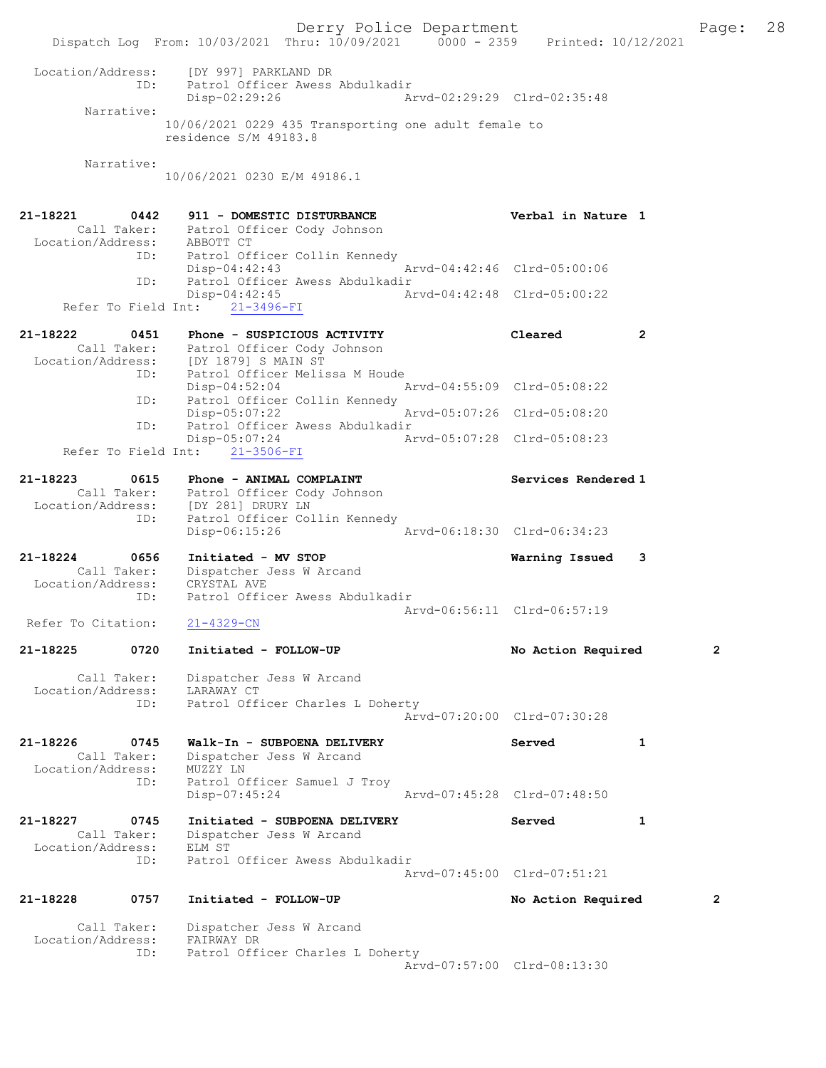Derry Police Department Fage: 28 Dispatch Log From: 10/03/2021 Thru: 10/09/2021 0000 - 2359 Printed: 10/12/2021 Location/Address: [DY 997] PARKLAND DR ID: Patrol Officer Awess Abdulkadir Disp-02:29:26 Arvd-02:29:29 Clrd-02:35:48 Narrative: 10/06/2021 0229 435 Transporting one adult female to residence S/M 49183.8 Narrative: 10/06/2021 0230 E/M 49186.1 21-18221 0442 911 - DOMESTIC DISTURBANCE Verbal in Nature 1 Call Taker: Patrol Officer Cody Johnson Location/Address: ABBOTT CT ID: Patrol Officer Collin Kennedy Disp-04:42:43 Arvd-04:42:46 Clrd-05:00:06 ID: Patrol Officer Awess Abdulkadir<br>Disp-04:42:45 Ar Disp-04:42:45 Arvd-04:42:48 Clrd-05:00:22 Refer To Field Int: 21-3496-FI 21-18222 0451 Phone - SUSPICIOUS ACTIVITY Cleared 2 Call Taker: Patrol Officer Cody Johnson Location/Address: [DY 1879] S MAIN ST ID: Patrol Officer Melissa M Houde Disp-04:52:04 Arvd-04:55:09 Clrd-05:08:22 ID: Patrol Officer Collin Kennedy Disp-05:07:22 Arvd-05:07:26 Clrd-05:08:20 ID: Patrol Officer Awess Abdulkadir Disp-05:07:24 Arvd-05:07:28 Clrd-05:08:23 Refer To Field Int: 21-3506-FI 21-18223 0615 Phone - ANIMAL COMPLAINT Services Rendered 1 Call Taker: Patrol Officer Cody Johnson Location/Address: [DY 281] DRURY LN ID: Patrol Officer Collin Kennedy Disp-06:15:26 Arvd-06:18:30 Clrd-06:34:23 21-18224 0656 Initiated - MV STOP Warning Issued 3 Call Taker: Dispatcher Jess W Arcand Location/Address: CRYSTAL AVE ID: Patrol Officer Awess Abdulkadir Arvd-06:56:11 Clrd-06:57:19<br>21-4329-CN Refer To Citation: 21-18225 0720 Initiated - FOLLOW-UP No Action Required 2 Call Taker: Dispatcher Jess W Arcand Location/Address: LARAWAY CT ID: Patrol Officer Charles L Doherty Arvd-07:20:00 Clrd-07:30:28 21-18226 0745 Walk-In - SUBPOENA DELIVERY Served 1 Call Taker: Dispatcher Jess W Arcand Location/Address: MUZZY LN ID: Patrol Officer Samuel J Troy Disp-07:45:24 Arvd-07:45:28 Clrd-07:48:50 21-18227 0745 Initiated - SUBPOENA DELIVERY Served 1 Call Taker: Dispatcher Jess W Arcand Location/Address: ELM ST ID: Patrol Officer Awess Abdulkadir Arvd-07:45:00 Clrd-07:51:21 21-18228 0757 Initiated - FOLLOW-UP No Action Required 2 Call Taker: Dispatcher Jess W Arcand Location/Address: FAIRWAY DR ID: Patrol Officer Charles L Doherty Arvd-07:57:00 Clrd-08:13:30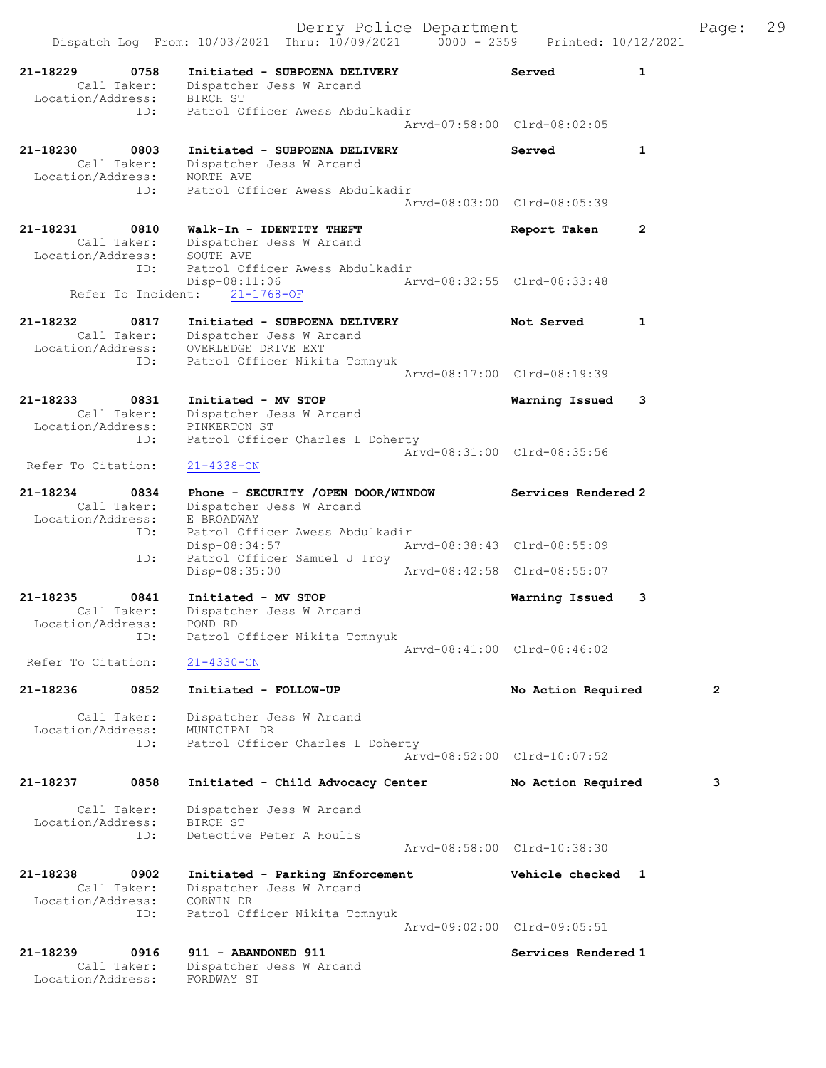|                                                           |            |                                                                                    | Derry Police Department     |                             |              | Page:        | 29 |
|-----------------------------------------------------------|------------|------------------------------------------------------------------------------------|-----------------------------|-----------------------------|--------------|--------------|----|
|                                                           |            | Dispatch Log From: 10/03/2021 Thru: 10/09/2021 0000 - 2359 Printed: 10/12/2021     |                             |                             |              |              |    |
| 21-18229<br>Location/Address:                             | 0758       | Initiated - SUBPOENA DELIVERY<br>Call Taker: Dispatcher Jess W Arcand<br>BIRCH ST  |                             | Served                      | $\mathbf{1}$ |              |    |
|                                                           | ID:        | Patrol Officer Awess Abdulkadir                                                    |                             | Arvd-07:58:00 Clrd-08:02:05 |              |              |    |
| 21-18230<br>Call Taker:<br>Location/Address:              | 0803       | Initiated - SUBPOENA DELIVERY<br>Dispatcher Jess W Arcand<br>NORTH AVE             |                             | Served                      | 1            |              |    |
|                                                           | ID:        | Patrol Officer Awess Abdulkadir                                                    |                             | Arvd-08:03:00 Clrd-08:05:39 |              |              |    |
| 21-18231<br>Call Taker:<br>Location/Address:              | 0810       | Walk-In - IDENTITY THEFT<br>Dispatcher Jess W Arcand<br>SOUTH AVE                  |                             | Report Taken                | 2            |              |    |
| Refer To Incident:                                        | ID:        | Patrol Officer Awess Abdulkadir<br>$Disp-08:11:06$<br>$21 - 1768 - OF$             | Arvd-08:32:55 Clrd-08:33:48 |                             |              |              |    |
| 21-18232<br>Call Taker:<br>Location/Address:              | 0817       | Initiated - SUBPOENA DELIVERY<br>Dispatcher Jess W Arcand<br>OVERLEDGE DRIVE EXT   |                             | Not Served                  | 1            |              |    |
|                                                           | ID:        | Patrol Officer Nikita Tomnyuk                                                      |                             | Arvd-08:17:00 Clrd-08:19:39 |              |              |    |
| 21-18233<br>Call Taker:<br>Location/Address: PINKERTON ST | 0831       | Initiated - MV STOP<br>Dispatcher Jess W Arcand                                    |                             | Warning Issued              | 3            |              |    |
| Refer To Citation:                                        | ID:        | Patrol Officer Charles L Doherty<br>$21 - 4338 - CN$                               |                             | Arvd-08:31:00 Clrd-08:35:56 |              |              |    |
| 21-18234<br>Call Taker:<br>Location/Address:              | 0834       | Phone - SECURITY /OPEN DOOR/WINDOW<br>Dispatcher Jess W Arcand<br>E BROADWAY       |                             | Services Rendered 2         |              |              |    |
|                                                           | ID:<br>ID: | Patrol Officer Awess Abdulkadir<br>$Disp-08:34:57$<br>Patrol Officer Samuel J Troy | Arvd-08:38:43 Clrd-08:55:09 |                             |              |              |    |
|                                                           |            | Disp-08:35:00                                                                      |                             | Arvd-08:42:58 Clrd-08:55:07 |              |              |    |
| 21-18235<br>Call Taker:<br>Location/Address:              | 0841       | Initiated - MV STOP<br>Dispatcher Jess W Arcand<br>POND RD                         |                             | Warning Issued              | 3            |              |    |
| Refer To Citation:                                        | ID:        | Patrol Officer Nikita Tomnyuk<br>$21 - 4330 - CN$                                  |                             | Arvd-08:41:00 Clrd-08:46:02 |              |              |    |
| 21-18236                                                  | 0852       | Initiated - FOLLOW-UP                                                              |                             | No Action Required          |              | $\mathbf{2}$ |    |
| Call Taker:<br>Location/Address:                          | ID:        | Dispatcher Jess W Arcand<br>MUNICIPAL DR<br>Patrol Officer Charles L Doherty       |                             | Arvd-08:52:00 Clrd-10:07:52 |              |              |    |
| 21-18237                                                  | 0858       | Initiated - Child Advocacy Center                                                  |                             | No Action Required          |              | 3            |    |
| Call Taker:<br>Location/Address:                          | ID:        | Dispatcher Jess W Arcand<br>BIRCH ST<br>Detective Peter A Houlis                   |                             | Arvd-08:58:00 Clrd-10:38:30 |              |              |    |
| 21-18238<br>Call Taker:<br>Location/Address:              | 0902       | Initiated - Parking Enforcement<br>Dispatcher Jess W Arcand<br>CORWIN DR           |                             | Vehicle checked 1           |              |              |    |
|                                                           | ID:        | Patrol Officer Nikita Tomnyuk                                                      |                             | Arvd-09:02:00 Clrd-09:05:51 |              |              |    |
| 21-18239<br>Call Taker:<br>Location/Address:              | 0916       | 911 - ABANDONED 911<br>Dispatcher Jess W Arcand<br>FORDWAY ST                      |                             | Services Rendered 1         |              |              |    |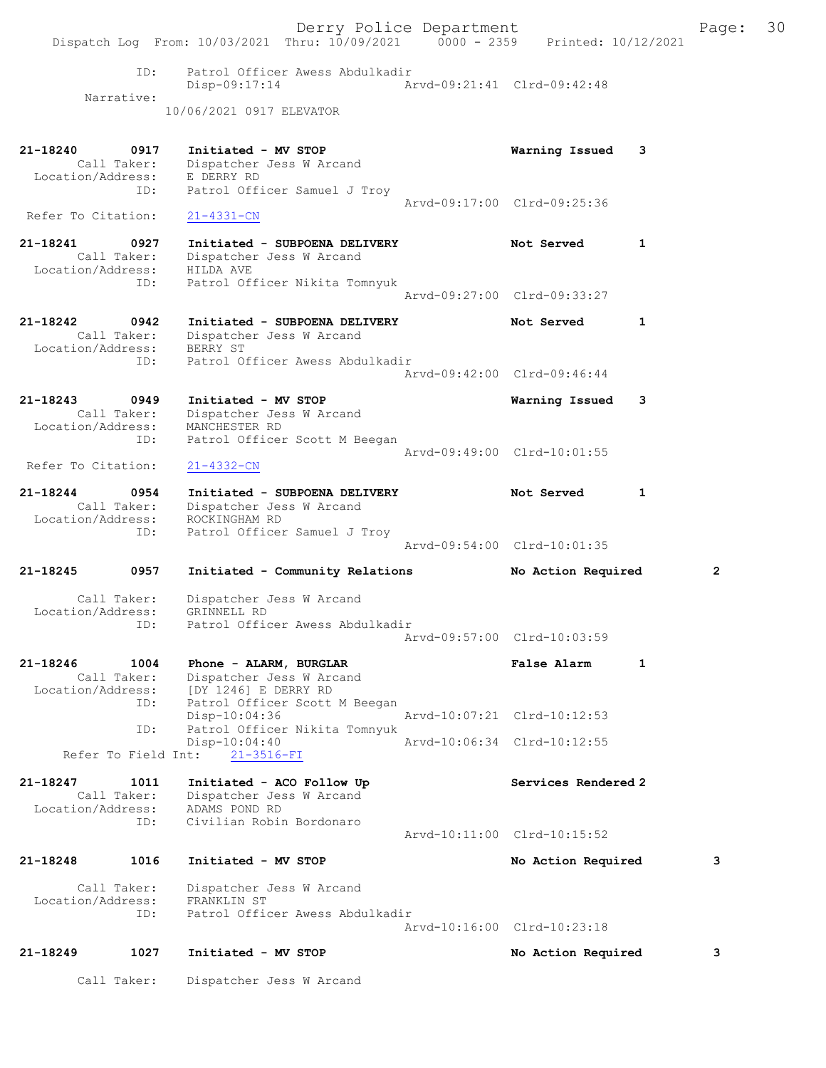Derry Police Department Fage: 30 Dispatch Log From: 10/03/2021 Thru: 10/09/2021 0000 - 2359 Printed: 10/12/2021 ID: Patrol Officer Awess Abdulkadir Disp-09:17:14 Arvd-09:21:41 Clrd-09:42:48 Narrative: 10/06/2021 0917 ELEVATOR 21-18240 0917 Initiated - MV STOP Warning Issued 3 Call Taker: Dispatcher Jess W Arcand Location/Address: E DERRY RD ID: Patrol Officer Samuel J Troy Arvd-09:17:00 Clrd-09:25:36 Refer To Citation: 21-4331-CN 21-18241 0927 Initiated - SUBPOENA DELIVERY Not Served 1 Call Taker: Dispatcher Jess W Arcand Location/Address: HILDA AVE ID: Patrol Officer Nikita Tomnyuk Arvd-09:27:00 Clrd-09:33:27 21-18242 0942 Initiated - SUBPOENA DELIVERY Not Served 1 Call Taker: Dispatcher Jess W Arcand Location/Address: BERRY ST ID: Patrol Officer Awess Abdulkadir Arvd-09:42:00 Clrd-09:46:44 21-18243 0949 Initiated - MV STOP Warning Issued 3 Call Taker: Dispatcher Jess W Arcand Location/Address: MANCHESTER RD ID: Patrol Officer Scott M Beegan Arvd-09:49:00 Clrd-10:01:55 Refer To Citation: 21-4332-CN 21-18244 0954 Initiated - SUBPOENA DELIVERY Not Served 1 Call Taker: Dispatcher Jess W Arcand Location/Address: ROCKINGHAM RD ID: Patrol Officer Samuel J Troy Arvd-09:54:00 Clrd-10:01:35 21-18245 0957 Initiated - Community Relations No Action Required 2 Call Taker: Dispatcher Jess W Arcand Location/Address: GRINNELL RD ID: Patrol Officer Awess Abdulkadir Arvd-09:57:00 Clrd-10:03:59 21-18246 1004 Phone - ALARM, BURGLAR False Alarm 1 Call Taker: Dispatcher Jess W Arcand Location/Address: [DY 1246] E DERRY RD ID: Patrol Officer Scott M Beegan Disp-10:04:36 Arvd-10:07:21 Clrd-10:12:53<br>TD: Patrol Officer Nikita Tompyuk Patrol Officer Nikita Tomnyuk Disp-10:04:40 Arvd-10:06:34 Clrd-10:12:55 Refer To Field Int: 21-3516-FI 21-18247 1011 Initiated - ACO Follow Up Services Rendered 2 Call Taker: Dispatcher Jess W Arcand Location/Address: ADAMS POND RD ID: Civilian Robin Bordonaro Arvd-10:11:00 Clrd-10:15:52 21-18248 1016 Initiated - MV STOP No Action Required 3 Call Taker: Dispatcher Jess W Arcand Location/Address: FRANKLIN ST ID: Patrol Officer Awess Abdulkadir Arvd-10:16:00 Clrd-10:23:18 21-18249 1027 Initiated - MV STOP No Action Required 3 Call Taker: Dispatcher Jess W Arcand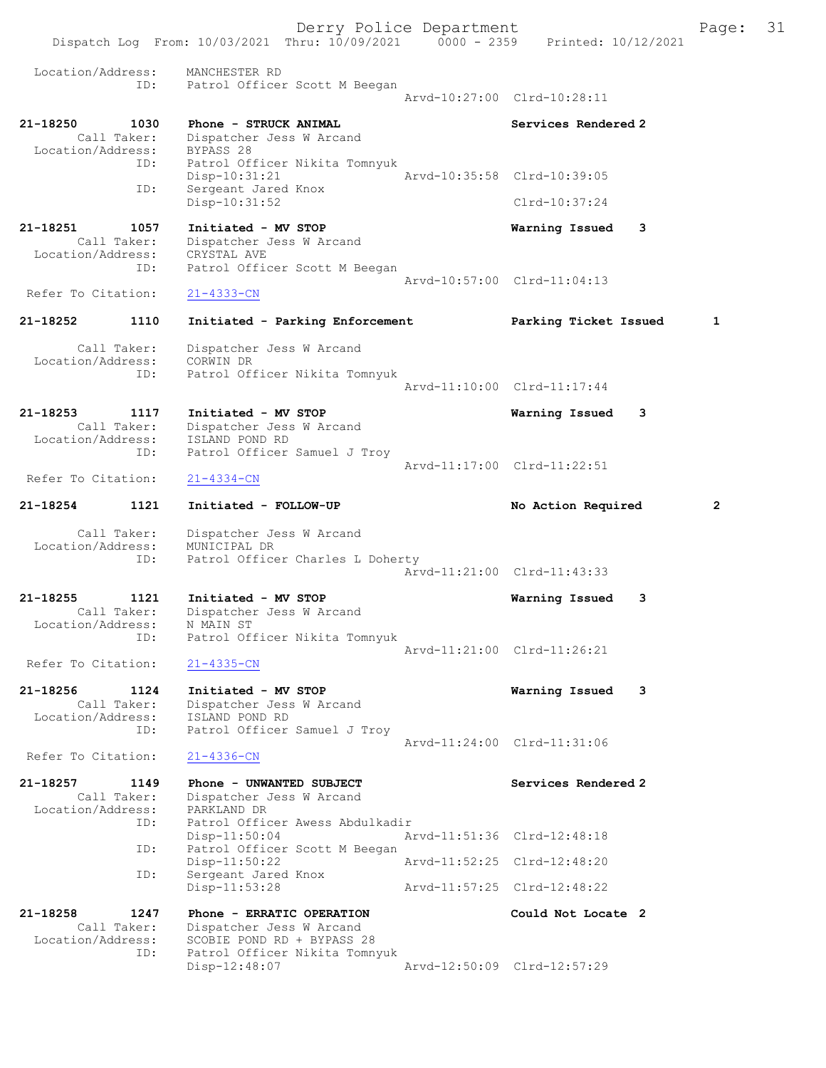Derry Police Department The Page: 31 Dispatch Log From: 10/03/2021 Thru: 10/09/2021 0000 - 2359 Printed: 10/12/2021 Location/Address: MANCHESTER RD ID: Patrol Officer Scott M Beegan Arvd-10:27:00 Clrd-10:28:11 21-18250 1030 Phone - STRUCK ANIMAL Services Rendered 2 Call Taker: Dispatcher Jess W Arcand Location/Address: BYPASS 28 ID: Patrol Officer Nikita Tomnyuk Disp-10:31:21 Arvd-10:35:58 Clrd-10:39:05<br>Sergeant Jared Knox ID: Sergeant Jared Knox Disp-10:31:52 Clrd-10:37:24 21-18251 1057 Initiated - MV STOP Warning Issued 3 Call Taker: Dispatcher Jess W Arcand Location/Address: CRYSTAL AVE ID: Patrol Officer Scott M Beegan Arvd-10:57:00 Clrd-11:04:13<br>
21-4333-CN Refer To Citation: 21-18252 1110 Initiated - Parking Enforcement Parking Ticket Issued 1 Call Taker: Dispatcher Jess W Arcand Location/Address: CORWIN DR ID: Patrol Officer Nikita Tomnyuk Arvd-11:10:00 Clrd-11:17:44 21-18253 1117 Initiated - MV STOP Warning Issued 3 Call Taker: Dispatcher Jess W Arcand Location/Address: ISLAND POND RD ID: Patrol Officer Samuel J Troy Arvd-11:17:00 Clrd-11:22:51 Refer To Citation: 21-4334-CN 21-18254 1121 Initiated - FOLLOW-UP No Action Required 2 Call Taker: Dispatcher Jess W Arcand<br>ion/Address: MUNICIPAL DR Location/Address: ID: Patrol Officer Charles L Doherty Arvd-11:21:00 Clrd-11:43:33 21-18255 1121 Initiated - MV STOP Warning Issued 3 Call Taker: Dispatcher Jess W Arcand Location/Address: N MAIN ST ID: Patrol Officer Nikita Tomnyuk Arvd-11:21:00 Clrd-11:26:21 Refer To Citation: 21-4335-CN 21-18256 1124 Initiated - MV STOP 1831 Warning Issued 3<br>Call Taker: Dispatcher Jess W Arcand Call Taker: Dispatcher Jess W Arcand Location/Address: ISLAND POND RD ID: Patrol Officer Samuel J Troy Arvd-11:24:00 Clrd-11:31:06<br>21-4336-CN Refer To Citation: 21-18257 1149 Phone - UNWANTED SUBJECT<br>Call Taker: Dispatcher Jess W Arcand Call Taker: Dispatcher Jess W Arcand<br>Location/Address: PARKLAND DR ker: Dispaction<br>ess: PARKLAND DR<br>ID: Patrol Offic Patrol Officer Awess Abdulkadir<br>Disp-11:50:04 Ar Arvd-11:51:36 Clrd-12:48:18 ID: Patrol Officer Scott M Beegan Disp-11:50:22 Arvd-11:52:25 Clrd-12:48:20 ID: Sergeant Jared Knox Disp-11:53:28 Arvd-11:57:25 Clrd-12:48:22 21-18258 1247 Phone - ERRATIC OPERATION Could Not Locate 2 Call Taker: Dispatcher Jess W Arcand<br>Location/Address: SCOBIE POND RD + BYPASS 2 SCOBIE POND RD + BYPASS 28 ID: Patrol Officer Nikita Tomnyuk Disp-12:48:07 Arvd-12:50:09 Clrd-12:57:29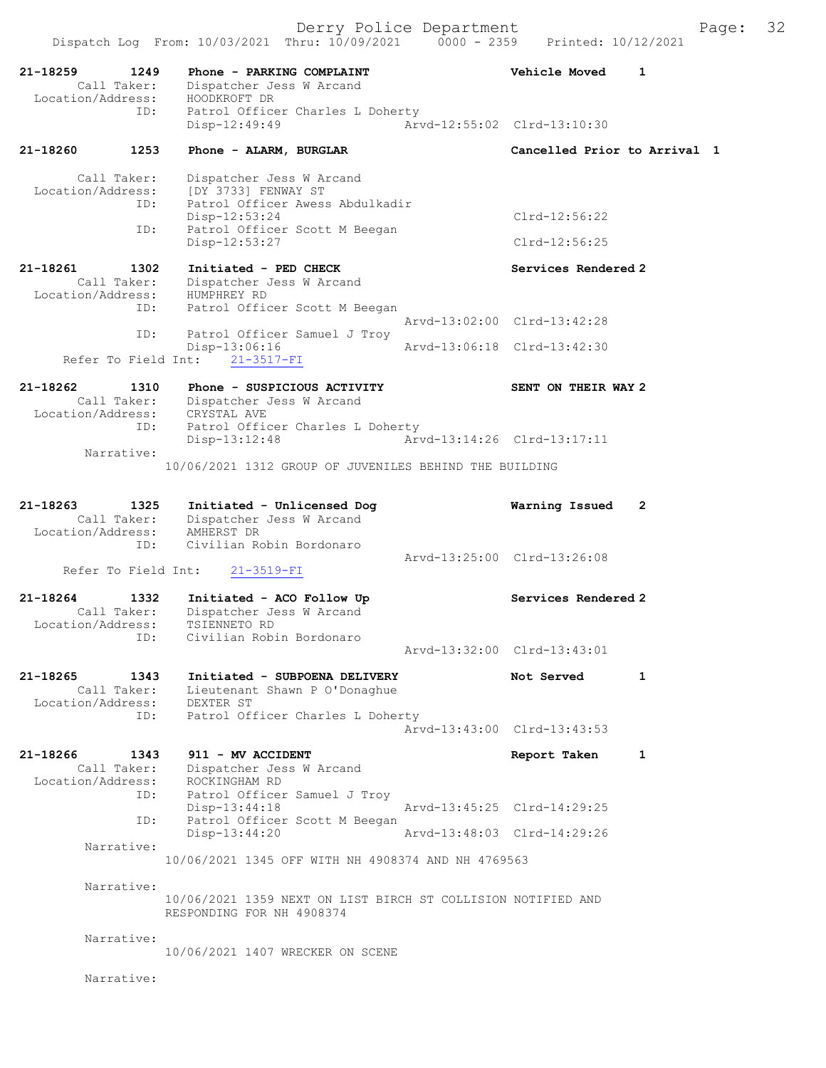21-18259 1249 Phone - PARKING COMPLAINT Vehicle Moved 1 Call Taker: Dispatcher Jess W Arcand Location/Address: HOODKROFT DR ID: Patrol Officer Charles L Doherty Disp-12:49:49 Arvd-12:55:02 Clrd-13:10:30 21-18260 1253 Phone - ALARM, BURGLAR Cancelled Prior to Arrival 1 Call Taker: Dispatcher Jess W Arcand Location/Address: [DY 3733] FENWAY ST ID: Patrol Officer Awess Abdulkadir Disp-12:53:24 Clrd-12:56:22 ID: Patrol Officer Scott M Beegan Disp-12:53:27 Clrd-12:56:25 21-18261 1302 Initiated - PED CHECK Services Rendered 2 Call Taker: Dispatcher Jess W Arcand Location/Address: HUMPHREY RD ID: Patrol Officer Scott M Beegan Arvd-13:02:00 Clrd-13:42:28 ID: Patrol Officer Samuel J Troy<br>Disp-13:06:16 Disp-13:06:16 Arvd-13:06:18 Clrd-13:42:30 Refer To Field Int: 21-3517-FI 21-18262 1310 Phone - SUSPICIOUS ACTIVITY SENT ON THEIR WAY 2 Call Taker: Dispatcher Jess W Arcand Location/Address: CRYSTAL AVE ID: Patrol Officer Charles L Doherty Disp-13:12:48 Arvd-13:14:26 Clrd-13:17:11 Narrative: 10/06/2021 1312 GROUP OF JUVENILES BEHIND THE BUILDING 21-18263 1325 Initiated - Unlicensed Dog Warning Issued 2 Call Taker: Dispatcher Jess W Arcand Location/Address: AMHERST DR ID: Civilian Robin Bordonaro Arvd-13:25:00 Clrd-13:26:08 Refer To Field Int: 21-3519-FI 21-18264 1332 Initiated - ACO Follow Up Services Rendered 2 Call Taker: Dispatcher Jess W Arcand Location/Address: TSIENNETO RD ID: Civilian Robin Bordonaro Arvd-13:32:00 Clrd-13:43:01 21-18265 1343 Initiated - SUBPOENA DELIVERY Not Served 1 Call Taker: Lieutenant Shawn P O'Donaghue Location/Address: DEXTER ST ID: Patrol Officer Charles L Doherty Arvd-13:43:00 Clrd-13:43:53 21-18266 1343 911 - MV ACCIDENT Report Taken 1 Call Taker: Dispatcher Jess W Arcand Location/Address: ROCKINGHAM RD ID: Patrol Officer Samuel J Troy Disp-13:44:18 Arvd-13:45:25 Clrd-14:29:25 ID: Patrol Officer Scott M Beegan<br>Disp-13:44:20 Disp-13:44:20 Arvd-13:48:03 Clrd-14:29:26 Narrative: 10/06/2021 1345 OFF WITH NH 4908374 AND NH 4769563 Narrative: 10/06/2021 1359 NEXT ON LIST BIRCH ST COLLISION NOTIFIED AND RESPONDING FOR NH 4908374 Narrative: 10/06/2021 1407 WRECKER ON SCENE Narrative: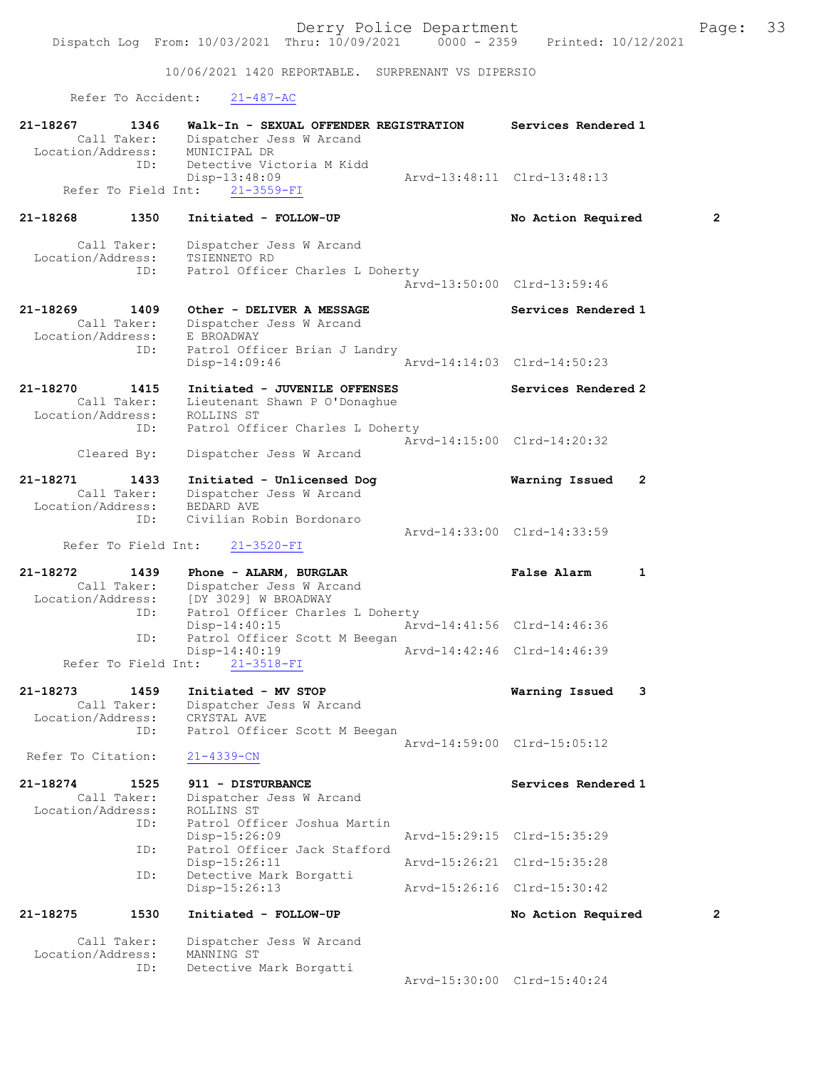10/06/2021 1420 REPORTABLE. SURPRENANT VS DIPERSIO

Refer To Accident: 21-487-AC

| 21-18267<br>1346<br>Call Taker:                             | Walk-In - SEXUAL OFFENDER REGISTRATION<br>Dispatcher Jess W Arcand                                   | Services Rendered 1         |                |
|-------------------------------------------------------------|------------------------------------------------------------------------------------------------------|-----------------------------|----------------|
| Location/Address:<br>ID:                                    | MUNICIPAL DR<br>Detective Victoria M Kidd<br>$Disp-13:48:09$<br>Refer To Field Int: 21-3559-FI       | Arvd-13:48:11 Clrd-13:48:13 |                |
| 21-18268<br>1350                                            | Initiated - FOLLOW-UP                                                                                | No Action Required          | $\overline{2}$ |
| Call Taker:<br>Location/Address:<br>ID:                     | Dispatcher Jess W Arcand<br>TSIENNETO RD<br>Patrol Officer Charles L Doherty                         |                             |                |
|                                                             |                                                                                                      | Arvd-13:50:00 Clrd-13:59:46 |                |
| 21-18269<br>1409<br>Call Taker:<br>Location/Address:<br>ID: | Other - DELIVER A MESSAGE<br>Dispatcher Jess W Arcand<br>E BROADWAY<br>Patrol Officer Brian J Landry | Services Rendered 1         |                |
|                                                             | Disp-14:09:46                                                                                        | Arvd-14:14:03 Clrd-14:50:23 |                |
| 21-18270<br>1415<br>.<br>Call Taker:<br>Location/Address:   | Initiated - JUVENILE OFFENSES<br>Lieutenant Shawn P O'Donaghue<br>ROLLINS ST                         | Services Rendered 2         |                |
| ID:<br>Cleared By:                                          | Patrol Officer Charles L Doherty<br>Dispatcher Jess W Arcand                                         | Arvd-14:15:00 Clrd-14:20:32 |                |
| 21-18271<br>1433<br>Call Taker:<br>Location/Address:        | Initiated - Unlicensed Dog<br>Dispatcher Jess W Arcand<br>BEDARD AVE                                 | Warning Issued<br>2         |                |
| ID:<br>Refer To Field Int:                                  | Civilian Robin Bordonaro<br>$21 - 3520 - FI$                                                         | Arvd-14:33:00 Clrd-14:33:59 |                |
| 21-18272<br>1439                                            | Phone - ALARM, BURGLAR                                                                               | <b>False Alarm</b><br>1     |                |
|                                                             |                                                                                                      |                             |                |
| Call Taker:<br>Location/Address:                            | Dispatcher Jess W Arcand<br>[DY 3029] W BROADWAY                                                     |                             |                |
| ID:                                                         | Patrol Officer Charles L Doherty<br>$Disp-14:40:15$                                                  | Arvd-14:41:56 Clrd-14:46:36 |                |
| ID:                                                         | Patrol Officer Scott M Beegan<br>$Disp-14:40:19$                                                     | Arvd-14:42:46 Clrd-14:46:39 |                |
| Refer To Field Int:                                         | $21 - 3518 - FI$                                                                                     |                             |                |
| 21-18273<br>1459<br>Call Taker:<br>Location/Address:        | Initiated - MV STOP<br>Dispatcher Jess W Arcand<br>CRYSTAL AVE                                       | 3<br>Warning Issued         |                |
| ID:<br>Refer To Citation:                                   | Patrol Officer Scott M Beegan<br>$21 - 4339 - CN$                                                    | Arvd-14:59:00 Clrd-15:05:12 |                |
| 21-18274<br>1525<br>Call Taker:<br>Location/Address:        | 911 - DISTURBANCE<br>Dispatcher Jess W Arcand<br>ROLLINS ST                                          | Services Rendered 1         |                |
| ID:                                                         | Patrol Officer Joshua Martin<br>$Disp-15:26:09$                                                      | Arvd-15:29:15 Clrd-15:35:29 |                |
| ID:                                                         | Patrol Officer Jack Stafford<br>Disp-15:26:11                                                        | Arvd-15:26:21 Clrd-15:35:28 |                |
| ID:                                                         | Detective Mark Borgatti<br>Disp-15:26:13                                                             | Arvd-15:26:16 Clrd-15:30:42 |                |
| 21-18275<br>1530                                            | Initiated - FOLLOW-UP                                                                                | No Action Required          | 2              |
| Call Taker:<br>Location/Address:                            | Dispatcher Jess W Arcand<br>MANNING ST                                                               |                             |                |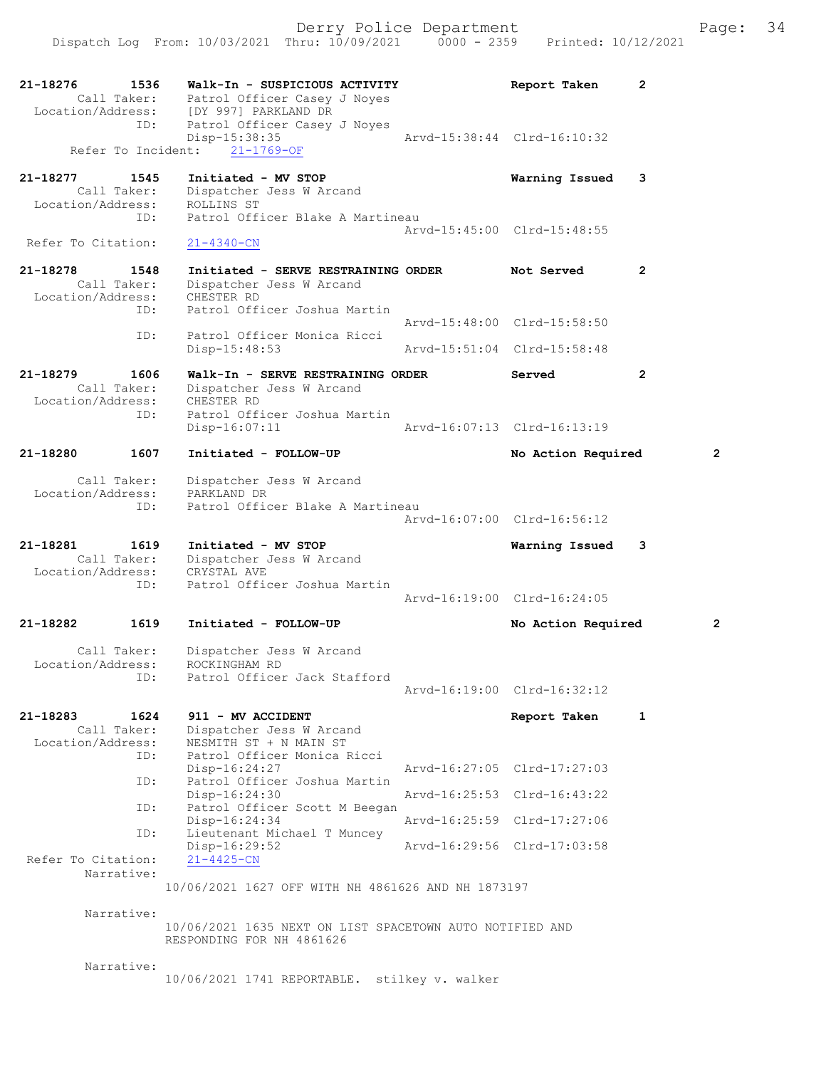21-18276 1536 Walk-In - SUSPICIOUS ACTIVITY Report Taken 2<br>Call Taker: Patrol Officer Casey J Noves Call Taker: Patrol Officer Casey J Noyes<br>Location/Address: [DY 997] PARKLAND DR ess: [DY 997] PARKLAND DR<br>ID: Patrol Officer Casev Patrol Officer Casey J Noyes Disp-15:38:35 Arvd-15:38:44 Clrd-16:10:32 Refer To Incident: 21-1769-OF 21-18277 1545 Initiated - MV STOP 1545 Call Taker: Dispatcher Jess W Arcand Call Taker: Dispatcher Jess W Arcand Location/Address: ROLLINS ST ID: Patrol Officer Blake A Martineau Arvd-15:45:00 Clrd-15:48:55<br>
21-4340-CN Refer To Citation: 21-18278 1548 Initiated - SERVE RESTRAINING ORDER Not Served 2 8 1548 Initiated - SERVE RESTRA:<br>Call Taker: Dispatcher Jess W Arcand<br>ion/Address: CHESTER RD Location/Address:<br>TD: Patrol Officer Joshua Martin Arvd-15:48:00 Clrd-15:58:50<br>ID: Patrol Officer Monica Ricci Patrol Officer Monica Ricci<br>Disp-15:48:53 Arvd-15:51:04 Clrd-15:58:48 21-18279 1606 Walk-In - SERVE RESTRAINING ORDER Served 2 Call Taker: Dispatcher Jess W Arcand<br>cion/Address: CHESTER RD Location/Address:<br>ID: Patrol Officer Joshua Martin<br>Disp-16:07:11 Disp-16:07:11 Arvd-16:07:13 Clrd-16:13:19 21-18280 1607 Initiated - FOLLOW-UP No Action Required 2 Call Taker: Dispatcher Jess W Arcand<br>ion/Address: PARKLAND DR Location/Address:<br>PD. Patrol Officer Blake A Martineau Arvd-16:07:00 Clrd-16:56:12 21-18281 1619 Initiated - MV STOP Warning Issued 3 Call Taker: Dispatcher Jess W Arcand Location/Address: CRYSTAL AVE<br>ID: Patrol Offic Patrol Officer Joshua Martin Arvd-16:19:00 Clrd-16:24:05 21-18282 1619 Initiated - FOLLOW-UP No Action Required 2 Call Taker: Dispatcher Jess W Arcand<br>ion/Address: ROCKINGHAM RD Location/Address:<br>TD: Patrol Officer Jack Stafford Arvd-16:19:00 Clrd-16:32:12 21-18283 1624 911 - MV ACCIDENT Report Taken 1 Call Taker: Dispatcher Jess W Arcand<br>Location/Address: NESMITH ST + N MAIN ST ess: NESMITH ST + N MAIN ST<br>ID: Patrol Officer Monica R Patrol Officer Monica Ricci<br>Disp-16:24:27 Disp-16:24:27 Arvd-16:27:05 Clrd-17:27:03<br>TD: Patrol Officer Joshua Martin Patrol Officer Joshua Martin<br>Disp-16:24:30 Disp-16:24:30 Arvd-16:25:53 Clrd-16:43:22<br>ID: Patrol Officer Scott M Beegan Patrol Officer Scott M Beegan<br>Disp-16:24:34 Disp-16:24:34 <br>D: Lieutenant Michael T Muncey<br>D: Lieutenant Michael T Muncey Lieutenant Michael T Muncey Disp-16:29:52 Arvd-16:29:56 Clrd-17:03:58 Refer To Citation: Narrative: 10/06/2021 1627 OFF WITH NH 4861626 AND NH 1873197 Narrative: 10/06/2021 1635 NEXT ON LIST SPACETOWN AUTO NOTIFIED AND RESPONDING FOR NH 4861626 Narrative: 10/06/2021 1741 REPORTABLE. stilkey v. walker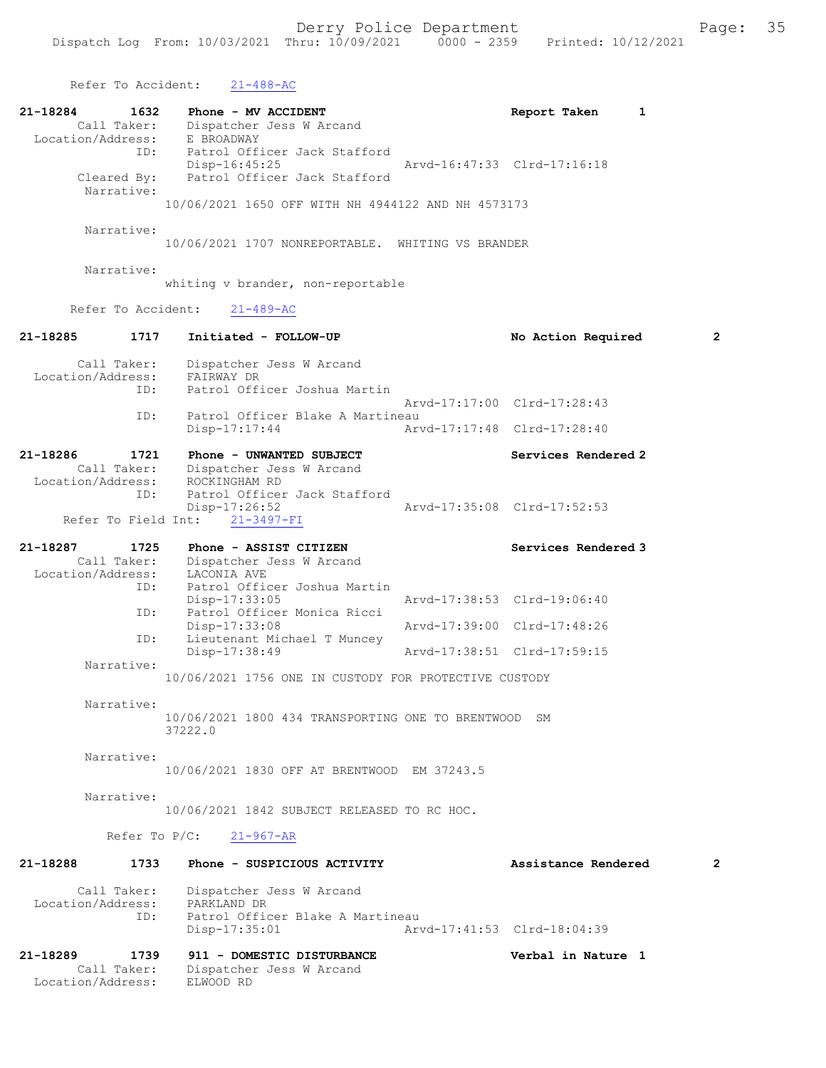Refer To Accident: 21-488-AC 21-18284 1632 Phone - MV ACCIDENT 121-18284 Report Taken 1<br>Call Taker: Dispatcher Jess W Arcand Dispatcher Jess W Arcand Location/Address: E BROADWAY ID: Patrol Officer Jack Stafford<br>Disp-16:45:25 Disp-16:45:25 Arvd-16:47:33 Clrd-17:16:18<br>Cleared By: Patrol Officer Jack Stafford Cleared By: Patrol Officer Jack Stafford Narrative: 10/06/2021 1650 OFF WITH NH 4944122 AND NH 4573173 Narrative: 10/06/2021 1707 NONREPORTABLE. WHITING VS BRANDER Narrative: whiting v brander, non-reportable Refer To Accident: 21-489-AC 21-18285 1717 Initiated - FOLLOW-UP No Action Required 2 Call Taker: Dispatcher Jess W Arcand Location/Address: FAIRWAY DR ID: Patrol Officer Joshua Martin Arvd-17:17:00 Clrd-17:28:43<br>TD: Patrol Officer Blake A Martineau Patrol Officer Blake A Martineau<br>Disp-17:17:44 Art Arvd-17:17:48 Clrd-17:28:40 21-18286 1721 Phone - UNWANTED SUBJECT<br>Call Taker: Dispatcher Jess W Arcand Dispatcher Jess W Arcand<br>ROCKINGHAM RD Location/Address: ID: Patrol Officer Jack Stafford<br>Disp-17:26:52 Disp-17:26:52 Arvd-17:35:08 Clrd-17:52:53 Refer To Field Int: 21-3497-FI 21-18287 1725 Phone - ASSIST CITIZEN Services Rendered 3 Call Taker: Dispatcher Jess W Arcand Location/Address: LACONIA AVE ID: Patrol Officer Joshua Martin Disp-17:33:05 Arvd-17:38:53 Clrd-19:06:40 ID: Patrol Officer Monica Ricci Disp-17:33:08 Arvd-17:39:00 Clrd-17:48:26 Lieutenant Michael T Muncey<br>Disp-17:38:49 Arvd-17:38:51 Clrd-17:59:15 Narrative: 10/06/2021 1756 ONE IN CUSTODY FOR PROTECTIVE CUSTODY Narrative: 10/06/2021 1800 434 TRANSPORTING ONE TO BRENTWOOD SM 37222.0 Narrative: 10/06/2021 1830 OFF AT BRENTWOOD EM 37243.5 Narrative: 10/06/2021 1842 SUBJECT RELEASED TO RC HOC. Refer To P/C: 21-967-AR 21-18288 1733 Phone - SUSPICIOUS ACTIVITY Assistance Rendered 2 Call Taker: Dispatcher Jess W Arcand<br>.on/Address: PARKLAND DR Location/Address: ID: Patrol Officer Blake A Martineau<br>Disp-17:35:01 Art Disp-17:35:01 Arvd-17:41:53 Clrd-18:04:39 21-18289 1739 911 - DOMESTIC DISTURBANCE Verbal in Nature 1 Dispatcher Jess W Arcand<br>ELWOOD RD Call Taker:<br>Location/Address: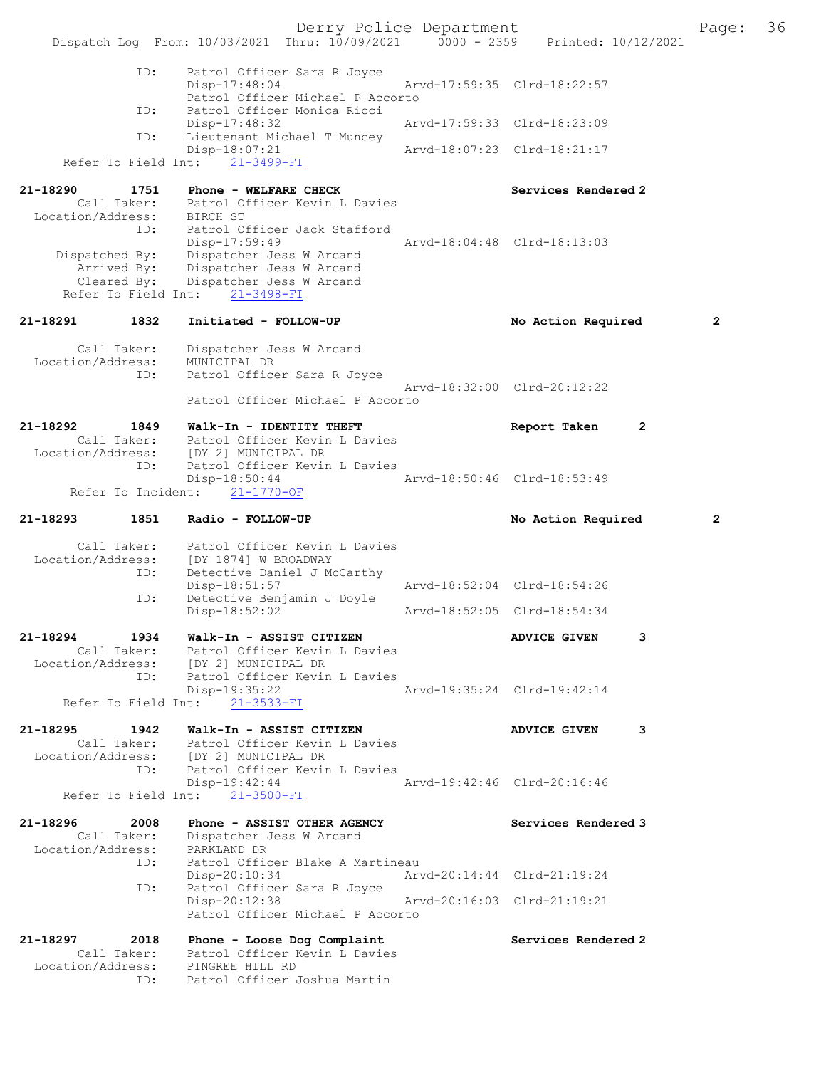Derry Police Department Fage: 36 Dispatch Log From: 10/03/2021 Thru: 10/09/2021 0000 - 2359 Printed: 10/12/2021 ID: Patrol Officer Sara R Joyce Disp-17:48:04 Arvd-17:59:35 Clrd-18:22:57 Patrol Officer Michael P Accorto<br>TD: Patrol Officer Monica Ricci Patrol Officer Monica Ricci<br>Disp-17:48:32 Arvd-17:59:33 Clrd-18:23:09 ID: Lieutenant Michael T Muncey Disp-18:07:21 Arvd-18:07:23 Clrd-18:21:17 Refer To Field Int: 21-3499-FI 21-18290 1751 Phone - WELFARE CHECK Services Rendered 2 Call Taker: Patrol Officer Kevin L Davies Location/Address: BIRCH ST ID: Patrol Officer Jack Stafford Disp-17:59:49 Arvd-18:04:48 Clrd-18:13:03 Dispatched By: Dispatcher Jess W Arcand Arrived By: Dispatcher Jess W Arcand Cleared By: Dispatcher Jess W Arcand Refer To Field Int: 21-3498-FI 21-18291 1832 Initiated - FOLLOW-UP No Action Required 2 Call Taker: Dispatcher Jess W Arcand Location/Address: MUNICIPAL DR ID: Patrol Officer Sara R Joyce Arvd-18:32:00 Clrd-20:12:22 Patrol Officer Michael P Accorto 21-18292 1849 Walk-In - IDENTITY THEFT Report Taken 2 Call Taker: Patrol Officer Kevin L Davies Location/Address: [DY 2] MUNICIPAL DR ID: Patrol Officer Kevin L Davies<br>Disp-18:50:44 Disp-18:50:44 Arvd-18:50:46 Clrd-18:53:49 Refer To Incident: 21-1770-OF 21-18293 1851 Radio - FOLLOW-UP No Action Required 2 Call Taker: Patrol Officer Kevin L Davies Location/Address: [DY 1874] W BROADWAY ID: Detective Daniel J McCarthy Disp-18:51:57 Arvd-18:52:04 Clrd-18:54:26 Disp-18:51:57<br>ID: Detective Benjamin J Doyl<br>Disp-18:52:02 Disp-18:52:02 Arvd-18:52:05 Clrd-18:54:34 21-18294 1934 Walk-In - ASSIST CITIZEN ADVICE GIVEN 3 Call Taker: Patrol Officer Kevin L Davies Location/Address: [DY 2] MUNICIPAL DR ID: Patrol Officer Kevin L Davies Disp-19:35:22 Arvd-19:35:24 Clrd-19:42:14 Refer To Field Int:  $21-3533-FI$ 21-18295 1942 Walk-In - ASSIST CITIZEN ADVICE GIVEN 3 Call Taker: Patrol Officer Kevin L Davies Location/Address: [DY 2] MUNICIPAL DR ID: Patrol Officer Kevin L Davies<br>Disp-19:42:44 Disp-19:42:44 Arvd-19:42:46 Clrd-20:16:46 Refer To Field Int: 21-3500-FI 21-18296 2008 Phone - ASSIST OTHER AGENCY Services Rendered 3 Call Taker: Dispatcher Jess W Arcand Location/Address: PARKLAND DR ID: Patrol Officer Blake A Martineau Disp-20:10:34 Arvd-20:14:44 Clrd-21:19:24 ID: Patrol Officer Sara R Joyce<br>Disp-20:12:38 Disp-20:12:38 Arvd-20:16:03 Clrd-21:19:21 Patrol Officer Michael P Accorto 21-18297 2018 Phone - Loose Dog Complaint Services Rendered 2 Call Taker: Patrol Officer Kevin L Davies Location/Address: PINGREE HILL RD ID: Patrol Officer Joshua Martin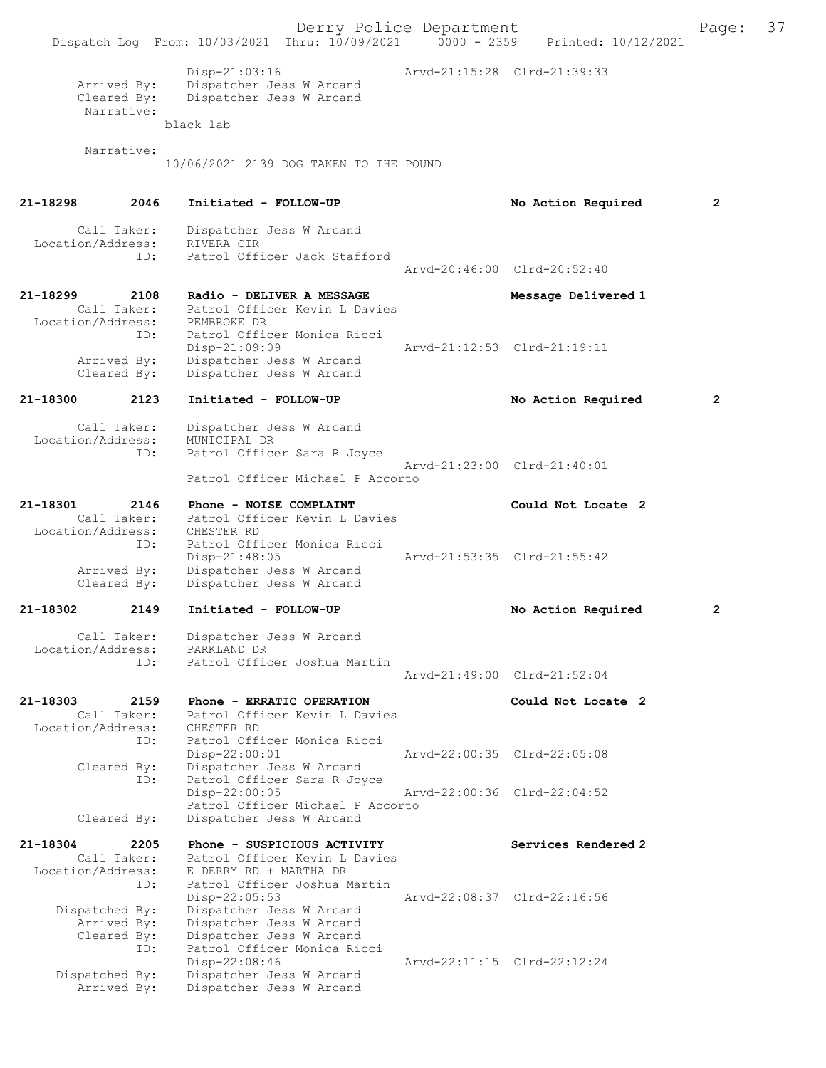Derry Police Department<br>
Page: 37<br>
Printed: 10/12/2021<br>
Printed: 10/12/2021 Dispatch Log From: 10/03/2021 Thru: 10/09/2021 Disp-21:03:16 Arvd-21:15:28 Clrd-21:39:33 Arrived By: Dispatcher Jess W Arcand<br>Cleared Bv: Dispatcher Jess W Arcand Dispatcher Jess W Arcand Narrative: black lab Narrative: 10/06/2021 2139 DOG TAKEN TO THE POUND 21-18298 2046 Initiated - FOLLOW-UP No Action Required 2 Call Taker: Dispatcher Jess W Arcand<br>ion/Address: RIVERA CIR Location/Address:<br>ID: Patrol Officer Jack Stafford Arvd-20:46:00 Clrd-20:52:40 21-18299 2108 Radio - DELIVER A MESSAGE Message Delivered 1 Call Taker: Patrol Officer Kevin L Davies<br>.on/Address: PEMBROKE DR Location/Address:<br>ID: Patrol Officer Monica Ricci Disp-21:09:09 Arvd-21:12:53 Clrd-21:19:11<br>Arrived By: Dispatcher Jess W Arcand Arrived By: Dispatcher Jess W Arcand<br>Cleared By: Dispatcher Jess W Arcand Dispatcher Jess W Arcand 21-18300 2123 Initiated - FOLLOW-UP No Action Required 2 Call Taker: Dispatcher Jess W Arcand<br>ion/Address: MUNICIPAL DR Location/Address: ID: Patrol Officer Sara R Joyce Arvd-21:23:00 Clrd-21:40:01 Patrol Officer Michael P Accorto 21-18301 2146 Phone - NOISE COMPLAINT Could Not Locate 2<br>Call Taker: Patrol Officer Kevin L Davies Patrol Officer Kevin L Davies Location/Address: CHESTER RD ID: Patrol Officer Monica Ricci Disp-21:48:05 Arvd-21:53:35 Clrd-21:55:42<br>Arrived By: Dispatcher Jess W Arcand Dispatcher Jess W Arcand Cleared By: Dispatcher Jess W Arcand 21-18302 2149 Initiated - FOLLOW-UP No Action Required 2 Call Taker: Dispatcher Jess W Arcand<br>.on/Address: PARKLAND DR Location/Address:<br>ID: Patrol Officer Joshua Martin Arvd-21:49:00 Clrd-21:52:04 21-18303 2159 Phone - ERRATIC OPERATION Could Not Locate 2 Call Taker: Patrol Officer Kevin L Davies<br>ion/Address: CHESTER RD Location/Address:<br>ID: Patrol Officer Monica Ricci<br>Disp-22:00:01 Disp-22:00:01 Arvd-22:00:35 Clrd-22:05:08<br>Cleared By: Dispatcher Jess W Arcand By: Dispatcher Jess W Arcand<br>ID: Patrol Officer Sara R Joy Patrol Officer Sara R Joyce Disp-22:00:05 Arvd-22:00:36 Clrd-22:04:52 Patrol Officer Michael P Accorto<br>Cleared By: Dispatcher Jess W Arcand Dispatcher Jess W Arcand 21-18304 2205 Phone - SUSPICIOUS ACTIVITY Services Rendered 2 Call Taker: Patrol Officer Kevin L Davies Location/Address: E DERRY RD + MARTHA DR ID: Patrol Officer Joshua Martin Disp-22:05:53 Arvd-22:08:37 Clrd-22:16:56 Dispatched By: Dispatcher Jess W Arcand Arrived By: Dispatcher Jess W Arcand<br>Cleared By: Dispatcher Jess W Arcand By: Dispatcher Jess W Arcand<br>ID: Patrol Officer Monica Ric Patrol Officer Monica Ricci<br>Disp-22:08:46 Arvd-22:11:15 Clrd-22:12:24 Dispatched By: Dispatcher Jess W Arcand<br>Arrived By: Dispatcher Jess W Arcand Dispatcher Jess W Arcand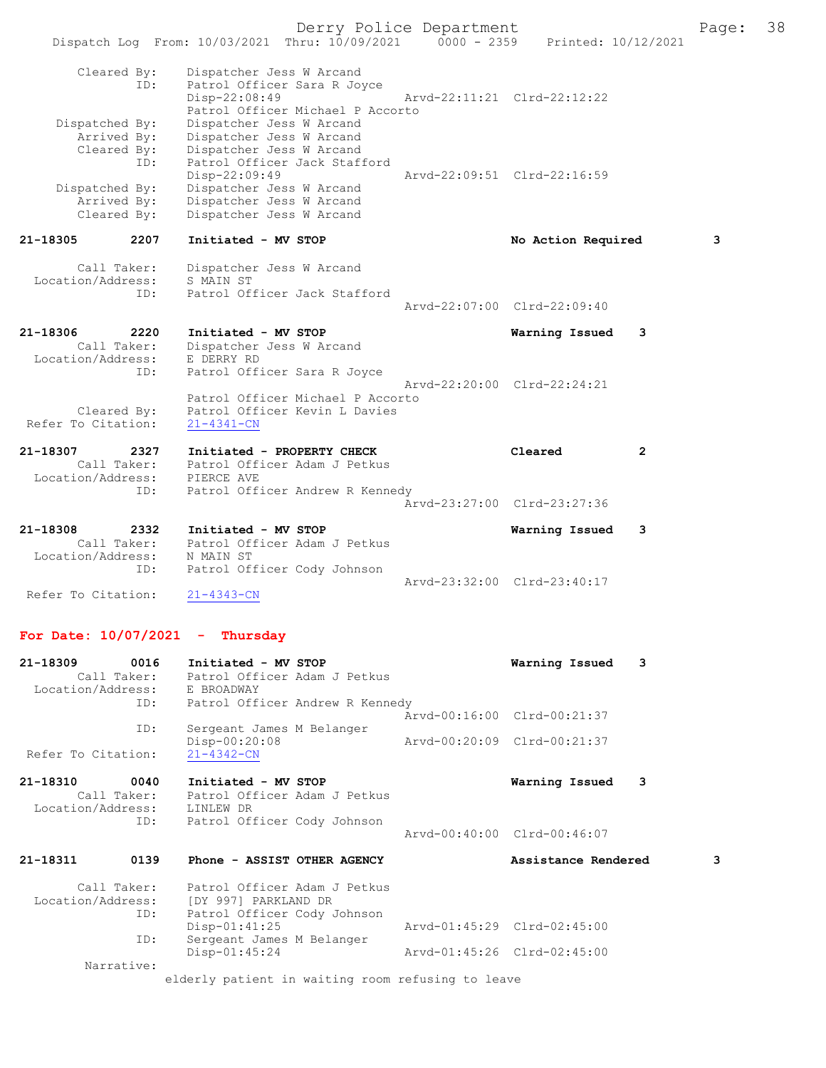Derry Police Department Fage: 38 Dispatch Log From: 10/03/2021 Thru: 10/09/2021 0000 - 2359 Printed: 10/12/2021 Cleared By: Dispatcher Jess W Arcand ID: Patrol Officer Sara R Joyce Disp-22:08:49 Arvd-22:11:21 Clrd-22:12:22 Patrol Officer Michael P Accorto Dispatched By: Dispatcher Jess W Arcand Arrived By: Dispatcher Jess W Arcand Cleared By: Dispatcher Jess W Arcand ID: Patrol Officer Jack Stafford Disp-22:09:49 Arvd-22:09:51 Clrd-22:16:59 Dispatched By: Dispatcher Jess W Arcand Arrived By: Dispatcher Jess W Arcand Cleared By: Dispatcher Jess W Arcand 21-18305 2207 Initiated - MV STOP 1200 No Action Required 3 Call Taker: Dispatcher Jess W Arcand Location/Address: S MAIN ST ID: Patrol Officer Jack Stafford Arvd-22:07:00 Clrd-22:09:40 21-18306 2220 Initiated - MV STOP Warning Issued 3 Call Taker: Dispatcher Jess W Arcand Location/Address: E DERRY RD ID: Patrol Officer Sara R Joyce Arvd-22:20:00 Clrd-22:24:21 Patrol Officer Michael P Accorto Cleared By: Patrol Officer Kevin L Davies Refer To Citation: 21-4341-CN 21-18307 2327 Initiated - PROPERTY CHECK Cleared 2 Call Taker: Patrol Officer Adam J Petkus Location/Address: PIERCE AVE ID: Patrol Officer Andrew R Kennedy Arvd-23:27:00 Clrd-23:27:36 21-18308 2332 Initiated - MV STOP Warning Issued 3 Call Taker: Patrol Officer Adam J Petkus Location/Address: N MAIN ST ID: Patrol Officer Cody Johnson Arvd-23:32:00 Clrd-23:40:17<br>21-4343-CN Refer To Citation:

### For Date: 10/07/2021 - Thursday

| 21-18309           | 0016       | Initiated - MV STOP                               |                             | Warning Issued              | 3 |
|--------------------|------------|---------------------------------------------------|-----------------------------|-----------------------------|---|
|                    |            | Call Taker: Patrol Officer Adam J Petkus          |                             |                             |   |
|                    |            | Location/Address: E BROADWAY                      |                             |                             |   |
|                    |            | ID: Patrol Officer Andrew R Kennedy               |                             |                             |   |
|                    |            |                                                   |                             | Arvd-00:16:00 Clrd-00:21:37 |   |
|                    | ID:        | Sergeant James M Belanger                         |                             |                             |   |
|                    |            | Disp-00:20:08                                     | Arvd-00:20:09 Clrd-00:21:37 |                             |   |
| Refer To Citation: |            | $21 - 4342 - CN$                                  |                             |                             |   |
|                    |            |                                                   |                             |                             |   |
| 21-18310           | 0040       | Initiated - MV STOP                               |                             | Warning Issued              | 3 |
|                    |            | Call Taker: Patrol Officer Adam J Petkus          |                             |                             |   |
|                    |            | Location/Address: LINLEW DR                       |                             |                             |   |
|                    | ID:        | Patrol Officer Cody Johnson                       |                             |                             |   |
|                    |            |                                                   |                             | Aryd-00:40:00 Clrd-00:46:07 |   |
|                    |            |                                                   |                             |                             |   |
| 21-18311           | 0139       | Phone - ASSIST OTHER AGENCY                       |                             | Assistance Rendered         | 3 |
|                    |            | Call Taker: Patrol Officer Adam J Petkus          |                             |                             |   |
|                    |            | Location/Address: [DY 997] PARKLAND DR            |                             |                             |   |
|                    | ID:        | Patrol Officer Cody Johnson                       |                             |                             |   |
|                    |            | $Disp-01:41:25$                                   |                             | Arvd-01:45:29 Clrd-02:45:00 |   |
|                    | ID:        | Sergeant James M Belanger                         |                             |                             |   |
|                    |            | $Disp-01:45:24$                                   | Arvd-01:45:26 Clrd-02:45:00 |                             |   |
|                    | Narrative: |                                                   |                             |                             |   |
|                    |            | elderly patient in waiting room refusing to leave |                             |                             |   |
|                    |            |                                                   |                             |                             |   |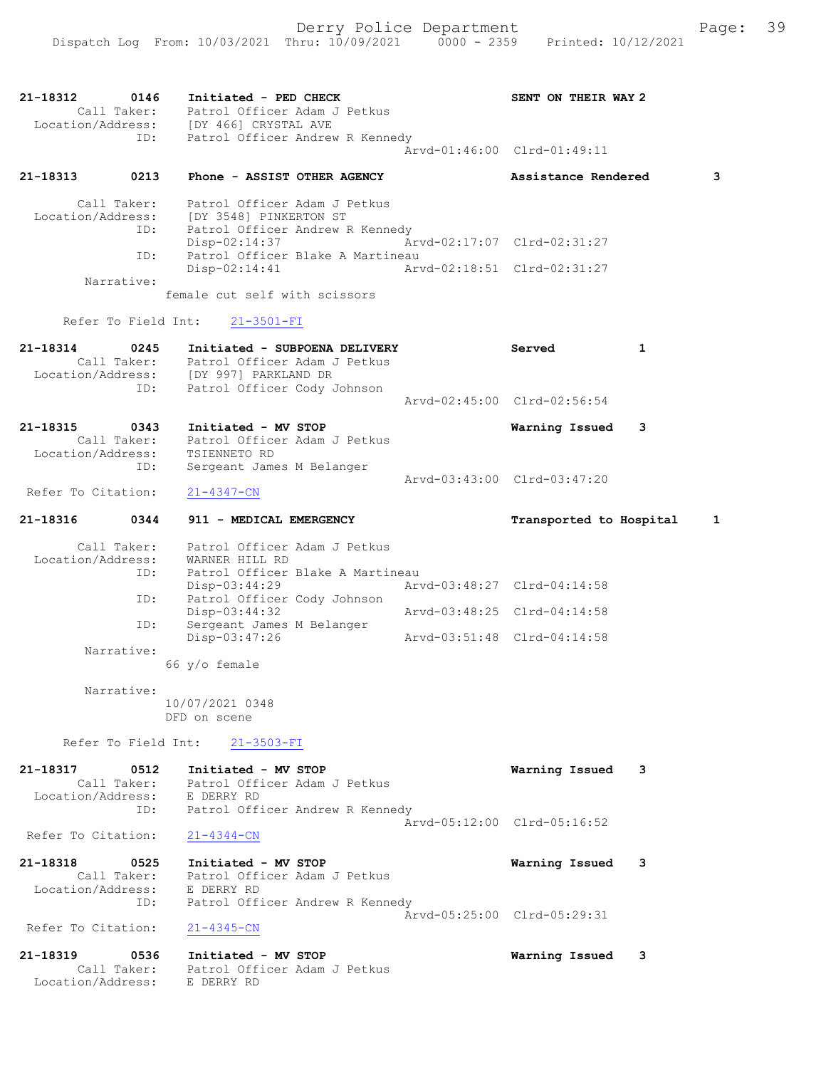21-18312 0146 Initiated - PED CHECK SENT ON THEIR WAY 2 Call Taker: Patrol Officer Adam J Petkus Location/Address: [DY 466] CRYSTAL AVE ID: Patrol Officer Andrew R Kennedy Arvd-01:46:00 Clrd-01:49:11 21-18313 0213 Phone - ASSIST OTHER AGENCY Assistance Rendered 3 Call Taker: Patrol Officer Adam J Petkus Location/Address: [DY 3548] PINKERTON ST ID: Patrol Officer Andrew R Kennedy Disp-02:14:37 Arvd-02:17:07 Clrd-02:31:27 ID: Patrol Officer Blake A Martineau Disp-02:14:41 Arvd-02:18:51 Clrd-02:31:27 Narrative: female cut self with scissors Refer To Field Int: 21-3501-FI 21-18314 0245 Initiated - SUBPOENA DELIVERY Served 1 Call Taker: Patrol Officer Adam J Petkus Location/Address: [DY 997] PARKLAND DR ID: Patrol Officer Cody Johnson Arvd-02:45:00 Clrd-02:56:54 21-18315 0343 Initiated - MV STOP Warning Issued 3 Call Taker: Patrol Officer Adam J Petkus Location/Address: TSIENNETO RD ID: Sergeant James M Belanger Arvd-03:43:00 Clrd-03:47:20 Refer To Citation: 21-4347-CN 21-18316 0344 911 - MEDICAL EMERGENCY Transported to Hospital 1 Call Taker: Patrol Officer Adam J Petkus Location/Address: WARNER HILL RD ID: Patrol Officer Blake A Martineau Disp-03:44:29 Arvd-03:48:27 Clrd-04:14:58 ID: Patrol Officer Cody Johnson Disp-03:44:32 Arvd-03:48:25 Clrd-04:14:58 ID: Sergeant James M Belanger Disp-03:47:26 Arvd-03:51:48 Clrd-04:14:58 Narrative: 66 y/o female Narrative: 10/07/2021 0348 DFD on scene Refer To Field Int: 21-3503-FI 21-18317 0512 Initiated - MV STOP Warning Issued 3 Call Taker: Patrol Officer Adam J Petkus Location/Address: E DERRY RD ID: Patrol Officer Andrew R Kennedy Arvd-05:12:00 Clrd-05:16:52 Refer To Citation: 21-4344-CN 21-18318 0525 Initiated - MV STOP Warning Issued 3 Call Taker: Patrol Officer Adam J Petkus Location/Address: E DERRY RD ID: Patrol Officer Andrew R Kennedy Arvd-05:25:00 Clrd-05:29:31 Refer To Citation: 21-4345-CN 21-18319 0536 Initiated - MV STOP Warning Issued 3 Call Taker: Patrol Officer Adam J Petkus Location/Address: E DERRY RD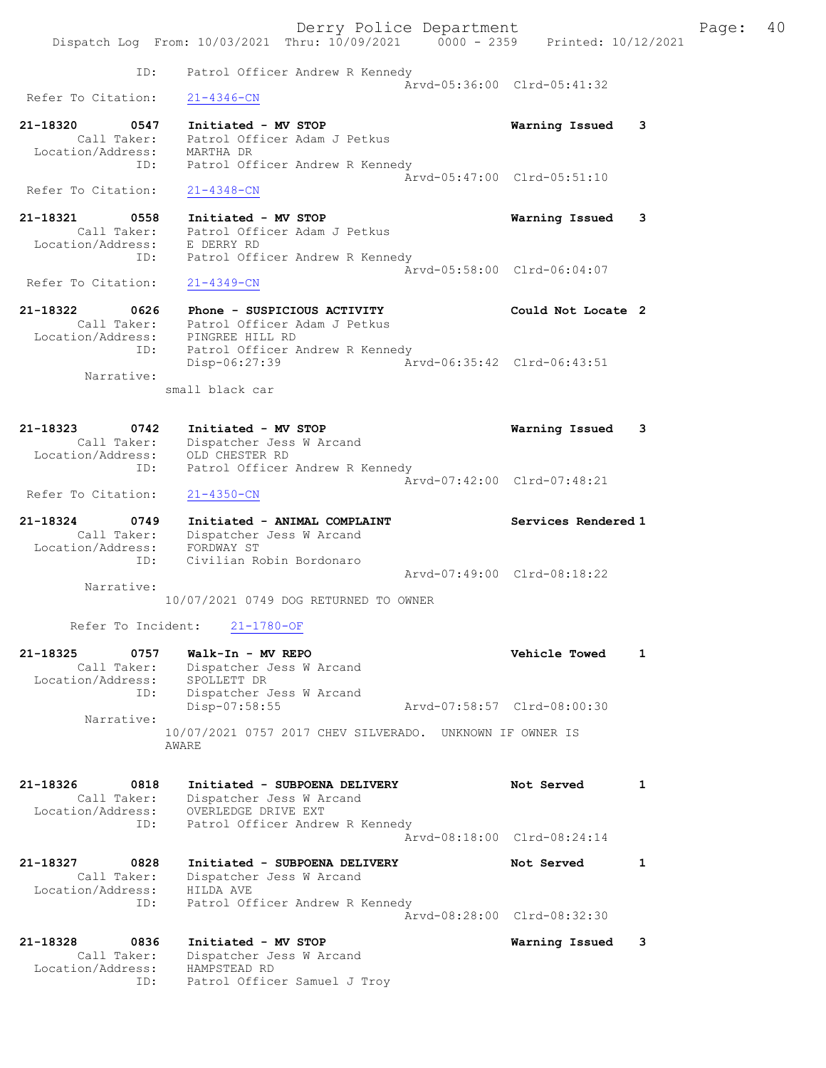Derry Police Department Fage: 40 Dispatch Log From: 10/03/2021 Thru: 10/09/2021 0000 - 2359 Printed: 10/12/2021 ID: Patrol Officer Andrew R Kennedy Arvd-05:36:00 Clrd-05:41:32<br>21-4346-CN Refer To Citation: 21-18320 0547 Initiated - MV STOP Warning Issued 3 Call Taker: Patrol Officer Adam J Petkus Location/Address: MARTHA DR ID: Patrol Officer Andrew R Kennedy Arvd-05:47:00 Clrd-05:51:10 Refer To Citation: 21-4348-CN 21-18321 0558 Initiated - MV STOP Warning Issued 3 Call Taker: Patrol Officer Adam J Petkus Location/Address: E DERRY RD ID: Patrol Officer Andrew R Kennedy Arvd-05:58:00 Clrd-06:04:07<br>21-4349-CN Refer To Citation: 21-18322 0626 Phone - SUSPICIOUS ACTIVITY Could Not Locate 2 Call Taker: Patrol Officer Adam J Petkus Location/Address: PINGREE HILL RD ID: Patrol Officer Andrew R Kennedy Disp-06:27:39 Arvd-06:35:42 Clrd-06:43:51 Narrative: small black car 21-18323 0742 Initiated - MV STOP Warning Issued 3 Call Taker: Dispatcher Jess W Arcand Location/Address: OLD CHESTER RD ID: Patrol Officer Andrew R Kennedy  $\bar{A}rvd-07:42:00$  Clrd-07:48:21<br>21-4350-CN Refer To Citation: 21-18324 0749 Initiated - ANIMAL COMPLAINT Services Rendered 1 Call Taker: Dispatcher Jess W Arcand Location/Address: FORDWAY ST ID: Civilian Robin Bordonaro Arvd-07:49:00 Clrd-08:18:22 Narrative: 10/07/2021 0749 DOG RETURNED TO OWNER Refer To Incident: 21-1780-OF 21-18325 0757 Walk-In - MV REPO Vehicle Towed 1 Call Taker: Dispatcher Jess W Arcand Location/Address: SPOLLETT DR ID: Dispatcher Jess W Arcand Disp-07:58:55 Arvd-07:58:57 Clrd-08:00:30 Narrative: 10/07/2021 0757 2017 CHEV SILVERADO. UNKNOWN IF OWNER IS AWARE 21-18326 0818 Initiated - SUBPOENA DELIVERY Not Served 1 Call Taker: Dispatcher Jess W Arcand Location/Address: OVERLEDGE DRIVE EXT ID: Patrol Officer Andrew R Kennedy Arvd-08:18:00 Clrd-08:24:14 21-18327 0828 Initiated - SUBPOENA DELIVERY Not Served 1 Call Taker: Dispatcher Jess W Arcand Location/Address: HILDA AVE ID: Patrol Officer Andrew R Kennedy Arvd-08:28:00 Clrd-08:32:30 21-18328 0836 Initiated - MV STOP Warning Issued 3 Call Taker: Dispatcher Jess W Arcand Location/Address: HAMPSTEAD RD ID: Patrol Officer Samuel J Troy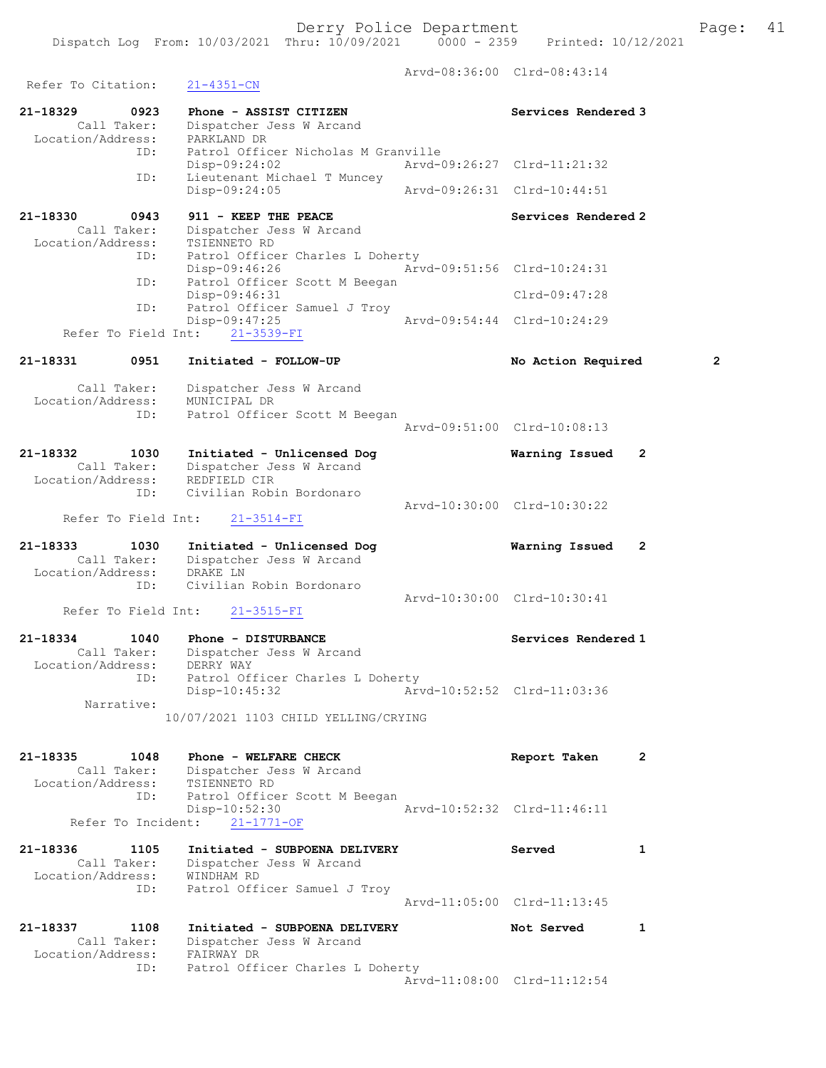Arvd-08:36:00 Clrd-08:43:14 Refer To Citation: 21-4351-CN 21-18329 0923 Phone - ASSIST CITIZEN Services Rendered 3 Call Taker: Dispatcher Jess W Arcand Location/Address: PARKLAND DR ID: Patrol Officer Nicholas M Granville Disp-09:24:02 Arvd-09:26:27 Clrd-11:21:32 ID: Lieutenant Michael T Muncey Disp-09:24:05 Arvd-09:26:31 Clrd-10:44:51 21-18330 0943 911 - KEEP THE PEACE Noted that Services Rendered 2 Call Taker: Dispatcher Jess W Arcand Location/Address: TSIENNETO RD ID: Patrol Officer Charles L Doherty Disp-09:46:26 Arvd-09:51:56 Clrd-10:24:31 ID: Patrol Officer Scott M Beegan Disp-09:46:31 Clrd-09:47:28 ID: Patrol Officer Samuel J Troy<br>Disp-09:47:25 Arvd-09:54:44 Clrd-10:24:29 Refer To Field Int: 21-3539-FI 21-18331 0951 Initiated - FOLLOW-UP No Action Required 2 Call Taker: Dispatcher Jess W Arcand Location/Address: MUNICIPAL DR ID: Patrol Officer Scott M Beegan Arvd-09:51:00 Clrd-10:08:13 21-18332 1030 Initiated - Unlicensed Dog Warning Issued 2 Call Taker: Dispatcher Jess W Arcand Location/Address: REDFIELD CIR ID: Civilian Robin Bordonaro Arvd-10:30:00 Clrd-10:30:22 Refer To Field Int: 21-3514-FI 21-18333 1030 Initiated - Unlicensed Dog Warning Issued 2 Call Taker: Dispatcher Jess W Arcand Location/Address: DRAKE LN ID: Civilian Robin Bordonaro Arvd-10:30:00 Clrd-10:30:41<br>21-3515-FI Arvd-10:30:00 Clrd-10:30:41 Refer To Field Int: 21-18334 1040 Phone - DISTURBANCE 21-18334 Services Rendered 1 Call Taker: Dispatcher Jess W Arcand Location/Address: DERRY WAY ID: Patrol Officer Charles L Doherty Disp-10:45:32 Arvd-10:52:52 Clrd-11:03:36 Narrative: 10/07/2021 1103 CHILD YELLING/CRYING 21-18335 1048 Phone - WELFARE CHECK Report Taken 2 Call Taker: Dispatcher Jess W Arcand Location/Address: TSIENNETO RD ID: Patrol Officer Scott M Beegan Disp-10:52:30 Arvd-10:52:32 Clrd-11:46:11 Refer To Incident: 21-1771-OF 21-18336 1105 Initiated - SUBPOENA DELIVERY Served 1 Call Taker: Dispatcher Jess W Arcand Location/Address: WINDHAM RD ID: Patrol Officer Samuel J Troy Arvd-11:05:00 Clrd-11:13:45 21-18337 1108 Initiated - SUBPOENA DELIVERY Not Served 1 Call Taker: Dispatcher Jess W Arcand Location/Address: FAIRWAY DR ID: Patrol Officer Charles L Doherty Arvd-11:08:00 Clrd-11:12:54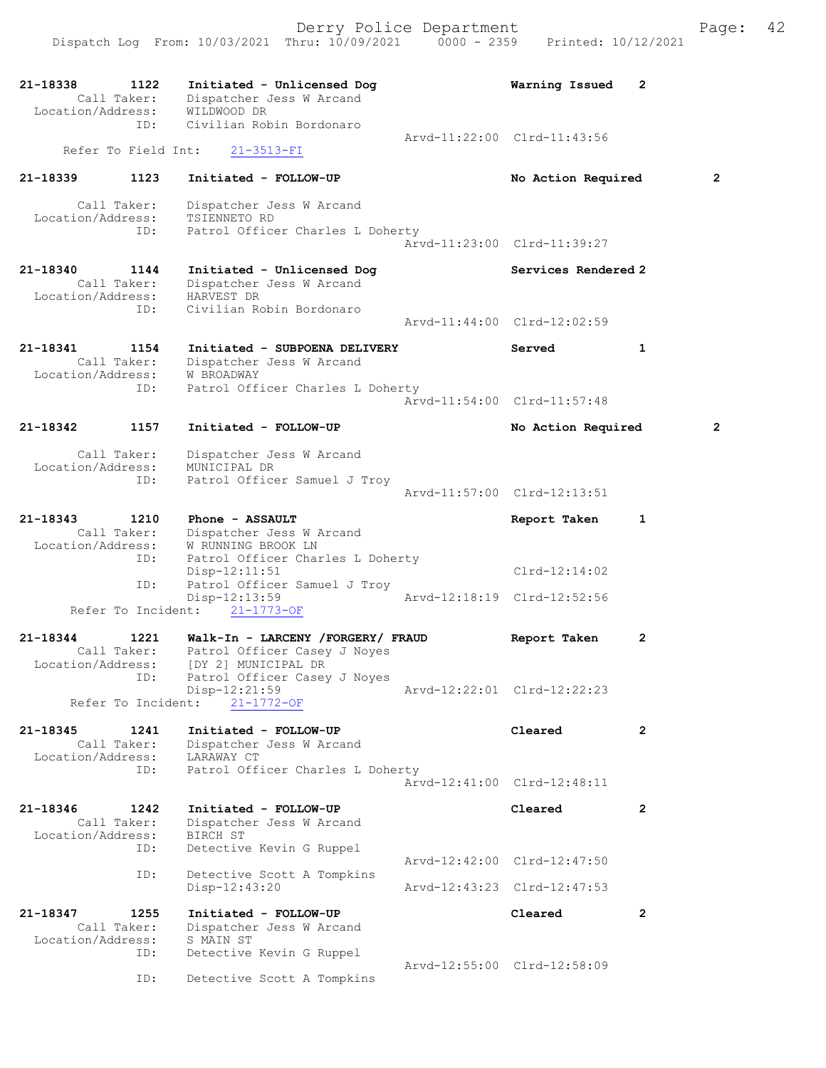| 21-18338<br>Call Taker:<br>Location/Address: | 1122 | Initiated - Unlicensed Dog<br>Dispatcher Jess W Arcand<br>WILDWOOD DR | Warning Issued              | 2              |
|----------------------------------------------|------|-----------------------------------------------------------------------|-----------------------------|----------------|
|                                              | ID:  | Civilian Robin Bordonaro                                              | Arvd-11:22:00 Clrd-11:43:56 |                |
| Refer To Field Int:                          |      | $21 - 3513 - FI$                                                      |                             |                |
| 21-18339                                     | 1123 | Initiated - FOLLOW-UP                                                 | No Action Required          | 2              |
| Call Taker:                                  |      | Dispatcher Jess W Arcand                                              |                             |                |
| Location/Address:                            | ID:  | TSIENNETO RD<br>Patrol Officer Charles L Doherty                      |                             |                |
|                                              |      |                                                                       | Arvd-11:23:00 Clrd-11:39:27 |                |
| 21-18340                                     | 1144 | Initiated - Unlicensed Dog                                            | Services Rendered 2         |                |
| Call Taker:<br>Location/Address:             |      | Dispatcher Jess W Arcand<br>HARVEST DR                                |                             |                |
|                                              | ID:  | Civilian Robin Bordonaro                                              | Arvd-11:44:00 Clrd-12:02:59 |                |
|                                              |      |                                                                       |                             |                |
| 21-18341<br>Call Taker:                      | 1154 | Initiated - SUBPOENA DELIVERY<br>Dispatcher Jess W Arcand             | Served                      | $\mathbf{1}$   |
| Location/Address:                            | ID:  | W BROADWAY<br>Patrol Officer Charles L Doherty                        |                             |                |
|                                              |      |                                                                       | Aryd-11:54:00 Clrd-11:57:48 |                |
| 21-18342                                     | 1157 | Initiated - FOLLOW-UP                                                 | No Action Required          | 2              |
| Call Taker:                                  |      | Dispatcher Jess W Arcand                                              |                             |                |
| Location/Address:                            | ID:  | MUNICIPAL DR<br>Patrol Officer Samuel J Troy                          |                             |                |
|                                              |      |                                                                       | Arvd-11:57:00 Clrd-12:13:51 |                |
| 21-18343                                     | 1210 | Phone - ASSAULT                                                       | Report Taken                | 1              |
| Call Taker:<br>Location/Address:             |      | Dispatcher Jess W Arcand<br>W RUNNING BROOK LN                        |                             |                |
|                                              | ID:  | Patrol Officer Charles L Doherty                                      |                             |                |
|                                              | ID:  | Disp-12:11:51<br>Patrol Officer Samuel J Troy                         | $Clrd-12:14:02$             |                |
| Refer To Incident:                           |      | Disp-12:13:59<br>$21 - 1773 - OF$                                     | Aryd-12:18:19 Clrd-12:52:56 |                |
| 21-18344                                     | 1221 | Walk-In - LARCENY /FORGERY/ FRAUD                                     | Report Taken                | 2              |
| Call Taker:                                  |      | Patrol Officer Casey J Noyes                                          |                             |                |
|                                              | ID:  | Location/Address: [DY 2] MUNICIPAL DR<br>Patrol Officer Casey J Noyes |                             |                |
|                                              |      | Disp-12:21:59                                                         | Arvd-12:22:01 Clrd-12:22:23 |                |
| Refer To Incident:                           |      | $21 - 1772 - OF$                                                      |                             |                |
| 21-18345<br>Call Taker:                      | 1241 | Initiated - FOLLOW-UP<br>Dispatcher Jess W Arcand                     | Cleared                     | $\mathbf{2}$   |
| Location/Address:                            |      | LARAWAY CT                                                            |                             |                |
|                                              | ID:  | Patrol Officer Charles L Doherty                                      | Arvd-12:41:00 Clrd-12:48:11 |                |
| 21-18346                                     | 1242 | Initiated - FOLLOW-UP                                                 | Cleared                     | $\overline{2}$ |
| Call Taker:                                  |      | Dispatcher Jess W Arcand                                              |                             |                |
| Location/Address:                            | ID:  | BIRCH ST<br>Detective Kevin G Ruppel                                  |                             |                |
|                                              | ID:  |                                                                       | Arvd-12:42:00 Clrd-12:47:50 |                |
|                                              |      | Detective Scott A Tompkins<br>Disp-12:43:20                           | Arvd-12:43:23 Clrd-12:47:53 |                |
| 21-18347                                     | 1255 | Initiated - FOLLOW-UP                                                 | Cleared                     | $\overline{2}$ |
| Call Taker:                                  |      | Dispatcher Jess W Arcand                                              |                             |                |
| Location/Address:                            | ID:  | S MAIN ST<br>Detective Kevin G Ruppel                                 |                             |                |
|                                              | ID:  | Detective Scott A Tompkins                                            | Arvd-12:55:00 Clrd-12:58:09 |                |
|                                              |      |                                                                       |                             |                |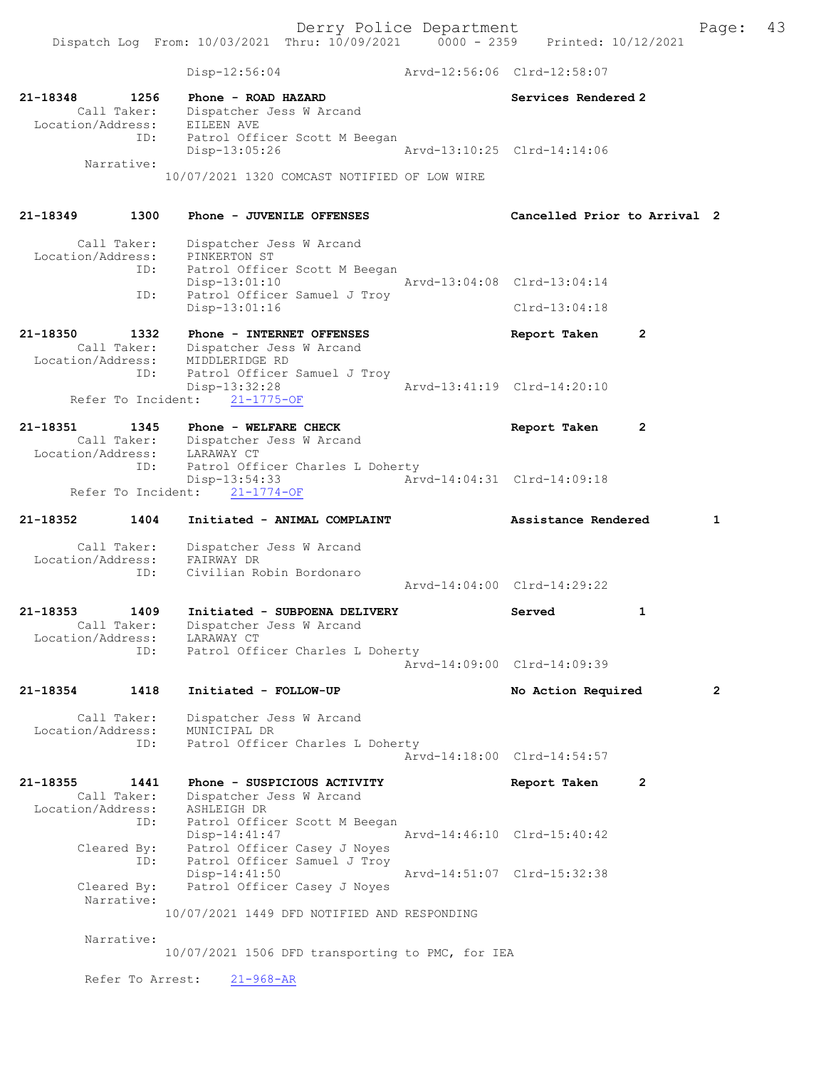Disp-12:56:04 Arvd-12:56:06 Clrd-12:58:07 21-18348 1256 Phone - ROAD HAZARD Services Rendered 2 Call Taker: Dispatcher Jess W Arcand Location/Address: EILEEN AVE ID: Patrol Officer Scott M Beegan Disp-13:05:26 Arvd-13:10:25 Clrd-14:14:06 Narrative: 10/07/2021 1320 COMCAST NOTIFIED OF LOW WIRE 21-18349 1300 Phone - JUVENILE OFFENSES Cancelled Prior to Arrival 2 Call Taker: Dispatcher Jess W Arcand Location/Address: PINKERTON ST ID: Patrol Officer Scott M Beegan Disp-13:01:10 Arvd-13:04:08 Clrd-13:04:14 ID: Patrol Officer Samuel J Troy Disp-13:01:16 Clrd-13:04:18 21-18350 1332 Phone - INTERNET OFFENSES Report Taken 2 Call Taker: Dispatcher Jess W Arcand Location/Address: MIDDLERIDGE RD ID: Patrol Officer Samuel J Troy Disp-13:32:28 Arvd-13:41:19 Clrd-14:20:10 Refer To Incident: 21-1775-OF 21-18351 1345 Phone - WELFARE CHECK Report Taken 2 Call Taker: Dispatcher Jess W Arcand Location/Address: LARAWAY CT ID: Patrol Officer Charles L Doherty Disp-13:54:33 Arvd-14:04:31 Clrd-14:09:18 Refer To Incident: 21-1774-OF 21-18352 1404 Initiated - ANIMAL COMPLAINT Assistance Rendered 1 Call Taker: Dispatcher Jess W Arcand Location/Address: FAIRWAY DR ID: Civilian Robin Bordonaro Arvd-14:04:00 Clrd-14:29:22 21-18353 1409 Initiated - SUBPOENA DELIVERY Served 1 Call Taker: Dispatcher Jess W Arcand Location/Address: LARAWAY CT ID: Patrol Officer Charles L Doherty Arvd-14:09:00 Clrd-14:09:39 21-18354 1418 Initiated - FOLLOW-UP No Action Required 2 Call Taker: Dispatcher Jess W Arcand Location/Address: MUNICIPAL DR ID: Patrol Officer Charles L Doherty Arvd-14:18:00 Clrd-14:54:57 21-18355 1441 Phone - SUSPICIOUS ACTIVITY Report Taken 2 Call Taker: Dispatcher Jess W Arcand Location/Address: ASHLEIGH DR ID: Patrol Officer Scott M Beegan Disp-14:41:47 Arvd-14:46:10 Clrd-15:40:42 Cleared By: Patrol Officer Casey J Noyes ID: Patrol Officer Samuel J Troy Disp-14:41:50 Arvd-14:51:07 Clrd-15:32:38 Cleared By: Patrol Officer Casey J Noyes Narrative: 10/07/2021 1449 DFD NOTIFIED AND RESPONDING Narrative: 10/07/2021 1506 DFD transporting to PMC, for IEA Refer To Arrest: 21-968-AR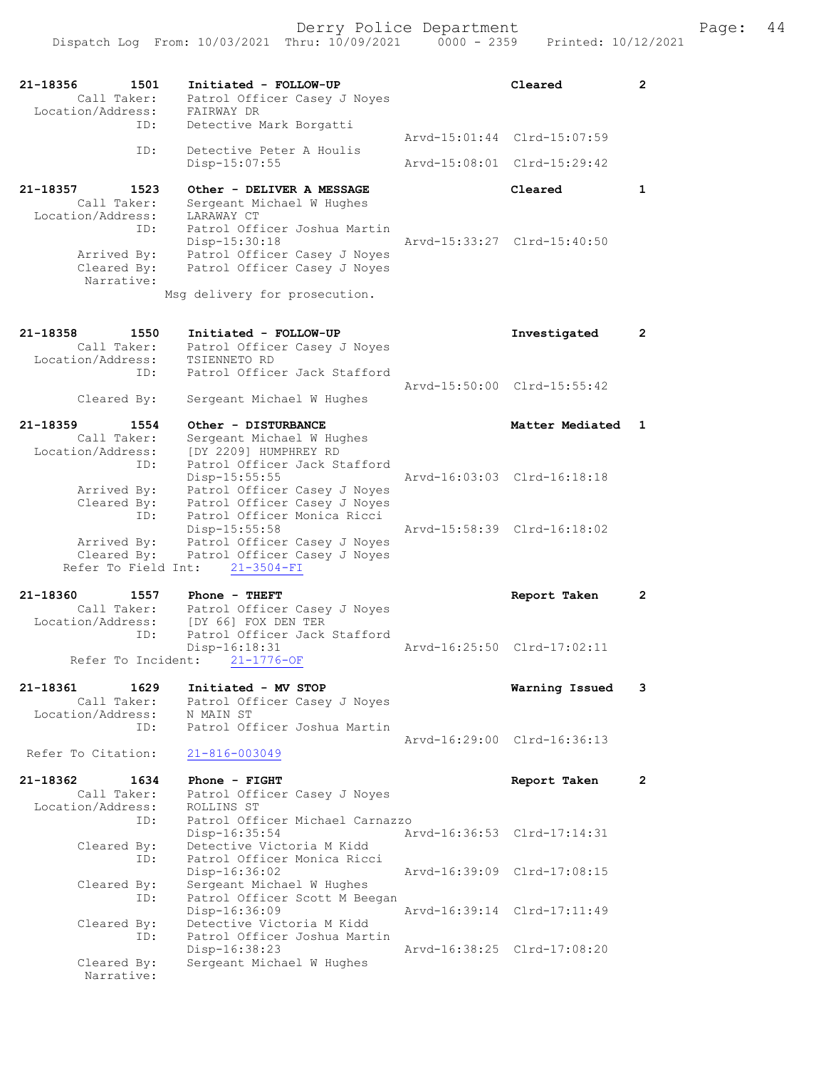| 21-18356<br>1501                   | Initiated - FOLLOW-UP                                       | Cleared                     | $\overline{2}$ |
|------------------------------------|-------------------------------------------------------------|-----------------------------|----------------|
| Call Taker:                        | Patrol Officer Casey J Noyes                                |                             |                |
| Location/Address:<br>ID:           | FAIRWAY DR<br>Detective Mark Borgatti                       |                             |                |
|                                    |                                                             | Arvd-15:01:44 Clrd-15:07:59 |                |
| ID:                                | Detective Peter A Houlis                                    | Arvd-15:08:01 Clrd-15:29:42 |                |
|                                    | Disp-15:07:55                                               |                             |                |
| 21-18357<br>1523                   | Other - DELIVER A MESSAGE                                   | Cleared                     | 1              |
| Call Taker:                        | Sergeant Michael W Hughes                                   |                             |                |
| Location/Address:<br>ID:           | LARAWAY CT<br>Patrol Officer Joshua Martin                  |                             |                |
|                                    | Disp-15:30:18                                               | Arvd-15:33:27 Clrd-15:40:50 |                |
| Arrived By:                        | Patrol Officer Casey J Noyes                                |                             |                |
| Cleared By:                        | Patrol Officer Casey J Noyes                                |                             |                |
| Narrative:                         | Msg delivery for prosecution.                               |                             |                |
|                                    |                                                             |                             |                |
| 21-18358<br>1550                   | Initiated - FOLLOW-UP                                       | Investigated                | $\mathbf{2}$   |
| Call Taker:                        | Patrol Officer Casey J Noyes                                |                             |                |
| Location/Address:                  | TSIENNETO RD                                                |                             |                |
| ID:                                | Patrol Officer Jack Stafford                                | Arvd-15:50:00 Clrd-15:55:42 |                |
| Cleared By:                        | Sergeant Michael W Hughes                                   |                             |                |
|                                    |                                                             |                             |                |
| 21-18359<br>1554                   | Other - DISTURBANCE                                         | Matter Mediated             | $\mathbf{1}$   |
| Call Taker:<br>Location/Address:   | Sergeant Michael W Hughes<br>IDY 22091 HUMPHREY RD          |                             |                |
| ID:                                | Patrol Officer Jack Stafford                                |                             |                |
|                                    | Disp-15:55:55                                               | Arvd-16:03:03 Clrd-16:18:18 |                |
| Arrived By:                        | Patrol Officer Casey J Noyes                                |                             |                |
| Cleared By:<br>ID:                 | Patrol Officer Casey J Noyes<br>Patrol Officer Monica Ricci |                             |                |
|                                    | Disp-15:55:58                                               | Arvd-15:58:39 Clrd-16:18:02 |                |
| Arrived By:                        | Patrol Officer Casey J Noyes                                |                             |                |
| Cleared By:<br>Refer To Field Int: | Patrol Officer Casey J Noyes                                |                             |                |
|                                    | $21 - 3504 - FI$                                            |                             |                |
| 21-18360<br>1557                   | Phone - THEFT                                               | Report Taken                | $\overline{2}$ |
| Call Taker:                        | Patrol Officer Casey J Noyes                                |                             |                |
| Location/Address:<br>ID:           | [DY 66] FOX DEN TER<br>Patrol Officer Jack Stafford         |                             |                |
|                                    | Disp-16:18:31                                               | Arvd-16:25:50 Clrd-17:02:11 |                |
| Refer To Incident:                 | $21 - 1776 - OF$                                            |                             |                |
| 21-18361<br>1629                   | Initiated - MV STOP                                         | Warning Issued              | 3              |
| Call Taker:                        | Patrol Officer Casey J Noyes                                |                             |                |
| Location/Address:                  | N MAIN ST                                                   |                             |                |
| ID:                                | Patrol Officer Joshua Martin                                | Arvd-16:29:00 Clrd-16:36:13 |                |
| Refer To Citation:                 | $21 - 816 - 003049$                                         |                             |                |
|                                    |                                                             |                             |                |
| 21-18362<br>1634                   | Phone - FIGHT                                               | Report Taken                | 2              |
| Call Taker:<br>Location/Address:   | Patrol Officer Casey J Noyes<br>ROLLINS ST                  |                             |                |
| ID:                                | Patrol Officer Michael Carnazzo                             |                             |                |
|                                    | $Disp-16:35:54$                                             | Arvd-16:36:53 Clrd-17:14:31 |                |
| Cleared By:                        | Detective Victoria M Kidd                                   |                             |                |
| ID:                                | Patrol Officer Monica Ricci<br>Disp-16:36:02                | Arvd-16:39:09 Clrd-17:08:15 |                |
| Cleared By:                        | Sergeant Michael W Hughes                                   |                             |                |
| ID:                                | Patrol Officer Scott M Beegan                               |                             |                |
|                                    | Disp-16:36:09                                               | Arvd-16:39:14 Clrd-17:11:49 |                |
| Cleared By:<br>ID:                 | Detective Victoria M Kidd<br>Patrol Officer Joshua Martin   |                             |                |
|                                    | Disp-16:38:23                                               | Arvd-16:38:25 Clrd-17:08:20 |                |
| Cleared By:                        | Sergeant Michael W Hughes                                   |                             |                |
| Narrative:                         |                                                             |                             |                |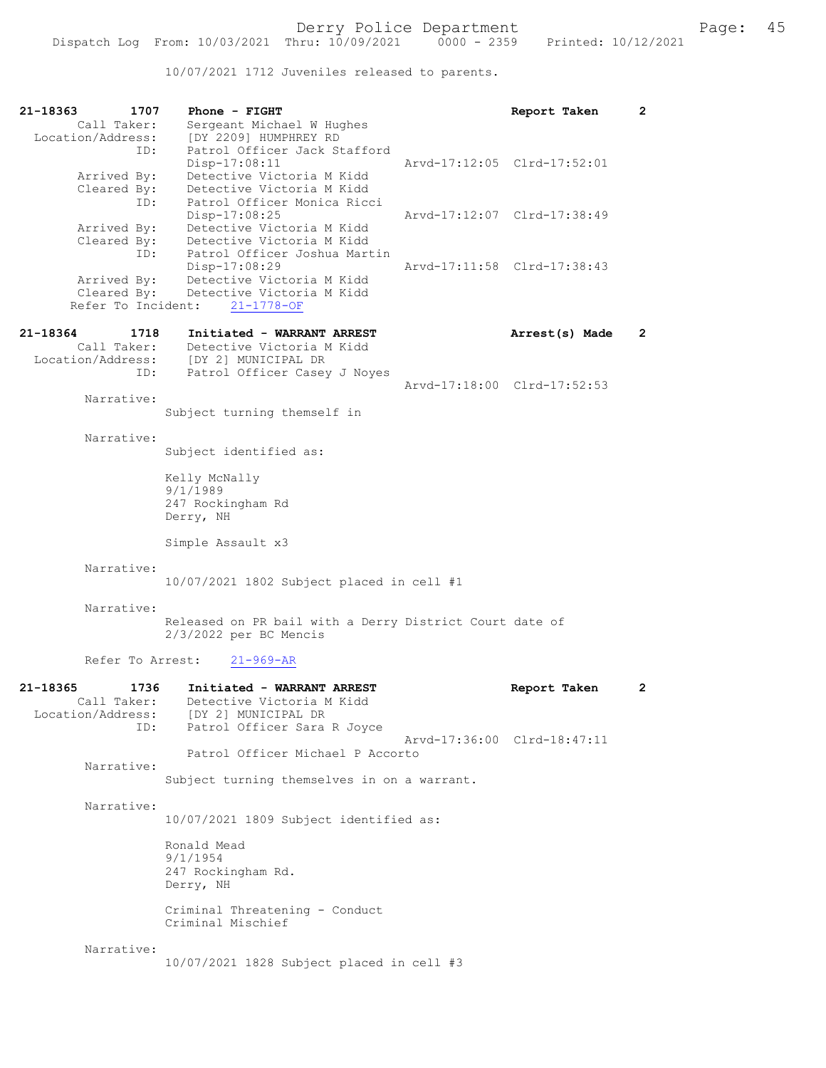10/07/2021 1712 Juveniles released to parents.

| 21-18363<br>1707<br>Call Taker:                      | Phone - FIGHT<br>Sergeant Michael W Hughes                                                                |                             | Report Taken   | $\mathbf{2}$   |
|------------------------------------------------------|-----------------------------------------------------------------------------------------------------------|-----------------------------|----------------|----------------|
| Location/Address:<br>ID:                             | [DY 2209] HUMPHREY RD<br>Patrol Officer Jack Stafford<br>Disp-17:08:11                                    | Arvd-17:12:05 Clrd-17:52:01 |                |                |
| Arrived By:<br>Cleared By:<br>ID:                    | Detective Victoria M Kidd<br>Detective Victoria M Kidd<br>Patrol Officer Monica Ricci                     |                             |                |                |
| Arrived By:<br>Cleared By:                           | Disp-17:08:25<br>Detective Victoria M Kidd<br>Detective Victoria M Kidd                                   | Arvd-17:12:07 Clrd-17:38:49 |                |                |
| ID:<br>Arrived By:<br>Cleared By:                    | Patrol Officer Joshua Martin<br>$Disp-17:08:29$<br>Detective Victoria M Kidd<br>Detective Victoria M Kidd | Arvd-17:11:58 Clrd-17:38:43 |                |                |
| Refer To Incident:                                   | $21 - 1778 - OF$                                                                                          |                             |                |                |
| 21-18364<br>1718<br>Call Taker:<br>Location/Address: | Initiated - WARRANT ARREST<br>Detective Victoria M Kidd<br>[DY 2] MUNICIPAL DR                            |                             | Arrest(s) Made | $\overline{2}$ |
| ID:<br>Narrative:                                    | Patrol Officer Casey J Noyes                                                                              | Arvd-17:18:00 Clrd-17:52:53 |                |                |
|                                                      | Subject turning themself in                                                                               |                             |                |                |
| Narrative:                                           | Subject identified as:                                                                                    |                             |                |                |
|                                                      | Kelly McNally<br>9/1/1989<br>247 Rockingham Rd<br>Derry, NH                                               |                             |                |                |
|                                                      | Simple Assault x3                                                                                         |                             |                |                |
| Narrative:                                           |                                                                                                           |                             |                |                |
|                                                      | 10/07/2021 1802 Subject placed in cell #1                                                                 |                             |                |                |
| Narrative:                                           | Released on PR bail with a Derry District Court date of<br>$2/3/2022$ per BC Mencis                       |                             |                |                |
| Refer To Arrest:                                     | $21 - 969 - AR$                                                                                           |                             |                |                |
| 21-18365<br>1736<br>Call Taker:<br>Location/Address: | Initiated - WARRANT ARREST<br>Detective Victoria M Kidd<br>[DY 2] MUNICIPAL DR                            |                             | Report Taken   | $\mathbf{2}$   |
| ID:                                                  | Patrol Officer Sara R Joyce                                                                               | Arvd-17:36:00 Clrd-18:47:11 |                |                |
| Narrative:                                           | Patrol Officer Michael P Accorto                                                                          |                             |                |                |
|                                                      | Subject turning themselves in on a warrant.                                                               |                             |                |                |
| Narrative:                                           | 10/07/2021 1809 Subject identified as:                                                                    |                             |                |                |
|                                                      | Ronald Mead<br>9/1/1954<br>247 Rockingham Rd.<br>Derry, NH                                                |                             |                |                |
|                                                      | Criminal Threatening - Conduct<br>Criminal Mischief                                                       |                             |                |                |
| Narrative:                                           | 10/07/2021 1828 Subject placed in cell #3                                                                 |                             |                |                |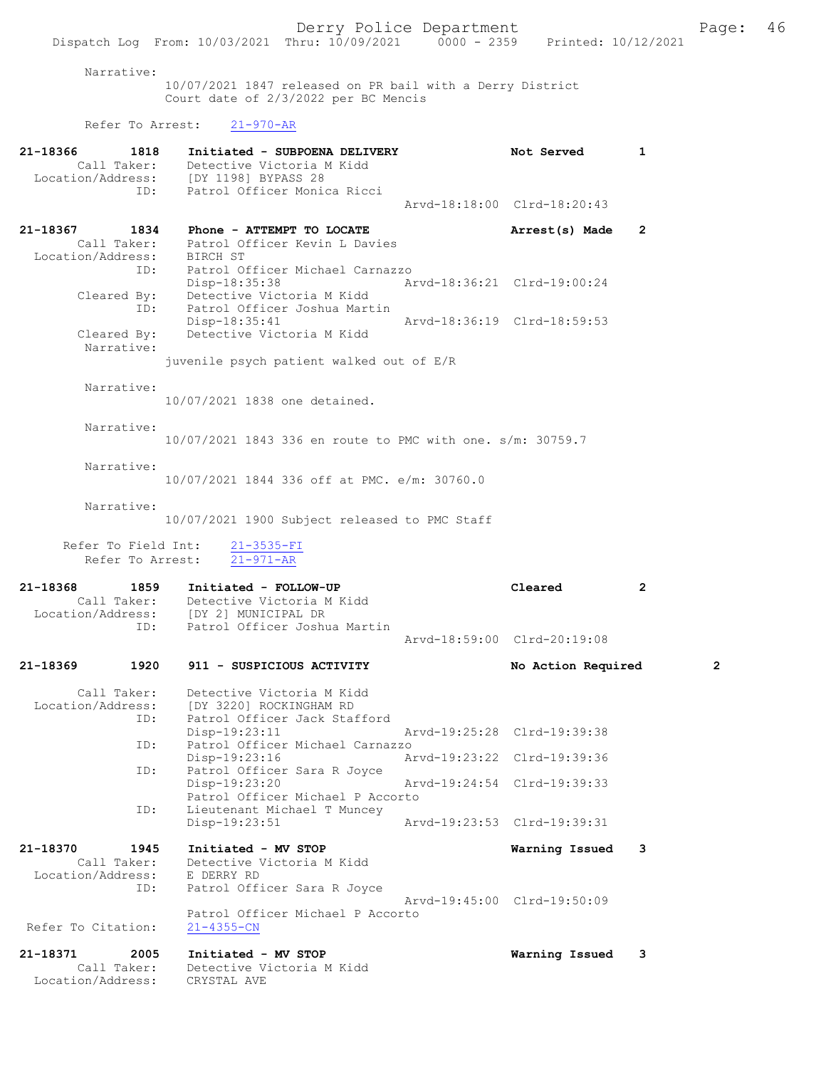# Narrative:

10/07/2021 1847 released on PR bail with a Derry District Court date of 2/3/2022 per BC Mencis

# Refer To Arrest: 21-970-AR

| 21-18366<br>1818<br>Call Taker:                             | Initiated - SUBPOENA DELIVERY<br>Detective Victoria M Kidd<br>Location/Address: [DY 1198] BYPASS 28<br>Patrol Officer Monica Ricci<br>ID: |                             | Not Served                  | 1              |
|-------------------------------------------------------------|-------------------------------------------------------------------------------------------------------------------------------------------|-----------------------------|-----------------------------|----------------|
|                                                             |                                                                                                                                           |                             | Arvd-18:18:00 Clrd-18:20:43 |                |
| 21-18367<br>1834<br>Location/Address:<br>ID:                | Phone - ATTEMPT TO LOCATE<br>Call Taker: Patrol Officer Kevin L Davies<br>BIRCH ST<br>Patrol Officer Michael Carnazzo                     |                             | Arrest(s) Made              | $\mathbf{2}$   |
| ID:                                                         | $Disp-18:35:38$<br>Cleared By: Detective Victoria M Kidd<br>Patrol Officer Joshua Martin                                                  | Arvd-18:36:21 Clrd-19:00:24 |                             |                |
| Cleared By:<br>Narrative:                                   | Disp-18:35:41<br>Detective Victoria M Kidd                                                                                                | Arvd-18:36:19 Clrd-18:59:53 |                             |                |
|                                                             | juvenile psych patient walked out of E/R                                                                                                  |                             |                             |                |
| Narrative:                                                  | 10/07/2021 1838 one detained.                                                                                                             |                             |                             |                |
| Narrative:                                                  | 10/07/2021 1843 336 en route to PMC with one. s/m: 30759.7                                                                                |                             |                             |                |
| Narrative:                                                  | 10/07/2021 1844 336 off at PMC. e/m: 30760.0                                                                                              |                             |                             |                |
| Narrative:                                                  | 10/07/2021 1900 Subject released to PMC Staff                                                                                             |                             |                             |                |
| Refer To Field Int:<br>Refer To Arrest:                     | $21 - 3535 - FI$<br>$21 - 971 - AR$                                                                                                       |                             |                             |                |
| 21-18368<br>1859<br>ID:                                     | Initiated - FOLLOW-UP<br>Call Taker: Detective Victoria M Kidd<br>Location/Address: [DY 2] MUNICIPAL DR                                   |                             | Cleared                     | $\overline{2}$ |
|                                                             | Patrol Officer Joshua Martin                                                                                                              |                             | Arvd-18:59:00 Clrd-20:19:08 |                |
| 21-18369<br>1920                                            | 911 - SUSPICIOUS ACTIVITY                                                                                                                 |                             | No Action Required          | 2              |
| Call Taker:<br>Location/Address:<br>ID:                     | Detective Victoria M Kidd<br>[DY 3220] ROCKINGHAM RD<br>Patrol Officer Jack Stafford                                                      |                             |                             |                |
| ID:                                                         | Disp-19:23:11<br>Patrol Officer Michael Carnazzo                                                                                          |                             | Arvd-19:25:28 Clrd-19:39:38 |                |
| ID:                                                         | Disp-19:23:16<br>Patrol Officer Sara R Joyce                                                                                              |                             | Arvd-19:23:22 Clrd-19:39:36 |                |
| ID:                                                         | Disp-19:23:20<br>Patrol Officer Michael P Accorto<br>Lieutenant Michael T Muncey                                                          |                             | Arvd-19:24:54 Clrd-19:39:33 |                |
|                                                             | Disp-19:23:51                                                                                                                             |                             | Arvd-19:23:53 Clrd-19:39:31 |                |
| 21-18370<br>1945<br>Call Taker:<br>Location/Address:<br>ID: | Initiated - MV STOP<br>Detective Victoria M Kidd<br>E DERRY RD<br>Patrol Officer Sara R Joyce                                             |                             | Warning Issued              | 3              |
| Refer To Citation:                                          | Patrol Officer Michael P Accorto<br>$21 - 4355 - CN$                                                                                      |                             | Arvd-19:45:00 Clrd-19:50:09 |                |
| 21-18371<br>2005<br>Call Taker:<br>Location/Address:        | Initiated - MV STOP<br>Detective Victoria M Kidd<br>CRYSTAL AVE                                                                           |                             | Warning Issued              | 3              |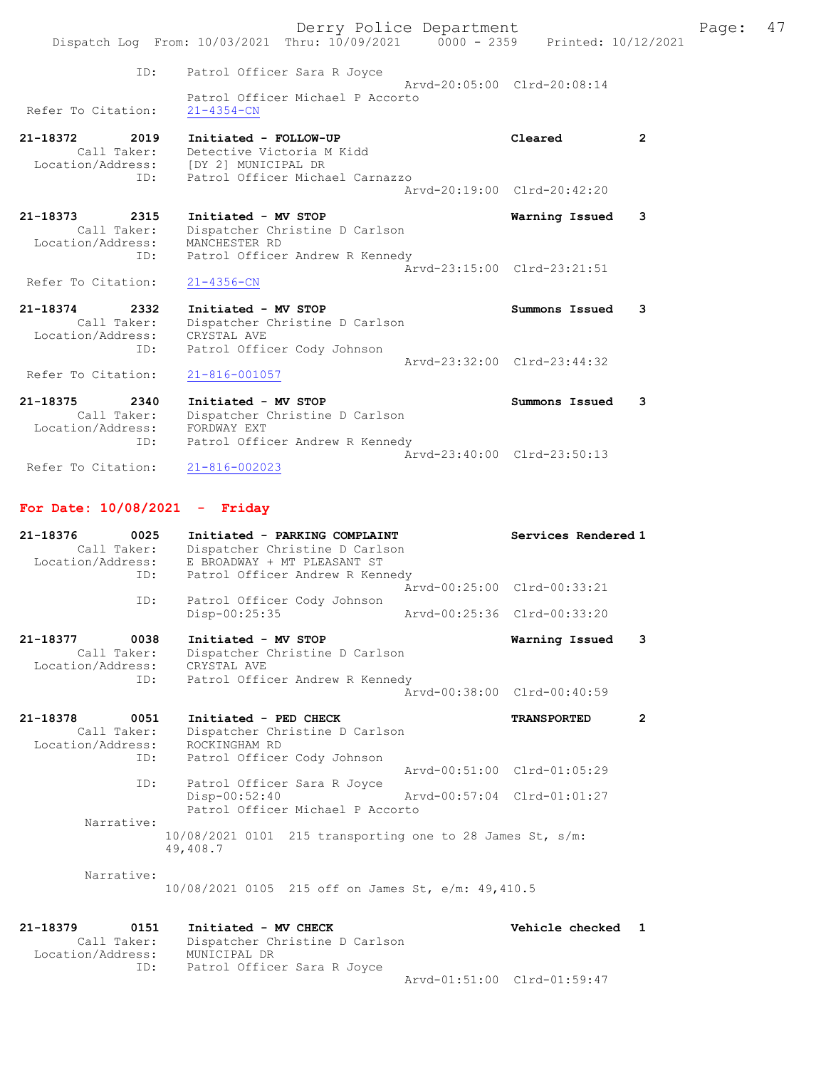|                                                                 | Derry Police Department<br>Dispatch Log From: 10/03/2021 Thru: 10/09/2021 0000 - 2359 Printed: 10/12/2021                                  |                             |              | Page: | 47 |
|-----------------------------------------------------------------|--------------------------------------------------------------------------------------------------------------------------------------------|-----------------------------|--------------|-------|----|
| ID:                                                             | Patrol Officer Sara R Joyce                                                                                                                | Aryd-20:05:00 Clrd-20:08:14 |              |       |    |
| Refer To Citation:                                              | Patrol Officer Michael P Accorto<br>$21 - 4354 - CN$                                                                                       |                             |              |       |    |
| 21-18372<br>2019<br>ID:                                         | Initiated - FOLLOW-UP<br>Call Taker: Detective Victoria M Kidd<br>Location/Address: [DY 2] MUNICIPAL DR<br>Patrol Officer Michael Carnazzo | Cleared                     | $\mathbf{2}$ |       |    |
|                                                                 |                                                                                                                                            | Aryd-20:19:00 Clrd-20:42:20 |              |       |    |
| 21-18373<br>2315<br>Call Taker:<br>Location/Address:            | Initiated - MV STOP<br>Dispatcher Christine D Carlson<br>MANCHESTER RD                                                                     | Warning Issued              | 3            |       |    |
| ID:<br>Refer To Citation:                                       | Patrol Officer Andrew R Kennedy<br>$21 - 4356 - CN$                                                                                        | Arvd-23:15:00 Clrd-23:21:51 |              |       |    |
| $21 - 18374$<br>2332<br>Call Taker:<br>Location/Address:<br>ID: | Initiated - MV STOP<br>Dispatcher Christine D Carlson<br>CRYSTAL AVE<br>Patrol Officer Cody Johnson                                        | Summons Issued              | 3            |       |    |
| Refer To Citation:                                              | $21 - 816 - 001057$                                                                                                                        | Aryd-23:32:00 Clrd-23:44:32 |              |       |    |
| $21 - 18375$<br>2340<br>Call Taker:<br>Location/Address:        | Initiated - MV STOP<br>Dispatcher Christine D Carlson<br>FORDWAY EXT                                                                       | Summons Issued              | 3            |       |    |
| ID:                                                             | Patrol Officer Andrew R Kennedy                                                                                                            | Arvd-23:40:00 Clrd-23:50:13 |              |       |    |
| Refer To Citation:                                              | $21 - 816 - 002023$                                                                                                                        |                             |              |       |    |

# For Date: 10/08/2021 - Friday

| 21-18376<br>0025<br>Call Taker:<br>Location/Address:<br>ID:                 | Initiated - PARKING COMPLAINT<br>Dispatcher Christine D Carlson<br>E BROADWAY + MT PLEASANT ST<br>Patrol Officer Andrew R Kennedy |                                                            | Services Rendered 1                           |                |
|-----------------------------------------------------------------------------|-----------------------------------------------------------------------------------------------------------------------------------|------------------------------------------------------------|-----------------------------------------------|----------------|
|                                                                             |                                                                                                                                   | Aryd-00:25:00 Clrd-00:33:21                                |                                               |                |
| ID:                                                                         | Patrol Officer Cody Johnson<br>Disp-00:25:35                                                                                      |                                                            | Arvd-00:25:36 Clrd-00:33:20                   |                |
| $21 - 18377$<br>0038<br>Call Taker:<br>Location/Address: CRYSTAL AVE<br>ID: | Initiated - MV STOP<br>Dispatcher Christine D Carlson<br>Patrol Officer Andrew R Kennedy                                          |                                                            | Warning Issued<br>Arvd-00:38:00 Clrd-00:40:59 | 3              |
|                                                                             |                                                                                                                                   |                                                            |                                               |                |
| 21-18378<br>0051<br>Call Taker:<br>Location/Address:<br>ID:                 | Initiated - PED CHECK<br>Dispatcher Christine D Carlson<br>ROCKINGHAM RD<br>Patrol Officer Cody Johnson                           |                                                            | <b>TRANSPORTED</b>                            | $\overline{2}$ |
| ID:                                                                         | Patrol Officer Sara R Joyce<br>Disp-00:52:40<br>Patrol Officer Michael P Accorto                                                  | Arvd-00:51:00 Clrd-01:05:29<br>Aryd-00:57:04 Clrd-01:01:27 |                                               |                |
| Narrative:                                                                  | $10/08/2021$ 0101 215 transporting one to 28 James St, s/m:<br>49,408.7                                                           |                                                            |                                               |                |
| Narrative:                                                                  | 10/08/2021 0105 215 off on James St, e/m: 49,410.5                                                                                |                                                            |                                               |                |

| 21-18379          | 0151        | Initiated - MV CHECK           | Vehicle checked 1           |  |
|-------------------|-------------|--------------------------------|-----------------------------|--|
|                   | Call Taker: | Dispatcher Christine D Carlson |                             |  |
| Location/Address: |             | MUNICIPAL DR                   |                             |  |
|                   | ID:         | Patrol Officer Sara R Joyce    |                             |  |
|                   |             |                                | Arvd-01:51:00 Clrd-01:59:47 |  |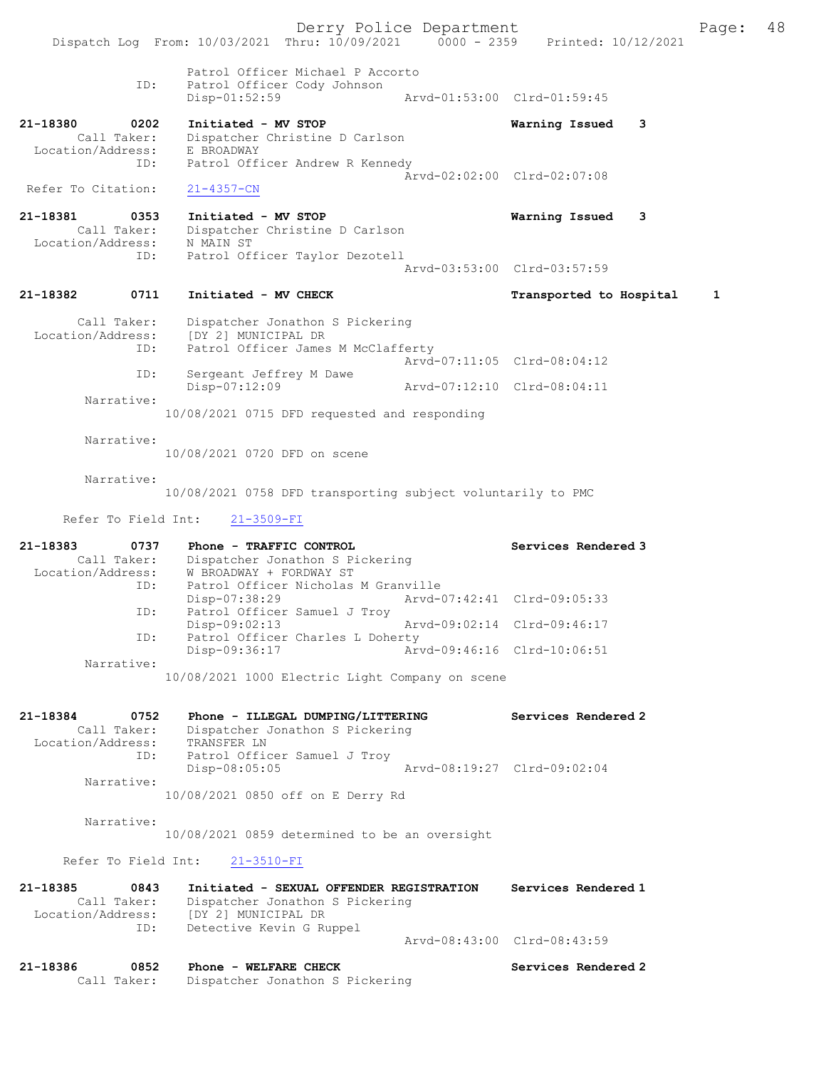Derry Police Department The Page: 48 Dispatch Log From: 10/03/2021 Thru: 10/09/2021 0000 - 2359 Printed: 10/12/2021 Patrol Officer Michael P Accorto ID: Patrol Officer Cody Johnson<br>Disp-01:52:59 Disp-01:52:59 Arvd-01:53:00 Clrd-01:59:45 21-18380 0202 Initiated - MV STOP Warning Issued 3 Call Taker: Dispatcher Christine D Carlson Location/Address: E BROADWAY ID: Patrol Officer Andrew R Kennedy Arvd-02:02:00 Clrd-02:07:08 Refer To Citation: 21-4357-CN 21-18381 0353 Initiated - MV STOP Warning Issued 3 Call Taker: Dispatcher Christine D Carlson<br>ion/Address: N MAIN ST Location/Address:<br>ID: Patrol Officer Taylor Dezotell Arvd-03:53:00 Clrd-03:57:59 21-18382 0711 Initiated - MV CHECK Transported to Hospital 1 Call Taker: Dispatcher Jonathon S Pickering Location/Address: [DY 2] MUNICIPAL DR ID: Patrol Officer James M McClafferty Arvd-07:11:05 Clrd-08:04:12 ID: Sergeant Jeffrey M Dawe Disp-07:12:09 Arvd-07:12:10 Clrd-08:04:11 Narrative: 10/08/2021 0715 DFD requested and responding Narrative: 10/08/2021 0720 DFD on scene Narrative: 10/08/2021 0758 DFD transporting subject voluntarily to PMC Refer To Field Int: 21-3509-FI 21-18383 0737 Phone - TRAFFIC CONTROL Services Rendered 3 Call Taker: Dispatcher Jonathon S Pickering Location/Address: W BROADWAY + FORDWAY ST ID: Patrol Officer Nicholas M Granville<br>Disp-07:38:29 Arvd-0<br>Th: Patrol Office Disp-07:38:29 Arvd-07:42:41 Clrd-09:05:33 ID: Patrol Officer Samuel J Troy Disp-09:02:13 Arvd-09:02:14 Clrd-09:46:17<br>TD: Patrol Officer Charles L Doberty Patrol Officer Charles L Doherty<br>Disp-09:36:17 Ary Arvd-09:46:16 Clrd-10:06:51 Narrative: 10/08/2021 1000 Electric Light Company on scene 21-18384 0752 Phone - ILLEGAL DUMPING/LITTERING Services Rendered 2 Call Taker: Dispatcher Jonathon S Pickering Location/Address: TRANSFER LN ID: Patrol Offic Patrol Officer Samuel J Troy<br>Disp-08:05:05 Disp-08:05:05 Arvd-08:19:27 Clrd-09:02:04 Narrative: 10/08/2021 0850 off on E Derry Rd Narrative: 10/08/2021 0859 determined to be an oversight Refer To Field Int: 21-3510-FI 21-18385 0843 Initiated - SEXUAL OFFENDER REGISTRATION Services Rendered 1 Call Taker: Dispatcher Jonathon S Pickering Location/Address: [DY 2] MUNICIPAL DR ID: Detective Kevin G Ruppel Arvd-08:43:00 Clrd-08:43:59 21-18386 0852 Phone - WELFARE CHECK CHECK Services Rendered 2<br>Call Taker: Dispatcher Jonathon S Pickering Dispatcher Jonathon S Pickering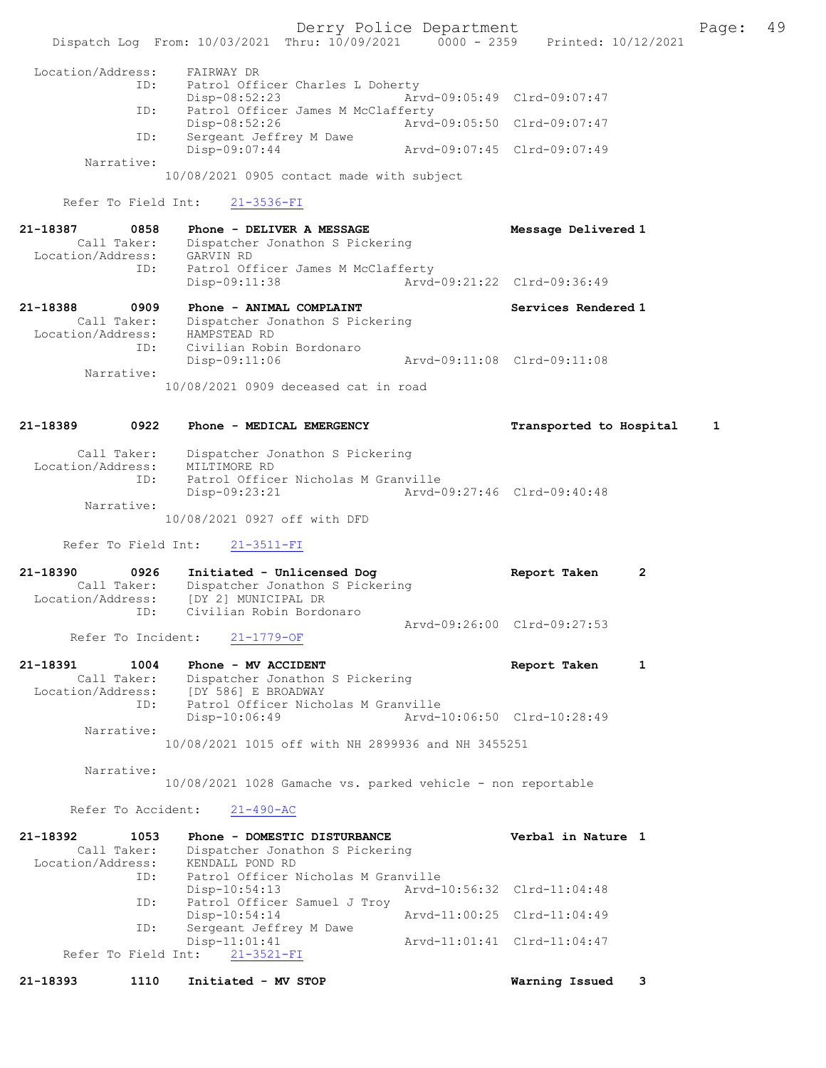Derry Police Department Fage: 49 Dispatch Log From: 10/03/2021 Thru: 10/09/2021 0000 - 2359 Printed: 10/12/2021 Location/Address: FAIRWAY DR ID: Patrol Officer Charles L Doherty Disp-08:52:23 Arvd-09:05:49 Clrd-09:07:47 ID: Patrol Officer James M McClafferty<br>Disp-08:52:26 Arvd- Disp-08:52:26 Arvd-09:05:50 Clrd-09:07:47 ID: Sergeant Jeffrey M Dawe Disp-09:07:44 Arvd-09:07:45 Clrd-09:07:49 Narrative: 10/08/2021 0905 contact made with subject Refer To Field Int: 21-3536-FI 21-18387 0858 Phone - DELIVER A MESSAGE Message Delivered 1 Call Taker: Dispatcher Jonathon S Pickering Location/Address: GARVIN RD ID: Patrol Officer James M McClafferty Disp-09:11:38 Arvd-09:21:22 Clrd-09:36:49 21-18388 0909 Phone - ANIMAL COMPLAINT Services Rendered 1 Call Taker: Dispatcher Jonathon S Pickering Location/Address: HAMPSTEAD RD ID: Civilian Robin Bordonaro Disp-09:11:06 Arvd-09:11:08 Clrd-09:11:08 Narrative: 10/08/2021 0909 deceased cat in road 21-18389 0922 Phone - MEDICAL EMERGENCY Transported to Hospital 1 Call Taker: Dispatcher Jonathon S Pickering Location/Address: MILTIMORE RD ID: Patrol Officer Nicholas M Granville Disp-09:23:21 Arvd-09:27:46 Clrd-09:40:48 Narrative: 10/08/2021 0927 off with DFD Refer To Field Int: 21-3511-FI 21-18390 0926 Initiated - Unlicensed Dog Report Taken 2 Call Taker: Dispatcher Jonathon S Pickering Call Taker: Dispatcher Jonathon<br>Location/Address: [DY 2] MUNICIPAL DR<br>Civilian Pobin Dorde ID: Civilian Robin Bordonaro Arvd-09:26:00 Clrd-09:27:53<br>21-1779-OF Refer To Incident: 21-18391 1004 Phone - MV ACCIDENT 1 21-18391 Report Taken 1 Call Taker: Dispatcher Jonathon S Pickering Location/Address: [DY 586] E BROADWAY ID: Patrol Officer Nicholas M Granville Disp-10:06:49 Arvd-10:06:50 Clrd-10:28:49 Narrative: 10/08/2021 1015 off with NH 2899936 and NH 3455251 Narrative: 10/08/2021 1028 Gamache vs. parked vehicle - non reportable Refer To Accident: 21-490-AC 21-18392 1053 Phone - DOMESTIC DISTURBANCE Verbal in Nature 1 Call Taker: Dispatcher Jonathon S Pickering Location/Address: KENDALL POND RD ID: Patrol Officer Nicholas M Granville Disp-10:54:13 Arvd-10:56:32 Clrd-11:04:48 ID: Patrol Officer Samuel J Troy<br>Disp-10:54:14 Disp-10:54:14 Arvd-11:00:25 Clrd-11:04:49 ID: Sergeant Jeffrey M Dawe Disp-11:01:41 Arvd-11:01:41 Clrd-11:04:47 Refer To Field Int: 21-3521-FI 21-18393 1110 Initiated - MV STOP Warning Issued 3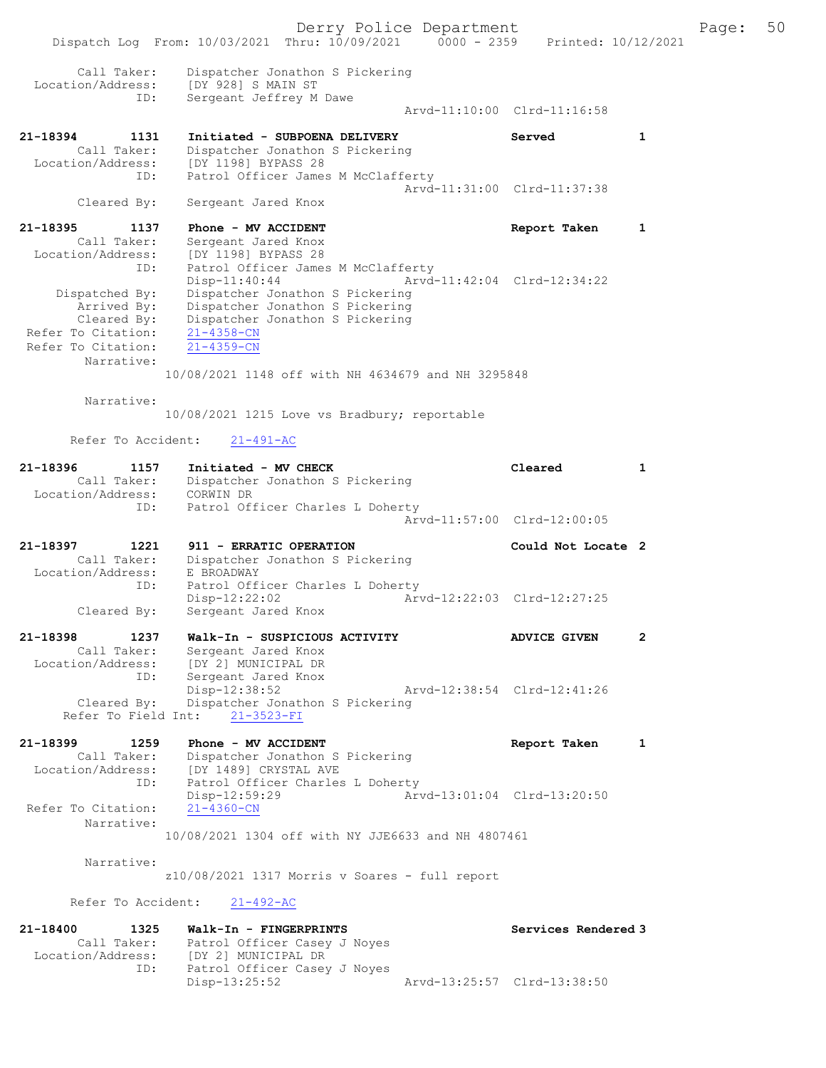Derry Police Department Fage: 50 Dispatch Log From: 10/03/2021 Thru: 10/09/2021 0000 - 2359 Printed: 10/12/2021 Call Taker: Dispatcher Jonathon S Pickering Location/Address: [DY 928] S MAIN ST ID: Sergeant Jeffrey M Dawe Arvd-11:10:00 Clrd-11:16:58 21-18394 1131 Initiated - SUBPOENA DELIVERY Served 1 Call Taker: Dispatcher Jonathon S Pickering Location/Address: [DY 1198] BYPASS 28 ID: Patrol Officer James M McClafferty Arvd-11:31:00 Clrd-11:37:38 Cleared By: Sergeant Jared Knox 21-18395 1137 Phone - MV ACCIDENT Report Taken 1 Call Taker: Sergeant Jared Knox Location/Address: [DY 1198] BYPASS 28 ID: Patrol Officer James M McClafferty Disp-11:40:44 Arvd-11:42:04 Clrd-12:34:22 Dispatched By: Dispatcher Jonathon S Pickering Arrived By: Dispatcher Jonathon S Pickering Cleared By: Dispatcher Jonathon S Pickering Refer To Citation: 21-4358-CN Refer To Citation: 21-4359-CN Narrative: 10/08/2021 1148 off with NH 4634679 and NH 3295848 Narrative: 10/08/2021 1215 Love vs Bradbury; reportable Refer To Accident: 21-491-AC 21-18396 1157 Initiated - MV CHECK Cleared 1 Call Taker: Dispatcher Jonathon S Pickering Location/Address: CORWIN DR ID: Patrol Officer Charles L Doherty Arvd-11:57:00 Clrd-12:00:05 21-18397 1221 911 - ERRATIC OPERATION Could Not Locate 2 Call Taker: Dispatcher Jonathon S Pickering Location/Address: E BROADWAY ID: Patrol Officer Charles L Doherty Disp-12:22:02 Arvd-12:22:03 Clrd-12:27:25 Cleared By: Sergeant Jared Knox 21-18398 1237 Walk-In - SUSPICIOUS ACTIVITY ADVICE GIVEN 2 Call Taker: Sergeant Jared Knox Location/Address: [DY 2] MUNICIPAL DR ID: Sergeant Jared Knox Disp-12:38:52 Arvd-12:38:54 Clrd-12:41:26 Cleared By: Dispatcher Jonathon S Pickering Refer To Field Int: 21-3523-FI 21-18399 1259 Phone - MV ACCIDENT Report Taken 1 Call Taker: Dispatcher Jonathon S Pickering Location/Address: [DY 1489] CRYSTAL AVE ID: Patrol Officer Charles L Doherty Disp-12:59:29 Arvd-13:01:04 Clrd-13:20:50 Refer To Citation: Narrative: 10/08/2021 1304 off with NY JJE6633 and NH 4807461 Narrative: z10/08/2021 1317 Morris v Soares - full report Refer To Accident: 21-492-AC 21-18400 1325 Walk-In - FINGERPRINTS Services Rendered 3 Call Taker: Patrol Officer Casey J Noyes Location/Address: [DY 2] MUNICIPAL DR<br>ID: Patrol Officer Casey J<br>Disp-13:25:52 Patrol Officer Casey J Noyes Disp-13:25:52 Arvd-13:25:57 Clrd-13:38:50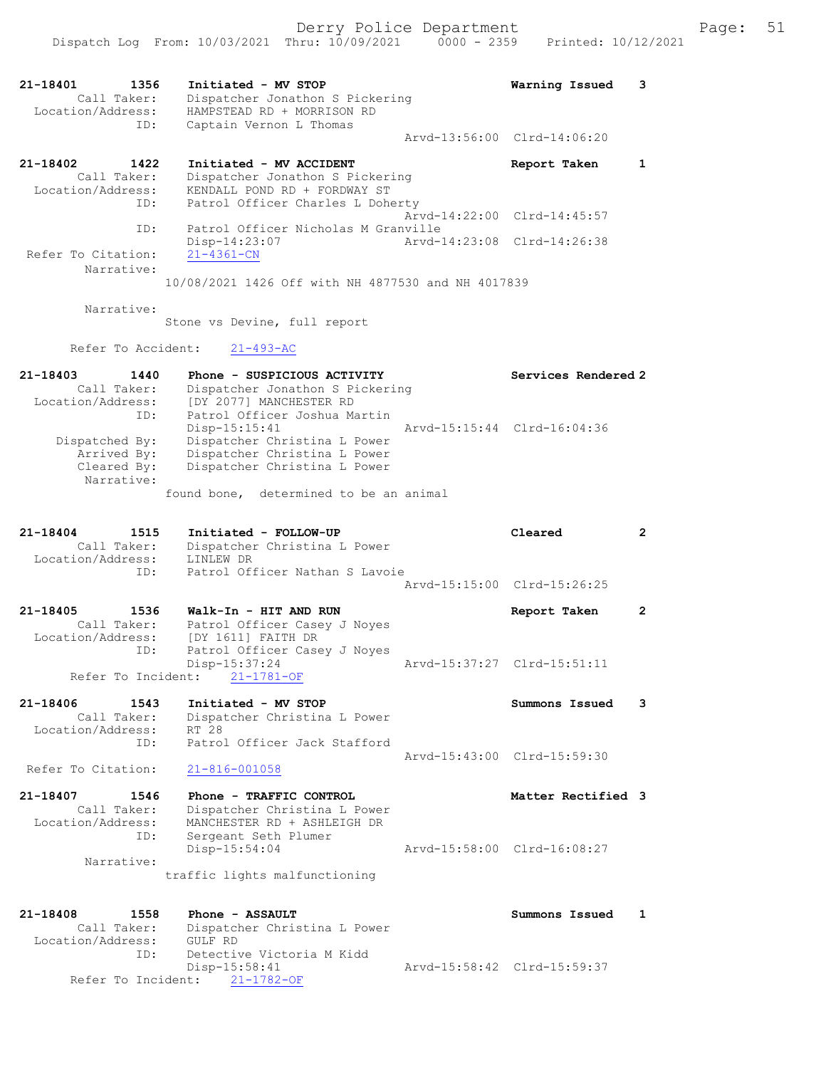|                                                             | Dispatch Log From: 10/03/2021 Thru: 10/09/2021                                                                                                  | $0000 - 2359$ | Printed: 10/12/2021         |              |
|-------------------------------------------------------------|-------------------------------------------------------------------------------------------------------------------------------------------------|---------------|-----------------------------|--------------|
| 21-18401<br>1356<br>Call Taker:<br>Location/Address:<br>ID: | Initiated - MV STOP<br>Dispatcher Jonathon S Pickering<br>HAMPSTEAD RD + MORRISON RD<br>Captain Vernon L Thomas                                 |               | Warning Issued              | 3            |
|                                                             |                                                                                                                                                 |               | Arvd-13:56:00 Clrd-14:06:20 |              |
| 21-18402<br>1422<br>Call Taker:<br>Location/Address:<br>ID: | Initiated - MV ACCIDENT<br>Dispatcher Jonathon S Pickering<br>KENDALL POND RD + FORDWAY ST<br>Patrol Officer Charles L Doherty                  |               | Report Taken                | 1            |
|                                                             |                                                                                                                                                 |               | Arvd-14:22:00 Clrd-14:45:57 |              |
| ID:<br>Refer To Citation:<br>Narrative:                     | Patrol Officer Nicholas M Granville<br>Disp-14:23:07<br>$21 - 4361 - CN$<br>10/08/2021 1426 Off with NH 4877530 and NH 4017839                  |               | Arvd-14:23:08 Clrd-14:26:38 |              |
| Narrative:                                                  |                                                                                                                                                 |               |                             |              |
|                                                             | Stone vs Devine, full report                                                                                                                    |               |                             |              |
| Refer To Accident:                                          | $21 - 493 - AC$                                                                                                                                 |               |                             |              |
| 21-18403<br>1440<br>Call Taker:<br>Location/Address:        | Phone - SUSPICIOUS ACTIVITY<br>Dispatcher Jonathon S Pickering<br>[DY 2077] MANCHESTER RD                                                       |               | Services Rendered 2         |              |
| ID:<br>Dispatched By:<br>Arrived By:<br>Cleared By:         | Patrol Officer Joshua Martin<br>$Disp-15:15:41$<br>Dispatcher Christina L Power<br>Dispatcher Christina L Power<br>Dispatcher Christina L Power |               | Arvd-15:15:44 Clrd-16:04:36 |              |
| Narrative:                                                  | found bone, determined to be an animal                                                                                                          |               |                             |              |
|                                                             |                                                                                                                                                 |               |                             |              |
| 21-18404<br>1515<br>Call Taker:<br>Location/Address:        | Initiated - FOLLOW-UP<br>Dispatcher Christina L Power<br>LINLEW DR                                                                              |               | Cleared                     | $\mathbf{2}$ |
| ID:                                                         | Patrol Officer Nathan S Lavoie                                                                                                                  |               | Arvd-15:15:00 Clrd-15:26:25 |              |
| 21-18405<br>1536                                            | Walk-In - HIT AND RUN                                                                                                                           |               | Report Taken                | 2            |
| Call Taker:<br>Location/Address:<br>ID:                     | Patrol Officer Casey J Noyes<br>[DY 1611] FAITH DR<br>Patrol Officer Casey J Noyes                                                              |               |                             |              |
| Refer To Incident:                                          | Disp-15:37:24<br>$21 - 1781 - OF$                                                                                                               |               | Arvd-15:37:27 Clrd-15:51:11 |              |
| 21-18406<br>1543<br>Call Taker:<br>Location/Address:        | Initiated - MV STOP<br>Dispatcher Christina L Power<br>RT 28                                                                                    |               | Summons Issued              | 3            |
| ID:                                                         | Patrol Officer Jack Stafford                                                                                                                    |               |                             |              |
| Refer To Citation:                                          | $21 - 816 - 001058$                                                                                                                             |               | Arvd-15:43:00 Clrd-15:59:30 |              |
| 21-18407<br>1546<br>Call Taker:<br>Location/Address:<br>ID: | Phone - TRAFFIC CONTROL<br>Dispatcher Christina L Power<br>MANCHESTER RD + ASHLEIGH DR<br>Sergeant Seth Plumer                                  |               | Matter Rectified 3          |              |
|                                                             | $Disp-15:54:04$                                                                                                                                 |               | Arvd-15:58:00 Clrd-16:08:27 |              |
| Narrative:                                                  | traffic lights malfunctioning                                                                                                                   |               |                             |              |
| 21-18408<br>1558<br>Call Taker:                             | Phone - ASSAULT<br>Dispatcher Christina L Power                                                                                                 |               | Summons Issued              | 1            |
| Location/Address:<br>ID:                                    | GULF RD<br>Detective Victoria M Kidd<br>Disp-15:58:41<br>Refer To Incident: 21-1782-OF                                                          |               | Arvd-15:58:42 Clrd-15:59:37 |              |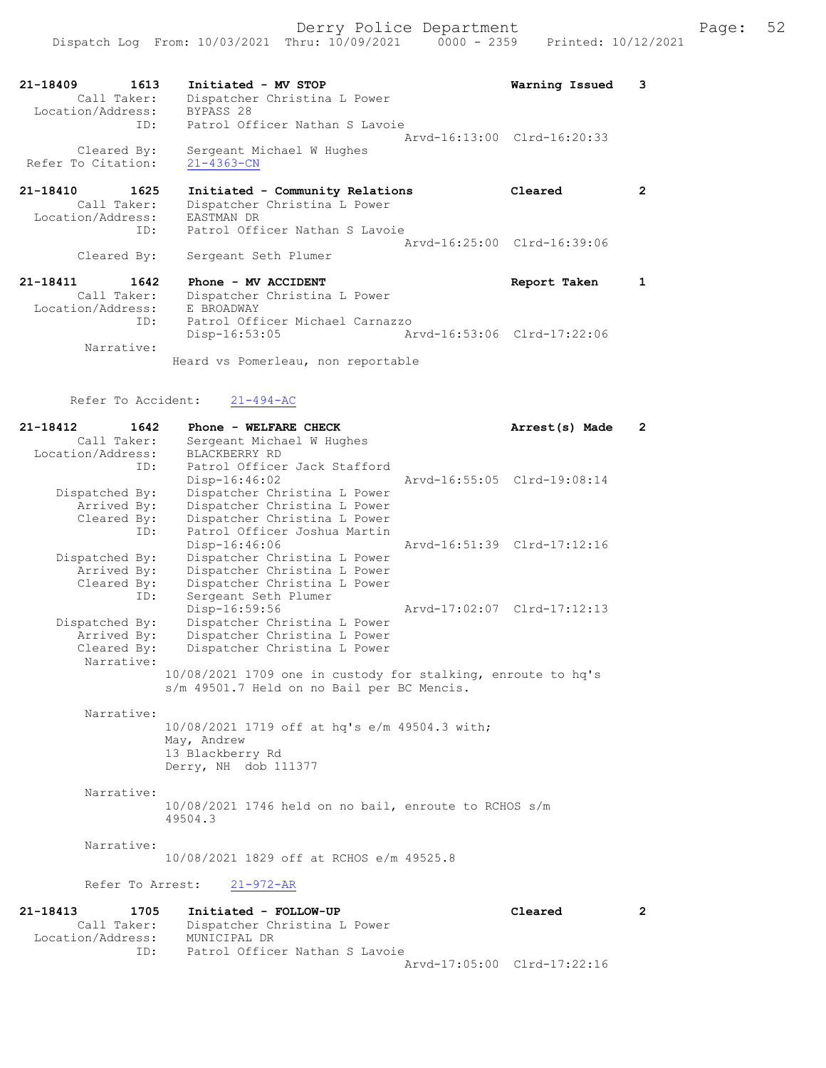| 21-18409<br>1613<br>Call Taker:                             | Initiated - MV STOP<br>Dispatcher Christina L Power                                                             | Warning Issued              | з |
|-------------------------------------------------------------|-----------------------------------------------------------------------------------------------------------------|-----------------------------|---|
| Location/Address:<br>ID:                                    | BYPASS 28<br>Patrol Officer Nathan S Lavoie                                                                     | Aryd-16:13:00 Clrd-16:20:33 |   |
| Cleared By:<br>Refer To Citation:                           | Sergeant Michael W Hughes<br>$21 - 4363 - CN$                                                                   |                             |   |
| 21-18410<br>1625<br>Call Taker:<br>Location/Address:<br>ID: | Initiated - Community Relations<br>Dispatcher Christina L Power<br>EASTMAN DR<br>Patrol Officer Nathan S Lavoie | Cleared                     | 2 |
| Cleared By:                                                 | Sergeant Seth Plumer                                                                                            | Arvd-16:25:00 Clrd-16:39:06 |   |

| 21-18411          | 1642        | Phone - MV ACCIDENT                |                             | Report Taken |  |
|-------------------|-------------|------------------------------------|-----------------------------|--------------|--|
|                   | Call Taker: | Dispatcher Christina L Power       |                             |              |  |
| Location/Address: |             | E BROADWAY                         |                             |              |  |
|                   | ID:         | Patrol Officer Michael Carnazzo    |                             |              |  |
|                   |             | Disp-16:53:05                      | Arvd-16:53:06 Clrd-17:22:06 |              |  |
|                   | Narrative:  |                                    |                             |              |  |
|                   |             | Heard vs Pomerleau, non reportable |                             |              |  |

# Refer To Accident:  $21-494-AC$

ID: Patrol Officer Nathan S Lavoie

| 21-18412<br>1642          | Phone - WELFARE CHECK                                                                                      | Arrest(s) Made              | $\mathbf{2}^{\circ}$ |
|---------------------------|------------------------------------------------------------------------------------------------------------|-----------------------------|----------------------|
| Call Taker:               | Sergeant Michael W Hughes                                                                                  |                             |                      |
| Location/Address:         | BLACKBERRY RD                                                                                              |                             |                      |
| ID:                       | Patrol Officer Jack Stafford                                                                               |                             |                      |
|                           | $Disp-16:46:02$                                                                                            | Aryd-16:55:05 Clrd-19:08:14 |                      |
| Dispatched By:            | Dispatcher Christina L Power                                                                               |                             |                      |
| Arrived By:               | Dispatcher Christina L Power                                                                               |                             |                      |
| Cleared By:               | Dispatcher Christina L Power                                                                               |                             |                      |
| ID:                       | Patrol Officer Joshua Martin                                                                               |                             |                      |
|                           | Disp-16:46:06                                                                                              | Arvd-16:51:39 Clrd-17:12:16 |                      |
| Dispatched By:            | Dispatcher Christina L Power                                                                               |                             |                      |
| Arrived By:               | Dispatcher Christina L Power                                                                               |                             |                      |
| Cleared By:               | Dispatcher Christina L Power                                                                               |                             |                      |
| ID:                       | Sergeant Seth Plumer                                                                                       |                             |                      |
|                           | Disp-16:59:56                                                                                              | Arvd-17:02:07 Clrd-17:12:13 |                      |
| Dispatched By:            | Dispatcher Christina L Power                                                                               |                             |                      |
| Arrived By:               | Dispatcher Christina L Power                                                                               |                             |                      |
| Cleared By:<br>Narrative: | Dispatcher Christina L Power                                                                               |                             |                      |
|                           |                                                                                                            |                             |                      |
|                           | 10/08/2021 1709 one in custody for stalking, enroute to hq's<br>s/m 49501.7 Held on no Bail per BC Mencis. |                             |                      |
|                           |                                                                                                            |                             |                      |
| Narrative:                |                                                                                                            |                             |                      |
|                           | 10/08/2021 1719 off at hq's e/m 49504.3 with;                                                              |                             |                      |
|                           | May, Andrew                                                                                                |                             |                      |
|                           | 13 Blackberry Rd                                                                                           |                             |                      |
|                           | Derry, NH dob 111377                                                                                       |                             |                      |
|                           |                                                                                                            |                             |                      |
| Narrative:                |                                                                                                            |                             |                      |
|                           | $10/08/2021$ 1746 held on no bail, enroute to RCHOS s/m                                                    |                             |                      |
|                           | 49504.3                                                                                                    |                             |                      |
|                           |                                                                                                            |                             |                      |
| Narrative:                |                                                                                                            |                             |                      |
|                           | 10/08/2021 1829 off at RCHOS e/m 49525.8                                                                   |                             |                      |
|                           |                                                                                                            |                             |                      |
| Refer To Arrest:          | $21 - 972 - AR$                                                                                            |                             |                      |
|                           |                                                                                                            |                             |                      |
| 21-18413<br>1705          | Initiated - FOLLOW-UP                                                                                      | Cleared                     | $\overline{2}$       |
| Call Taker:               | Dispatcher Christina L Power                                                                               |                             |                      |
| Location/Address:         | MUNICIPAL DR                                                                                               |                             |                      |

Arvd-17:05:00 Clrd-17:22:16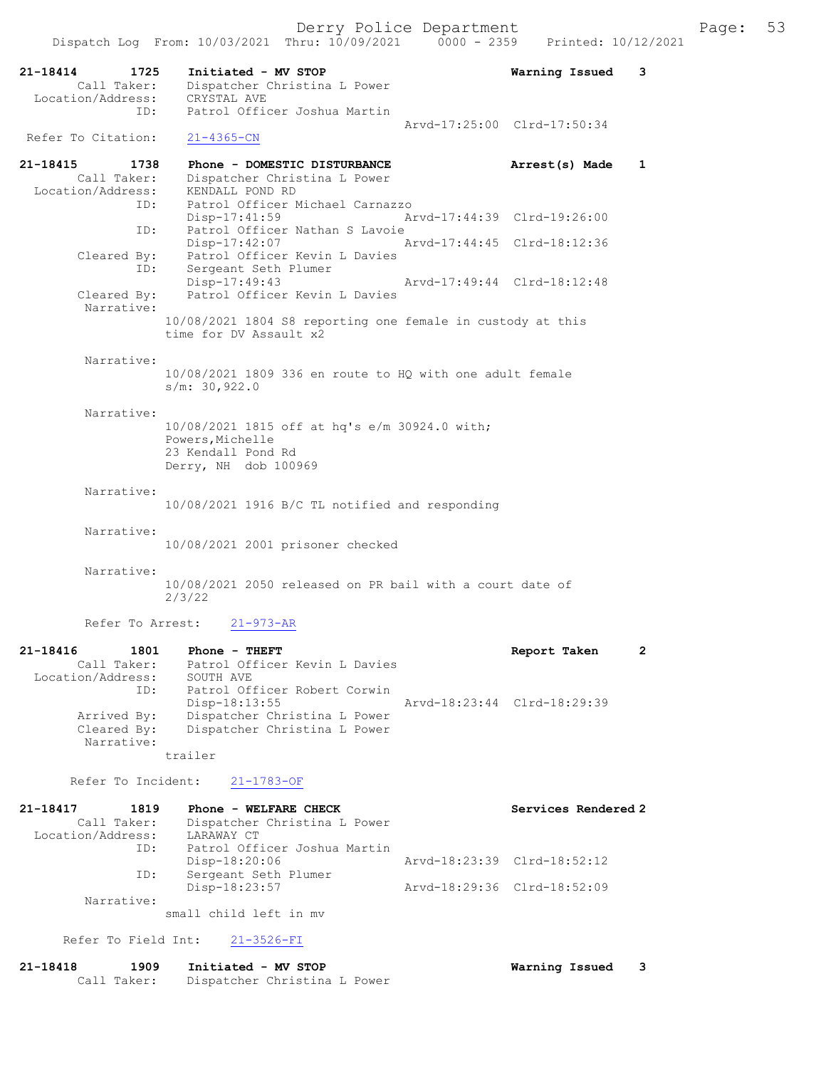|                                                             | Dispatch Log From: 10/03/2021 Thru: 10/09/2021 0000 - 2359                                                         |                             | Printed: 10/12/2021         |              |
|-------------------------------------------------------------|--------------------------------------------------------------------------------------------------------------------|-----------------------------|-----------------------------|--------------|
| 21-18414<br>1725<br>Call Taker:<br>Location/Address:<br>ID: | Initiated - MV STOP<br>Dispatcher Christina L Power<br>CRYSTAL AVE<br>Patrol Officer Joshua Martin                 |                             | Warning Issued              | 3            |
| Refer To Citation:                                          | $21 - 4365 - CN$                                                                                                   | Arvd-17:25:00 Clrd-17:50:34 |                             |              |
| 21-18415<br>1738<br>Call Taker:<br>Location/Address:<br>ID: | Phone - DOMESTIC DISTURBANCE<br>Dispatcher Christina L Power<br>KENDALL POND RD<br>Patrol Officer Michael Carnazzo |                             | Arrest(s) Made              | $\mathbf{1}$ |
| ID:                                                         | Disp-17:41:59<br>Patrol Officer Nathan S Lavoie                                                                    | Arvd-17:44:39 Clrd-19:26:00 |                             |              |
| Cleared By:<br>ID:                                          | Disp-17:42:07<br>Patrol Officer Kevin L Davies<br>Sergeant Seth Plumer                                             | Arvd-17:44:45 Clrd-18:12:36 |                             |              |
| Cleared By:<br>Narrative:                                   | Disp-17:49:43<br>Patrol Officer Kevin L Davies                                                                     | Arvd-17:49:44 Clrd-18:12:48 |                             |              |
|                                                             | 10/08/2021 1804 S8 reporting one female in custody at this<br>time for DV Assault x2                               |                             |                             |              |
| Narrative:                                                  | 10/08/2021 1809 336 en route to HQ with one adult female<br>s/m: 30,922.0                                          |                             |                             |              |
| Narrative:                                                  | 10/08/2021 1815 off at hq's e/m 30924.0 with;<br>Powers, Michelle<br>23 Kendall Pond Rd<br>Derry, NH dob 100969    |                             |                             |              |
| Narrative:                                                  | 10/08/2021 1916 B/C TL notified and responding                                                                     |                             |                             |              |
| Narrative:                                                  | 10/08/2021 2001 prisoner checked                                                                                   |                             |                             |              |
| Narrative:                                                  | 10/08/2021 2050 released on PR bail with a court date of<br>2/3/22                                                 |                             |                             |              |
| Refer To Arrest:                                            | $21 - 973 - AR$                                                                                                    |                             |                             |              |
| 21-18416<br>1801<br>Call Taker:<br>Location/Address:<br>ID: | Phone - THEFT<br>Patrol Officer Kevin L Davies<br>SOUTH AVE<br>Patrol Officer Robert Corwin                        |                             | Report Taken                | $\mathbf{2}$ |
| Arrived By:<br>Cleared By:<br>Narrative:                    | $Disp-18:13:55$<br>Dispatcher Christina L Power<br>Dispatcher Christina L Power                                    |                             | Arvd-18:23:44 Clrd-18:29:39 |              |
|                                                             | trailer                                                                                                            |                             |                             |              |
| Refer To Incident:                                          | $21 - 1783 - OF$                                                                                                   |                             |                             |              |
| 21-18417<br>1819<br>Call Taker:<br>Location/Address:        | Phone - WELFARE CHECK<br>Dispatcher Christina L Power<br>LARAWAY CT<br>Patrol Officer Joshua Martin                |                             | Services Rendered 2         |              |
| ID:<br>ID:                                                  | Disp-18:20:06<br>Sergeant Seth Plumer                                                                              | Arvd-18:23:39 Clrd-18:52:12 |                             |              |
| Narrative:                                                  | Disp-18:23:57                                                                                                      | Arvd-18:29:36 Clrd-18:52:09 |                             |              |
|                                                             |                                                                                                                    |                             |                             |              |

small child left in mv

Refer To Field Int: 21-3526-FI

| 21-18418 | 1909        | Initiated - MV STOP          | Warning Issued |  |
|----------|-------------|------------------------------|----------------|--|
|          | Call Taker: | Dispatcher Christina L Power |                |  |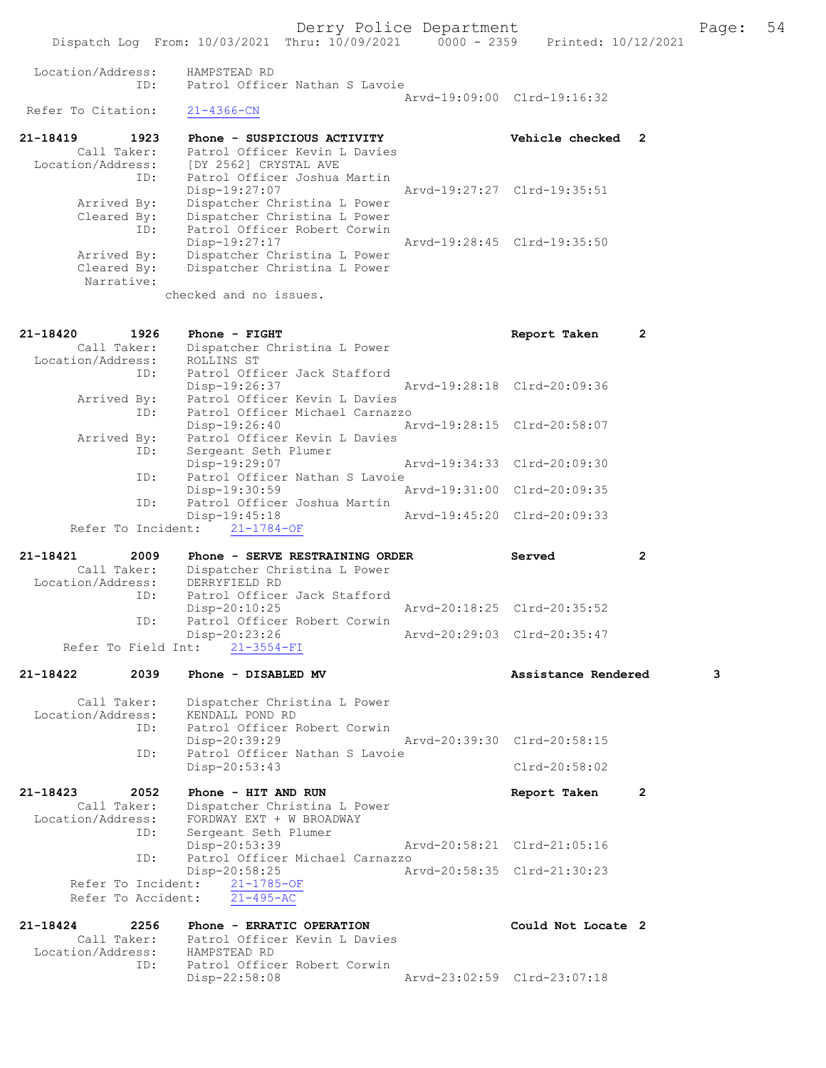Dispatch Log From: 10/03/2021 Thru: 10/09/2021 0000 - 2359 Printed: 10/12/2021 Location/Address: HAMPSTEAD RD ID: Patrol Officer Nathan S Lavoie Arvd-19:09:00 Clrd-19:16:32<br>21-4366-CN Refer To Citation: 21-18419 1923 Phone - SUSPICIOUS ACTIVITY Vehicle checked 2 Call Taker: Patrol Officer Kevin L Davies Location/Address: [DY 2562] CRYSTAL AVE ID: Patrol Officer Joshua Martin Disp-19:27:07 Arvd-19:27:27 Clrd-19:35:51 Arrived By: Dispatcher Christina L Power Cleared By: Dispatcher Christina L Power ID: Patrol Officer Robert Corwin Disp-19:27:17 Arvd-19:28:45 Clrd-19:35:50 Arrived By: Dispatcher Christina L Power Cleared By: Dispatcher Christina L Power Narrative: checked and no issues. 21-18420 1926 Phone - FIGHT Report Taken 2 Call Taker: Dispatcher Christina L Power Location/Address: ROLLINS ST ID: Patrol Officer Jack Stafford Disp-19:26:37 Arvd-19:28:18 Clrd-20:09:36 Arrived By: Patrol Officer Kevin L Davies ID: Patrol Officer Michael Carnazzo Disp-19:26:40 Arvd-19:28:15 Clrd-20:58:07 Arrived By: Patrol Officer Kevin L Davies ID: Sergeant Seth Plumer Disp-19:29:07 Arvd-19:34:33 Clrd-20:09:30 ID: Patrol Officer Nathan S Lavoie Disp-19:30:59 Arvd-19:31:00 Clrd-20:09:35<br>TD: Patrol Officer Joshua Martin Patrol Officer Joshua Martin Disp-19:45:18 Arvd-19:45:20 Clrd-20:09:33 Refer To Incident: 21-1784-OF 21-18421 2009 Phone - SERVE RESTRAINING ORDER Served 2 Call Taker: Dispatcher Christina L Power Location/Address: DERRYFIELD RD ID: Patrol Officer Jack Stafford Disp-20:10:25 Arvd-20:18:25 Clrd-20:35:52<br>TD: Patrol Officer Robert Corwin Patrol Officer Robert Corwin<br>Disp-20:23:26 Disp-20:23:26 Arvd-20:29:03 Clrd-20:35:47 Refer To Field Int: 21-3554-FI 21-18422 2039 Phone - DISABLED MV Assistance Rendered 3 Call Taker: Dispatcher Christina L Power Location/Address: KENDALL POND RD ID: Patrol Officer Robert Corwin<br>Disp-20:39:29 Disp-20:39:29 Arvd-20:39:30 Clrd-20:58:15<br>ID: Patrol Officer Nathan S Lavoie Patrol Officer Nathan S Lavoie Disp-20:53:43 Clrd-20:58:02 21-18423 2052 Phone - HIT AND RUN Report Taken 2 Call Taker: Dispatcher Christina L Power Location/Address: FORDWAY EXT + W BROADWAY ID: Sergeant Seth Plumer Disp-20:53:39 Arvd-20:58:21 Clrd-21:05:16 ID: Patrol Officer Michael Carnazzo Disp-20:58:25 Arvd-20:58:35 Clrd-21:30:23 Refer To Incident:  $\frac{21-1785-OF}{21-495-AC}$ Refer To Accident: 21-18424 2256 Phone - ERRATIC OPERATION Could Not Locate 2 Call Taker: Patrol Officer Kevin L Davies

 Location/Address: HAMPSTEAD RD ID: Patrol Officer Robert Corwin<br>Disp-22:58:08 Disp-22:58:08 Arvd-23:02:59 Clrd-23:07:18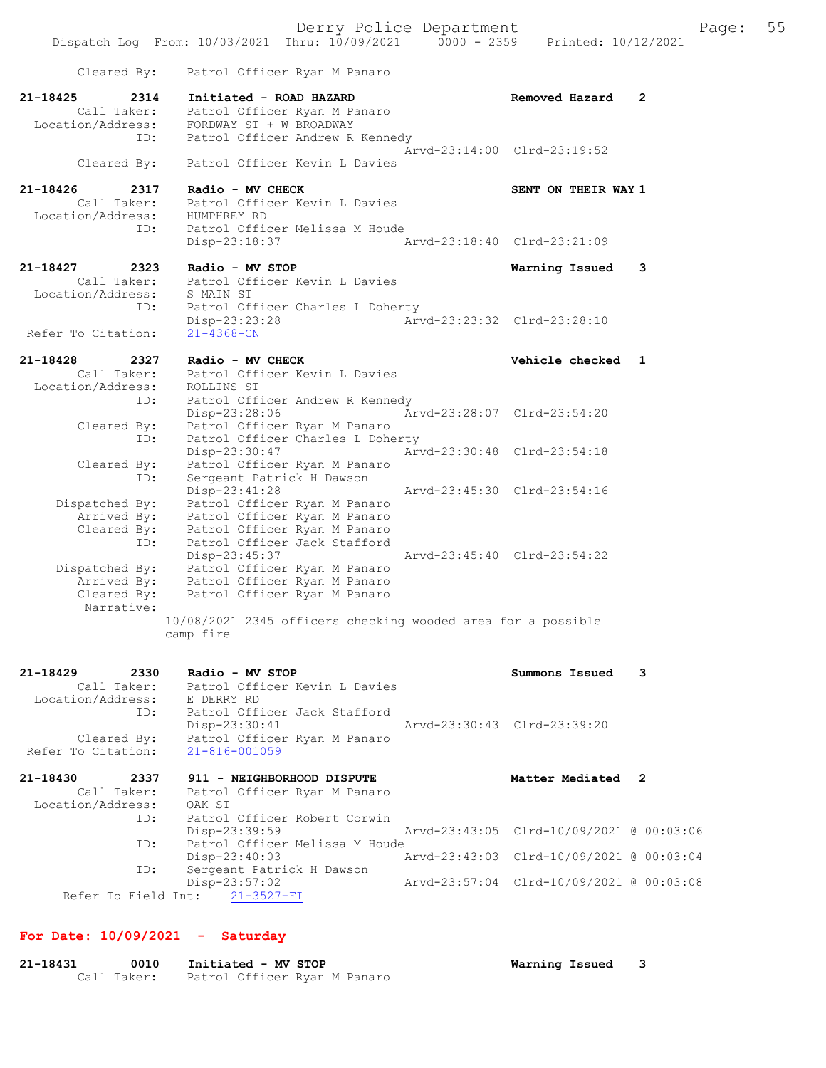Derry Police Department Fage: 55 Dispatch Log From: 10/03/2021 Thru: 10/09/2021 0000 - 2359 Printed: 10/12/2021 Cleared By: Patrol Officer Ryan M Panaro 21-18425 2314 Initiated - ROAD HAZARD Removed Hazard 2 Call Taker: Patrol Officer Ryan M Panaro Location/Address: FORDWAY ST + W BROADWAY ID: Patrol Officer Andrew R Kennedy Arvd-23:14:00 Clrd-23:19:52 Cleared By: Patrol Officer Kevin L Davies 21-18426 2317 Radio - MV CHECK SENT ON THEIR WAY 1 Call Taker: Patrol Officer Kevin L Davies Location/Address: HUMPHREY RD ID: Patrol Officer Melissa M Houde Disp-23:18:37 Arvd-23:18:40 Clrd-23:21:09 21-18427 2323 Radio - MV STOP Warning Issued 3 Call Taker: Patrol Officer Kevin L Davies Location/Address: S MAIN ST ID: Patrol Officer Charles L Doherty Disp-23:23:28 Arvd-23:23:32 Clrd-23:28:10 Refer To Citation: 21-4368-CN 21-18428 2327 Radio - MV CHECK Vehicle checked 1 Call Taker: Patrol Officer Kevin L Davies Location/Address: ROLLINS ST ID: Patrol Officer Andrew R Kennedy Disp-23:28:06 Arvd-23:28:07 Clrd-23:54:20 Cleared By: Patrol Officer Ryan M Panaro ID: Patrol Officer Charles L Doherty Disp-23:30:47 Arvd-23:30:48 Clrd-23:54:18 Cleared By: Patrol Officer Ryan M Panaro ID: Sergeant Patrick H Dawson Disp-23:41:28 Arvd-23:45:30 Clrd-23:54:16 Dispatched By: Patrol Officer Ryan M Panaro Arrived By: Patrol Officer Ryan M Panaro Cleared By: Patrol Officer Ryan M Panaro ID: Patrol Officer Jack Stafford Disp-23:45:37 Arvd-23:45:40 Clrd-23:54:22 Dispatched By: Patrol Officer Ryan M Panaro Arrived By: Patrol Officer Ryan M Panaro Cleared By: Patrol Officer Ryan M Panaro Narrative: 10/08/2021 2345 officers checking wooded area for a possible camp fire

| 21-18429<br>2330             |      |        | Radio - MV STOP                           |                                          | Summons Issued    | 3 |  |
|------------------------------|------|--------|-------------------------------------------|------------------------------------------|-------------------|---|--|
|                              |      |        | Call Taker: Patrol Officer Kevin L Davies |                                          |                   |   |  |
| Location/Address: E DERRY RD |      |        |                                           |                                          |                   |   |  |
|                              | ID:  |        | Patrol Officer Jack Stafford              |                                          |                   |   |  |
|                              |      |        | $Disp-23:30:41$                           | Arvd-23:30:43 Clrd-23:39:20              |                   |   |  |
| Cleared By:                  |      |        | Patrol Officer Ryan M Panaro              |                                          |                   |   |  |
| Refer To Citation:           |      |        | 21-816-001059                             |                                          |                   |   |  |
| 21-18430                     | 2337 |        | 911 - NEIGHBORHOOD DISPUTE                |                                          | Matter Mediated 2 |   |  |
| Call Taker:                  |      |        | Patrol Officer Ryan M Panaro              |                                          |                   |   |  |
| Location/Address:            |      | OAK ST |                                           |                                          |                   |   |  |
|                              | ID:  |        | Patrol Officer Robert Corwin              |                                          |                   |   |  |
|                              |      |        | Disp-23:39:59                             | Arvd-23:43:05 Clrd-10/09/2021 @ 00:03:06 |                   |   |  |
|                              | ID:  |        | Patrol Officer Melissa M Houde            |                                          |                   |   |  |
|                              |      |        | $Disp-23:40:03$                           | Arvd-23:43:03 Clrd-10/09/2021 @ 00:03:04 |                   |   |  |
|                              | ID:  |        | Sergeant Patrick H Dawson                 |                                          |                   |   |  |
|                              |      |        | $Disp-23:57:02$                           | Arvd-23:57:04 Clrd-10/09/2021 @ 00:03:08 |                   |   |  |
|                              |      |        | Refer To Field Int: 21-3527-FI            |                                          |                   |   |  |

### For Date: 10/09/2021 - Saturday

| 21-18431 | 0010        | Initiated - MV STOP          | Warning Issued |  |
|----------|-------------|------------------------------|----------------|--|
|          | Call Taker: | Patrol Officer Ryan M Panaro |                |  |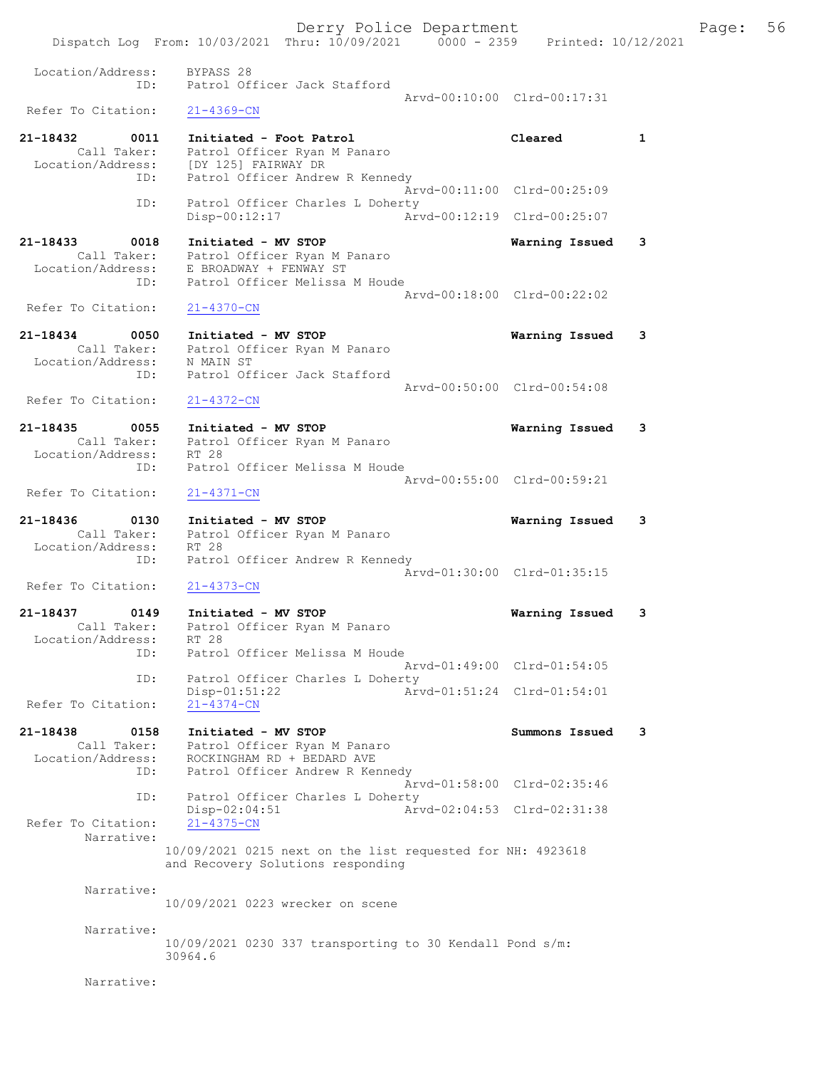Derry Police Department Fage: 56 Dispatch Log From: 10/03/2021 Thru: 10/09/2021 0000 - 2359 Printed: 10/12/2021 Location/Address: BYPASS 28 ID: Patrol Officer Jack Stafford Arvd-00:10:00 Clrd-00:17:31<br>21-4369-CN Refer To Citation: 21-18432 0011 Initiated - Foot Patrol Cleared 1 Call Taker: Patrol Officer Ryan M Panaro Location/Address: [DY 125] FAIRWAY DR ID: Patrol Officer Andrew R Kennedy Arvd-00:11:00 Clrd-00:25:09 ID: Patrol Officer Charles L Doherty Disp-00:12:17 Arvd-00:12:19 Clrd-00:25:07 21-18433 0018 Initiated - MV STOP Warning Issued 3 Call Taker: Patrol Officer Ryan M Panaro Location/Address: E BROADWAY + FENWAY ST ID: Patrol Officer Melissa M Houde Arvd-00:18:00 Clrd-00:22:02 Refer To Citation: 21-4370-CN 21-18434 0050 Initiated - MV STOP Warning Issued 3 Call Taker: Patrol Officer Ryan M Panaro Location/Address: N MAIN ST ID: Patrol Officer Jack Stafford Arvd-00:50:00 Clrd-00:54:08 Refer To Citation: 21-4372-CN 21-18435 0055 Initiated - MV STOP Call Taker: Patrol Officer Ryan M Panaro Call Taker: Patrol Officer Ryan M Panaro Location/Address: RT 28 ID: Patrol Officer Melissa M Houde Arvd-00:55:00 Clrd-00:59:21 Refer To Citation: 21-4371-CN 21-18436 0130 Initiated - MV STOP Warning Issued 3 Call Taker: Patrol Officer Ryan M Panaro Location/Address: RT 28 ess: Ki 20<br>ID: Patrol Officer Andrew R Kennedy Arvd-01:30:00 Clrd-01:35:15 Refer To Citation: 21-4373-CN 21-18437 0149 Initiated - MV STOP Warning Issued 3 Call Taker: Patrol Officer Ryan M Panaro Location/Address: RT 28 ID: Patrol Officer Melissa M Houde Arvd-01:49:00 Clrd-01:54:05 ID: Patrol Officer Charles L Doherty Disp-01:51:22 Arvd-01:51:24 Clrd-01:54:01 Refer To Citation: 21-4374-CN 21-18438 0158 Initiated - MV STOP Summons Issued 3 Call Taker: Patrol Officer Ryan M Panaro Location/Address: ROCKINGHAM RD + BEDARD AVE ID: Patrol Officer Andrew R Kennedy Arvd-01:58:00 Clrd-02:35:46<br>
D. Patrol Officer Charles L Doherty<br>
Disp-02:04:51 Arvd-02:04:53 Clrd-02:31:38 Patrol Officer Charles L Doherty Disp-02:04:51 Arvd-02:04:53 Clrd-02:31:38 Refer To Citation: Narrative: 10/09/2021 0215 next on the list requested for NH: 4923618 and Recovery Solutions responding Narrative: 10/09/2021 0223 wrecker on scene Narrative: 10/09/2021 0230 337 transporting to 30 Kendall Pond s/m: 30964.6 Narrative: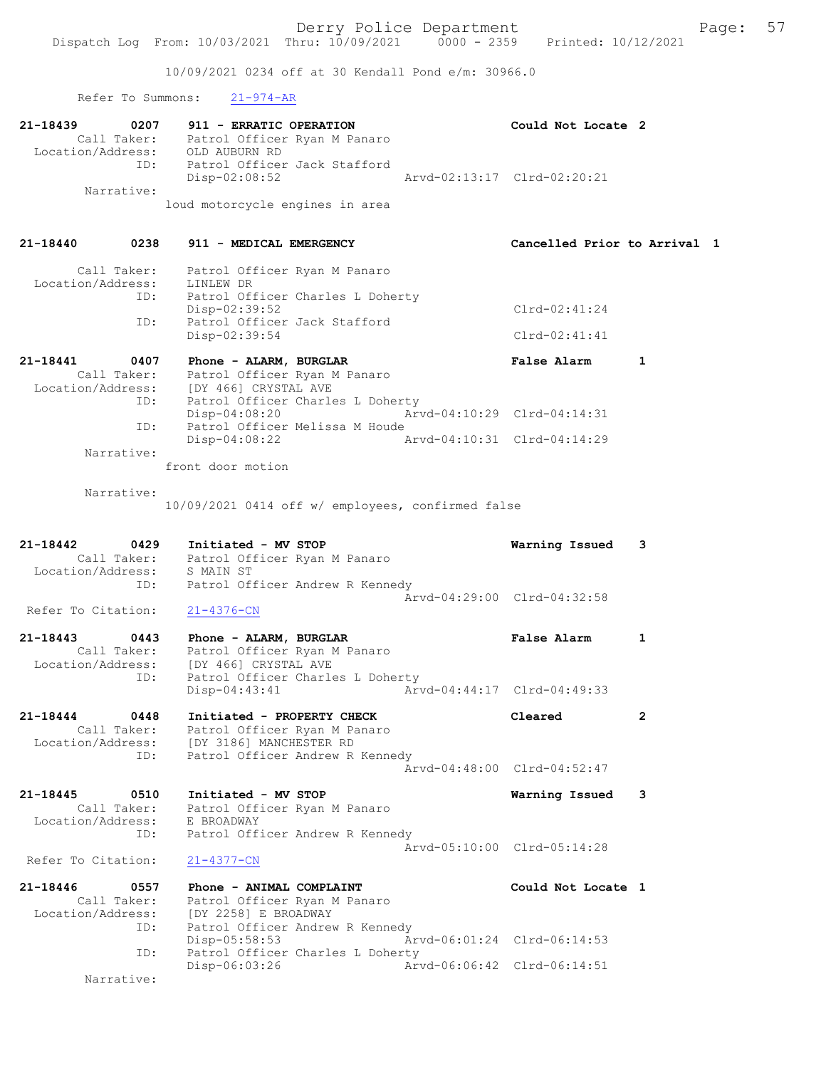10/09/2021 0234 off at 30 Kendall Pond e/m: 30966.0

Refer To Summons: 21-974-AR

| 21-18439          | 0207        | 911 - ERRATIC OPERATION         |                             | Could Not Locate 2 |  |
|-------------------|-------------|---------------------------------|-----------------------------|--------------------|--|
|                   | Call Taker: | Patrol Officer Ryan M Panaro    |                             |                    |  |
| Location/Address: |             | OLD AUBURN RD                   |                             |                    |  |
|                   | ID:         | Patrol Officer Jack Stafford    |                             |                    |  |
|                   |             | Disp-02:08:52                   | Arvd-02:13:17 Clrd-02:20:21 |                    |  |
|                   | Narrative:  |                                 |                             |                    |  |
|                   |             | loud motorcycle engines in area |                             |                    |  |

21-18440 0238 911 - MEDICAL EMERGENCY Cancelled Prior to Arrival 1 Call Taker: Patrol Officer Ryan M Panaro Location/Address: LINLEW DR ID: Patrol Officer Charles L Doherty Disp-02:39:52 Clrd-02:41:24 ID: Patrol Officer Jack Stafford Disp-02:39:54 Clrd-02:41:41 21-18441 0407 Phone - ALARM, BURGLAR False Alarm 1 Call Taker: Patrol Officer Ryan M Panaro Location/Address: [DY 466] CRYSTAL AVE ID: Patrol Officer Charles L Doherty

|            | Disp-04:08:20                  | Arvd-04:10:29 Clrd-04:14:31 |  |
|------------|--------------------------------|-----------------------------|--|
| TD:        | Patrol Officer Melissa M Houde |                             |  |
|            | Disp-04:08:22                  | Arvd-04:10:31 Clrd-04:14:29 |  |
| Narrative: |                                |                             |  |
|            | front door motion              |                             |  |

Narrative:

10/09/2021 0414 off w/ employees, confirmed false

| 21-18442           | 0429        | Initiated - MV STOP             | Warning Issued 3            |  |
|--------------------|-------------|---------------------------------|-----------------------------|--|
|                    | Call Taker: | Patrol Officer Ryan M Panaro    |                             |  |
| Location/Address:  |             | S MAIN ST                       |                             |  |
|                    | ID:         | Patrol Officer Andrew R Kennedy |                             |  |
|                    |             |                                 | Aryd-04:29:00 Clrd-04:32:58 |  |
| Refer To Citation: |             | 21-4376-CN                      |                             |  |

| 21-18443          | 0443 | Phone - ALARM, BURGLAR |                                  |                             | <b>False Alarm</b> |  |
|-------------------|------|------------------------|----------------------------------|-----------------------------|--------------------|--|
| Call Taker:       |      |                        | Patrol Officer Ryan M Panaro     |                             |                    |  |
| Location/Address: |      | [DY 466] CRYSTAL AVE   |                                  |                             |                    |  |
|                   | ID:  |                        | Patrol Officer Charles L Doherty |                             |                    |  |
|                   |      | Disp-04:43:41          |                                  | Arvd-04:44:17 Clrd-04:49:33 |                    |  |

21-18444 0448 Initiated - PROPERTY CHECK Cleared 2 Call Taker: Patrol Officer Ryan M Panaro Location/Address: [DY 3186] MANCHESTER RD ID: Patrol Officer Andrew R Kennedy Arvd-04:48:00 Clrd-04:52:47

21-18445 0510 Initiated - MV STOP Warning Issued 3 Call Taker: Patrol Officer Ryan M Panaro Location/Address: E BROADWAY ID: Patrol Officer Andrew R Kennedy Arvd-05:10:00 Clrd-05:14:28

Refer To Citation: 21-4377-CN

21-18446 0557 Phone - ANIMAL COMPLAINT Could Not Locate 1 Call Taker: Patrol Officer Ryan M Panaro Location/Address: [DY 2258] E BROADWAY ID: Patrol Officer Andrew R Kennedy Disp-05:58:53 Arvd-06:01:24 Clrd-06:14:53<br>ID: Patrol Officer Charles L Doherty Patrol Officer Charles L Doherty Disp-06:03:26 Arvd-06:06:42 Clrd-06:14:51 Narrative: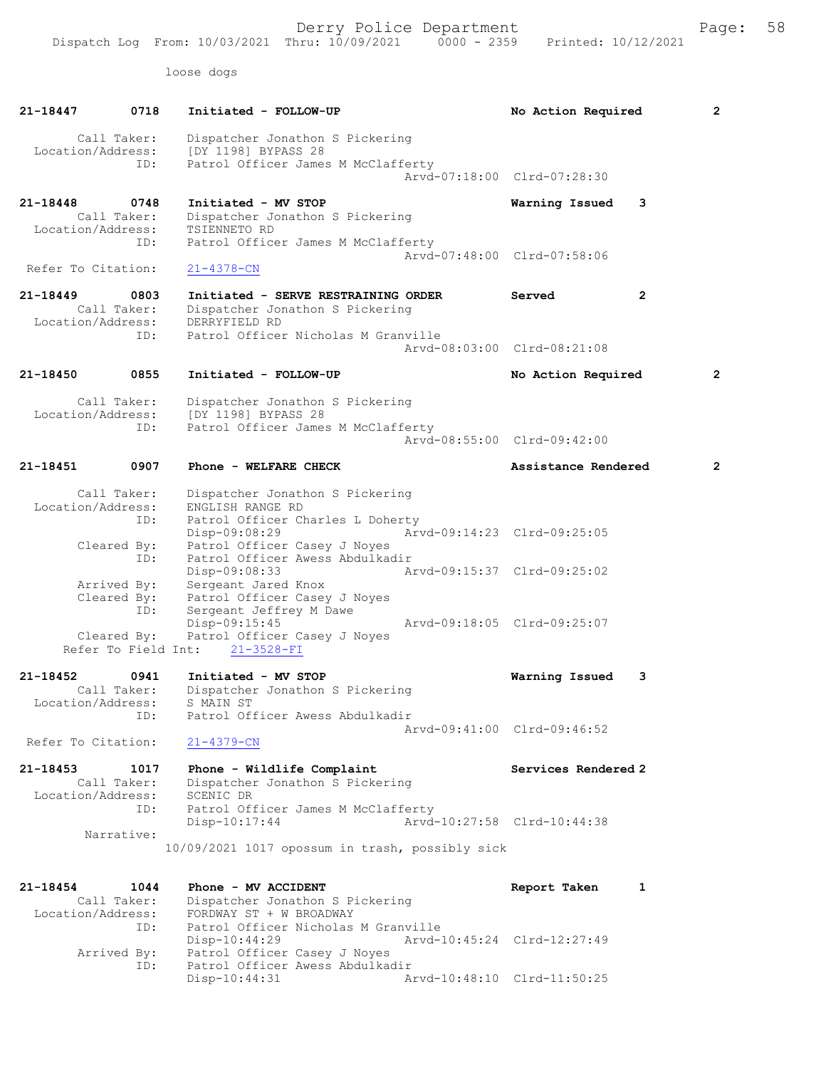Derry Police Department Fage: 58

loose dogs

| 21-18447                          | 0718                               | Initiated - FOLLOW-UP                                                                                                     | No Action Required          |              | 2 |
|-----------------------------------|------------------------------------|---------------------------------------------------------------------------------------------------------------------------|-----------------------------|--------------|---|
| Location/Address:                 | Call Taker:                        | Dispatcher Jonathon S Pickering<br>[DY 1198] BYPASS 28                                                                    |                             |              |   |
|                                   | ID:                                | Patrol Officer James M McClafferty                                                                                        | Arvd-07:18:00 Clrd-07:28:30 |              |   |
| 21-18448                          | 0748<br>Call Taker:                | Initiated - MV STOP<br>Dispatcher Jonathon S Pickering                                                                    | Warning Issued              | 3            |   |
| Location/Address:                 | ID:                                | TSIENNETO RD<br>Patrol Officer James M McClafferty                                                                        | Arvd-07:48:00 Clrd-07:58:06 |              |   |
| Refer To Citation:                |                                    | $21 - 4378 - CN$                                                                                                          |                             |              |   |
| 21-18449<br>Location/Address:     | 0803<br>Call Taker:                | Initiated - SERVE RESTRAINING ORDER<br>Dispatcher Jonathon S Pickering<br>DERRYFIELD RD                                   | Served                      | $\mathbf{2}$ |   |
|                                   | ID:                                | Patrol Officer Nicholas M Granville                                                                                       | Arvd-08:03:00 Clrd-08:21:08 |              |   |
| 21-18450                          | 0855                               | Initiated - FOLLOW-UP                                                                                                     | No Action Required          |              | 2 |
| Location/Address:                 | Call Taker:                        | Dispatcher Jonathon S Pickering<br>[DY 1198] BYPASS 28                                                                    |                             |              |   |
|                                   | ID:                                | Patrol Officer James M McClafferty                                                                                        | Arvd-08:55:00 Clrd-09:42:00 |              |   |
| 21-18451                          | 0907                               | Phone - WELFARE CHECK                                                                                                     | Assistance Rendered         |              | 2 |
| Location/Address:                 | Call Taker:<br>ID:                 | Dispatcher Jonathon S Pickering<br>ENGLISH RANGE RD<br>Patrol Officer Charles L Doherty                                   |                             |              |   |
|                                   | Cleared By:<br>ID:                 | Disp-09:08:29<br>Patrol Officer Casey J Noyes<br>Patrol Officer Awess Abdulkadir                                          | Arvd-09:14:23 Clrd-09:25:05 |              |   |
|                                   | Arrived By:                        | Disp-09:08:33<br>Sergeant Jared Knox                                                                                      | Arvd-09:15:37 Clrd-09:25:02 |              |   |
|                                   | Cleared By:<br>ID:                 | Patrol Officer Casey J Noyes<br>Sergeant Jeffrey M Dawe<br>Disp-09:15:45                                                  | Arvd-09:18:05 Clrd-09:25:07 |              |   |
|                                   | Cleared By:<br>Refer To Field Int: | Patrol Officer Casey J Noyes<br>$21 - 3528 - FI$                                                                          |                             |              |   |
| $21 - 18452$<br>Location/Address: | 0941<br>Call Taker:                | Initiated - MV STOP<br>Dispatcher Jonathon S Pickering<br>S MAIN ST                                                       | Warning Issued              | 3            |   |
| Refer To Citation:                | ID:                                | Patrol Officer Awess Abdulkadir<br>$21 - 4379 - CN$                                                                       | Aryd-09:41:00 Clrd-09:46:52 |              |   |
| 21-18453<br>Location/Address:     | 1017<br>Call Taker:                | Phone - Wildlife Complaint<br>Dispatcher Jonathon S Pickering<br>SCENIC DR                                                | Services Rendered 2         |              |   |
|                                   | ID:<br>Narrative:                  | Patrol Officer James M McClafferty<br>$Disp-10:17:44$                                                                     | Arvd-10:27:58 Clrd-10:44:38 |              |   |
|                                   |                                    | 10/09/2021 1017 opossum in trash, possibly sick                                                                           |                             |              |   |
| 21-18454<br>Location/Address:     | 1044<br>Call Taker:                | Phone - MV ACCIDENT<br>Dispatcher Jonathon S Pickering<br>FORDWAY ST + W BROADWAY                                         | Report Taken                | 1            |   |
|                                   | ID:<br>Arrived By:<br>ID:          | Patrol Officer Nicholas M Granville<br>$Disp-10:44:29$<br>Patrol Officer Casey J Noyes<br>Patrol Officer Awess Abdulkadir | Arvd-10:45:24 Clrd-12:27:49 |              |   |
|                                   |                                    | Disp-10:44:31                                                                                                             | Arvd-10:48:10 Clrd-11:50:25 |              |   |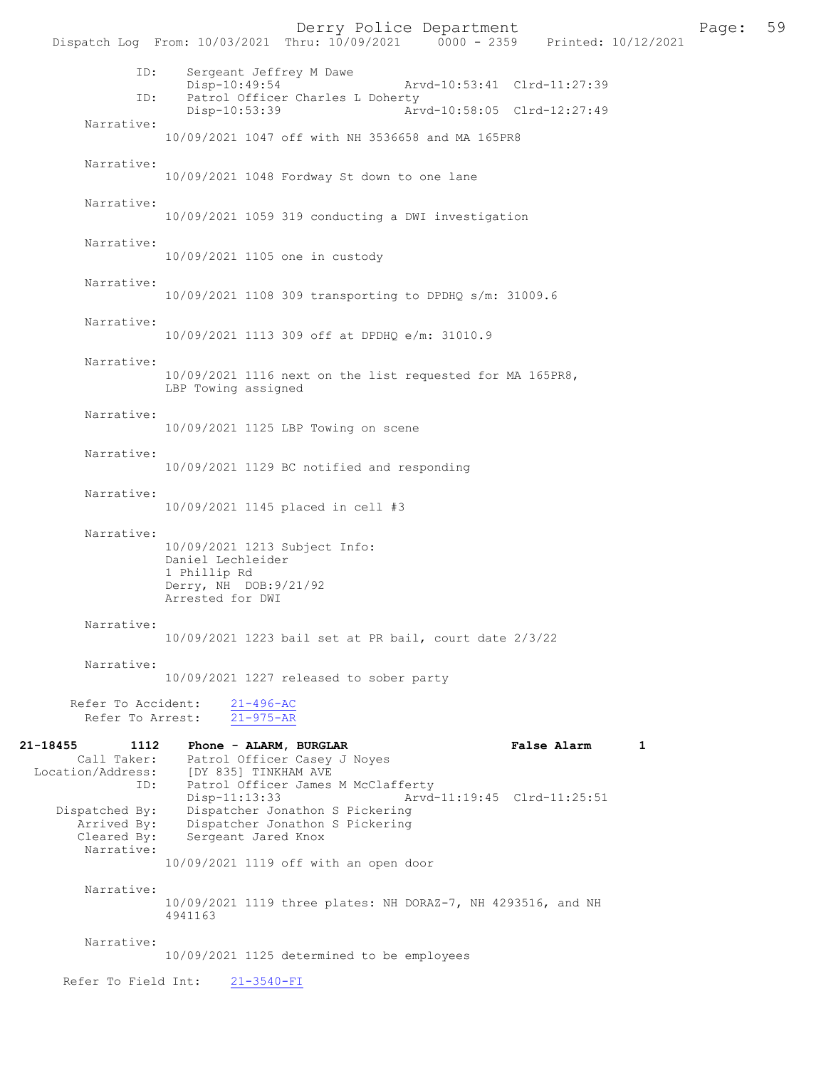Derry Police Department<br>
Page: 59 Printed: 10/12/2021 0000 - 2359 Printed: 10/12/2021 Dispatch Log From: 10/03/2021 Thru: 10/09/2021 ID: Sergeant Jeffrey M Dawe Disp-10:49:54 Arvd-10:53:41 Clrd-11:27:39<br>TD: Patrol Officer Charles L Doberty Patrol Officer Charles L Doherty<br>Disp-10:53:39 Arv Disp-10:53:39 Arvd-10:58:05 Clrd-12:27:49 Narrative: 10/09/2021 1047 off with NH 3536658 and MA 165PR8 Narrative: 10/09/2021 1048 Fordway St down to one lane Narrative: 10/09/2021 1059 319 conducting a DWI investigation Narrative: 10/09/2021 1105 one in custody Narrative: 10/09/2021 1108 309 transporting to DPDHQ s/m: 31009.6 Narrative: 10/09/2021 1113 309 off at DPDHQ e/m: 31010.9 Narrative: 10/09/2021 1116 next on the list requested for MA 165PR8, LBP Towing assigned Narrative: 10/09/2021 1125 LBP Towing on scene Narrative: 10/09/2021 1129 BC notified and responding Narrative: 10/09/2021 1145 placed in cell #3 Narrative: 10/09/2021 1213 Subject Info: Daniel Lechleider 1 Phillip Rd Derry, NH DOB:9/21/92 Arrested for DWI Narrative: 10/09/2021 1223 bail set at PR bail, court date 2/3/22 Narrative: 10/09/2021 1227 released to sober party Refer To Accident: 21-496-AC Refer To Arrest: 21-975-AR 21-18455 1112 Phone - ALARM, BURGLAR False Alarm 1 Call Taker: Patrol Officer Casey J Noyes Location/Address: [DY 835] TINKHAM AVE ID: Patrol Officer James M McClafferty<br>Disp-11:13:33 Arvd Disp-11:13:33 Arvd-11:19:45 Clrd-11:25:51<br>Dispatched By: Dispatcher Jonathon S Pickering spatched By: Dispatcher Jonathon S Pickering<br>Arrived By: Dispatcher Jonathon S Pickering Arrived By: Dispatcher Jonathon S Pickering<br>Cleared By: Sergeant Jared Knox Sergeant Jared Knox Narrative: 10/09/2021 1119 off with an open door Narrative: 10/09/2021 1119 three plates: NH DORAZ-7, NH 4293516, and NH 4941163 Narrative: 10/09/2021 1125 determined to be employees Refer To Field Int: 21-3540-FI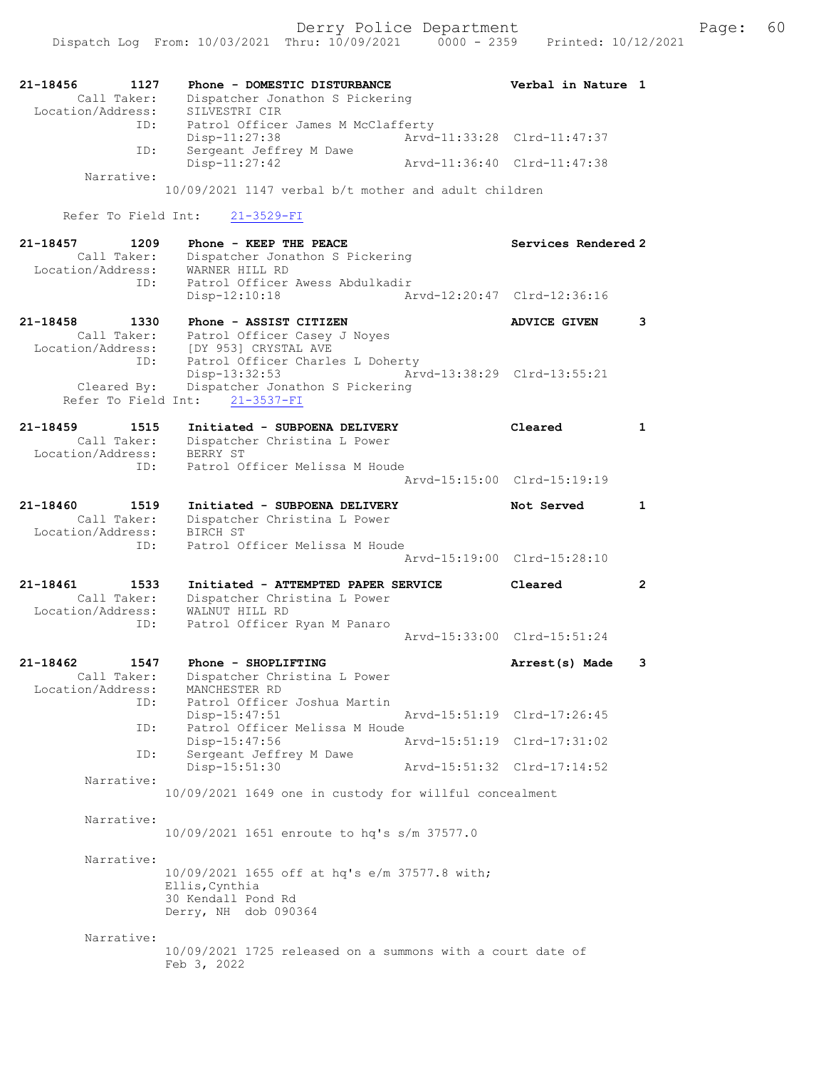Dispatch Log From: 10/03/2021 Thru: 10/09/2021 0000 - 2359 Printed: 10/12/2021

| 21-18456<br>1127<br>Call Taker:<br>Location/Address:        | Phone - DOMESTIC DISTURBANCE<br>Dispatcher Jonathon S Pickering<br>SILVESTRI CIR                               | Verbal in Nature 1          |                       |
|-------------------------------------------------------------|----------------------------------------------------------------------------------------------------------------|-----------------------------|-----------------------|
| ID:                                                         | Patrol Officer James M McClafferty<br>Disp-11:27:38                                                            | Arvd-11:33:28 Clrd-11:47:37 |                       |
| ID:                                                         | Sergeant Jeffrey M Dawe<br>Disp-11:27:42                                                                       | Arvd-11:36:40 Clrd-11:47:38 |                       |
| Narrative:                                                  | 10/09/2021 1147 verbal b/t mother and adult children                                                           |                             |                       |
| Refer To Field Int:                                         | $21 - 3529 - FI$                                                                                               |                             |                       |
| 21-18457<br>1209<br>Call Taker:<br>Location/Address:<br>ID: | Phone - KEEP THE PEACE<br>Dispatcher Jonathon S Pickering<br>WARNER HILL RD<br>Patrol Officer Awess Abdulkadir | Services Rendered 2         |                       |
|                                                             | $Disp-12:10:18$                                                                                                | Arvd-12:20:47 Clrd-12:36:16 |                       |
| 21-18458<br>1330<br>Call Taker:<br>Location/Address:        | Phone - ASSIST CITIZEN<br>Patrol Officer Casey J Noyes<br>[DY 953] CRYSTAL AVE                                 | <b>ADVICE GIVEN</b>         | 3                     |
| ID:<br>Cleared By:                                          | Patrol Officer Charles L Doherty<br>Disp-13:32:53<br>Dispatcher Jonathon S Pickering                           | Arvd-13:38:29 Clrd-13:55:21 |                       |
|                                                             | Refer To Field Int: 21-3537-FI                                                                                 |                             |                       |
| $21 - 18459$<br>1515<br>Call Taker:<br>Location/Address:    | Initiated - SUBPOENA DELIVERY<br>Dispatcher Christina L Power<br>BERRY ST                                      | Cleared                     | 1                     |
| ID:                                                         | Patrol Officer Melissa M Houde                                                                                 | Arvd-15:15:00 Clrd-15:19:19 |                       |
| 21-18460<br>1519<br>Call Taker:                             | Initiated - SUBPOENA DELIVERY<br>Dispatcher Christina L Power                                                  | Not Served                  | 1                     |
| Location/Address:<br>ID:                                    | BIRCH ST<br>Patrol Officer Melissa M Houde                                                                     |                             |                       |
|                                                             |                                                                                                                | Arvd-15:19:00 Clrd-15:28:10 |                       |
| 21-18461<br>1533<br>Call Taker:<br>Location/Address:        | Initiated - ATTEMPTED PAPER SERVICE<br>Dispatcher Christina L Power<br>WALNUT HILL RD                          | Cleared                     | $\mathbf{2}^{\prime}$ |
| ID:                                                         | Patrol Officer Ryan M Panaro                                                                                   | Arvd-15:33:00 Clrd-15:51:24 |                       |
| 21-18462<br>1547<br>Location/Address:                       | Phone - SHOPLIFTING<br>Call Taker: Dispatcher Christina L Power<br>MANCHESTER RD                               | Arrest(s) Made              | 3                     |
| ID:<br>ID:                                                  | Patrol Officer Joshua Martin<br>Disp-15:47:51<br>Patrol Officer Melissa M Houde                                | Arvd-15:51:19 Clrd-17:26:45 |                       |
| ID:                                                         | Disp-15:47:56<br>Sergeant Jeffrey M Dawe                                                                       | Arvd-15:51:19 Clrd-17:31:02 |                       |
| Narrative:                                                  | Disp-15:51:30                                                                                                  | Arvd-15:51:32 Clrd-17:14:52 |                       |
|                                                             | 10/09/2021 1649 one in custody for willful concealment                                                         |                             |                       |
| Narrative:                                                  | 10/09/2021 1651 enroute to hq's s/m 37577.0                                                                    |                             |                       |
| Narrative:                                                  | 10/09/2021 1655 off at hq's e/m 37577.8 with;<br>Ellis, Cynthia<br>30 Kendall Pond Rd<br>Derry, NH dob 090364  |                             |                       |
| Narrative:                                                  | 10/09/2021 1725 released on a summons with a court date of<br>Feb 3, 2022                                      |                             |                       |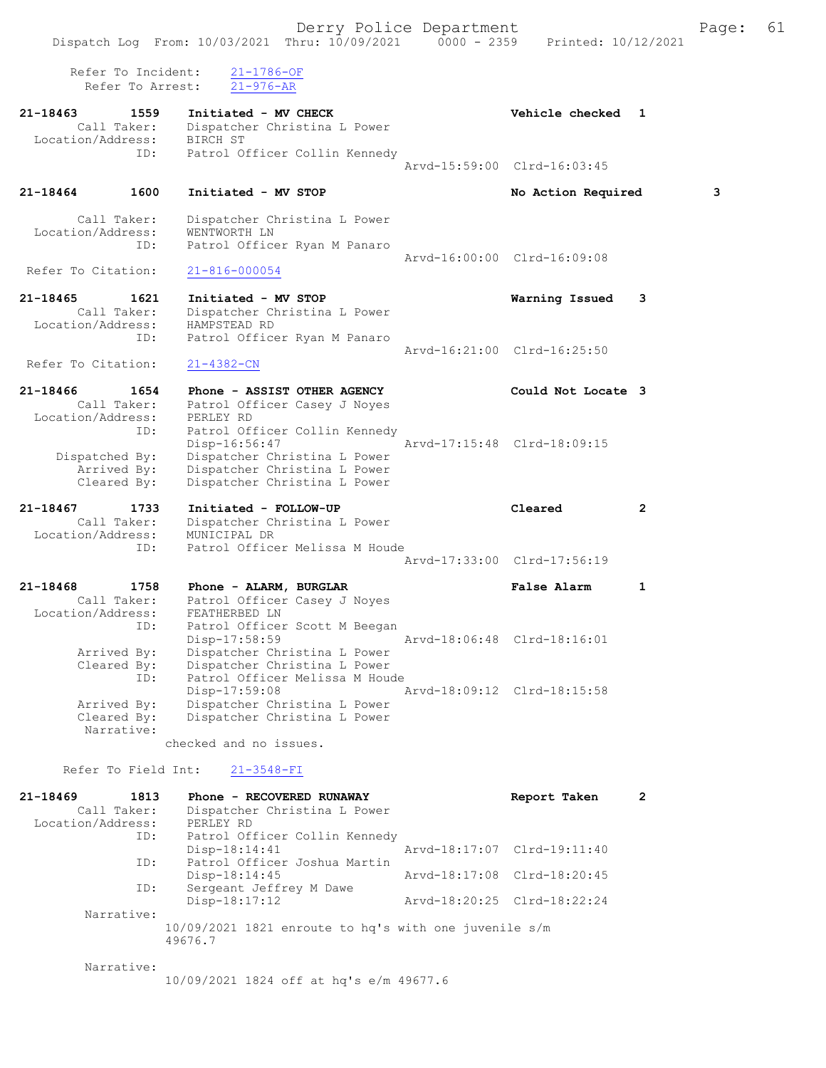Refer To Incident: 21-1786-OF Refer To Arrest: 21-976-AR 21-18463 1559 Initiated - MV CHECK 1 21-18463 Vehicle checked 1 Call Taker: Dispatcher Christina L Power Location/Address: BIRCH ST ID: Patrol Officer Collin Kennedy Arvd-15:59:00 Clrd-16:03:45 21-18464 1600 Initiated - MV STOP No Action Required 3 Call Taker: Dispatcher Christina L Power Location/Address: WENTWORTH LN ID: Patrol Officer Ryan M Panaro Arvd-16:00:00 Clrd-16:09:08<br>21-816-000054 Refer To Citation: 21-18465 1621 Initiated - MV STOP Warning Issued 3 Call Taker: Dispatcher Christina L Power Location/Address: HAMPSTEAD RD ID: Patrol Officer Ryan M Panaro Arvd-16:21:00 Clrd-16:25:50 Refer To Citation: 21-4382-CN 21-18466 1654 Phone - ASSIST OTHER AGENCY Could Not Locate 3 Call Taker: Patrol Officer Casey J Noyes Location/Address: PERLEY RD ID: Patrol Officer Collin Kennedy Disp-16:56:47 Arvd-17:15:48 Clrd-18:09:15 Dispatched By: Dispatcher Christina L Power Arrived By: Dispatcher Christina L Power Cleared By: Dispatcher Christina L Power 21-18467 1733 Initiated - FOLLOW-UP Cleared 2 Call Taker: Dispatcher Christina L Power Location/Address: MUNICIPAL DR ID: Patrol Officer Melissa M Houde Arvd-17:33:00 Clrd-17:56:19 21-18468 1758 Phone - ALARM, BURGLAR False Alarm 1 Call Taker: Patrol Officer Casey J Noyes Location/Address: FEATHERBED LN ID: Patrol Officer Scott M Beegan Disp-17:58:59 Arvd-18:06:48 Clrd-18:16:01 Arrived By: Dispatcher Christina L Power Cleared By: Dispatcher Christina L Power ID: Patrol Officer Melissa M Houde Disp-17:59:08 Arvd-18:09:12 Clrd-18:15:58 Arrived By: Dispatcher Christina L Power Cleared By: Dispatcher Christina L Power Narrative: checked and no issues. Refer To Field Int: 21-3548-FI 21-18469 1813 Phone - RECOVERED RUNAWAY Report Taken 2

| <u>21-10409</u>   | 1013        | FILONE - RECOVERED RONAWAI                              | report raven                | ∠ |
|-------------------|-------------|---------------------------------------------------------|-----------------------------|---|
|                   | Call Taker: | Dispatcher Christina L Power                            |                             |   |
| Location/Address: |             | PERLEY RD                                               |                             |   |
|                   | ID:         | Patrol Officer Collin Kennedy                           |                             |   |
|                   |             | $Disp-18:14:41$                                         | Arvd-18:17:07 Clrd-19:11:40 |   |
|                   | ID:         | Patrol Officer Joshua Martin                            |                             |   |
|                   |             | $Disp-18:14:45$                                         | Arvd-18:17:08 Clrd-18:20:45 |   |
|                   | ID:         | Sergeant Jeffrey M Dawe                                 |                             |   |
|                   |             | $Disp-18:17:12$                                         | Arvd-18:20:25 Clrd-18:22:24 |   |
|                   | Narrative:  |                                                         |                             |   |
|                   |             | $10/09/2021$ 1821 enroute to hq's with one juvenile s/m |                             |   |
|                   |             | 49676.7                                                 |                             |   |
|                   |             |                                                         |                             |   |

#### Narrative:

10/09/2021 1824 off at hq's e/m 49677.6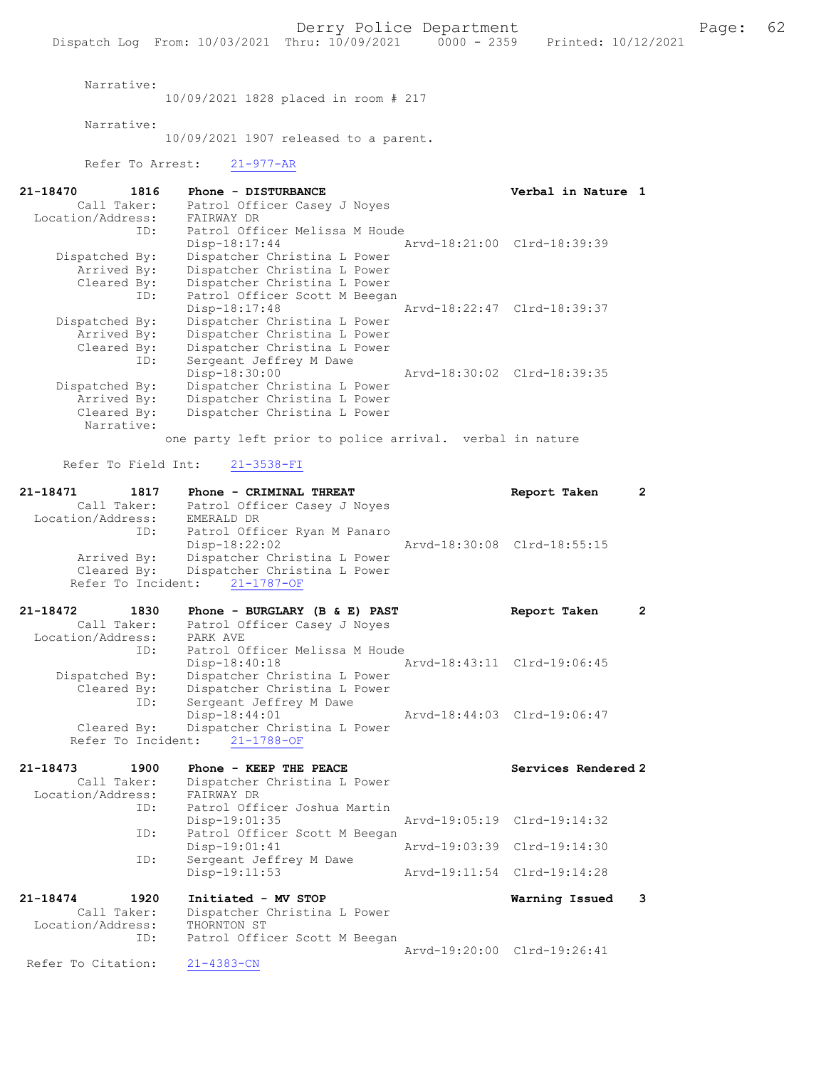Narrative:

10/09/2021 1828 placed in room # 217

Narrative:

10/09/2021 1907 released to a parent.

### Refer To Arrest: 21-977-AR

| 21-18470          | 1816        | Phone - DISTURBANCE                                      | Verbal in Nature 1          |  |
|-------------------|-------------|----------------------------------------------------------|-----------------------------|--|
|                   | Call Taker: | Patrol Officer Casey J Noyes                             |                             |  |
| Location/Address: |             | FAIRWAY DR                                               |                             |  |
|                   | ID:         | Patrol Officer Melissa M Houde                           |                             |  |
|                   |             | Disp-18:17:44                                            | Arvd-18:21:00 Clrd-18:39:39 |  |
| Dispatched By:    |             | Dispatcher Christina L Power                             |                             |  |
|                   | Arrived By: | Dispatcher Christina L Power                             |                             |  |
|                   | Cleared By: | Dispatcher Christina L Power                             |                             |  |
|                   | ID:         | Patrol Officer Scott M Beegan                            |                             |  |
|                   |             | $Disp-18:17:48$                                          | Arvd-18:22:47 Clrd-18:39:37 |  |
| Dispatched By:    |             | Dispatcher Christina L Power                             |                             |  |
|                   | Arrived By: | Dispatcher Christina L Power                             |                             |  |
|                   | Cleared By: | Dispatcher Christina L Power                             |                             |  |
|                   | ID:         | Sergeant Jeffrey M Dawe                                  |                             |  |
|                   |             | Disp-18:30:00                                            | Arvd-18:30:02 Clrd-18:39:35 |  |
| Dispatched By:    |             | Dispatcher Christina L Power                             |                             |  |
|                   | Arrived By: | Dispatcher Christina L Power                             |                             |  |
|                   | Cleared By: | Dispatcher Christina L Power                             |                             |  |
|                   | Narrative:  |                                                          |                             |  |
|                   |             |                                                          |                             |  |
|                   |             | one party left prior to police arrival. verbal in nature |                             |  |

Refer To Field Int: 21-3538-FI

| 21-18471          | 1817 | Phone - CRIMINAL THREAT                  |                             | Report Taken                | 2 |
|-------------------|------|------------------------------------------|-----------------------------|-----------------------------|---|
| Call Taker:       |      | Patrol Officer Casey J Noyes             |                             |                             |   |
| Location/Address: |      | EMERALD DR                               |                             |                             |   |
|                   | ID:  | Patrol Officer Ryan M Panaro             |                             |                             |   |
|                   |      | $Disp-18:22:02$                          |                             | Arvd-18:30:08 Clrd-18:55:15 |   |
| Arrived By:       |      | Dispatcher Christina L Power             |                             |                             |   |
|                   |      | Cleared By: Dispatcher Christina L Power |                             |                             |   |
|                   |      | Refer To Incident: 21-1787-OF            |                             |                             |   |
|                   |      |                                          |                             |                             |   |
| 21-18472          | 1830 | Phone - BURGLARY (B & E) PAST            |                             | Report Taken                | 2 |
| Call Taker:       |      | Patrol Officer Casey J Noyes             |                             |                             |   |
| Location/Address: |      | PARK AVE                                 |                             |                             |   |
|                   | ID:  | Patrol Officer Melissa M Houde           |                             |                             |   |
|                   |      | $Disp-18:40:18$                          | Arvd-18:43:11 Clrd-19:06:45 |                             |   |
| Dispatched By:    |      | Dispatcher Christina L Power             |                             |                             |   |

 ID: Sergeant Jeffrey M Dawe Disp-18:44:01 Arvd-18:44:03 Clrd-19:06:47 Cleared By: Dispatcher Christina L Power Refer To Incident: 21-1788-OF

| 21-18473          | 1900<br>Call Taker: | Phone - KEEP THE PEACE<br>Dispatcher Christina L Power | Services Rendered 2         |  |
|-------------------|---------------------|--------------------------------------------------------|-----------------------------|--|
| Location/Address: |                     | FAIRWAY DR                                             |                             |  |
|                   | ID:                 | Patrol Officer Joshua Martin<br>$Disp-19:01:35$        | Arvd-19:05:19 Clrd-19:14:32 |  |
|                   | ID:                 | Patrol Officer Scott M Beegan<br>$Disp-19:01:41$       | Arvd-19:03:39 Clrd-19:14:30 |  |
|                   | ID:                 | Sergeant Jeffrey M Dawe<br>$Disp-19:11:53$             | Arvd-19:11:54 Clrd-19:14:28 |  |
| 21-18474          | 1920<br>Call Taker: | Initiated - MV STOP<br>Dispatcher Christina L Power    | Warning Issued              |  |

 Location/Address: THORNTON ST ID: Patrol Officer Scott M Beegan Arvd-19:20:00 Clrd-19:26:41

Refer To Citation: 21-4383-CN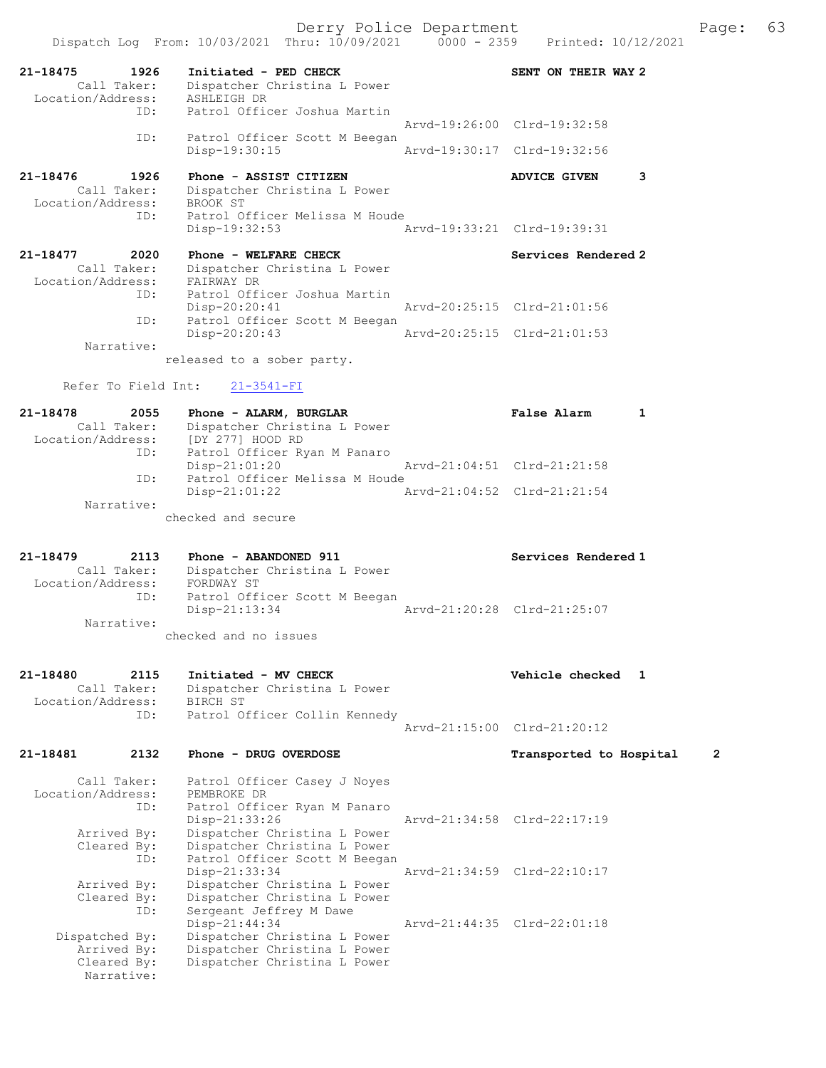|                                  |      | Dispatch Log From: 10/03/2021 Thru: 10/09/2021                | $0000 - 2359$ | Printed: 10/12/2021         |                |
|----------------------------------|------|---------------------------------------------------------------|---------------|-----------------------------|----------------|
| 21-18475                         | 1926 | Initiated - PED CHECK                                         |               | SENT ON THEIR WAY 2         |                |
| Call Taker:<br>Location/Address: |      | Dispatcher Christina L Power<br>ASHLEIGH DR                   |               |                             |                |
|                                  | ID:  | Patrol Officer Joshua Martin                                  |               | Aryd-19:26:00 Clrd-19:32:58 |                |
|                                  | ID:  | Patrol Officer Scott M Beegan                                 |               |                             |                |
|                                  |      | Disp-19:30:15                                                 |               | Arvd-19:30:17 Clrd-19:32:56 |                |
| 21-18476                         | 1926 | Phone - ASSIST CITIZEN                                        |               | <b>ADVICE GIVEN</b>         | 3              |
| Call Taker:<br>Location/Address: |      | Dispatcher Christina L Power<br>BROOK ST                      |               |                             |                |
|                                  | ID:  | Patrol Officer Melissa M Houde                                |               |                             |                |
|                                  |      | Disp-19:32:53                                                 |               | Arvd-19:33:21 Clrd-19:39:31 |                |
| 21-18477<br>Call Taker:          | 2020 | Phone - WELFARE CHECK<br>Dispatcher Christina L Power         |               | Services Rendered 2         |                |
| Location/Address:                |      | FAIRWAY DR                                                    |               |                             |                |
|                                  | ID:  | Patrol Officer Joshua Martin<br>$Disp-20:20:41$               |               | Arvd-20:25:15 Clrd-21:01:56 |                |
|                                  | ID:  | Patrol Officer Scott M Beegan                                 |               |                             |                |
| Narrative:                       |      | Disp-20:20:43                                                 |               | Arvd-20:25:15 Clrd-21:01:53 |                |
|                                  |      | released to a sober party.                                    |               |                             |                |
| Refer To Field Int:              |      | $21 - 3541 - FI$                                              |               |                             |                |
| 21-18478                         | 2055 | Phone - ALARM, BURGLAR                                        |               | <b>False Alarm</b>          | $\mathbf{1}$   |
| Call Taker:                      |      | Dispatcher Christina L Power                                  |               |                             |                |
| Location/Address:                | ID:  | [DY 277] HOOD RD<br>Patrol Officer Ryan M Panaro              |               |                             |                |
|                                  | ID:  | $Disp-21:01:20$<br>Patrol Officer Melissa M Houde             |               | Arvd-21:04:51 Clrd-21:21:58 |                |
|                                  |      | $Disp-21:01:22$                                               |               | Arvd-21:04:52 Clrd-21:21:54 |                |
| Narrative:                       |      | checked and secure                                            |               |                             |                |
|                                  |      |                                                               |               |                             |                |
| 21-18479                         | 2113 | Phone - ABANDONED 911                                         |               | Services Rendered 1         |                |
| Call Taker:<br>Location/Address: |      | Dispatcher Christina L Power<br>FORDWAY ST                    |               |                             |                |
|                                  | ID:  | Patrol Officer Scott M Beegan                                 |               | Aryd-21:20:28 Clrd-21:25:07 |                |
| Narrative:                       |      | $Disp-21:13:34$                                               |               |                             |                |
|                                  |      | checked and no issues                                         |               |                             |                |
|                                  |      |                                                               |               |                             |                |
| 21-18480<br>Call Taker:          | 2115 | Initiated - MV CHECK<br>Dispatcher Christina L Power          |               | Vehicle checked 1           |                |
| Location/Address:                | ID:  | BIRCH ST<br>Patrol Officer Collin Kennedy                     |               |                             |                |
|                                  |      |                                                               |               | Arvd-21:15:00 Clrd-21:20:12 |                |
| 21-18481                         | 2132 | Phone - DRUG OVERDOSE                                         |               | Transported to Hospital     | $\overline{2}$ |
| Call Taker:                      |      |                                                               |               |                             |                |
| Location/Address:                |      | Patrol Officer Casey J Noyes<br>PEMBROKE DR                   |               |                             |                |
|                                  | ID:  | Patrol Officer Ryan M Panaro<br>Disp-21:33:26                 |               | Arvd-21:34:58 Clrd-22:17:19 |                |
| Arrived By:                      |      | Dispatcher Christina L Power                                  |               |                             |                |
| Cleared By:                      | ID:  | Dispatcher Christina L Power<br>Patrol Officer Scott M Beegan |               |                             |                |
| Arrived By:                      |      | Disp-21:33:34<br>Dispatcher Christina L Power                 |               | Arvd-21:34:59 Clrd-22:10:17 |                |
| Cleared By:                      |      | Dispatcher Christina L Power                                  |               |                             |                |
|                                  | ID:  | Sergeant Jeffrey M Dawe<br>$Disp-21:44:34$                    |               | Arvd-21:44:35 Clrd-22:01:18 |                |
| Dispatched By:                   |      |                                                               |               |                             |                |
|                                  |      | Dispatcher Christina L Power                                  |               |                             |                |
| Arrived By:<br>Cleared By:       |      | Dispatcher Christina L Power<br>Dispatcher Christina L Power  |               |                             |                |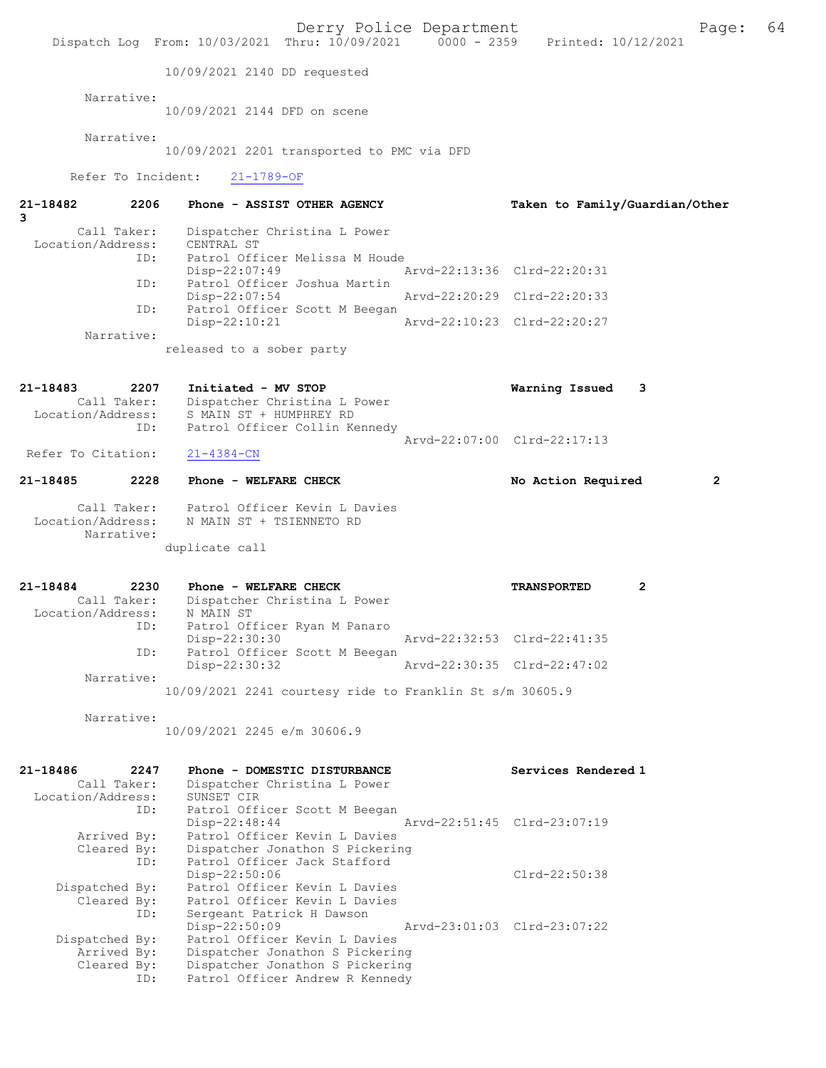|                                                             | Dispatch Log From: 10/03/2021 Thru: 10/09/2021 0000 - 2359 Printed: 10/12/2021                                                           | Derry Police Department     |                                |   | Page:          | 64 |
|-------------------------------------------------------------|------------------------------------------------------------------------------------------------------------------------------------------|-----------------------------|--------------------------------|---|----------------|----|
|                                                             | 10/09/2021 2140 DD requested                                                                                                             |                             |                                |   |                |    |
| Narrative:                                                  | 10/09/2021 2144 DFD on scene                                                                                                             |                             |                                |   |                |    |
| Narrative:                                                  | 10/09/2021 2201 transported to PMC via DFD                                                                                               |                             |                                |   |                |    |
| Refer To Incident:                                          | $21 - 1789 - OF$                                                                                                                         |                             |                                |   |                |    |
| 2206<br>21-18482<br>3                                       | Phone - ASSIST OTHER AGENCY                                                                                                              |                             | Taken to Family/Guardian/Other |   |                |    |
| Call Taker:<br>Location/Address:<br>ID:<br>ID:              | Dispatcher Christina L Power<br>CENTRAL ST<br>Patrol Officer Melissa M Houde<br>Disp-22:07:49<br>Patrol Officer Joshua Martin            | Arvd-22:13:36 Clrd-22:20:31 |                                |   |                |    |
| ID:                                                         | $Disp-22:07:54$<br>Patrol Officer Scott M Beegan                                                                                         | Arvd-22:20:29 Clrd-22:20:33 |                                |   |                |    |
| Narrative:                                                  | $Disp-22:10:21$                                                                                                                          | Arvd-22:10:23 Clrd-22:20:27 |                                |   |                |    |
|                                                             | released to a sober party                                                                                                                |                             |                                |   |                |    |
| 21-18483<br>2207                                            | Initiated - MV STOP<br>Dispatcher Christina L Power<br>Call Taker: Dispatcher Christina L I<br>Location/Address: S MAIN ST + HUMPHREY RD |                             | Warning Issued                 | 3 |                |    |
| ID:<br>Refer To Citation:                                   | Patrol Officer Collin Kennedy<br>$21 - 4384 - CN$                                                                                        | Arvd-22:07:00 Clrd-22:17:13 |                                |   |                |    |
| 2228<br>21-18485                                            | Phone - WELFARE CHECK                                                                                                                    |                             | No Action Required             |   | $\overline{2}$ |    |
| Location/Address:<br>Narrative:                             | Call Taker: Patrol Officer Kevin L Davies<br>N MAIN ST + TSIENNETO RD<br>duplicate call                                                  |                             |                                |   |                |    |
| 21-18484<br>2230<br>Call Taker:<br>Location/Address:        | Phone - WELFARE CHECK<br>Dispatcher Christina L Power<br>N MAIN ST                                                                       |                             | <b>TRANSPORTED</b>             | 2 |                |    |
| ID:<br>ID:                                                  | Patrol Officer Ryan M Panaro<br>Disp-22:30:30<br>Patrol Officer Scott M Beegan                                                           | Arvd-22:32:53 Clrd-22:41:35 |                                |   |                |    |
| Narrative:                                                  | Disp-22:30:32                                                                                                                            | Arvd-22:30:35 Clrd-22:47:02 |                                |   |                |    |
|                                                             | 10/09/2021 2241 courtesy ride to Franklin St s/m 30605.9                                                                                 |                             |                                |   |                |    |
| Narrative:                                                  | 10/09/2021 2245 e/m 30606.9                                                                                                              |                             |                                |   |                |    |
| 21-18486<br>2247<br>Call Taker:<br>Location/Address:<br>ID: | Phone - DOMESTIC DISTURBANCE<br>Dispatcher Christina L Power<br>SUNSET CIR<br>Patrol Officer Scott M Beegan                              |                             | Services Rendered 1            |   |                |    |
| Arrived By:<br>Cleared By:<br>ID:                           | Disp-22:48:44<br>Patrol Officer Kevin L Davies<br>Dispatcher Jonathon S Pickering<br>Patrol Officer Jack Stafford                        | Arvd-22:51:45 Clrd-23:07:19 |                                |   |                |    |
| Dispatched By:<br>Cleared By:<br>ID:                        | Disp-22:50:06<br>Patrol Officer Kevin L Davies<br>Patrol Officer Kevin L Davies<br>Sergeant Patrick H Dawson<br>Disp-22:50:09            | Arvd-23:01:03 Clrd-23:07:22 | Clrd-22:50:38                  |   |                |    |
| Dispatched By:<br>Arrived By:<br>Cleared By:<br>ID:         | Patrol Officer Kevin L Davies<br>Dispatcher Jonathon S Pickering<br>Dispatcher Jonathon S Pickering<br>Patrol Officer Andrew R Kennedy   |                             |                                |   |                |    |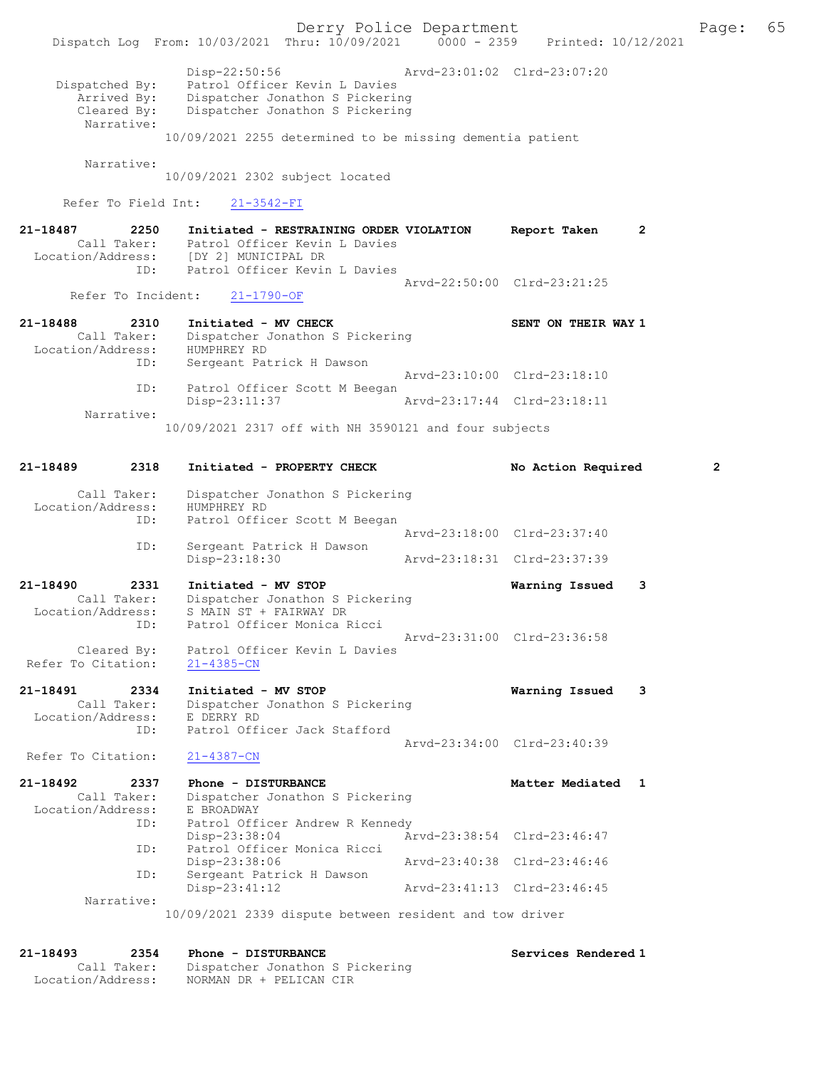Dispatched By: Patrol Officer Kevin L Davies Arrived By: Dispatcher Jonathon S Pickering Cleared By: Dispatcher Jonathon S Pickering Narrative: 10/09/2021 2255 determined to be missing dementia patient

Narrative:

10/09/2021 2302 subject located

Refer To Field Int: 21-3542-FI

21-18487 2250 Initiated - RESTRAINING ORDER VIOLATION Report Taken 2 Call Taker: Patrol Officer Kevin L Davies Location/Address: [DY 2] MUNICIPAL DR ID: Patrol Officer Kevin L Davies Arvd-22:50:00 Clrd-23:21:25<br>21-1790-OF Arvd-22:50:00 Clrd-23:21:25

Refer To Incident:

| 21-18488          | 2310        | Initiated - MV CHECK                                  | SENT ON THEIR WAY 1         |  |
|-------------------|-------------|-------------------------------------------------------|-----------------------------|--|
|                   | Call Taker: | Dispatcher Jonathon S Pickering                       |                             |  |
| Location/Address: |             | HUMPHREY RD                                           |                             |  |
|                   | ID:         | Sergeant Patrick H Dawson                             |                             |  |
|                   |             |                                                       | Arvd-23:10:00 Clrd-23:18:10 |  |
|                   | ID:         | Patrol Officer Scott M Beegan                         |                             |  |
|                   |             | $Disp-23:11:37$                                       | Arvd-23:17:44 Clrd-23:18:11 |  |
|                   | Narrative:  |                                                       |                             |  |
|                   |             | 10/09/2021 2317 off with NH 3590121 and four subjects |                             |  |

| $21 - 18489$<br>2318                                            | Initiated - PROPERTY CHECK                                                                                      | No Action Required          | $\overline{2}$ |
|-----------------------------------------------------------------|-----------------------------------------------------------------------------------------------------------------|-----------------------------|----------------|
| Call Taker:<br>Location/Address:<br>ID:                         | Dispatcher Jonathon S Pickering<br>HUMPHREY RD<br>Patrol Officer Scott M Beegan                                 |                             |                |
|                                                                 |                                                                                                                 | Arvd-23:18:00 Clrd-23:37:40 |                |
| ID:                                                             | Sergeant Patrick H Dawson<br>Disp-23:18:30                                                                      | Arvd-23:18:31 Clrd-23:37:39 |                |
| $21 - 18490$<br>2331<br>Call Taker:<br>Location/Address:<br>ID: | Initiated - MV STOP<br>Dispatcher Jonathon S Pickering<br>S MAIN ST + FAIRWAY DR<br>Patrol Officer Monica Ricci | Warning Issued              | 3              |
| Cleared By:<br>Refer To Citation:                               | Patrol Officer Kevin L Davies<br>$21 - 4385 - CN$                                                               | Arvd-23:31:00 Clrd-23:36:58 |                |
| 21-18491<br>2334<br>Call Taker:                                 | Initiated - MV STOP                                                                                             | Warning Issued              | 3              |
| Location/Address:<br>ID:                                        | Dispatcher Jonathon S Pickering<br>E DERRY RD<br>Patrol Officer Jack Stafford                                   |                             |                |
| Refer To Citation:                                              | $21 - 4387 - CN$                                                                                                | Arvd-23:34:00 Clrd-23:40:39 |                |
| $21 - 18492$<br>2337<br>Call Taker:<br>Location/Address:        | Phone - DISTURBANCE<br>Dispatcher Jonathon S Pickering<br>E BROADWAY                                            | Matter Mediated 1           |                |
| ID:<br>ID:                                                      | Patrol Officer Andrew R Kennedy<br>Disp-23:38:04<br>Patrol Officer Monica Ricci                                 | Arvd-23:38:54 Clrd-23:46:47 |                |
| ID:                                                             | Disp-23:38:06<br>Sergeant Patrick H Dawson                                                                      | Arvd-23:40:38 Clrd-23:46:46 |                |
|                                                                 | Disp-23:41:12                                                                                                   | Arvd-23:41:13 Clrd-23:46:45 |                |
| Narrative:                                                      | 10/09/2021 2339 dispute between resident and tow driver                                                         |                             |                |

21-18493 2354 Phone - DISTURBANCE Services Rendered 1 Call Taker: Dispatcher Jonathon S Pickering Location/Address: NORMAN DR + PELICAN CIR